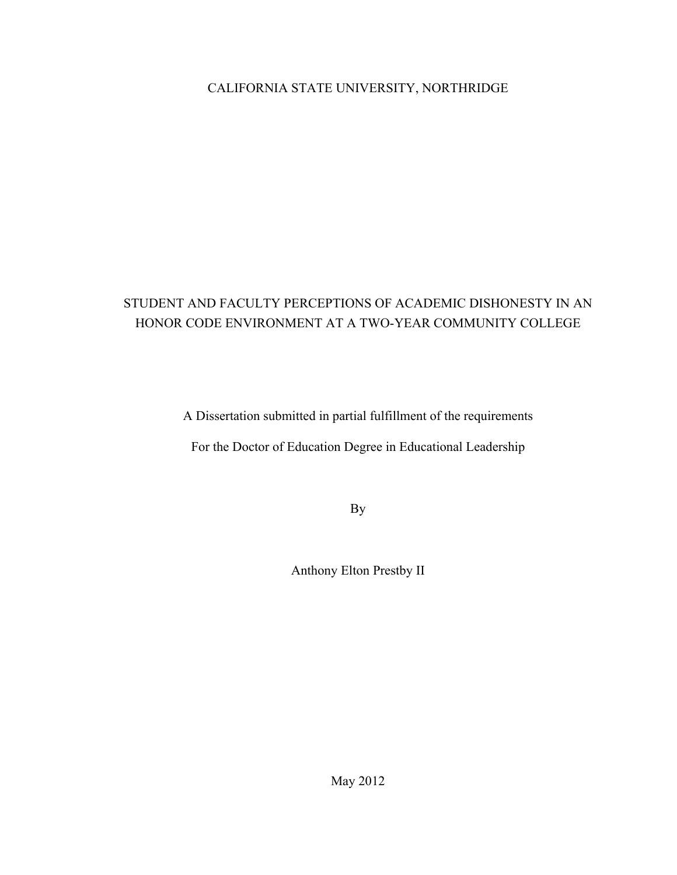## CALIFORNIA STATE UNIVERSITY, NORTHRIDGE

# STUDENT AND FACULTY PERCEPTIONS OF ACADEMIC DISHONESTY IN AN HONOR CODE ENVIRONMENT AT A TWO-YEAR COMMUNITY COLLEGE

A Dissertation submitted in partial fulfillment of the requirements

For the Doctor of Education Degree in Educational Leadership

By

Anthony Elton Prestby II

May 2012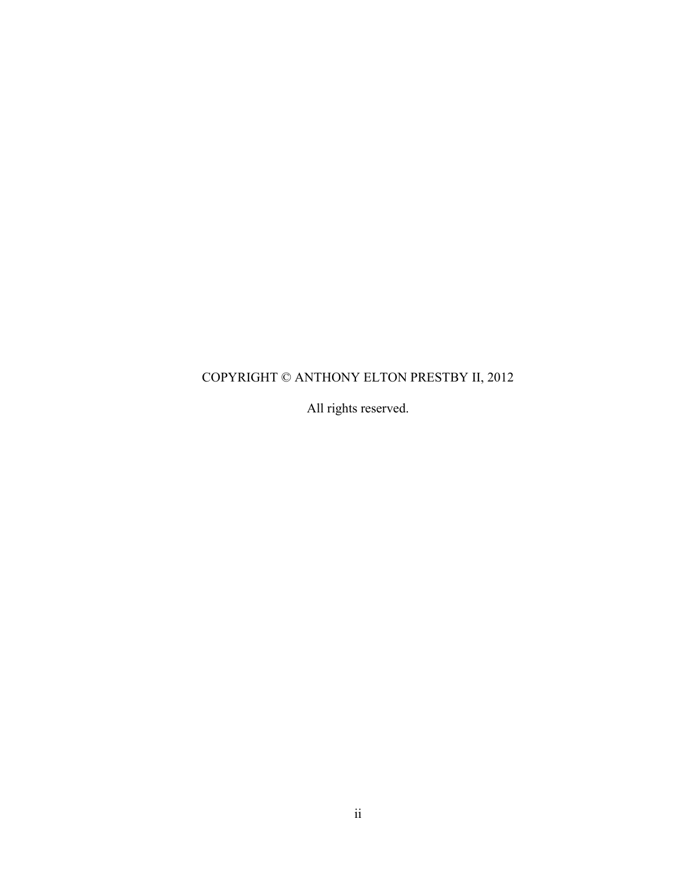# COPYRIGHT © ANTHONY ELTON PRESTBY II, 2012

All rights reserved.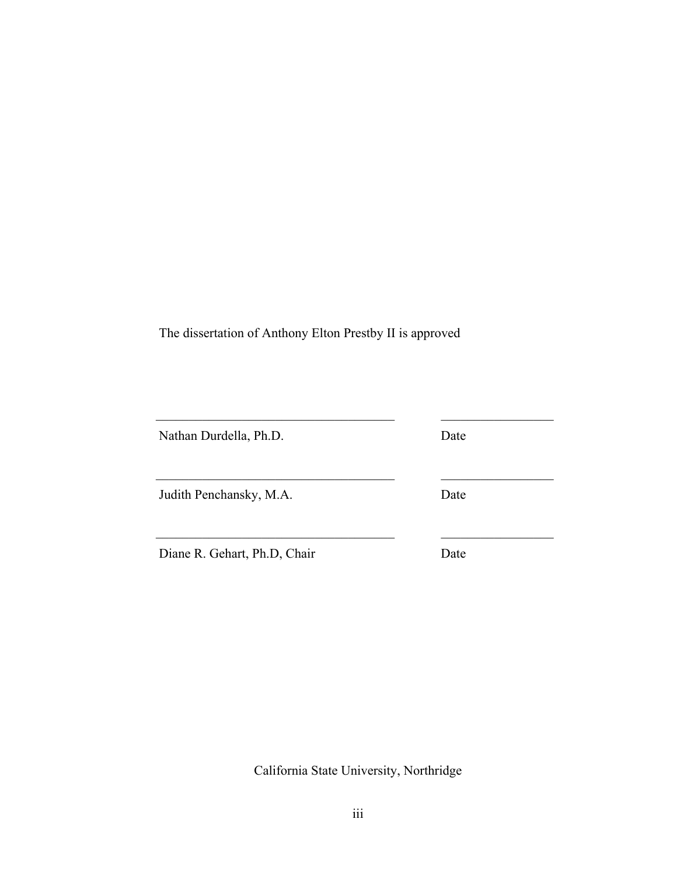The dissertation of Anthony Elton Prestby II is approved

| Nathan Durdella, Ph.D.       | Date |
|------------------------------|------|
| Judith Penchansky, M.A.      | Date |
| Diane R. Gehart, Ph.D, Chair | Date |

California State University, Northridge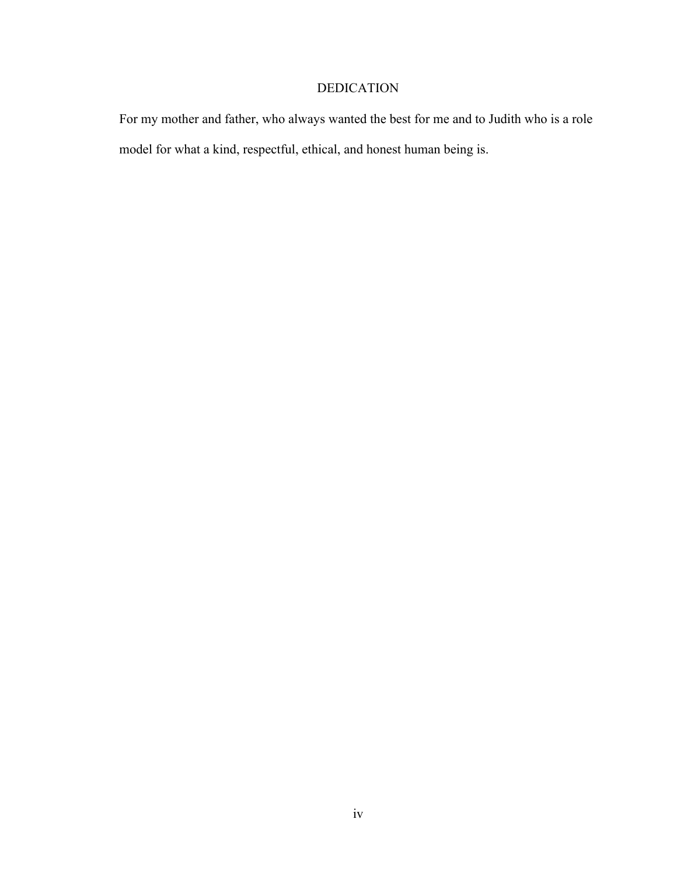## DEDICATION

For my mother and father, who always wanted the best for me and to Judith who is a role model for what a kind, respectful, ethical, and honest human being is.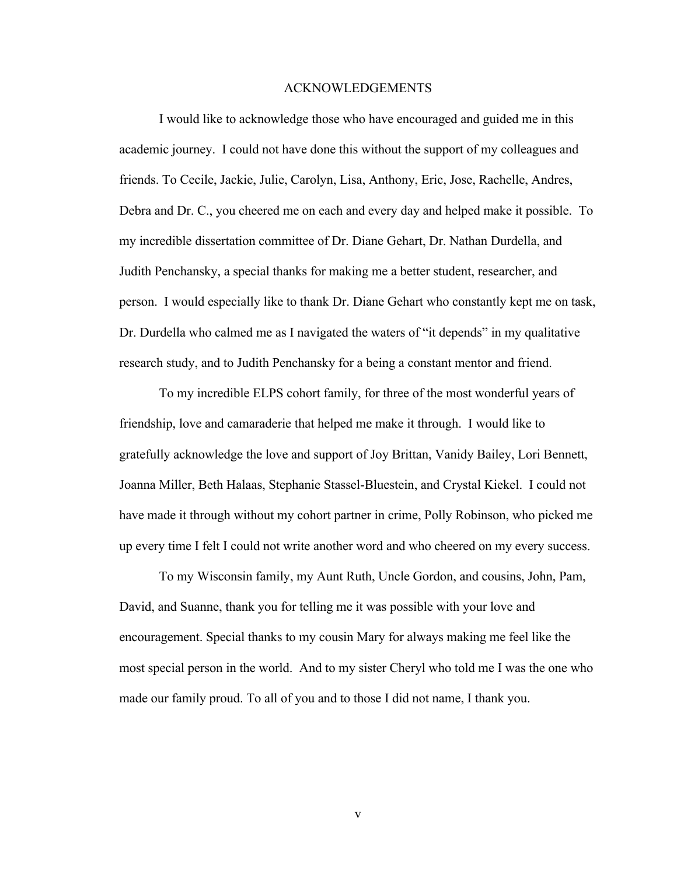#### ACKNOWLEDGEMENTS

I would like to acknowledge those who have encouraged and guided me in this academic journey. I could not have done this without the support of my colleagues and friends. To Cecile, Jackie, Julie, Carolyn, Lisa, Anthony, Eric, Jose, Rachelle, Andres, Debra and Dr. C., you cheered me on each and every day and helped make it possible. To my incredible dissertation committee of Dr. Diane Gehart, Dr. Nathan Durdella, and Judith Penchansky, a special thanks for making me a better student, researcher, and person. I would especially like to thank Dr. Diane Gehart who constantly kept me on task, Dr. Durdella who calmed me as I navigated the waters of "it depends" in my qualitative research study, and to Judith Penchansky for a being a constant mentor and friend.

To my incredible ELPS cohort family, for three of the most wonderful years of friendship, love and camaraderie that helped me make it through. I would like to gratefully acknowledge the love and support of Joy Brittan, Vanidy Bailey, Lori Bennett, Joanna Miller, Beth Halaas, Stephanie Stassel-Bluestein, and Crystal Kiekel. I could not have made it through without my cohort partner in crime, Polly Robinson, who picked me up every time I felt I could not write another word and who cheered on my every success.

To my Wisconsin family, my Aunt Ruth, Uncle Gordon, and cousins, John, Pam, David, and Suanne, thank you for telling me it was possible with your love and encouragement. Special thanks to my cousin Mary for always making me feel like the most special person in the world. And to my sister Cheryl who told me I was the one who made our family proud. To all of you and to those I did not name, I thank you.

v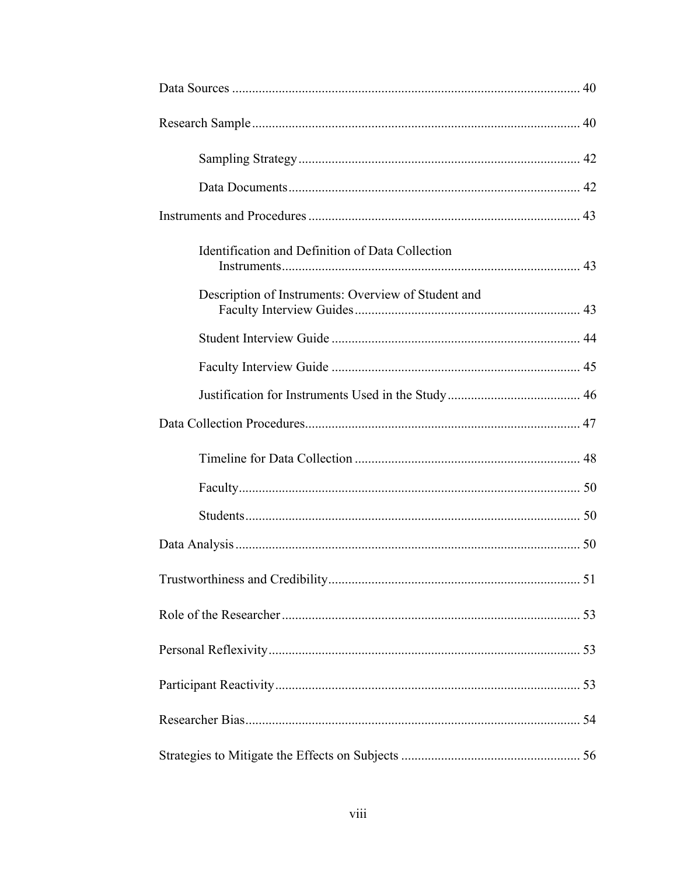| Identification and Definition of Data Collection    |  |
|-----------------------------------------------------|--|
| Description of Instruments: Overview of Student and |  |
|                                                     |  |
|                                                     |  |
|                                                     |  |
|                                                     |  |
|                                                     |  |
|                                                     |  |
|                                                     |  |
|                                                     |  |
|                                                     |  |
|                                                     |  |
|                                                     |  |
|                                                     |  |
|                                                     |  |
|                                                     |  |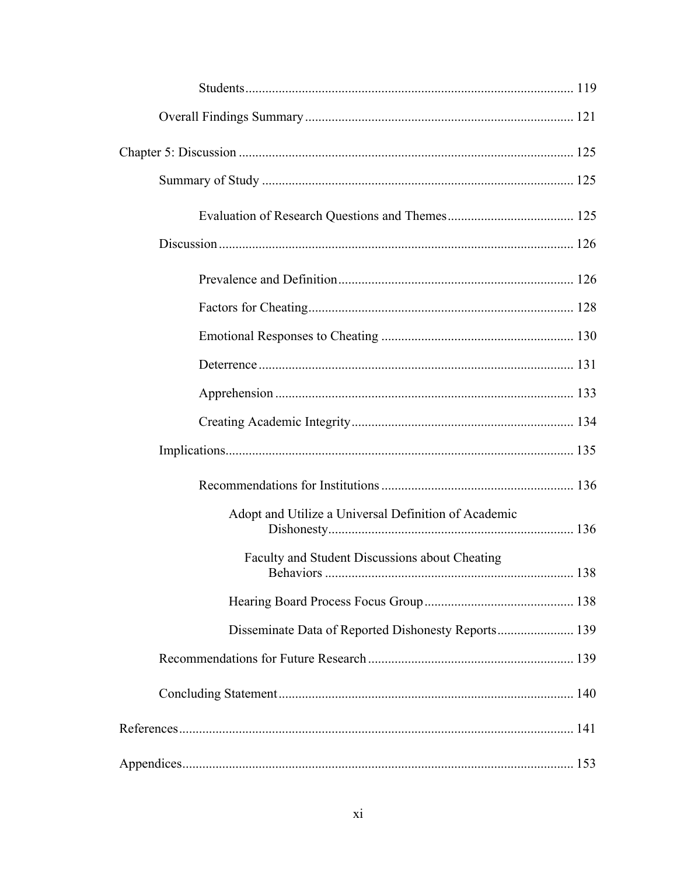| Adopt and Utilize a Universal Definition of Academic |  |
|------------------------------------------------------|--|
| Faculty and Student Discussions about Cheating       |  |
|                                                      |  |
| Disseminate Data of Reported Dishonesty Reports 139  |  |
|                                                      |  |
|                                                      |  |
|                                                      |  |
|                                                      |  |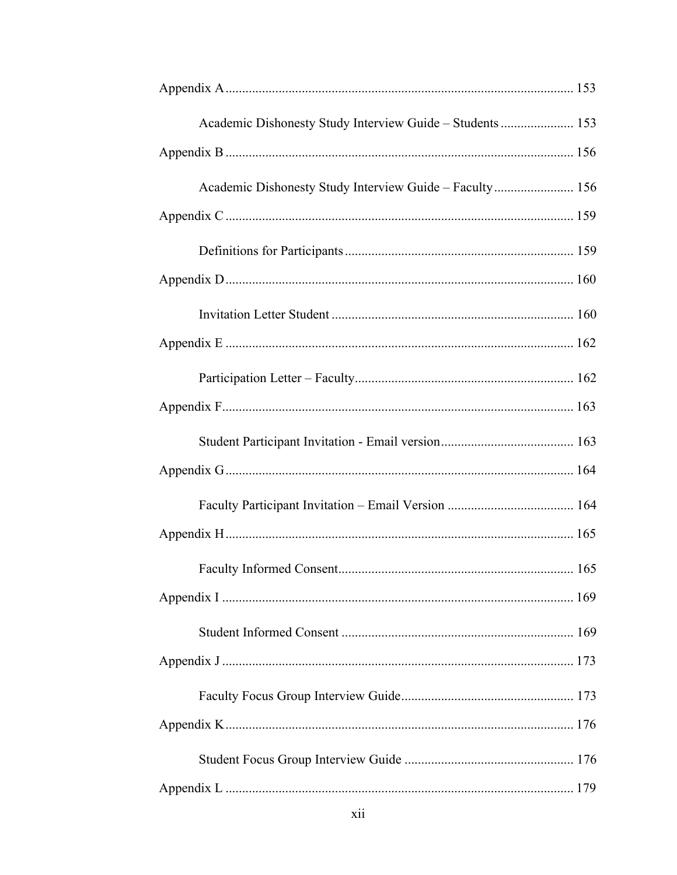| Academic Dishonesty Study Interview Guide - Students  153 |  |
|-----------------------------------------------------------|--|
|                                                           |  |
|                                                           |  |
|                                                           |  |
|                                                           |  |
|                                                           |  |
|                                                           |  |
|                                                           |  |
|                                                           |  |
|                                                           |  |
|                                                           |  |
|                                                           |  |
|                                                           |  |
|                                                           |  |
|                                                           |  |
|                                                           |  |
|                                                           |  |
|                                                           |  |
|                                                           |  |
|                                                           |  |
|                                                           |  |
|                                                           |  |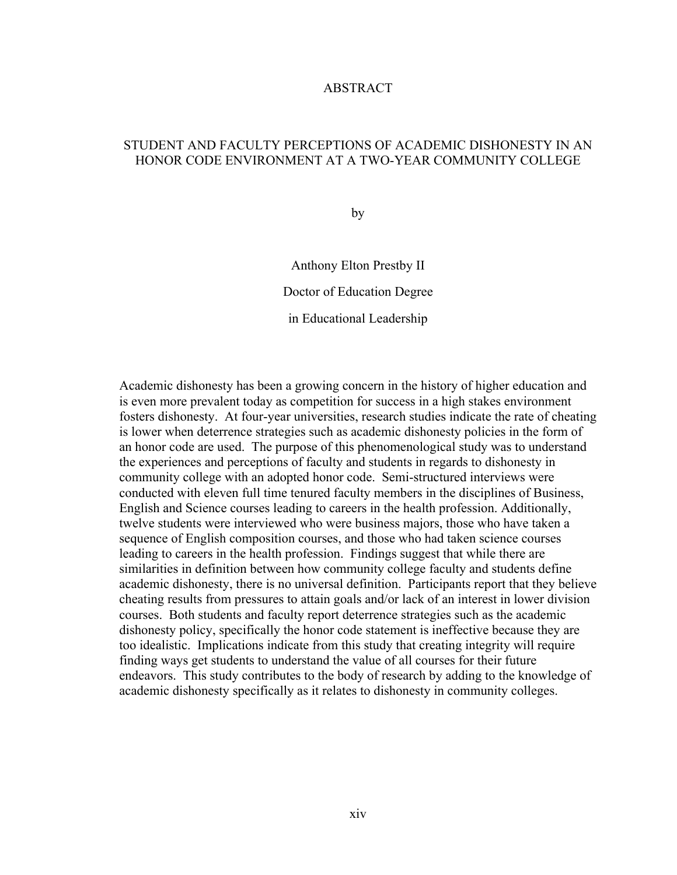## ABSTRACT

## STUDENT AND FACULTY PERCEPTIONS OF ACADEMIC DISHONESTY IN AN HONOR CODE ENVIRONMENT AT A TWO-YEAR COMMUNITY COLLEGE

by

Anthony Elton Prestby II Doctor of Education Degree in Educational Leadership

Academic dishonesty has been a growing concern in the history of higher education and is even more prevalent today as competition for success in a high stakes environment fosters dishonesty. At four-year universities, research studies indicate the rate of cheating is lower when deterrence strategies such as academic dishonesty policies in the form of an honor code are used. The purpose of this phenomenological study was to understand the experiences and perceptions of faculty and students in regards to dishonesty in community college with an adopted honor code. Semi-structured interviews were conducted with eleven full time tenured faculty members in the disciplines of Business, English and Science courses leading to careers in the health profession. Additionally, twelve students were interviewed who were business majors, those who have taken a sequence of English composition courses, and those who had taken science courses leading to careers in the health profession. Findings suggest that while there are similarities in definition between how community college faculty and students define academic dishonesty, there is no universal definition. Participants report that they believe cheating results from pressures to attain goals and/or lack of an interest in lower division courses. Both students and faculty report deterrence strategies such as the academic dishonesty policy, specifically the honor code statement is ineffective because they are too idealistic. Implications indicate from this study that creating integrity will require finding ways get students to understand the value of all courses for their future endeavors. This study contributes to the body of research by adding to the knowledge of academic dishonesty specifically as it relates to dishonesty in community colleges.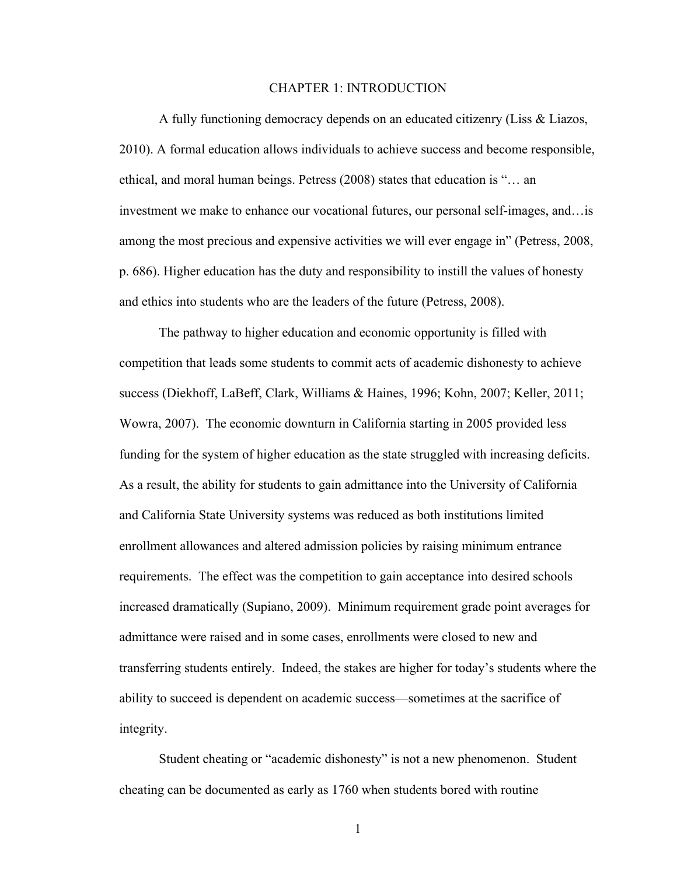### CHAPTER 1: INTRODUCTION

A fully functioning democracy depends on an educated citizenry (Liss & Liazos, 2010). A formal education allows individuals to achieve success and become responsible, ethical, and moral human beings. Petress (2008) states that education is "… an investment we make to enhance our vocational futures, our personal self-images, and…is among the most precious and expensive activities we will ever engage in" (Petress, 2008, p. 686). Higher education has the duty and responsibility to instill the values of honesty and ethics into students who are the leaders of the future (Petress, 2008).

The pathway to higher education and economic opportunity is filled with competition that leads some students to commit acts of academic dishonesty to achieve success (Diekhoff, LaBeff, Clark, Williams & Haines, 1996; Kohn, 2007; Keller, 2011; Wowra, 2007). The economic downturn in California starting in 2005 provided less funding for the system of higher education as the state struggled with increasing deficits. As a result, the ability for students to gain admittance into the University of California and California State University systems was reduced as both institutions limited enrollment allowances and altered admission policies by raising minimum entrance requirements. The effect was the competition to gain acceptance into desired schools increased dramatically (Supiano, 2009). Minimum requirement grade point averages for admittance were raised and in some cases, enrollments were closed to new and transferring students entirely. Indeed, the stakes are higher for today's students where the ability to succeed is dependent on academic success—sometimes at the sacrifice of integrity.

Student cheating or "academic dishonesty" is not a new phenomenon. Student cheating can be documented as early as 1760 when students bored with routine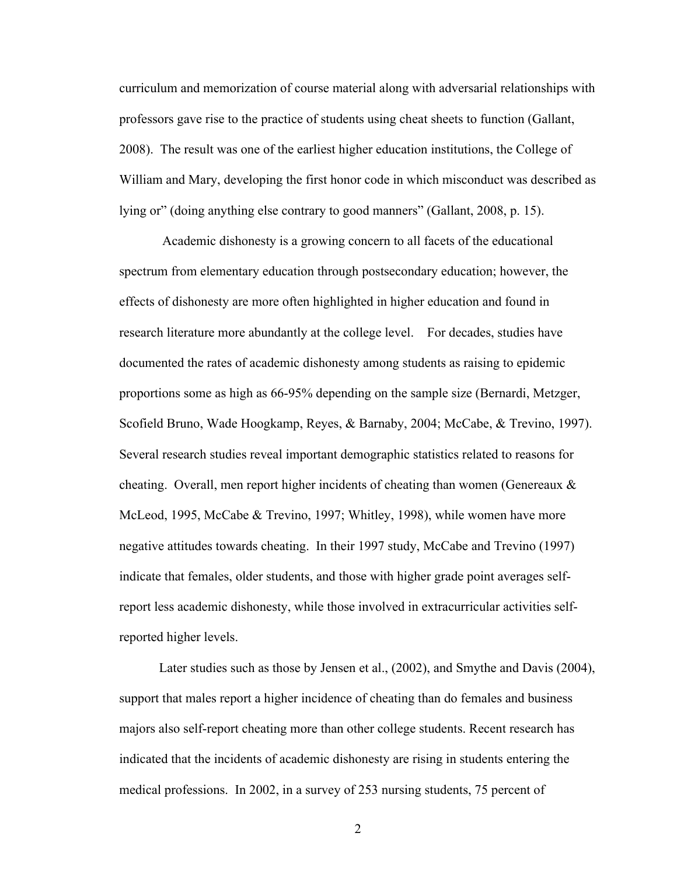curriculum and memorization of course material along with adversarial relationships with professors gave rise to the practice of students using cheat sheets to function (Gallant, 2008). The result was one of the earliest higher education institutions, the College of William and Mary, developing the first honor code in which misconduct was described as lying or" (doing anything else contrary to good manners" (Gallant, 2008, p. 15).

Academic dishonesty is a growing concern to all facets of the educational spectrum from elementary education through postsecondary education; however, the effects of dishonesty are more often highlighted in higher education and found in research literature more abundantly at the college level. For decades, studies have documented the rates of academic dishonesty among students as raising to epidemic proportions some as high as 66-95% depending on the sample size (Bernardi, Metzger, Scofield Bruno, Wade Hoogkamp, Reyes, & Barnaby, 2004; McCabe, & Trevino, 1997). Several research studies reveal important demographic statistics related to reasons for cheating. Overall, men report higher incidents of cheating than women (Genereaux  $\&$ McLeod, 1995, McCabe & Trevino, 1997; Whitley, 1998), while women have more negative attitudes towards cheating. In their 1997 study, McCabe and Trevino (1997) indicate that females, older students, and those with higher grade point averages selfreport less academic dishonesty, while those involved in extracurricular activities selfreported higher levels.

Later studies such as those by Jensen et al., (2002), and Smythe and Davis (2004), support that males report a higher incidence of cheating than do females and business majors also self-report cheating more than other college students. Recent research has indicated that the incidents of academic dishonesty are rising in students entering the medical professions. In 2002, in a survey of 253 nursing students, 75 percent of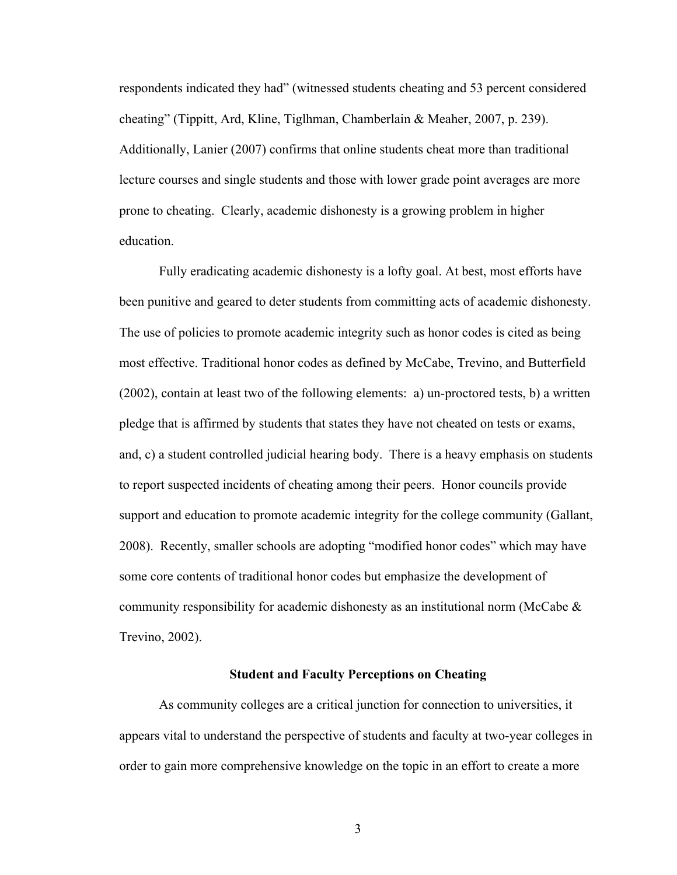respondents indicated they had" (witnessed students cheating and 53 percent considered cheating" (Tippitt, Ard, Kline, Tiglhman, Chamberlain & Meaher, 2007, p. 239). Additionally, Lanier (2007) confirms that online students cheat more than traditional lecture courses and single students and those with lower grade point averages are more prone to cheating. Clearly, academic dishonesty is a growing problem in higher education.

Fully eradicating academic dishonesty is a lofty goal. At best, most efforts have been punitive and geared to deter students from committing acts of academic dishonesty. The use of policies to promote academic integrity such as honor codes is cited as being most effective. Traditional honor codes as defined by McCabe, Trevino, and Butterfield (2002), contain at least two of the following elements: a) un-proctored tests, b) a written pledge that is affirmed by students that states they have not cheated on tests or exams, and, c) a student controlled judicial hearing body. There is a heavy emphasis on students to report suspected incidents of cheating among their peers. Honor councils provide support and education to promote academic integrity for the college community (Gallant, 2008). Recently, smaller schools are adopting "modified honor codes" which may have some core contents of traditional honor codes but emphasize the development of community responsibility for academic dishonesty as an institutional norm (McCabe & Trevino, 2002).

## **Student and Faculty Perceptions on Cheating**

As community colleges are a critical junction for connection to universities, it appears vital to understand the perspective of students and faculty at two-year colleges in order to gain more comprehensive knowledge on the topic in an effort to create a more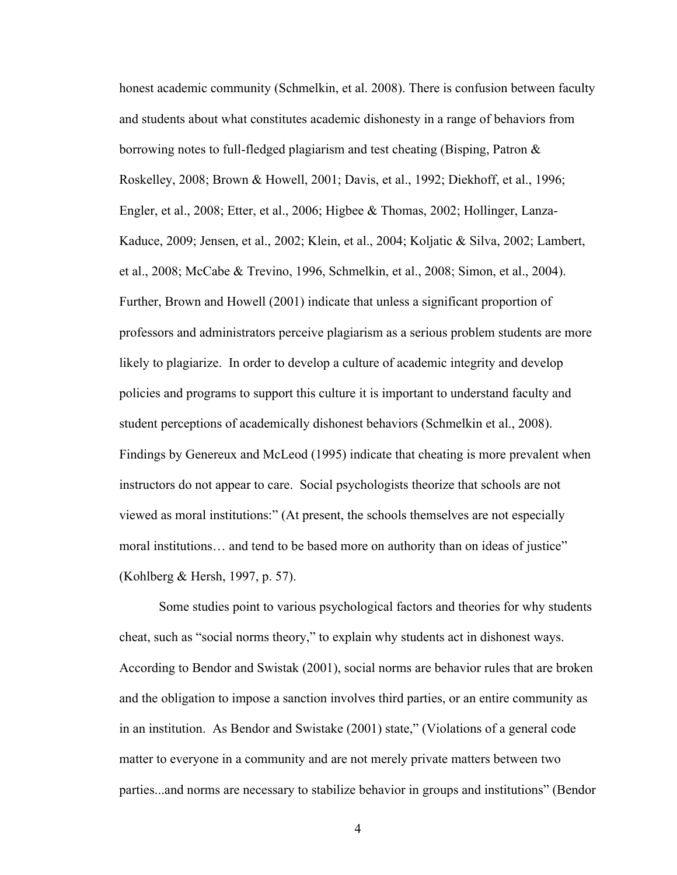honest academic community (Schmelkin, et al. 2008). There is confusion between faculty and students about what constitutes academic dishonesty in a range of behaviors from borrowing notes to full-fledged plagiarism and test cheating (Bisping, Patron  $\&$ Roskelley, 2008; Brown & Howell, 2001; Davis, et al., 1992; Diekhoff, et al., 1996; Engler, et al., 2008; Etter, et al., 2006; Higbee & Thomas, 2002; Hollinger, Lanza-Kaduce, 2009; Jensen, et al., 2002; Klein, et al., 2004; Koljatic & Silva, 2002; Lambert, et al., 2008; McCabe & Trevino, 1996, Schmelkin, et al., 2008; Simon, et al., 2004). Further, Brown and Howell (2001) indicate that unless a significant proportion of professors and administrators perceive plagiarism as a serious problem students are more likely to plagiarize. In order to develop a culture of academic integrity and develop policies and programs to support this culture it is important to understand faculty and student perceptions of academically dishonest behaviors (Schmelkin et al., 2008). Findings by Genereux and McLeod (1995) indicate that cheating is more prevalent when instructors do not appear to care. Social psychologists theorize that schools are not viewed as moral institutions:" (At present, the schools themselves are not especially moral institutions… and tend to be based more on authority than on ideas of justice" (Kohlberg & Hersh, 1997, p. 57).

Some studies point to various psychological factors and theories for why students cheat, such as "social norms theory," to explain why students act in dishonest ways. According to Bendor and Swistak (2001), social norms are behavior rules that are broken and the obligation to impose a sanction involves third parties, or an entire community as in an institution. As Bendor and Swistake (2001) state," (Violations of a general code matter to everyone in a community and are not merely private matters between two parties...and norms are necessary to stabilize behavior in groups and institutions" (Bendor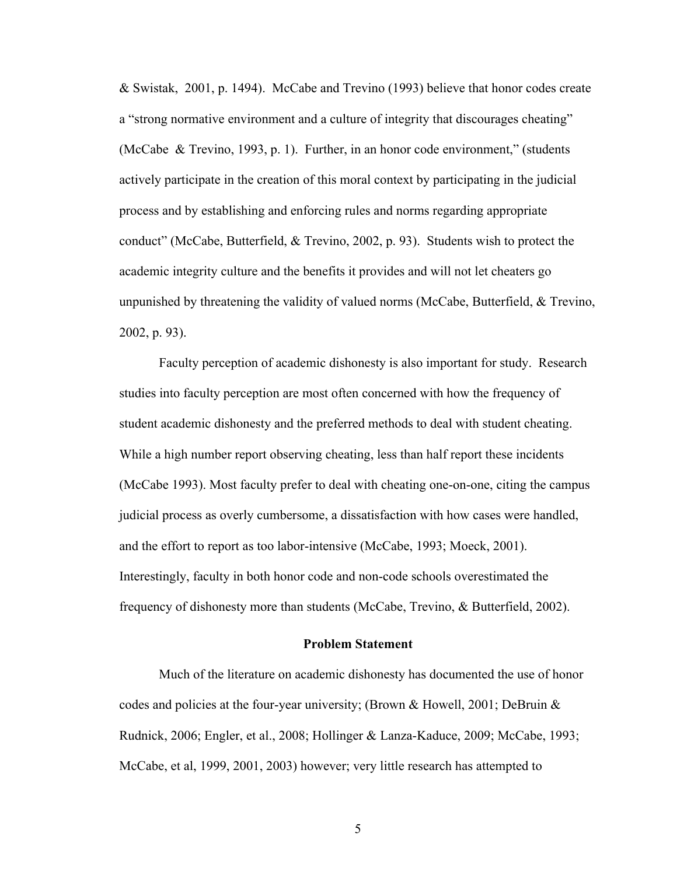& Swistak, 2001, p. 1494). McCabe and Trevino (1993) believe that honor codes create a "strong normative environment and a culture of integrity that discourages cheating" (McCabe & Trevino, 1993, p. 1). Further, in an honor code environment," (students actively participate in the creation of this moral context by participating in the judicial process and by establishing and enforcing rules and norms regarding appropriate conduct" (McCabe, Butterfield, & Trevino, 2002, p. 93). Students wish to protect the academic integrity culture and the benefits it provides and will not let cheaters go unpunished by threatening the validity of valued norms (McCabe, Butterfield, & Trevino, 2002, p. 93).

Faculty perception of academic dishonesty is also important for study. Research studies into faculty perception are most often concerned with how the frequency of student academic dishonesty and the preferred methods to deal with student cheating. While a high number report observing cheating, less than half report these incidents (McCabe 1993). Most faculty prefer to deal with cheating one-on-one, citing the campus judicial process as overly cumbersome, a dissatisfaction with how cases were handled, and the effort to report as too labor-intensive (McCabe, 1993; Moeck, 2001). Interestingly, faculty in both honor code and non-code schools overestimated the frequency of dishonesty more than students (McCabe, Trevino, & Butterfield, 2002).

## **Problem Statement**

Much of the literature on academic dishonesty has documented the use of honor codes and policies at the four-year university; (Brown & Howell, 2001; DeBruin & Rudnick, 2006; Engler, et al., 2008; Hollinger & Lanza-Kaduce, 2009; McCabe, 1993; McCabe, et al, 1999, 2001, 2003) however; very little research has attempted to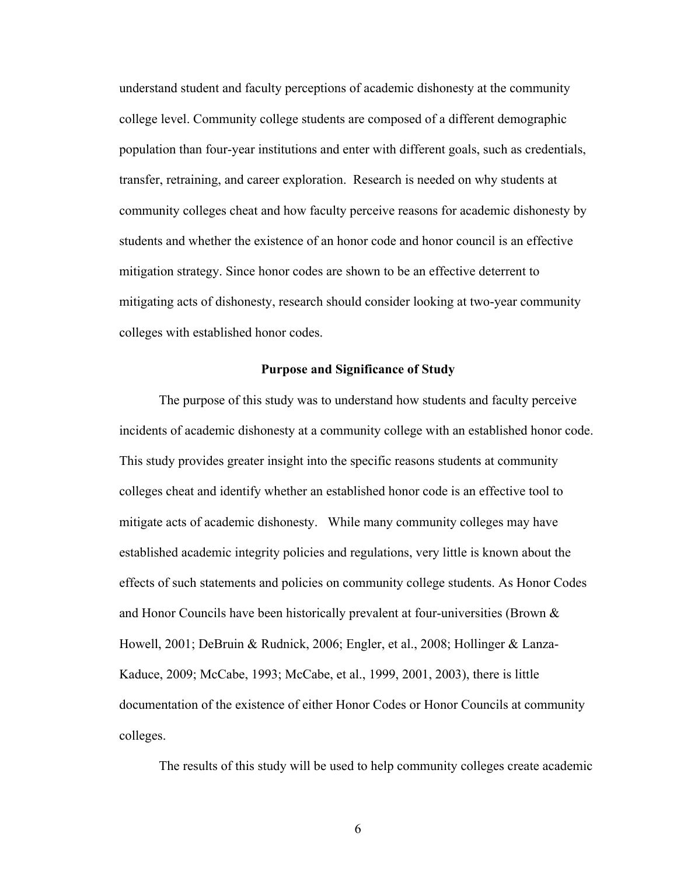understand student and faculty perceptions of academic dishonesty at the community college level. Community college students are composed of a different demographic population than four-year institutions and enter with different goals, such as credentials, transfer, retraining, and career exploration. Research is needed on why students at community colleges cheat and how faculty perceive reasons for academic dishonesty by students and whether the existence of an honor code and honor council is an effective mitigation strategy. Since honor codes are shown to be an effective deterrent to mitigating acts of dishonesty, research should consider looking at two-year community colleges with established honor codes.

#### **Purpose and Significance of Study**

The purpose of this study was to understand how students and faculty perceive incidents of academic dishonesty at a community college with an established honor code. This study provides greater insight into the specific reasons students at community colleges cheat and identify whether an established honor code is an effective tool to mitigate acts of academic dishonesty. While many community colleges may have established academic integrity policies and regulations, very little is known about the effects of such statements and policies on community college students. As Honor Codes and Honor Councils have been historically prevalent at four-universities (Brown & Howell, 2001; DeBruin & Rudnick, 2006; Engler, et al., 2008; Hollinger & Lanza-Kaduce, 2009; McCabe, 1993; McCabe, et al., 1999, 2001, 2003), there is little documentation of the existence of either Honor Codes or Honor Councils at community colleges.

The results of this study will be used to help community colleges create academic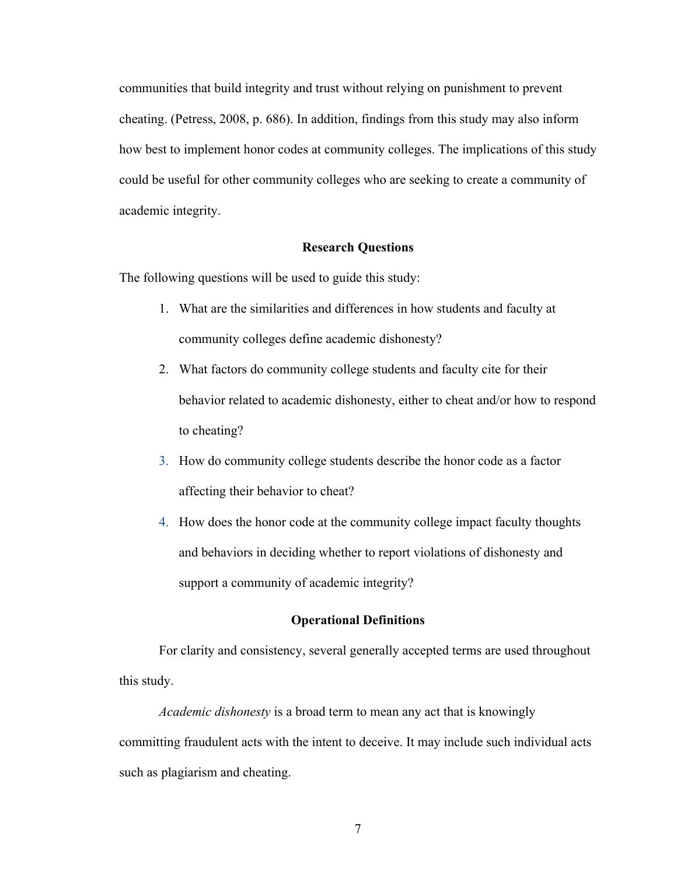communities that build integrity and trust without relying on punishment to prevent cheating. (Petress, 2008, p. 686). In addition, findings from this study may also inform how best to implement honor codes at community colleges. The implications of this study could be useful for other community colleges who are seeking to create a community of academic integrity.

#### **Research Questions**

The following questions will be used to guide this study:

- 1. What are the similarities and differences in how students and faculty at community colleges define academic dishonesty?
- 2. What factors do community college students and faculty cite for their behavior related to academic dishonesty, either to cheat and/or how to respond to cheating?
- 3. How do community college students describe the honor code as a factor affecting their behavior to cheat?
- 4. How does the honor code at the community college impact faculty thoughts and behaviors in deciding whether to report violations of dishonesty and support a community of academic integrity?

## **Operational Definitions**

For clarity and consistency, several generally accepted terms are used throughout this study.

*Academic dishonesty* is a broad term to mean any act that is knowingly committing fraudulent acts with the intent to deceive. It may include such individual acts such as plagiarism and cheating.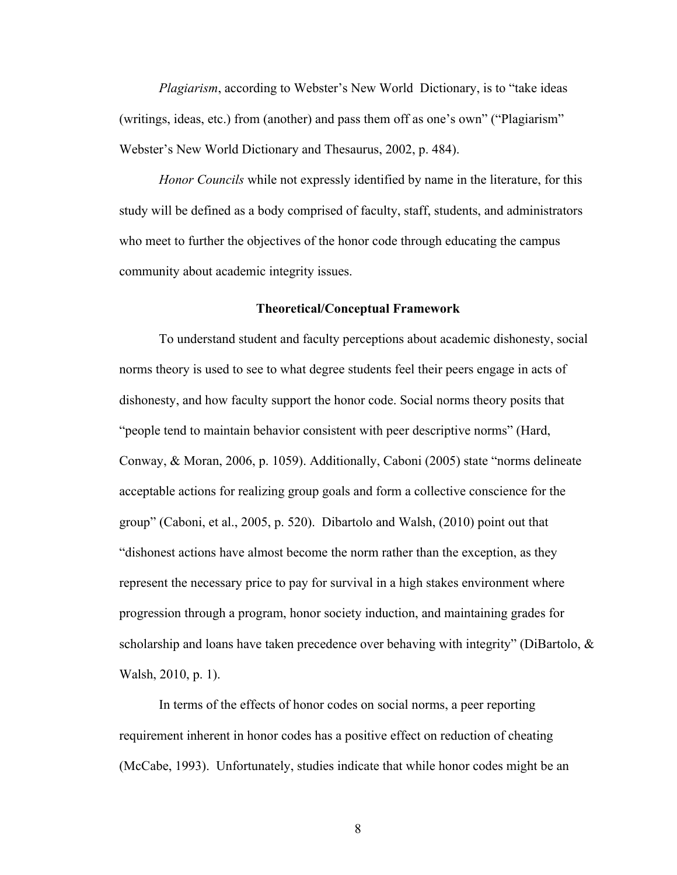*Plagiarism*, according to Webster's New World Dictionary, is to "take ideas (writings, ideas, etc.) from (another) and pass them off as one's own" ("Plagiarism" Webster's New World Dictionary and Thesaurus, 2002, p. 484).

*Honor Councils* while not expressly identified by name in the literature, for this study will be defined as a body comprised of faculty, staff, students, and administrators who meet to further the objectives of the honor code through educating the campus community about academic integrity issues.

### **Theoretical/Conceptual Framework**

To understand student and faculty perceptions about academic dishonesty, social norms theory is used to see to what degree students feel their peers engage in acts of dishonesty, and how faculty support the honor code. Social norms theory posits that "people tend to maintain behavior consistent with peer descriptive norms" (Hard, Conway, & Moran, 2006, p. 1059). Additionally, Caboni (2005) state "norms delineate acceptable actions for realizing group goals and form a collective conscience for the group" (Caboni, et al., 2005, p. 520). Dibartolo and Walsh, (2010) point out that "dishonest actions have almost become the norm rather than the exception, as they represent the necessary price to pay for survival in a high stakes environment where progression through a program, honor society induction, and maintaining grades for scholarship and loans have taken precedence over behaving with integrity" (DiBartolo, & Walsh, 2010, p. 1).

In terms of the effects of honor codes on social norms, a peer reporting requirement inherent in honor codes has a positive effect on reduction of cheating (McCabe, 1993). Unfortunately, studies indicate that while honor codes might be an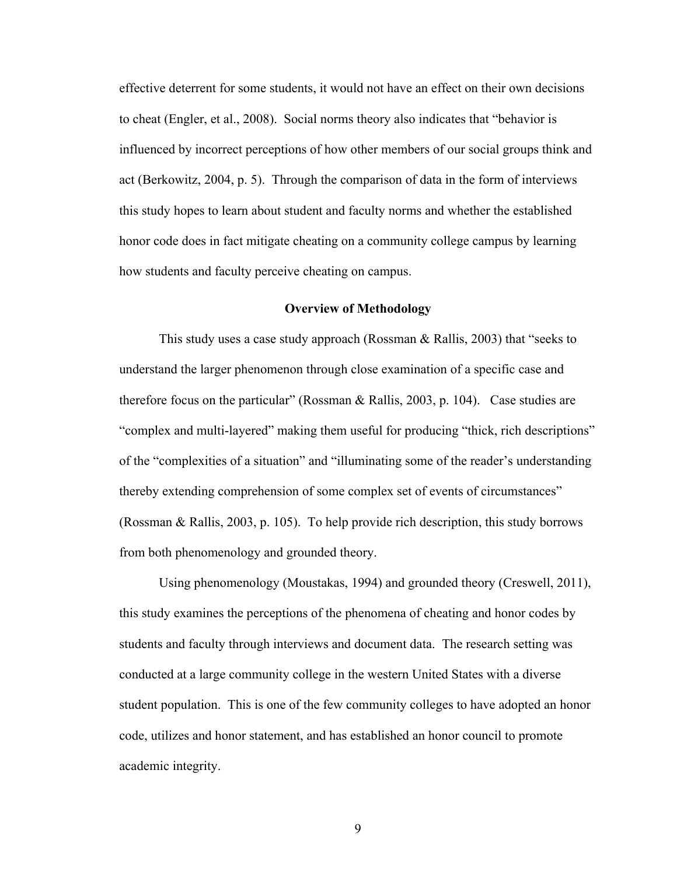effective deterrent for some students, it would not have an effect on their own decisions to cheat (Engler, et al., 2008). Social norms theory also indicates that "behavior is influenced by incorrect perceptions of how other members of our social groups think and act (Berkowitz, 2004, p. 5). Through the comparison of data in the form of interviews this study hopes to learn about student and faculty norms and whether the established honor code does in fact mitigate cheating on a community college campus by learning how students and faculty perceive cheating on campus.

## **Overview of Methodology**

This study uses a case study approach (Rossman & Rallis, 2003) that "seeks to understand the larger phenomenon through close examination of a specific case and therefore focus on the particular" (Rossman & Rallis, 2003, p. 104). Case studies are "complex and multi-layered" making them useful for producing "thick, rich descriptions" of the "complexities of a situation" and "illuminating some of the reader's understanding thereby extending comprehension of some complex set of events of circumstances" (Rossman & Rallis, 2003, p. 105). To help provide rich description, this study borrows from both phenomenology and grounded theory.

Using phenomenology (Moustakas, 1994) and grounded theory (Creswell, 2011), this study examines the perceptions of the phenomena of cheating and honor codes by students and faculty through interviews and document data. The research setting was conducted at a large community college in the western United States with a diverse student population. This is one of the few community colleges to have adopted an honor code, utilizes and honor statement, and has established an honor council to promote academic integrity.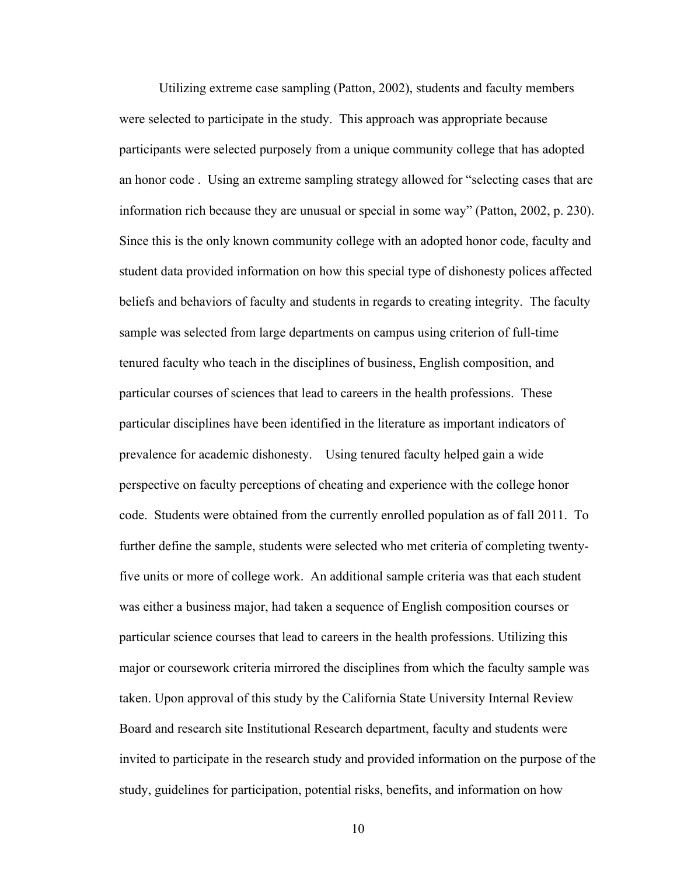Utilizing extreme case sampling (Patton, 2002), students and faculty members were selected to participate in the study. This approach was appropriate because participants were selected purposely from a unique community college that has adopted an honor code . Using an extreme sampling strategy allowed for "selecting cases that are information rich because they are unusual or special in some way" (Patton, 2002, p. 230). Since this is the only known community college with an adopted honor code, faculty and student data provided information on how this special type of dishonesty polices affected beliefs and behaviors of faculty and students in regards to creating integrity. The faculty sample was selected from large departments on campus using criterion of full-time tenured faculty who teach in the disciplines of business, English composition, and particular courses of sciences that lead to careers in the health professions. These particular disciplines have been identified in the literature as important indicators of prevalence for academic dishonesty. Using tenured faculty helped gain a wide perspective on faculty perceptions of cheating and experience with the college honor code. Students were obtained from the currently enrolled population as of fall 2011. To further define the sample, students were selected who met criteria of completing twentyfive units or more of college work. An additional sample criteria was that each student was either a business major, had taken a sequence of English composition courses or particular science courses that lead to careers in the health professions. Utilizing this major or coursework criteria mirrored the disciplines from which the faculty sample was taken. Upon approval of this study by the California State University Internal Review Board and research site Institutional Research department, faculty and students were invited to participate in the research study and provided information on the purpose of the study, guidelines for participation, potential risks, benefits, and information on how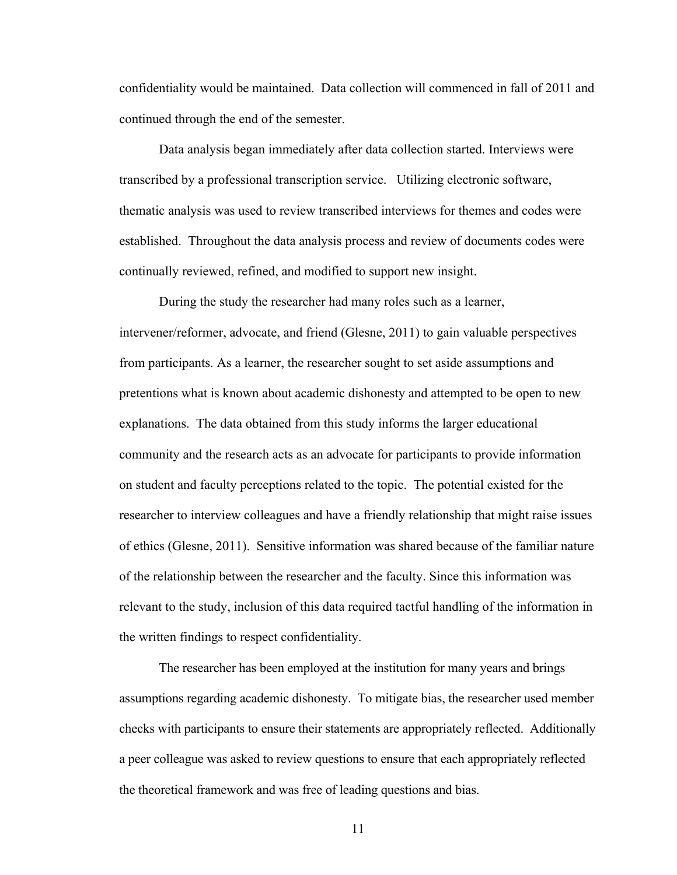confidentiality would be maintained. Data collection will commenced in fall of 2011 and continued through the end of the semester.

Data analysis began immediately after data collection started. Interviews were transcribed by a professional transcription service. Utilizing electronic software, thematic analysis was used to review transcribed interviews for themes and codes were established. Throughout the data analysis process and review of documents codes were continually reviewed, refined, and modified to support new insight.

During the study the researcher had many roles such as a learner, intervener/reformer, advocate, and friend (Glesne, 2011) to gain valuable perspectives from participants. As a learner, the researcher sought to set aside assumptions and pretentions what is known about academic dishonesty and attempted to be open to new explanations. The data obtained from this study informs the larger educational community and the research acts as an advocate for participants to provide information on student and faculty perceptions related to the topic. The potential existed for the researcher to interview colleagues and have a friendly relationship that might raise issues of ethics (Glesne, 2011). Sensitive information was shared because of the familiar nature of the relationship between the researcher and the faculty. Since this information was relevant to the study, inclusion of this data required tactful handling of the information in the written findings to respect confidentiality.

The researcher has been employed at the institution for many years and brings assumptions regarding academic dishonesty. To mitigate bias, the researcher used member checks with participants to ensure their statements are appropriately reflected. Additionally a peer colleague was asked to review questions to ensure that each appropriately reflected the theoretical framework and was free of leading questions and bias.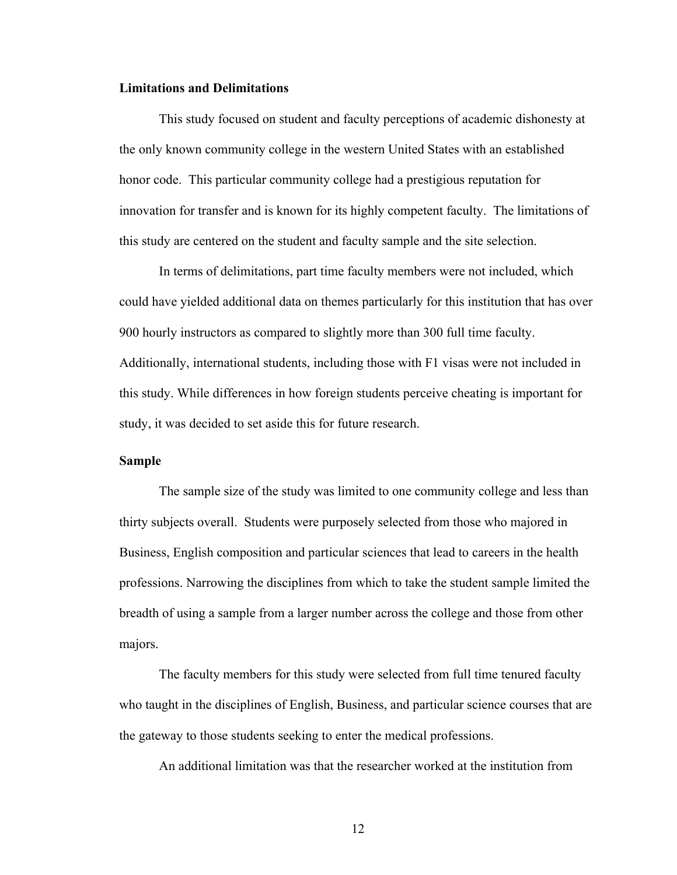## **Limitations and Delimitations**

This study focused on student and faculty perceptions of academic dishonesty at the only known community college in the western United States with an established honor code. This particular community college had a prestigious reputation for innovation for transfer and is known for its highly competent faculty. The limitations of this study are centered on the student and faculty sample and the site selection.

In terms of delimitations, part time faculty members were not included, which could have yielded additional data on themes particularly for this institution that has over 900 hourly instructors as compared to slightly more than 300 full time faculty. Additionally, international students, including those with F1 visas were not included in this study. While differences in how foreign students perceive cheating is important for study, it was decided to set aside this for future research.

## **Sample**

The sample size of the study was limited to one community college and less than thirty subjects overall. Students were purposely selected from those who majored in Business, English composition and particular sciences that lead to careers in the health professions. Narrowing the disciplines from which to take the student sample limited the breadth of using a sample from a larger number across the college and those from other majors.

The faculty members for this study were selected from full time tenured faculty who taught in the disciplines of English, Business, and particular science courses that are the gateway to those students seeking to enter the medical professions.

An additional limitation was that the researcher worked at the institution from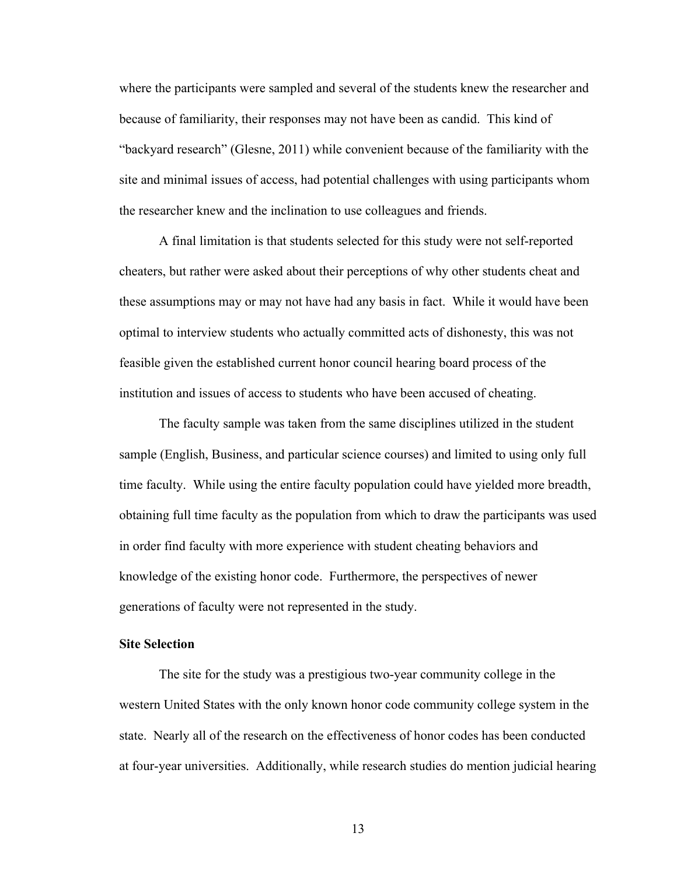where the participants were sampled and several of the students knew the researcher and because of familiarity, their responses may not have been as candid. This kind of "backyard research" (Glesne, 2011) while convenient because of the familiarity with the site and minimal issues of access, had potential challenges with using participants whom the researcher knew and the inclination to use colleagues and friends.

A final limitation is that students selected for this study were not self-reported cheaters, but rather were asked about their perceptions of why other students cheat and these assumptions may or may not have had any basis in fact. While it would have been optimal to interview students who actually committed acts of dishonesty, this was not feasible given the established current honor council hearing board process of the institution and issues of access to students who have been accused of cheating.

The faculty sample was taken from the same disciplines utilized in the student sample (English, Business, and particular science courses) and limited to using only full time faculty. While using the entire faculty population could have yielded more breadth, obtaining full time faculty as the population from which to draw the participants was used in order find faculty with more experience with student cheating behaviors and knowledge of the existing honor code. Furthermore, the perspectives of newer generations of faculty were not represented in the study.

## **Site Selection**

The site for the study was a prestigious two-year community college in the western United States with the only known honor code community college system in the state. Nearly all of the research on the effectiveness of honor codes has been conducted at four-year universities. Additionally, while research studies do mention judicial hearing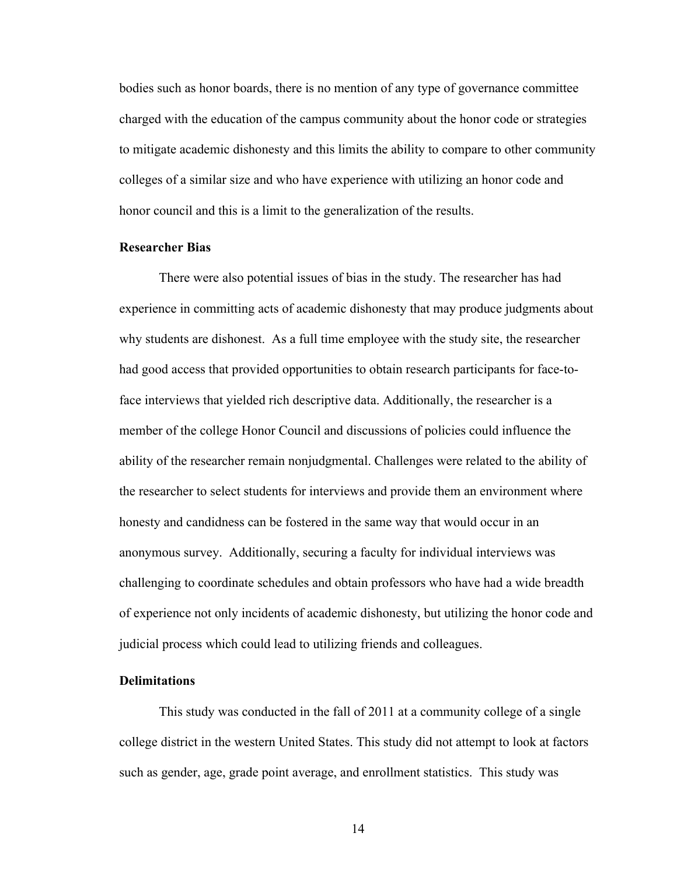bodies such as honor boards, there is no mention of any type of governance committee charged with the education of the campus community about the honor code or strategies to mitigate academic dishonesty and this limits the ability to compare to other community colleges of a similar size and who have experience with utilizing an honor code and honor council and this is a limit to the generalization of the results.

#### **Researcher Bias**

There were also potential issues of bias in the study. The researcher has had experience in committing acts of academic dishonesty that may produce judgments about why students are dishonest. As a full time employee with the study site, the researcher had good access that provided opportunities to obtain research participants for face-toface interviews that yielded rich descriptive data. Additionally, the researcher is a member of the college Honor Council and discussions of policies could influence the ability of the researcher remain nonjudgmental. Challenges were related to the ability of the researcher to select students for interviews and provide them an environment where honesty and candidness can be fostered in the same way that would occur in an anonymous survey. Additionally, securing a faculty for individual interviews was challenging to coordinate schedules and obtain professors who have had a wide breadth of experience not only incidents of academic dishonesty, but utilizing the honor code and judicial process which could lead to utilizing friends and colleagues.

## **Delimitations**

This study was conducted in the fall of 2011 at a community college of a single college district in the western United States. This study did not attempt to look at factors such as gender, age, grade point average, and enrollment statistics. This study was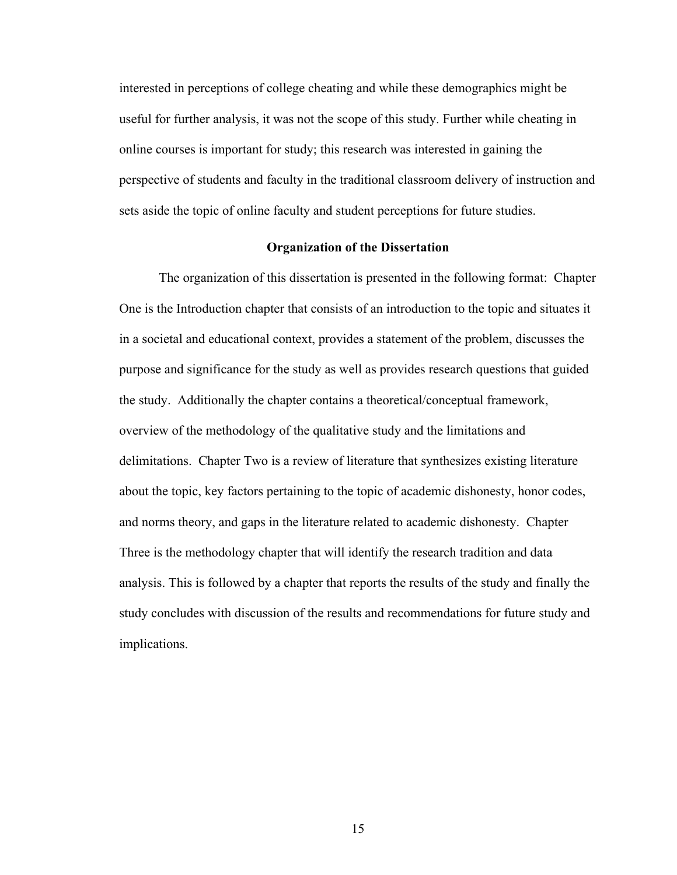interested in perceptions of college cheating and while these demographics might be useful for further analysis, it was not the scope of this study. Further while cheating in online courses is important for study; this research was interested in gaining the perspective of students and faculty in the traditional classroom delivery of instruction and sets aside the topic of online faculty and student perceptions for future studies.

### **Organization of the Dissertation**

The organization of this dissertation is presented in the following format: Chapter One is the Introduction chapter that consists of an introduction to the topic and situates it in a societal and educational context, provides a statement of the problem, discusses the purpose and significance for the study as well as provides research questions that guided the study. Additionally the chapter contains a theoretical/conceptual framework, overview of the methodology of the qualitative study and the limitations and delimitations. Chapter Two is a review of literature that synthesizes existing literature about the topic, key factors pertaining to the topic of academic dishonesty, honor codes, and norms theory, and gaps in the literature related to academic dishonesty. Chapter Three is the methodology chapter that will identify the research tradition and data analysis. This is followed by a chapter that reports the results of the study and finally the study concludes with discussion of the results and recommendations for future study and implications.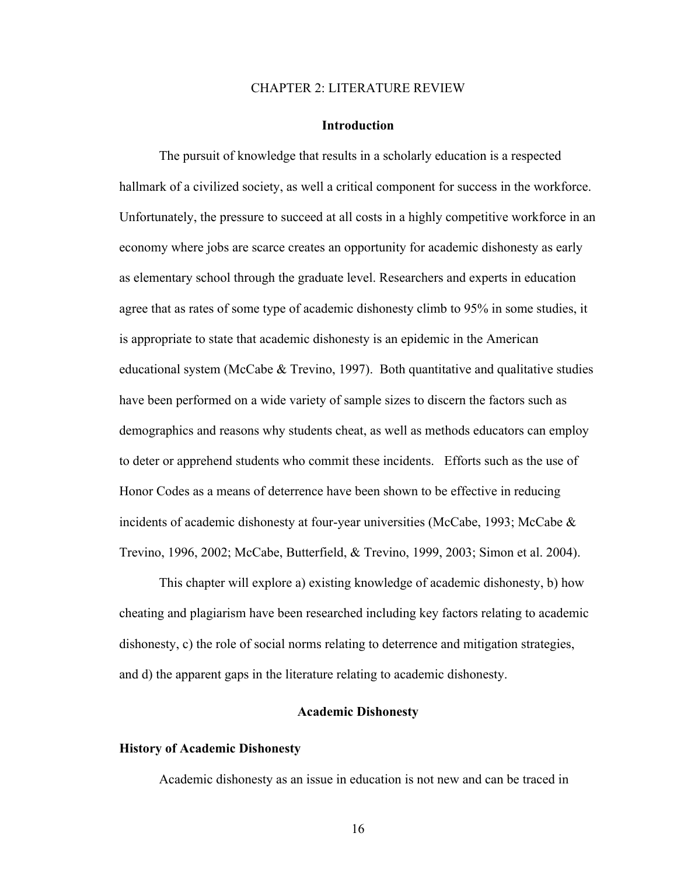#### CHAPTER 2: LITERATURE REVIEW

#### **Introduction**

The pursuit of knowledge that results in a scholarly education is a respected hallmark of a civilized society, as well a critical component for success in the workforce. Unfortunately, the pressure to succeed at all costs in a highly competitive workforce in an economy where jobs are scarce creates an opportunity for academic dishonesty as early as elementary school through the graduate level. Researchers and experts in education agree that as rates of some type of academic dishonesty climb to 95% in some studies, it is appropriate to state that academic dishonesty is an epidemic in the American educational system (McCabe & Trevino, 1997). Both quantitative and qualitative studies have been performed on a wide variety of sample sizes to discern the factors such as demographics and reasons why students cheat, as well as methods educators can employ to deter or apprehend students who commit these incidents. Efforts such as the use of Honor Codes as a means of deterrence have been shown to be effective in reducing incidents of academic dishonesty at four-year universities (McCabe, 1993; McCabe & Trevino, 1996, 2002; McCabe, Butterfield, & Trevino, 1999, 2003; Simon et al. 2004).

This chapter will explore a) existing knowledge of academic dishonesty, b) how cheating and plagiarism have been researched including key factors relating to academic dishonesty, c) the role of social norms relating to deterrence and mitigation strategies, and d) the apparent gaps in the literature relating to academic dishonesty.

## **Academic Dishonesty**

## **History of Academic Dishonesty**

Academic dishonesty as an issue in education is not new and can be traced in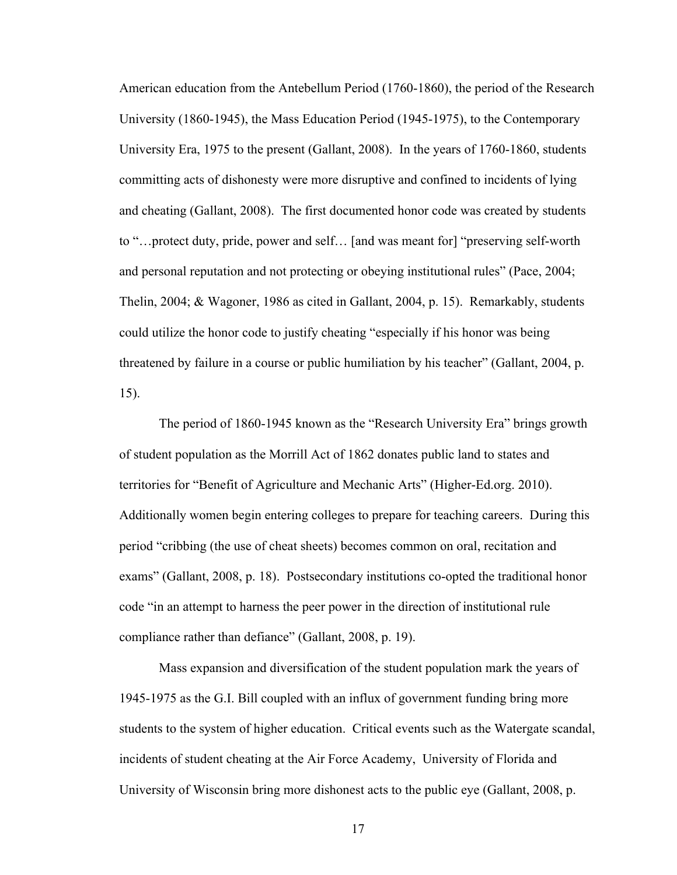American education from the Antebellum Period (1760-1860), the period of the Research University (1860-1945), the Mass Education Period (1945-1975), to the Contemporary University Era, 1975 to the present (Gallant, 2008). In the years of 1760-1860, students committing acts of dishonesty were more disruptive and confined to incidents of lying and cheating (Gallant, 2008). The first documented honor code was created by students to "…protect duty, pride, power and self… [and was meant for] "preserving self-worth and personal reputation and not protecting or obeying institutional rules" (Pace, 2004; Thelin, 2004; & Wagoner, 1986 as cited in Gallant, 2004, p. 15). Remarkably, students could utilize the honor code to justify cheating "especially if his honor was being threatened by failure in a course or public humiliation by his teacher" (Gallant, 2004, p. 15).

The period of 1860-1945 known as the "Research University Era" brings growth of student population as the Morrill Act of 1862 donates public land to states and territories for "Benefit of Agriculture and Mechanic Arts" (Higher-Ed.org. 2010). Additionally women begin entering colleges to prepare for teaching careers. During this period "cribbing (the use of cheat sheets) becomes common on oral, recitation and exams" (Gallant, 2008, p. 18). Postsecondary institutions co-opted the traditional honor code "in an attempt to harness the peer power in the direction of institutional rule compliance rather than defiance" (Gallant, 2008, p. 19).

Mass expansion and diversification of the student population mark the years of 1945-1975 as the G.I. Bill coupled with an influx of government funding bring more students to the system of higher education. Critical events such as the Watergate scandal, incidents of student cheating at the Air Force Academy, University of Florida and University of Wisconsin bring more dishonest acts to the public eye (Gallant, 2008, p.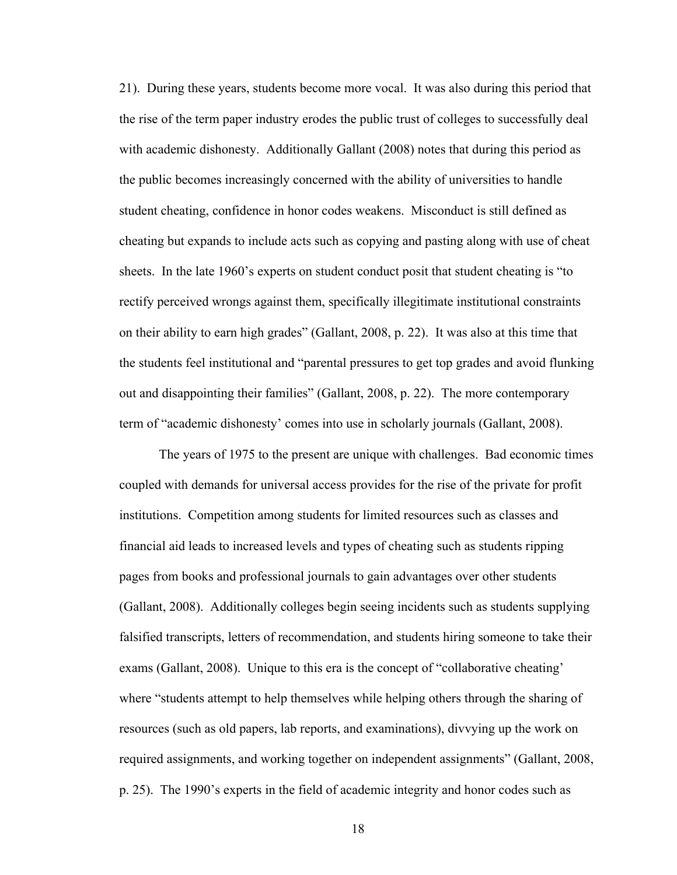21). During these years, students become more vocal. It was also during this period that the rise of the term paper industry erodes the public trust of colleges to successfully deal with academic dishonesty. Additionally Gallant (2008) notes that during this period as the public becomes increasingly concerned with the ability of universities to handle student cheating, confidence in honor codes weakens. Misconduct is still defined as cheating but expands to include acts such as copying and pasting along with use of cheat sheets. In the late 1960's experts on student conduct posit that student cheating is "to rectify perceived wrongs against them, specifically illegitimate institutional constraints on their ability to earn high grades" (Gallant, 2008, p. 22). It was also at this time that the students feel institutional and "parental pressures to get top grades and avoid flunking out and disappointing their families" (Gallant, 2008, p. 22). The more contemporary term of "academic dishonesty' comes into use in scholarly journals (Gallant, 2008).

The years of 1975 to the present are unique with challenges. Bad economic times coupled with demands for universal access provides for the rise of the private for profit institutions. Competition among students for limited resources such as classes and financial aid leads to increased levels and types of cheating such as students ripping pages from books and professional journals to gain advantages over other students (Gallant, 2008). Additionally colleges begin seeing incidents such as students supplying falsified transcripts, letters of recommendation, and students hiring someone to take their exams (Gallant, 2008). Unique to this era is the concept of "collaborative cheating' where "students attempt to help themselves while helping others through the sharing of resources (such as old papers, lab reports, and examinations), divvying up the work on required assignments, and working together on independent assignments" (Gallant, 2008, p. 25). The 1990's experts in the field of academic integrity and honor codes such as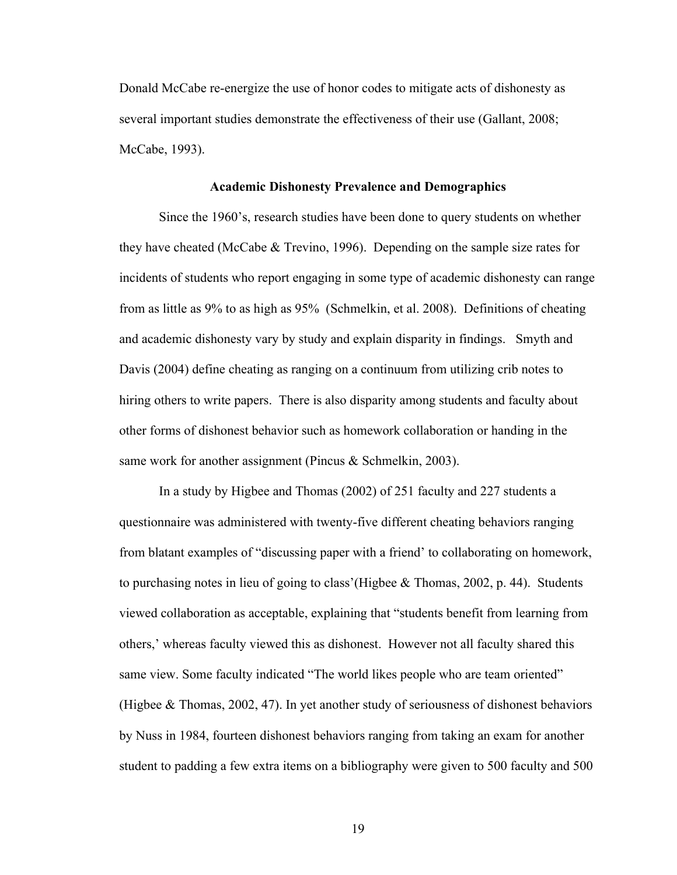Donald McCabe re-energize the use of honor codes to mitigate acts of dishonesty as several important studies demonstrate the effectiveness of their use (Gallant, 2008; McCabe, 1993).

#### **Academic Dishonesty Prevalence and Demographics**

Since the 1960's, research studies have been done to query students on whether they have cheated (McCabe  $\&$  Trevino, 1996). Depending on the sample size rates for incidents of students who report engaging in some type of academic dishonesty can range from as little as 9% to as high as 95% (Schmelkin, et al. 2008). Definitions of cheating and academic dishonesty vary by study and explain disparity in findings. Smyth and Davis (2004) define cheating as ranging on a continuum from utilizing crib notes to hiring others to write papers. There is also disparity among students and faculty about other forms of dishonest behavior such as homework collaboration or handing in the same work for another assignment (Pincus & Schmelkin, 2003).

In a study by Higbee and Thomas (2002) of 251 faculty and 227 students a questionnaire was administered with twenty-five different cheating behaviors ranging from blatant examples of "discussing paper with a friend' to collaborating on homework, to purchasing notes in lieu of going to class'(Higbee & Thomas, 2002, p. 44). Students viewed collaboration as acceptable, explaining that "students benefit from learning from others,' whereas faculty viewed this as dishonest. However not all faculty shared this same view. Some faculty indicated "The world likes people who are team oriented" (Higbee & Thomas, 2002, 47). In yet another study of seriousness of dishonest behaviors by Nuss in 1984, fourteen dishonest behaviors ranging from taking an exam for another student to padding a few extra items on a bibliography were given to 500 faculty and 500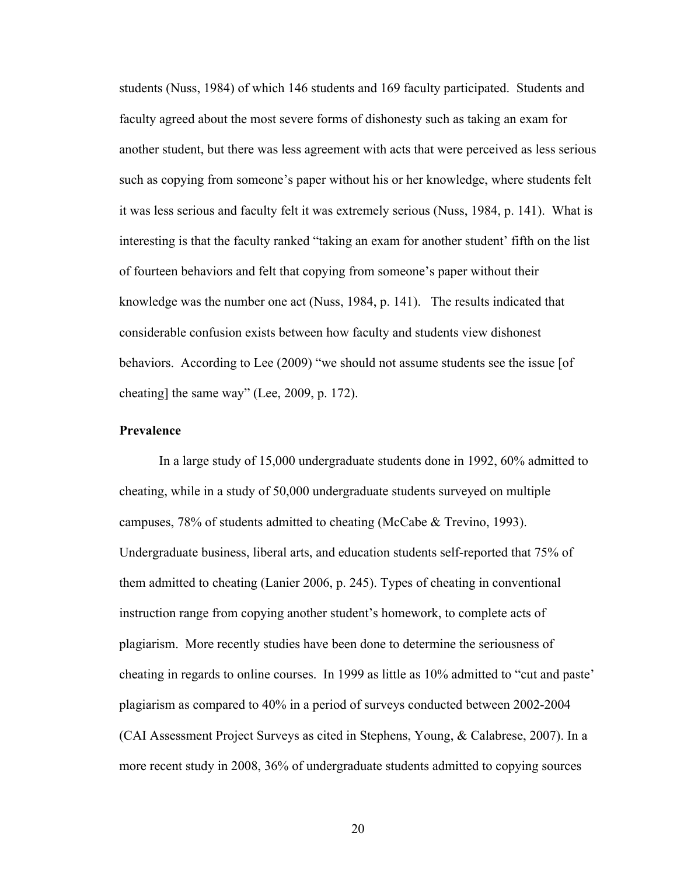students (Nuss, 1984) of which 146 students and 169 faculty participated. Students and faculty agreed about the most severe forms of dishonesty such as taking an exam for another student, but there was less agreement with acts that were perceived as less serious such as copying from someone's paper without his or her knowledge, where students felt it was less serious and faculty felt it was extremely serious (Nuss, 1984, p. 141). What is interesting is that the faculty ranked "taking an exam for another student' fifth on the list of fourteen behaviors and felt that copying from someone's paper without their knowledge was the number one act (Nuss, 1984, p. 141). The results indicated that considerable confusion exists between how faculty and students view dishonest behaviors. According to Lee (2009) "we should not assume students see the issue [of cheating] the same way" (Lee, 2009, p. 172).

## **Prevalence**

In a large study of 15,000 undergraduate students done in 1992, 60% admitted to cheating, while in a study of 50,000 undergraduate students surveyed on multiple campuses, 78% of students admitted to cheating (McCabe & Trevino, 1993). Undergraduate business, liberal arts, and education students self-reported that 75% of them admitted to cheating (Lanier 2006, p. 245). Types of cheating in conventional instruction range from copying another student's homework, to complete acts of plagiarism. More recently studies have been done to determine the seriousness of cheating in regards to online courses. In 1999 as little as 10% admitted to "cut and paste' plagiarism as compared to 40% in a period of surveys conducted between 2002-2004 (CAI Assessment Project Surveys as cited in Stephens, Young, & Calabrese, 2007). In a more recent study in 2008, 36% of undergraduate students admitted to copying sources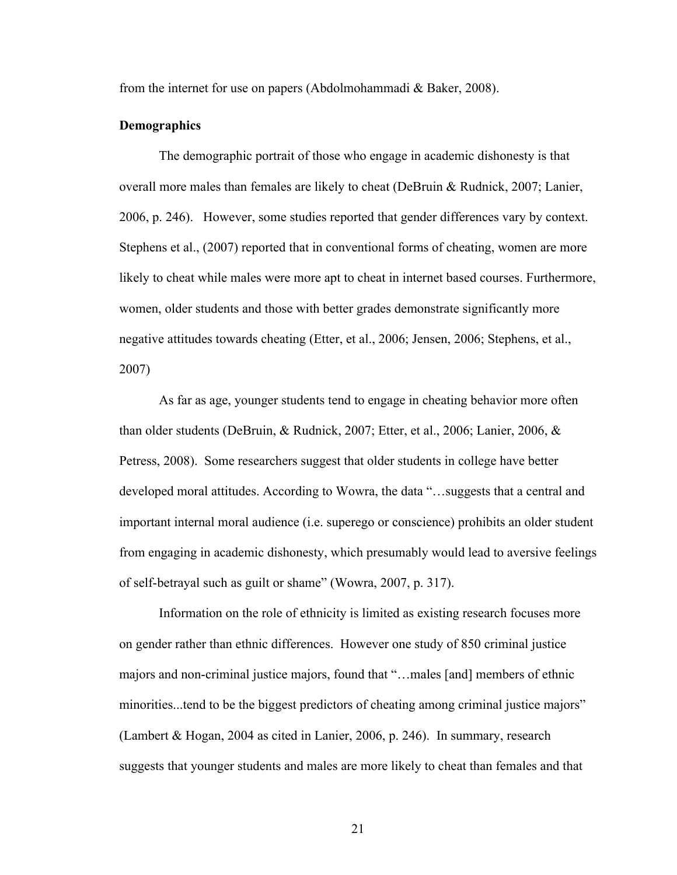from the internet for use on papers (Abdolmohammadi & Baker, 2008).

#### **Demographics**

The demographic portrait of those who engage in academic dishonesty is that overall more males than females are likely to cheat (DeBruin & Rudnick, 2007; Lanier, 2006, p. 246). However, some studies reported that gender differences vary by context. Stephens et al., (2007) reported that in conventional forms of cheating, women are more likely to cheat while males were more apt to cheat in internet based courses. Furthermore, women, older students and those with better grades demonstrate significantly more negative attitudes towards cheating (Etter, et al., 2006; Jensen, 2006; Stephens, et al., 2007)

As far as age, younger students tend to engage in cheating behavior more often than older students (DeBruin, & Rudnick, 2007; Etter, et al., 2006; Lanier, 2006, & Petress, 2008). Some researchers suggest that older students in college have better developed moral attitudes. According to Wowra, the data "…suggests that a central and important internal moral audience (i.e. superego or conscience) prohibits an older student from engaging in academic dishonesty, which presumably would lead to aversive feelings of self-betrayal such as guilt or shame" (Wowra, 2007, p. 317).

Information on the role of ethnicity is limited as existing research focuses more on gender rather than ethnic differences. However one study of 850 criminal justice majors and non-criminal justice majors, found that "…males [and] members of ethnic minorities...tend to be the biggest predictors of cheating among criminal justice majors" (Lambert & Hogan, 2004 as cited in Lanier, 2006, p. 246). In summary, research suggests that younger students and males are more likely to cheat than females and that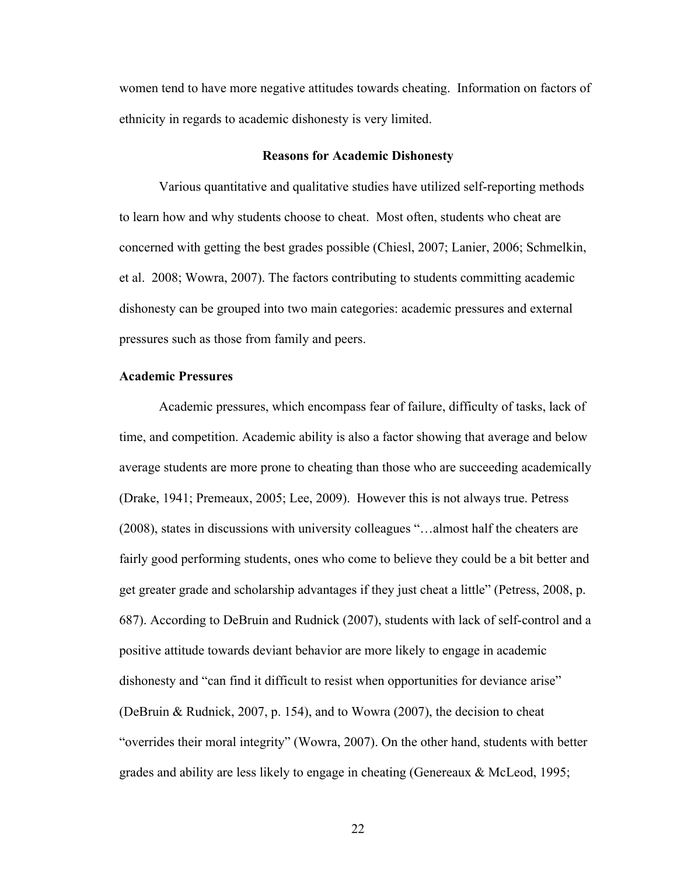women tend to have more negative attitudes towards cheating. Information on factors of ethnicity in regards to academic dishonesty is very limited.

#### **Reasons for Academic Dishonesty**

Various quantitative and qualitative studies have utilized self-reporting methods to learn how and why students choose to cheat. Most often, students who cheat are concerned with getting the best grades possible (Chiesl, 2007; Lanier, 2006; Schmelkin, et al. 2008; Wowra, 2007). The factors contributing to students committing academic dishonesty can be grouped into two main categories: academic pressures and external pressures such as those from family and peers.

## **Academic Pressures**

Academic pressures, which encompass fear of failure, difficulty of tasks, lack of time, and competition. Academic ability is also a factor showing that average and below average students are more prone to cheating than those who are succeeding academically (Drake, 1941; Premeaux, 2005; Lee, 2009). However this is not always true. Petress (2008), states in discussions with university colleagues "…almost half the cheaters are fairly good performing students, ones who come to believe they could be a bit better and get greater grade and scholarship advantages if they just cheat a little" (Petress, 2008, p. 687). According to DeBruin and Rudnick (2007), students with lack of self-control and a positive attitude towards deviant behavior are more likely to engage in academic dishonesty and "can find it difficult to resist when opportunities for deviance arise" (DeBruin & Rudnick, 2007, p. 154), and to Wowra (2007), the decision to cheat "overrides their moral integrity" (Wowra, 2007). On the other hand, students with better grades and ability are less likely to engage in cheating (Genereaux & McLeod, 1995;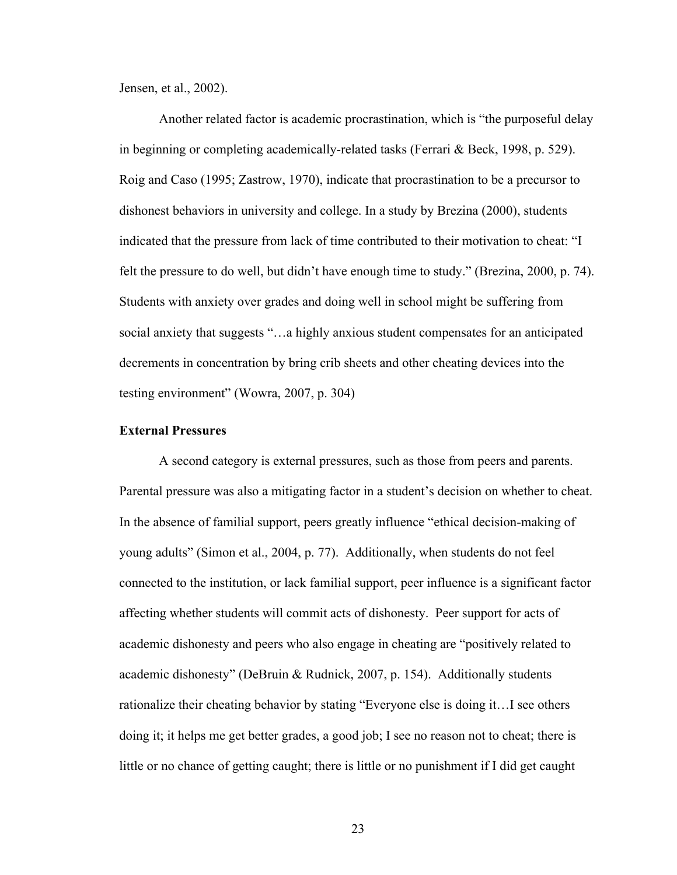Jensen, et al., 2002).

Another related factor is academic procrastination, which is "the purposeful delay in beginning or completing academically-related tasks (Ferrari & Beck, 1998, p. 529). Roig and Caso (1995; Zastrow, 1970), indicate that procrastination to be a precursor to dishonest behaviors in university and college. In a study by Brezina (2000), students indicated that the pressure from lack of time contributed to their motivation to cheat: "I felt the pressure to do well, but didn't have enough time to study." (Brezina, 2000, p. 74). Students with anxiety over grades and doing well in school might be suffering from social anxiety that suggests "…a highly anxious student compensates for an anticipated decrements in concentration by bring crib sheets and other cheating devices into the testing environment" (Wowra, 2007, p. 304)

# **External Pressures**

A second category is external pressures, such as those from peers and parents. Parental pressure was also a mitigating factor in a student's decision on whether to cheat. In the absence of familial support, peers greatly influence "ethical decision-making of young adults" (Simon et al., 2004, p. 77). Additionally, when students do not feel connected to the institution, or lack familial support, peer influence is a significant factor affecting whether students will commit acts of dishonesty. Peer support for acts of academic dishonesty and peers who also engage in cheating are "positively related to academic dishonesty" (DeBruin & Rudnick, 2007, p. 154). Additionally students rationalize their cheating behavior by stating "Everyone else is doing it…I see others doing it; it helps me get better grades, a good job; I see no reason not to cheat; there is little or no chance of getting caught; there is little or no punishment if I did get caught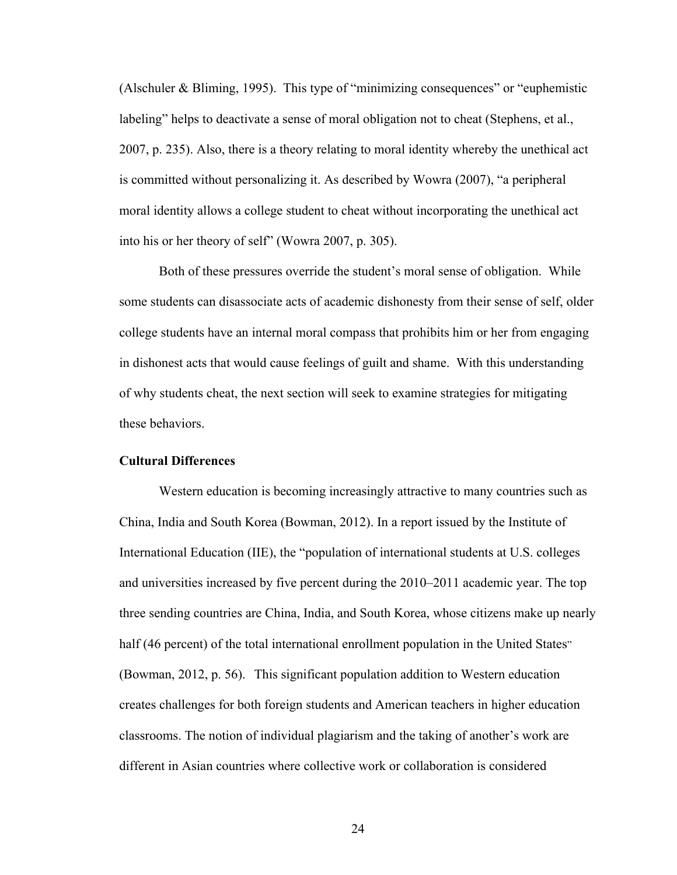(Alschuler & Bliming, 1995). This type of "minimizing consequences" or "euphemistic labeling" helps to deactivate a sense of moral obligation not to cheat (Stephens, et al., 2007, p. 235). Also, there is a theory relating to moral identity whereby the unethical act is committed without personalizing it. As described by Wowra (2007), "a peripheral moral identity allows a college student to cheat without incorporating the unethical act into his or her theory of self" (Wowra 2007, p. 305).

Both of these pressures override the student's moral sense of obligation. While some students can disassociate acts of academic dishonesty from their sense of self, older college students have an internal moral compass that prohibits him or her from engaging in dishonest acts that would cause feelings of guilt and shame. With this understanding of why students cheat, the next section will seek to examine strategies for mitigating these behaviors.

# **Cultural Differences**

Western education is becoming increasingly attractive to many countries such as China, India and South Korea (Bowman, 2012). In a report issued by the Institute of International Education (IIE), the "population of international students at U.S. colleges and universities increased by five percent during the 2010–2011 academic year. The top three sending countries are China, India, and South Korea, whose citizens make up nearly half (46 percent) of the total international enrollment population in the United States" (Bowman, 2012, p. 56). This significant population addition to Western education creates challenges for both foreign students and American teachers in higher education classrooms. The notion of individual plagiarism and the taking of another's work are different in Asian countries where collective work or collaboration is considered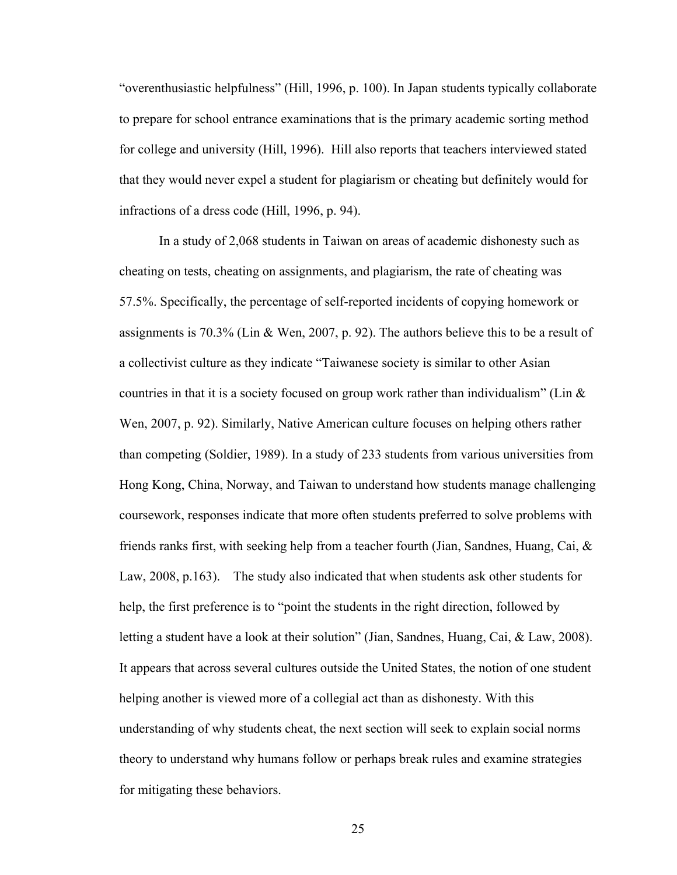"overenthusiastic helpfulness" (Hill, 1996, p. 100). In Japan students typically collaborate to prepare for school entrance examinations that is the primary academic sorting method for college and university (Hill, 1996). Hill also reports that teachers interviewed stated that they would never expel a student for plagiarism or cheating but definitely would for infractions of a dress code (Hill, 1996, p. 94).

In a study of 2,068 students in Taiwan on areas of academic dishonesty such as cheating on tests, cheating on assignments, and plagiarism, the rate of cheating was 57.5%. Specifically, the percentage of self-reported incidents of copying homework or assignments is 70.3% (Lin & Wen, 2007, p. 92). The authors believe this to be a result of a collectivist culture as they indicate "Taiwanese society is similar to other Asian countries in that it is a society focused on group work rather than individualism" (Lin  $\&$ Wen, 2007, p. 92). Similarly, Native American culture focuses on helping others rather than competing (Soldier, 1989). In a study of 233 students from various universities from Hong Kong, China, Norway, and Taiwan to understand how students manage challenging coursework, responses indicate that more often students preferred to solve problems with friends ranks first, with seeking help from a teacher fourth (Jian, Sandnes, Huang, Cai, & Law, 2008, p.163). The study also indicated that when students ask other students for help, the first preference is to "point the students in the right direction, followed by letting a student have a look at their solution" (Jian, Sandnes, Huang, Cai, & Law, 2008). It appears that across several cultures outside the United States, the notion of one student helping another is viewed more of a collegial act than as dishonesty. With this understanding of why students cheat, the next section will seek to explain social norms theory to understand why humans follow or perhaps break rules and examine strategies for mitigating these behaviors.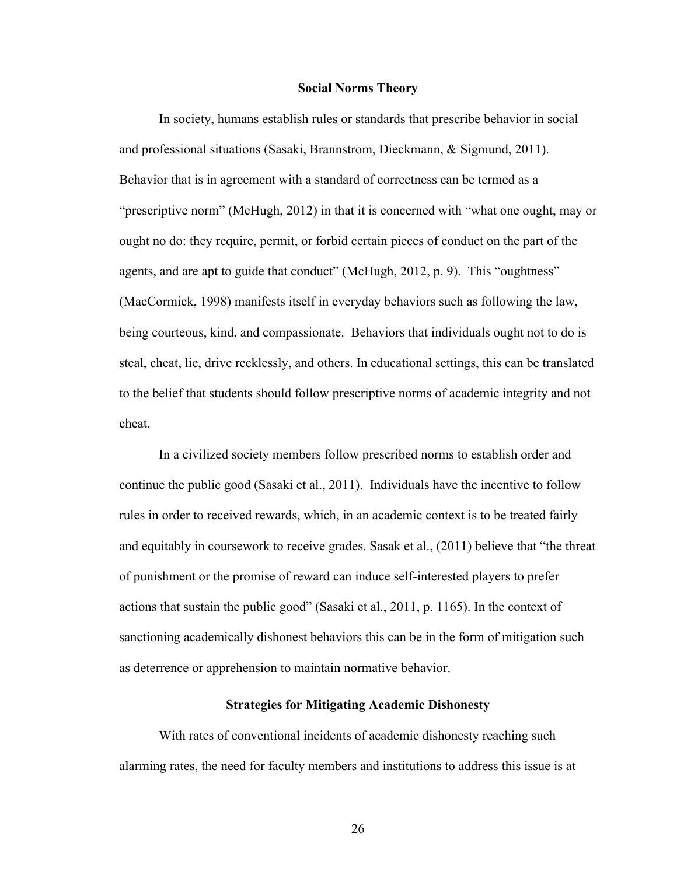### **Social Norms Theory**

In society, humans establish rules or standards that prescribe behavior in social and professional situations (Sasaki, Brannstrom, Dieckmann, & Sigmund, 2011). Behavior that is in agreement with a standard of correctness can be termed as a "prescriptive norm" (McHugh, 2012) in that it is concerned with "what one ought, may or ought no do: they require, permit, or forbid certain pieces of conduct on the part of the agents, and are apt to guide that conduct" (McHugh, 2012, p. 9). This "oughtness" (MacCormick, 1998) manifests itself in everyday behaviors such as following the law, being courteous, kind, and compassionate. Behaviors that individuals ought not to do is steal, cheat, lie, drive recklessly, and others. In educational settings, this can be translated to the belief that students should follow prescriptive norms of academic integrity and not cheat.

In a civilized society members follow prescribed norms to establish order and continue the public good (Sasaki et al., 2011). Individuals have the incentive to follow rules in order to received rewards, which, in an academic context is to be treated fairly and equitably in coursework to receive grades. Sasak et al., (2011) believe that "the threat of punishment or the promise of reward can induce self-interested players to prefer actions that sustain the public good" (Sasaki et al., 2011, p. 1165). In the context of sanctioning academically dishonest behaviors this can be in the form of mitigation such as deterrence or apprehension to maintain normative behavior.

# **Strategies for Mitigating Academic Dishonesty**

With rates of conventional incidents of academic dishonesty reaching such alarming rates, the need for faculty members and institutions to address this issue is at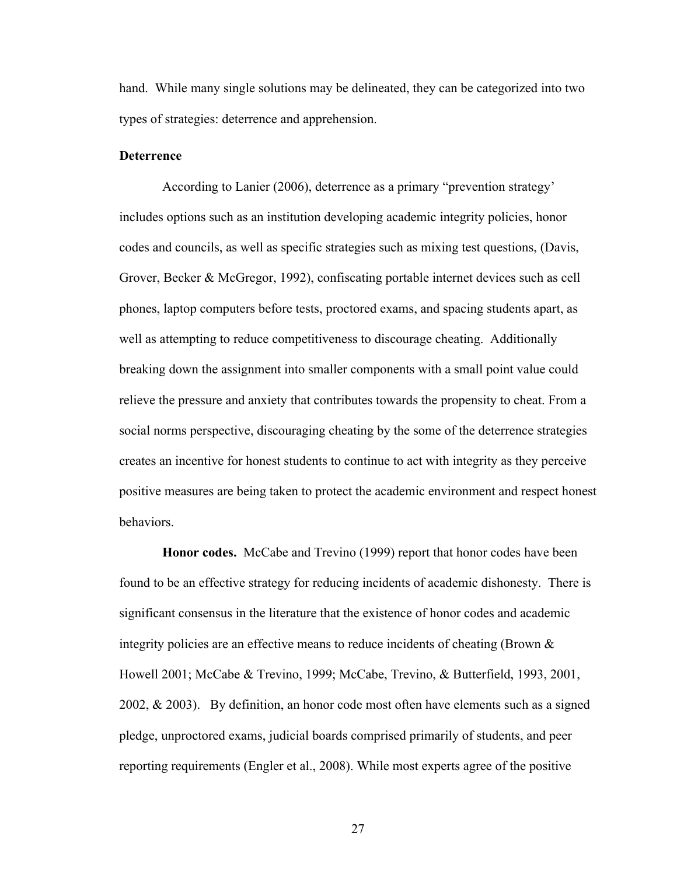hand. While many single solutions may be delineated, they can be categorized into two types of strategies: deterrence and apprehension.

# **Deterrence**

According to Lanier (2006), deterrence as a primary "prevention strategy' includes options such as an institution developing academic integrity policies, honor codes and councils, as well as specific strategies such as mixing test questions, (Davis, Grover, Becker & McGregor, 1992), confiscating portable internet devices such as cell phones, laptop computers before tests, proctored exams, and spacing students apart, as well as attempting to reduce competitiveness to discourage cheating. Additionally breaking down the assignment into smaller components with a small point value could relieve the pressure and anxiety that contributes towards the propensity to cheat. From a social norms perspective, discouraging cheating by the some of the deterrence strategies creates an incentive for honest students to continue to act with integrity as they perceive positive measures are being taken to protect the academic environment and respect honest behaviors.

**Honor codes.** McCabe and Trevino (1999) report that honor codes have been found to be an effective strategy for reducing incidents of academic dishonesty. There is significant consensus in the literature that the existence of honor codes and academic integrity policies are an effective means to reduce incidents of cheating (Brown & Howell 2001; McCabe & Trevino, 1999; McCabe, Trevino, & Butterfield, 1993, 2001, 2002, & 2003). By definition, an honor code most often have elements such as a signed pledge, unproctored exams, judicial boards comprised primarily of students, and peer reporting requirements (Engler et al., 2008). While most experts agree of the positive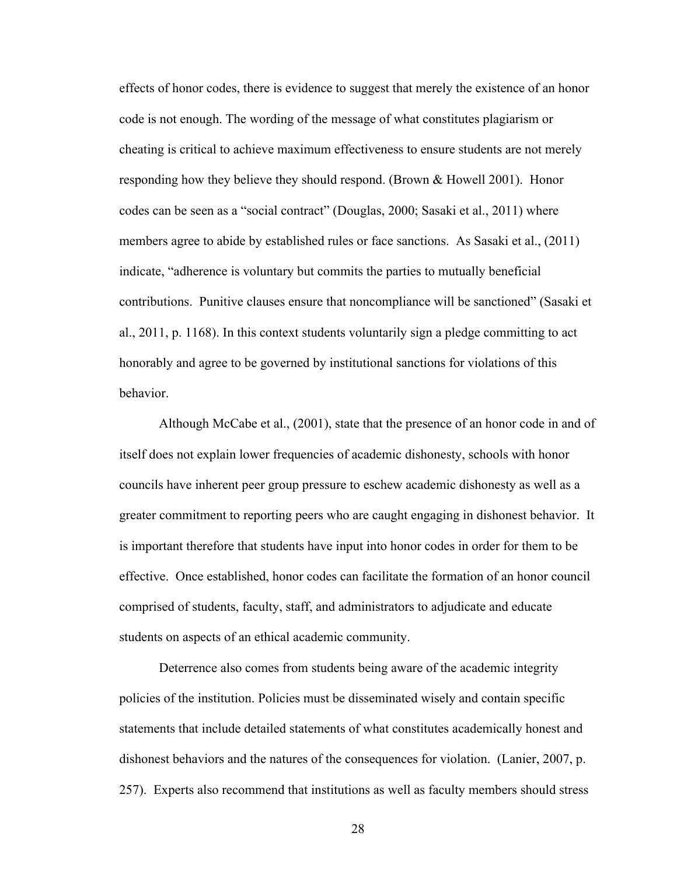effects of honor codes, there is evidence to suggest that merely the existence of an honor code is not enough. The wording of the message of what constitutes plagiarism or cheating is critical to achieve maximum effectiveness to ensure students are not merely responding how they believe they should respond. (Brown & Howell 2001). Honor codes can be seen as a "social contract" (Douglas, 2000; Sasaki et al., 2011) where members agree to abide by established rules or face sanctions. As Sasaki et al., (2011) indicate, "adherence is voluntary but commits the parties to mutually beneficial contributions. Punitive clauses ensure that noncompliance will be sanctioned" (Sasaki et al., 2011, p. 1168). In this context students voluntarily sign a pledge committing to act honorably and agree to be governed by institutional sanctions for violations of this behavior.

Although McCabe et al., (2001), state that the presence of an honor code in and of itself does not explain lower frequencies of academic dishonesty, schools with honor councils have inherent peer group pressure to eschew academic dishonesty as well as a greater commitment to reporting peers who are caught engaging in dishonest behavior. It is important therefore that students have input into honor codes in order for them to be effective. Once established, honor codes can facilitate the formation of an honor council comprised of students, faculty, staff, and administrators to adjudicate and educate students on aspects of an ethical academic community.

Deterrence also comes from students being aware of the academic integrity policies of the institution. Policies must be disseminated wisely and contain specific statements that include detailed statements of what constitutes academically honest and dishonest behaviors and the natures of the consequences for violation. (Lanier, 2007, p. 257). Experts also recommend that institutions as well as faculty members should stress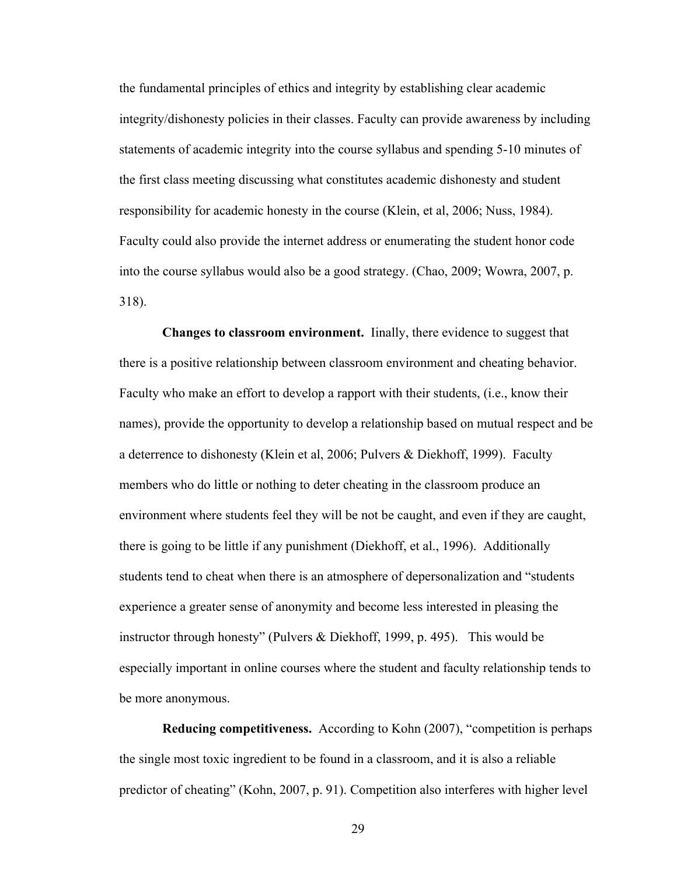the fundamental principles of ethics and integrity by establishing clear academic integrity/dishonesty policies in their classes. Faculty can provide awareness by including statements of academic integrity into the course syllabus and spending 5-10 minutes of the first class meeting discussing what constitutes academic dishonesty and student responsibility for academic honesty in the course (Klein, et al, 2006; Nuss, 1984). Faculty could also provide the internet address or enumerating the student honor code into the course syllabus would also be a good strategy. (Chao, 2009; Wowra, 2007, p. 318).

**Changes to classroom environment.** Iinally, there evidence to suggest that there is a positive relationship between classroom environment and cheating behavior. Faculty who make an effort to develop a rapport with their students, (i.e., know their names), provide the opportunity to develop a relationship based on mutual respect and be a deterrence to dishonesty (Klein et al, 2006; Pulvers & Diekhoff, 1999). Faculty members who do little or nothing to deter cheating in the classroom produce an environment where students feel they will be not be caught, and even if they are caught, there is going to be little if any punishment (Diekhoff, et al., 1996). Additionally students tend to cheat when there is an atmosphere of depersonalization and "students experience a greater sense of anonymity and become less interested in pleasing the instructor through honesty" (Pulvers & Diekhoff, 1999, p. 495). This would be especially important in online courses where the student and faculty relationship tends to be more anonymous.

**Reducing competitiveness.** According to Kohn (2007), "competition is perhaps the single most toxic ingredient to be found in a classroom, and it is also a reliable predictor of cheating" (Kohn, 2007, p. 91). Competition also interferes with higher level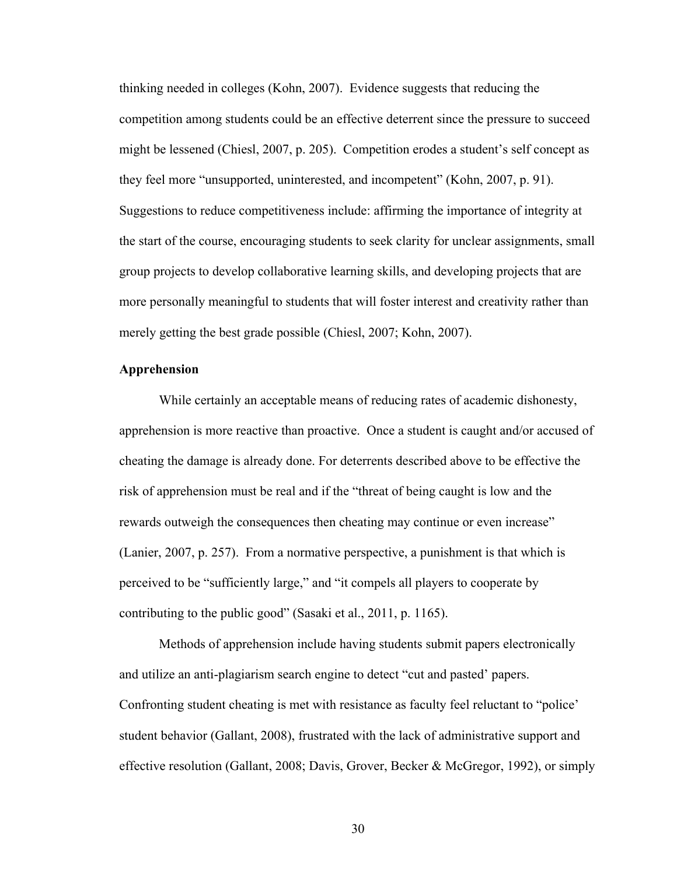thinking needed in colleges (Kohn, 2007). Evidence suggests that reducing the competition among students could be an effective deterrent since the pressure to succeed might be lessened (Chiesl, 2007, p. 205). Competition erodes a student's self concept as they feel more "unsupported, uninterested, and incompetent" (Kohn, 2007, p. 91). Suggestions to reduce competitiveness include: affirming the importance of integrity at the start of the course, encouraging students to seek clarity for unclear assignments, small group projects to develop collaborative learning skills, and developing projects that are more personally meaningful to students that will foster interest and creativity rather than merely getting the best grade possible (Chiesl, 2007; Kohn, 2007).

### **Apprehension**

While certainly an acceptable means of reducing rates of academic dishonesty, apprehension is more reactive than proactive. Once a student is caught and/or accused of cheating the damage is already done. For deterrents described above to be effective the risk of apprehension must be real and if the "threat of being caught is low and the rewards outweigh the consequences then cheating may continue or even increase" (Lanier, 2007, p. 257). From a normative perspective, a punishment is that which is perceived to be "sufficiently large," and "it compels all players to cooperate by contributing to the public good" (Sasaki et al., 2011, p. 1165).

Methods of apprehension include having students submit papers electronically and utilize an anti-plagiarism search engine to detect "cut and pasted' papers. Confronting student cheating is met with resistance as faculty feel reluctant to "police' student behavior (Gallant, 2008), frustrated with the lack of administrative support and effective resolution (Gallant, 2008; Davis, Grover, Becker & McGregor, 1992), or simply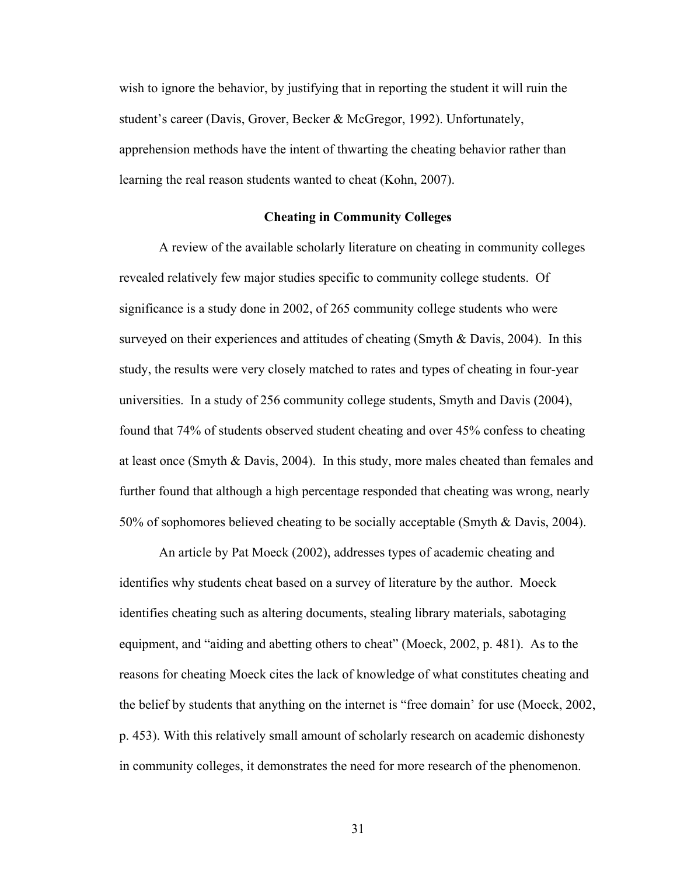wish to ignore the behavior, by justifying that in reporting the student it will ruin the student's career (Davis, Grover, Becker & McGregor, 1992). Unfortunately, apprehension methods have the intent of thwarting the cheating behavior rather than learning the real reason students wanted to cheat (Kohn, 2007).

# **Cheating in Community Colleges**

A review of the available scholarly literature on cheating in community colleges revealed relatively few major studies specific to community college students. Of significance is a study done in 2002, of 265 community college students who were surveyed on their experiences and attitudes of cheating (Smyth & Davis, 2004). In this study, the results were very closely matched to rates and types of cheating in four-year universities. In a study of 256 community college students, Smyth and Davis (2004), found that 74% of students observed student cheating and over 45% confess to cheating at least once (Smyth & Davis, 2004). In this study, more males cheated than females and further found that although a high percentage responded that cheating was wrong, nearly 50% of sophomores believed cheating to be socially acceptable (Smyth & Davis, 2004).

An article by Pat Moeck (2002), addresses types of academic cheating and identifies why students cheat based on a survey of literature by the author. Moeck identifies cheating such as altering documents, stealing library materials, sabotaging equipment, and "aiding and abetting others to cheat" (Moeck, 2002, p. 481). As to the reasons for cheating Moeck cites the lack of knowledge of what constitutes cheating and the belief by students that anything on the internet is "free domain' for use (Moeck, 2002, p. 453). With this relatively small amount of scholarly research on academic dishonesty in community colleges, it demonstrates the need for more research of the phenomenon.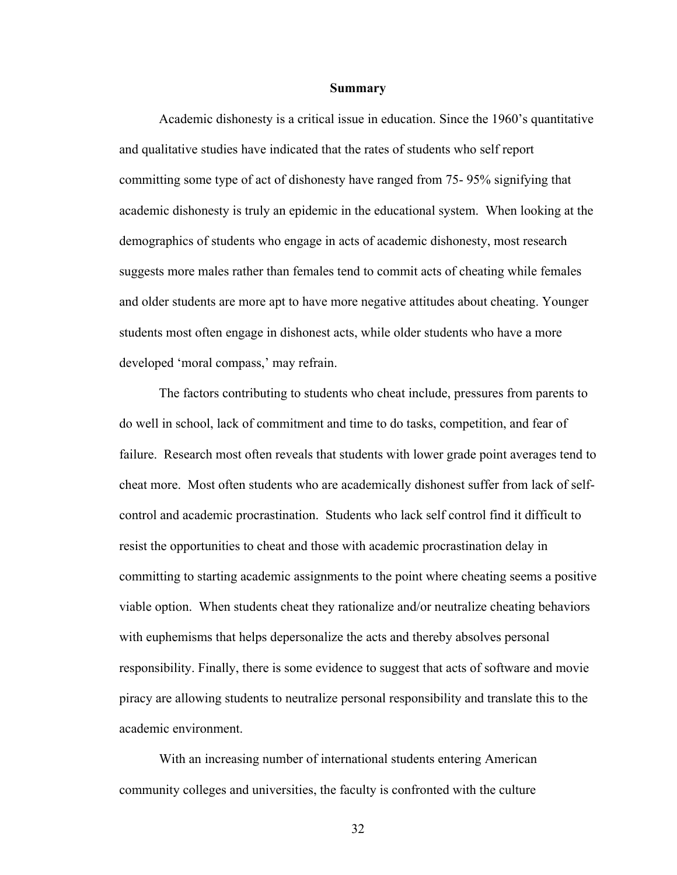#### **Summary**

Academic dishonesty is a critical issue in education. Since the 1960's quantitative and qualitative studies have indicated that the rates of students who self report committing some type of act of dishonesty have ranged from 75- 95% signifying that academic dishonesty is truly an epidemic in the educational system. When looking at the demographics of students who engage in acts of academic dishonesty, most research suggests more males rather than females tend to commit acts of cheating while females and older students are more apt to have more negative attitudes about cheating. Younger students most often engage in dishonest acts, while older students who have a more developed 'moral compass,' may refrain.

The factors contributing to students who cheat include, pressures from parents to do well in school, lack of commitment and time to do tasks, competition, and fear of failure. Research most often reveals that students with lower grade point averages tend to cheat more. Most often students who are academically dishonest suffer from lack of selfcontrol and academic procrastination. Students who lack self control find it difficult to resist the opportunities to cheat and those with academic procrastination delay in committing to starting academic assignments to the point where cheating seems a positive viable option. When students cheat they rationalize and/or neutralize cheating behaviors with euphemisms that helps depersonalize the acts and thereby absolves personal responsibility. Finally, there is some evidence to suggest that acts of software and movie piracy are allowing students to neutralize personal responsibility and translate this to the academic environment.

With an increasing number of international students entering American community colleges and universities, the faculty is confronted with the culture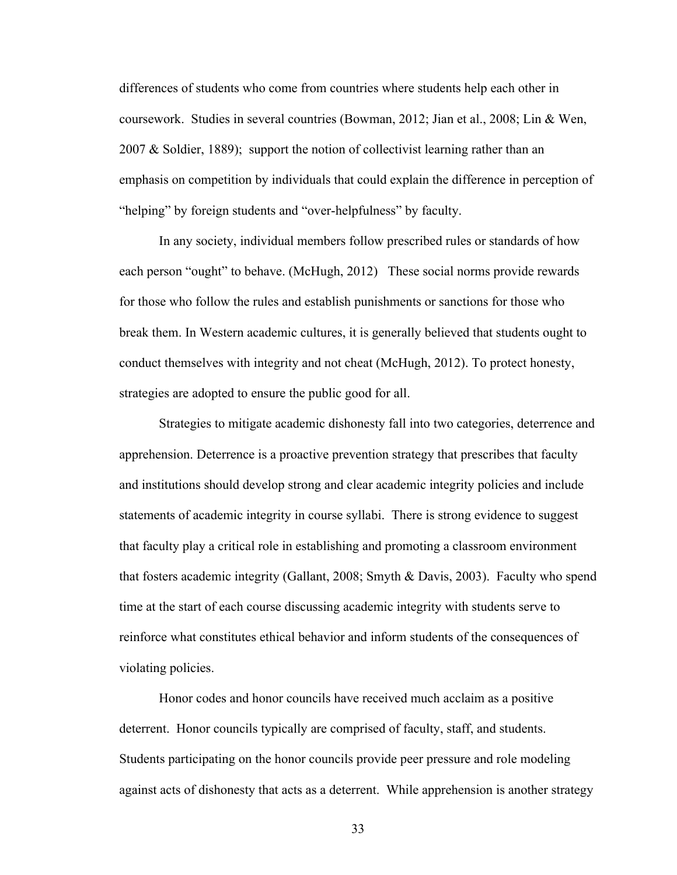differences of students who come from countries where students help each other in coursework. Studies in several countries (Bowman, 2012; Jian et al., 2008; Lin & Wen, 2007 & Soldier, 1889); support the notion of collectivist learning rather than an emphasis on competition by individuals that could explain the difference in perception of "helping" by foreign students and "over-helpfulness" by faculty.

In any society, individual members follow prescribed rules or standards of how each person "ought" to behave. (McHugh, 2012) These social norms provide rewards for those who follow the rules and establish punishments or sanctions for those who break them. In Western academic cultures, it is generally believed that students ought to conduct themselves with integrity and not cheat (McHugh, 2012). To protect honesty, strategies are adopted to ensure the public good for all.

Strategies to mitigate academic dishonesty fall into two categories, deterrence and apprehension. Deterrence is a proactive prevention strategy that prescribes that faculty and institutions should develop strong and clear academic integrity policies and include statements of academic integrity in course syllabi. There is strong evidence to suggest that faculty play a critical role in establishing and promoting a classroom environment that fosters academic integrity (Gallant, 2008; Smyth & Davis, 2003). Faculty who spend time at the start of each course discussing academic integrity with students serve to reinforce what constitutes ethical behavior and inform students of the consequences of violating policies.

Honor codes and honor councils have received much acclaim as a positive deterrent. Honor councils typically are comprised of faculty, staff, and students. Students participating on the honor councils provide peer pressure and role modeling against acts of dishonesty that acts as a deterrent. While apprehension is another strategy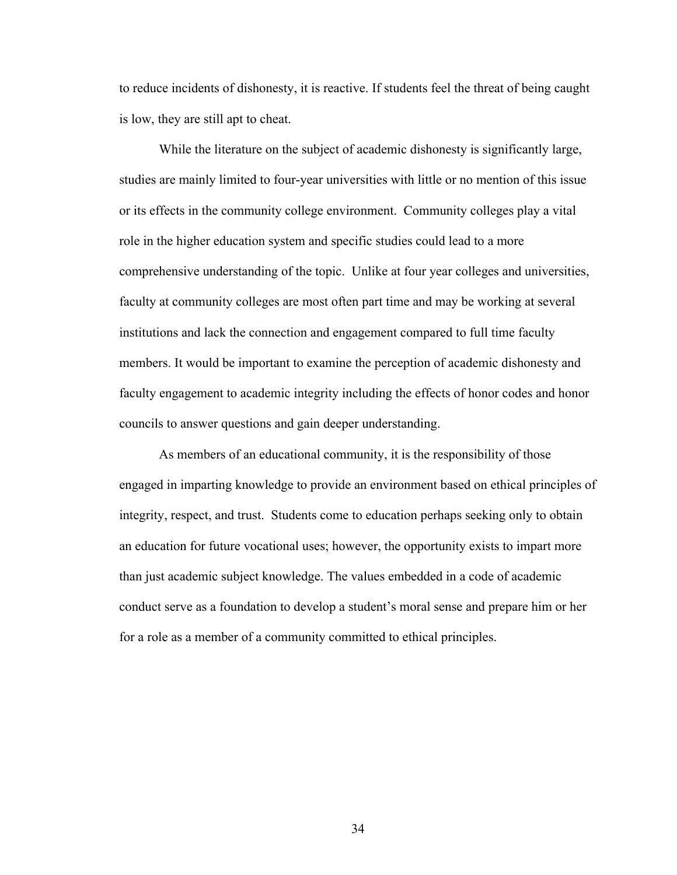to reduce incidents of dishonesty, it is reactive. If students feel the threat of being caught is low, they are still apt to cheat.

While the literature on the subject of academic dishonesty is significantly large, studies are mainly limited to four-year universities with little or no mention of this issue or its effects in the community college environment. Community colleges play a vital role in the higher education system and specific studies could lead to a more comprehensive understanding of the topic. Unlike at four year colleges and universities, faculty at community colleges are most often part time and may be working at several institutions and lack the connection and engagement compared to full time faculty members. It would be important to examine the perception of academic dishonesty and faculty engagement to academic integrity including the effects of honor codes and honor councils to answer questions and gain deeper understanding.

As members of an educational community, it is the responsibility of those engaged in imparting knowledge to provide an environment based on ethical principles of integrity, respect, and trust. Students come to education perhaps seeking only to obtain an education for future vocational uses; however, the opportunity exists to impart more than just academic subject knowledge. The values embedded in a code of academic conduct serve as a foundation to develop a student's moral sense and prepare him or her for a role as a member of a community committed to ethical principles.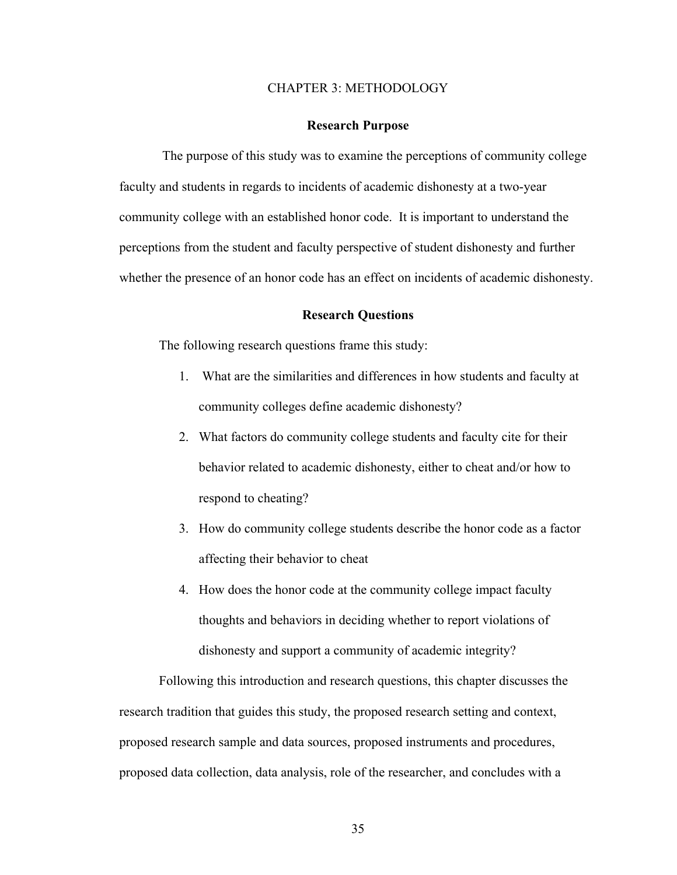# CHAPTER 3: METHODOLOGY

#### **Research Purpose**

The purpose of this study was to examine the perceptions of community college faculty and students in regards to incidents of academic dishonesty at a two-year community college with an established honor code. It is important to understand the perceptions from the student and faculty perspective of student dishonesty and further whether the presence of an honor code has an effect on incidents of academic dishonesty.

### **Research Questions**

The following research questions frame this study:

- 1. What are the similarities and differences in how students and faculty at community colleges define academic dishonesty?
- 2. What factors do community college students and faculty cite for their behavior related to academic dishonesty, either to cheat and/or how to respond to cheating?
- 3. How do community college students describe the honor code as a factor affecting their behavior to cheat
- 4. How does the honor code at the community college impact faculty thoughts and behaviors in deciding whether to report violations of dishonesty and support a community of academic integrity?

Following this introduction and research questions, this chapter discusses the research tradition that guides this study, the proposed research setting and context, proposed research sample and data sources, proposed instruments and procedures, proposed data collection, data analysis, role of the researcher, and concludes with a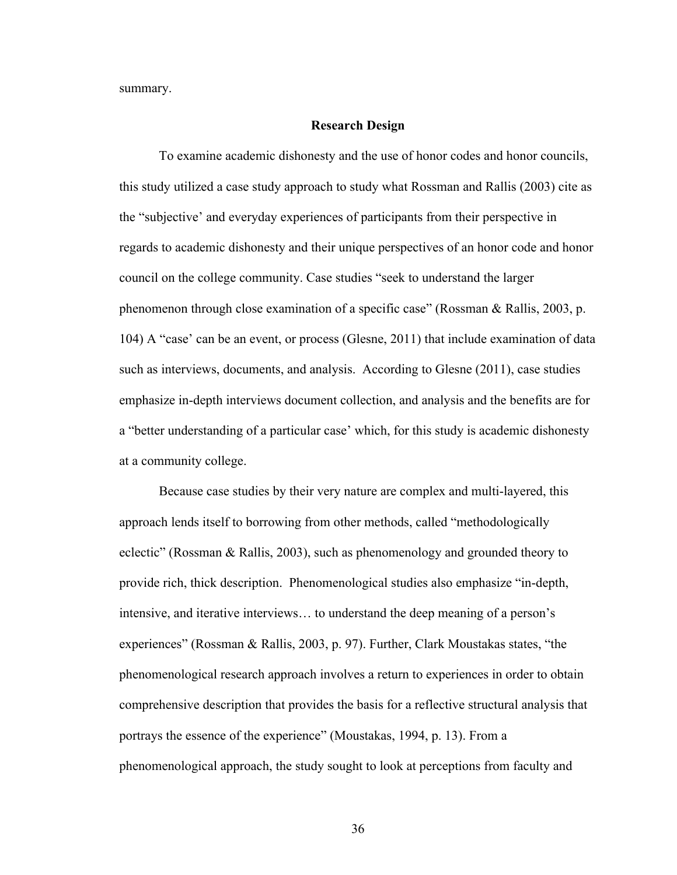summary.

#### **Research Design**

To examine academic dishonesty and the use of honor codes and honor councils, this study utilized a case study approach to study what Rossman and Rallis (2003) cite as the "subjective' and everyday experiences of participants from their perspective in regards to academic dishonesty and their unique perspectives of an honor code and honor council on the college community. Case studies "seek to understand the larger phenomenon through close examination of a specific case" (Rossman & Rallis, 2003, p. 104) A "case' can be an event, or process (Glesne, 2011) that include examination of data such as interviews, documents, and analysis. According to Glesne (2011), case studies emphasize in-depth interviews document collection, and analysis and the benefits are for a "better understanding of a particular case' which, for this study is academic dishonesty at a community college.

Because case studies by their very nature are complex and multi-layered, this approach lends itself to borrowing from other methods, called "methodologically eclectic" (Rossman & Rallis, 2003), such as phenomenology and grounded theory to provide rich, thick description. Phenomenological studies also emphasize "in-depth, intensive, and iterative interviews… to understand the deep meaning of a person's experiences" (Rossman & Rallis, 2003, p. 97). Further, Clark Moustakas states, "the phenomenological research approach involves a return to experiences in order to obtain comprehensive description that provides the basis for a reflective structural analysis that portrays the essence of the experience" (Moustakas, 1994, p. 13). From a phenomenological approach, the study sought to look at perceptions from faculty and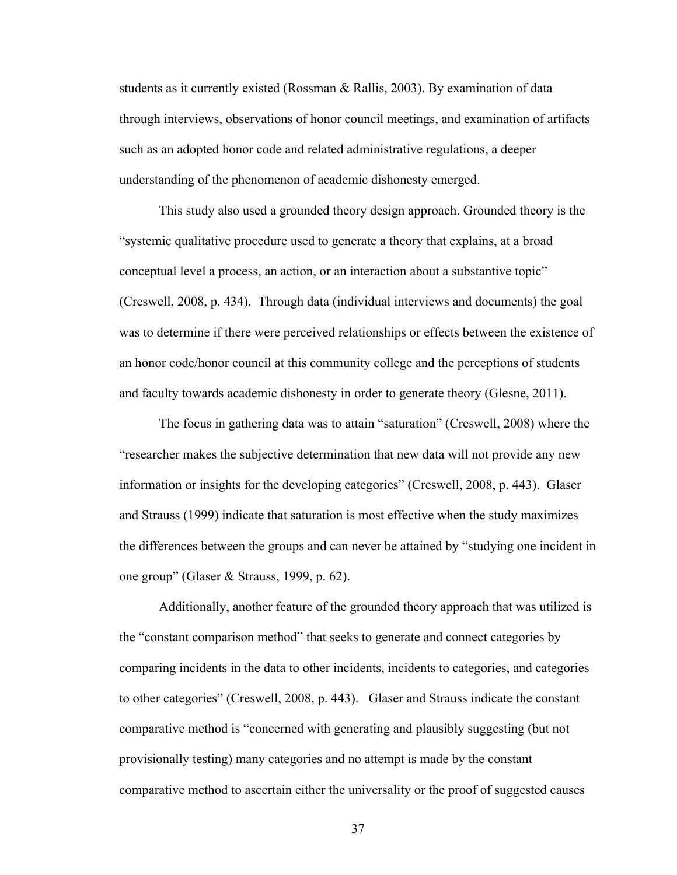students as it currently existed (Rossman & Rallis, 2003). By examination of data through interviews, observations of honor council meetings, and examination of artifacts such as an adopted honor code and related administrative regulations, a deeper understanding of the phenomenon of academic dishonesty emerged.

This study also used a grounded theory design approach. Grounded theory is the "systemic qualitative procedure used to generate a theory that explains, at a broad conceptual level a process, an action, or an interaction about a substantive topic" (Creswell, 2008, p. 434). Through data (individual interviews and documents) the goal was to determine if there were perceived relationships or effects between the existence of an honor code/honor council at this community college and the perceptions of students and faculty towards academic dishonesty in order to generate theory (Glesne, 2011).

The focus in gathering data was to attain "saturation" (Creswell, 2008) where the "researcher makes the subjective determination that new data will not provide any new information or insights for the developing categories" (Creswell, 2008, p. 443). Glaser and Strauss (1999) indicate that saturation is most effective when the study maximizes the differences between the groups and can never be attained by "studying one incident in one group" (Glaser & Strauss, 1999, p. 62).

Additionally, another feature of the grounded theory approach that was utilized is the "constant comparison method" that seeks to generate and connect categories by comparing incidents in the data to other incidents, incidents to categories, and categories to other categories" (Creswell, 2008, p. 443). Glaser and Strauss indicate the constant comparative method is "concerned with generating and plausibly suggesting (but not provisionally testing) many categories and no attempt is made by the constant comparative method to ascertain either the universality or the proof of suggested causes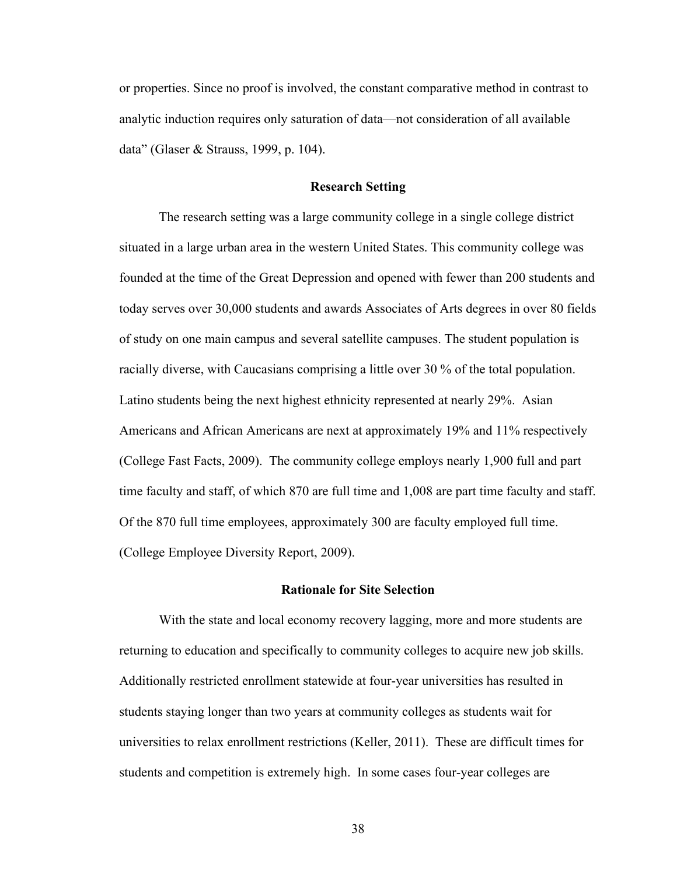or properties. Since no proof is involved, the constant comparative method in contrast to analytic induction requires only saturation of data—not consideration of all available data" (Glaser & Strauss, 1999, p. 104).

#### **Research Setting**

The research setting was a large community college in a single college district situated in a large urban area in the western United States. This community college was founded at the time of the Great Depression and opened with fewer than 200 students and today serves over 30,000 students and awards Associates of Arts degrees in over 80 fields of study on one main campus and several satellite campuses. The student population is racially diverse, with Caucasians comprising a little over 30 % of the total population. Latino students being the next highest ethnicity represented at nearly 29%. Asian Americans and African Americans are next at approximately 19% and 11% respectively (College Fast Facts, 2009). The community college employs nearly 1,900 full and part time faculty and staff, of which 870 are full time and 1,008 are part time faculty and staff. Of the 870 full time employees, approximately 300 are faculty employed full time. (College Employee Diversity Report, 2009).

### **Rationale for Site Selection**

With the state and local economy recovery lagging, more and more students are returning to education and specifically to community colleges to acquire new job skills. Additionally restricted enrollment statewide at four-year universities has resulted in students staying longer than two years at community colleges as students wait for universities to relax enrollment restrictions (Keller, 2011). These are difficult times for students and competition is extremely high. In some cases four-year colleges are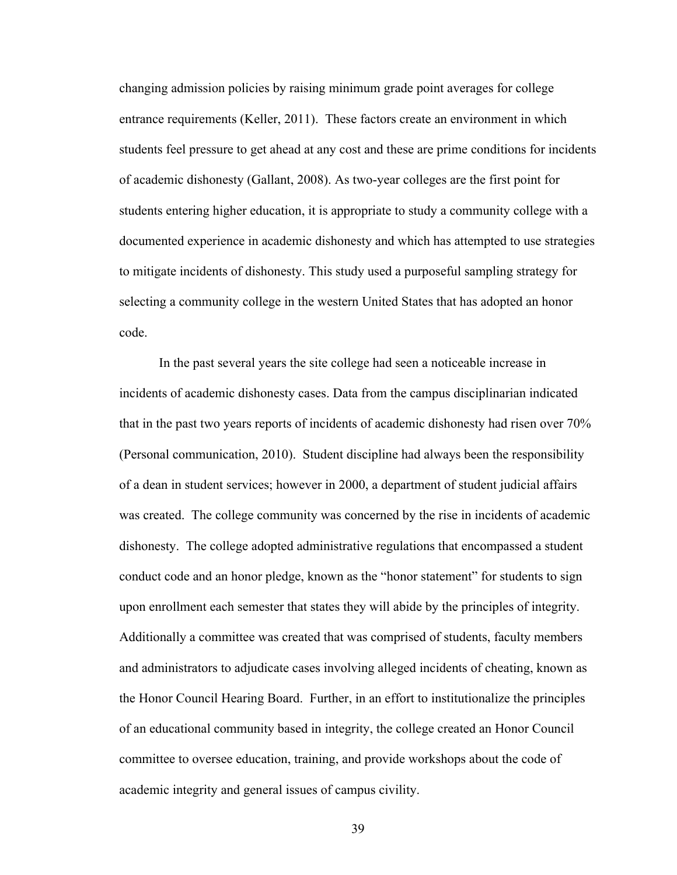changing admission policies by raising minimum grade point averages for college entrance requirements (Keller, 2011). These factors create an environment in which students feel pressure to get ahead at any cost and these are prime conditions for incidents of academic dishonesty (Gallant, 2008). As two-year colleges are the first point for students entering higher education, it is appropriate to study a community college with a documented experience in academic dishonesty and which has attempted to use strategies to mitigate incidents of dishonesty. This study used a purposeful sampling strategy for selecting a community college in the western United States that has adopted an honor code.

In the past several years the site college had seen a noticeable increase in incidents of academic dishonesty cases. Data from the campus disciplinarian indicated that in the past two years reports of incidents of academic dishonesty had risen over 70% (Personal communication, 2010). Student discipline had always been the responsibility of a dean in student services; however in 2000, a department of student judicial affairs was created. The college community was concerned by the rise in incidents of academic dishonesty. The college adopted administrative regulations that encompassed a student conduct code and an honor pledge, known as the "honor statement" for students to sign upon enrollment each semester that states they will abide by the principles of integrity. Additionally a committee was created that was comprised of students, faculty members and administrators to adjudicate cases involving alleged incidents of cheating, known as the Honor Council Hearing Board. Further, in an effort to institutionalize the principles of an educational community based in integrity, the college created an Honor Council committee to oversee education, training, and provide workshops about the code of academic integrity and general issues of campus civility.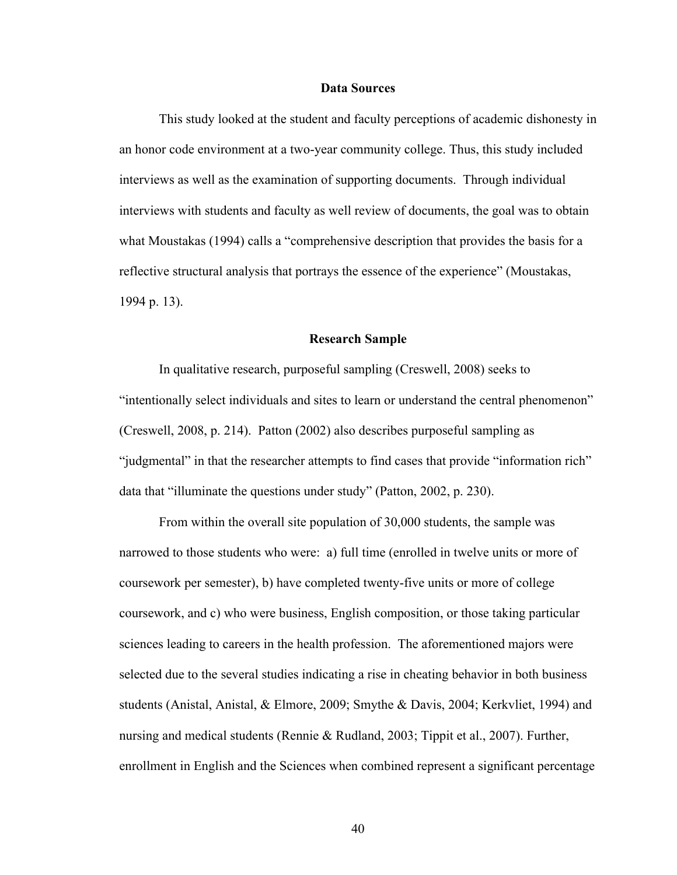### **Data Sources**

This study looked at the student and faculty perceptions of academic dishonesty in an honor code environment at a two-year community college. Thus, this study included interviews as well as the examination of supporting documents. Through individual interviews with students and faculty as well review of documents, the goal was to obtain what Moustakas (1994) calls a "comprehensive description that provides the basis for a reflective structural analysis that portrays the essence of the experience" (Moustakas, 1994 p. 13).

#### **Research Sample**

In qualitative research, purposeful sampling (Creswell, 2008) seeks to "intentionally select individuals and sites to learn or understand the central phenomenon" (Creswell, 2008, p. 214). Patton (2002) also describes purposeful sampling as "judgmental" in that the researcher attempts to find cases that provide "information rich" data that "illuminate the questions under study" (Patton, 2002, p. 230).

From within the overall site population of 30,000 students, the sample was narrowed to those students who were: a) full time (enrolled in twelve units or more of coursework per semester), b) have completed twenty-five units or more of college coursework, and c) who were business, English composition, or those taking particular sciences leading to careers in the health profession. The aforementioned majors were selected due to the several studies indicating a rise in cheating behavior in both business students (Anistal, Anistal, & Elmore, 2009; Smythe & Davis, 2004; Kerkvliet, 1994) and nursing and medical students (Rennie & Rudland, 2003; Tippit et al., 2007). Further, enrollment in English and the Sciences when combined represent a significant percentage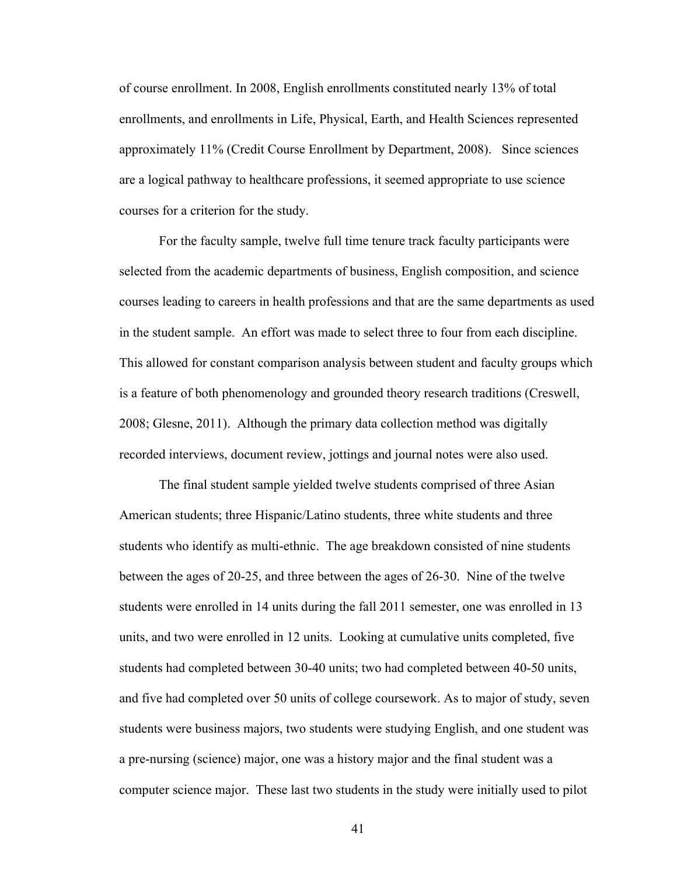of course enrollment. In 2008, English enrollments constituted nearly 13% of total enrollments, and enrollments in Life, Physical, Earth, and Health Sciences represented approximately 11% (Credit Course Enrollment by Department, 2008). Since sciences are a logical pathway to healthcare professions, it seemed appropriate to use science courses for a criterion for the study.

For the faculty sample, twelve full time tenure track faculty participants were selected from the academic departments of business, English composition, and science courses leading to careers in health professions and that are the same departments as used in the student sample. An effort was made to select three to four from each discipline. This allowed for constant comparison analysis between student and faculty groups which is a feature of both phenomenology and grounded theory research traditions (Creswell, 2008; Glesne, 2011). Although the primary data collection method was digitally recorded interviews, document review, jottings and journal notes were also used.

The final student sample yielded twelve students comprised of three Asian American students; three Hispanic/Latino students, three white students and three students who identify as multi-ethnic. The age breakdown consisted of nine students between the ages of 20-25, and three between the ages of 26-30. Nine of the twelve students were enrolled in 14 units during the fall 2011 semester, one was enrolled in 13 units, and two were enrolled in 12 units. Looking at cumulative units completed, five students had completed between 30-40 units; two had completed between 40-50 units, and five had completed over 50 units of college coursework. As to major of study, seven students were business majors, two students were studying English, and one student was a pre-nursing (science) major, one was a history major and the final student was a computer science major. These last two students in the study were initially used to pilot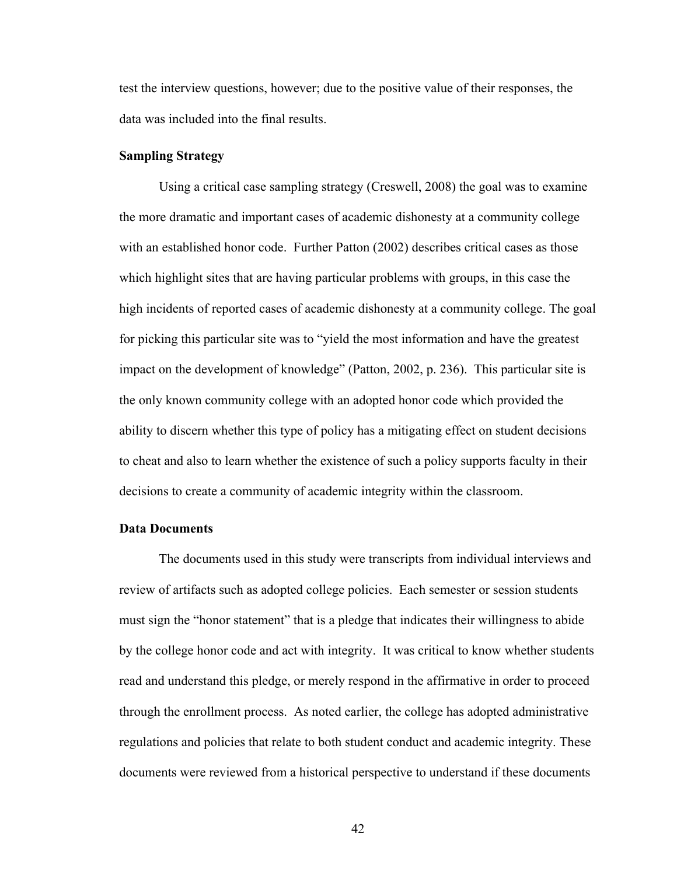test the interview questions, however; due to the positive value of their responses, the data was included into the final results.

#### **Sampling Strategy**

Using a critical case sampling strategy (Creswell, 2008) the goal was to examine the more dramatic and important cases of academic dishonesty at a community college with an established honor code. Further Patton (2002) describes critical cases as those which highlight sites that are having particular problems with groups, in this case the high incidents of reported cases of academic dishonesty at a community college. The goal for picking this particular site was to "yield the most information and have the greatest impact on the development of knowledge" (Patton, 2002, p. 236). This particular site is the only known community college with an adopted honor code which provided the ability to discern whether this type of policy has a mitigating effect on student decisions to cheat and also to learn whether the existence of such a policy supports faculty in their decisions to create a community of academic integrity within the classroom.

# **Data Documents**

The documents used in this study were transcripts from individual interviews and review of artifacts such as adopted college policies. Each semester or session students must sign the "honor statement" that is a pledge that indicates their willingness to abide by the college honor code and act with integrity. It was critical to know whether students read and understand this pledge, or merely respond in the affirmative in order to proceed through the enrollment process. As noted earlier, the college has adopted administrative regulations and policies that relate to both student conduct and academic integrity. These documents were reviewed from a historical perspective to understand if these documents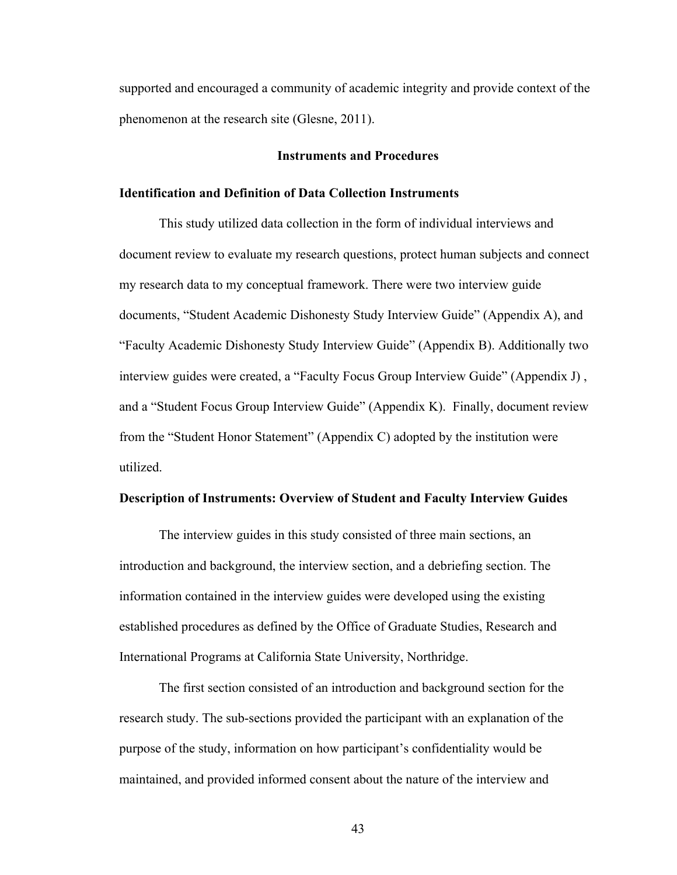supported and encouraged a community of academic integrity and provide context of the phenomenon at the research site (Glesne, 2011).

### **Instruments and Procedures**

# **Identification and Definition of Data Collection Instruments**

This study utilized data collection in the form of individual interviews and document review to evaluate my research questions, protect human subjects and connect my research data to my conceptual framework. There were two interview guide documents, "Student Academic Dishonesty Study Interview Guide" (Appendix A), and "Faculty Academic Dishonesty Study Interview Guide" (Appendix B). Additionally two interview guides were created, a "Faculty Focus Group Interview Guide" (Appendix J) , and a "Student Focus Group Interview Guide" (Appendix K). Finally, document review from the "Student Honor Statement" (Appendix C) adopted by the institution were utilized.

# **Description of Instruments: Overview of Student and Faculty Interview Guides**

The interview guides in this study consisted of three main sections, an introduction and background, the interview section, and a debriefing section. The information contained in the interview guides were developed using the existing established procedures as defined by the Office of Graduate Studies, Research and International Programs at California State University, Northridge.

The first section consisted of an introduction and background section for the research study. The sub-sections provided the participant with an explanation of the purpose of the study, information on how participant's confidentiality would be maintained, and provided informed consent about the nature of the interview and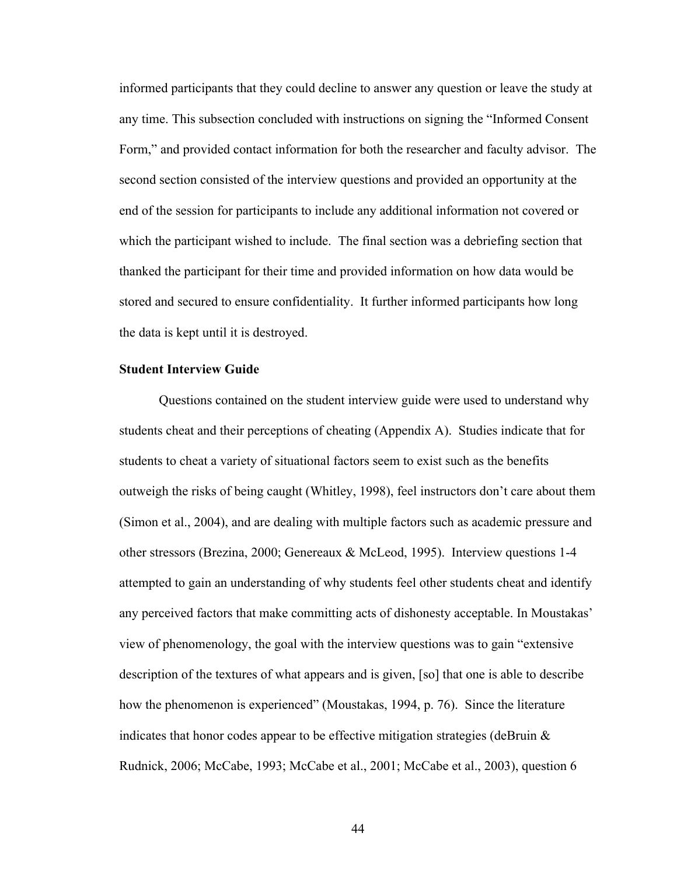informed participants that they could decline to answer any question or leave the study at any time. This subsection concluded with instructions on signing the "Informed Consent Form," and provided contact information for both the researcher and faculty advisor. The second section consisted of the interview questions and provided an opportunity at the end of the session for participants to include any additional information not covered or which the participant wished to include. The final section was a debriefing section that thanked the participant for their time and provided information on how data would be stored and secured to ensure confidentiality. It further informed participants how long the data is kept until it is destroyed.

## **Student Interview Guide**

Questions contained on the student interview guide were used to understand why students cheat and their perceptions of cheating (Appendix A). Studies indicate that for students to cheat a variety of situational factors seem to exist such as the benefits outweigh the risks of being caught (Whitley, 1998), feel instructors don't care about them (Simon et al., 2004), and are dealing with multiple factors such as academic pressure and other stressors (Brezina, 2000; Genereaux & McLeod, 1995). Interview questions 1-4 attempted to gain an understanding of why students feel other students cheat and identify any perceived factors that make committing acts of dishonesty acceptable. In Moustakas' view of phenomenology, the goal with the interview questions was to gain "extensive description of the textures of what appears and is given, [so] that one is able to describe how the phenomenon is experienced" (Moustakas, 1994, p. 76). Since the literature indicates that honor codes appear to be effective mitigation strategies (deBruin  $\&$ Rudnick, 2006; McCabe, 1993; McCabe et al., 2001; McCabe et al., 2003), question 6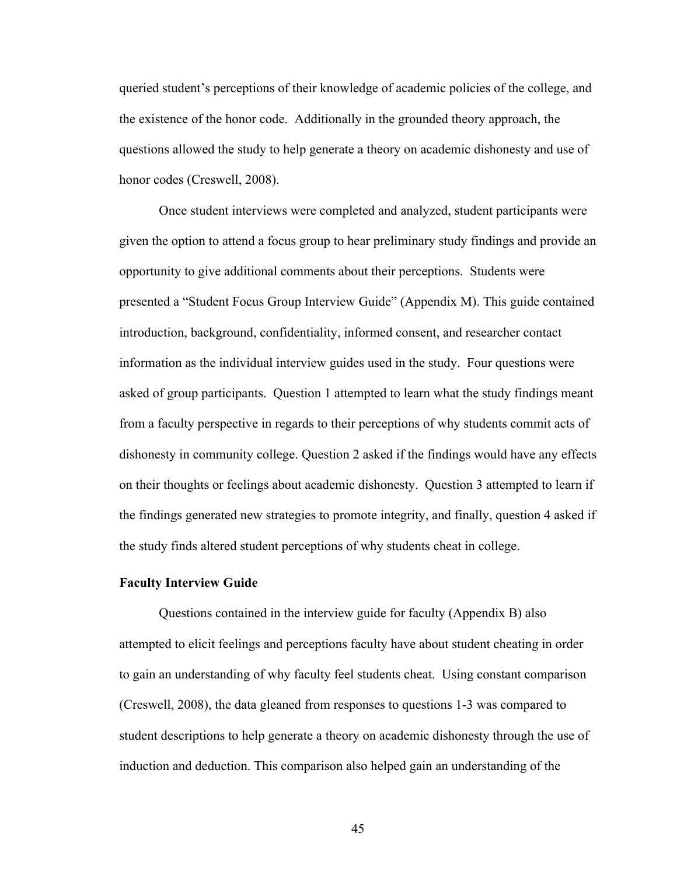queried student's perceptions of their knowledge of academic policies of the college, and the existence of the honor code. Additionally in the grounded theory approach, the questions allowed the study to help generate a theory on academic dishonesty and use of honor codes (Creswell, 2008).

Once student interviews were completed and analyzed, student participants were given the option to attend a focus group to hear preliminary study findings and provide an opportunity to give additional comments about their perceptions. Students were presented a "Student Focus Group Interview Guide" (Appendix M). This guide contained introduction, background, confidentiality, informed consent, and researcher contact information as the individual interview guides used in the study. Four questions were asked of group participants. Question 1 attempted to learn what the study findings meant from a faculty perspective in regards to their perceptions of why students commit acts of dishonesty in community college. Question 2 asked if the findings would have any effects on their thoughts or feelings about academic dishonesty. Question 3 attempted to learn if the findings generated new strategies to promote integrity, and finally, question 4 asked if the study finds altered student perceptions of why students cheat in college.

# **Faculty Interview Guide**

Questions contained in the interview guide for faculty (Appendix B) also attempted to elicit feelings and perceptions faculty have about student cheating in order to gain an understanding of why faculty feel students cheat. Using constant comparison (Creswell, 2008), the data gleaned from responses to questions 1-3 was compared to student descriptions to help generate a theory on academic dishonesty through the use of induction and deduction. This comparison also helped gain an understanding of the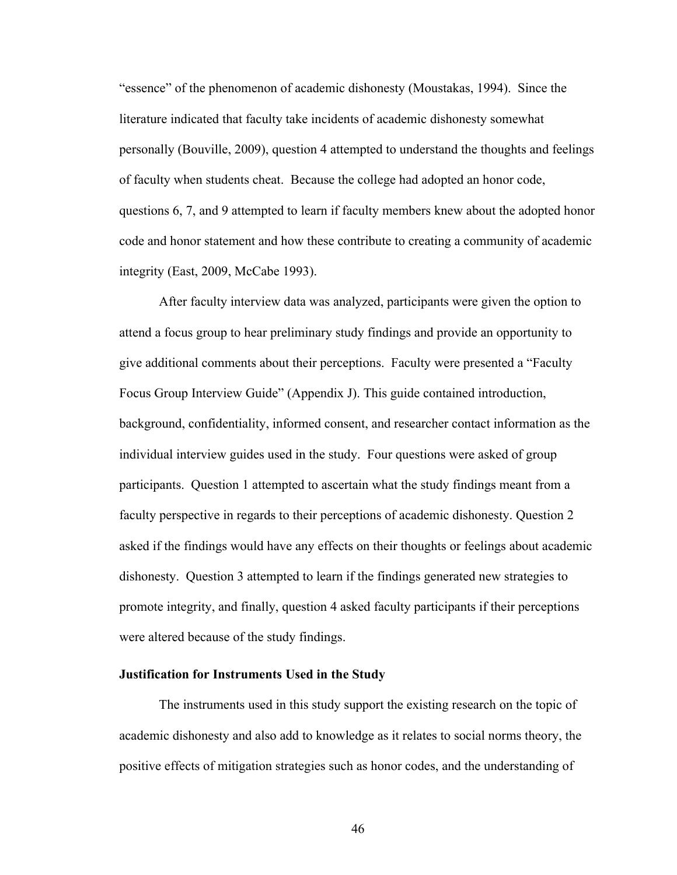"essence" of the phenomenon of academic dishonesty (Moustakas, 1994). Since the literature indicated that faculty take incidents of academic dishonesty somewhat personally (Bouville, 2009), question 4 attempted to understand the thoughts and feelings of faculty when students cheat. Because the college had adopted an honor code, questions 6, 7, and 9 attempted to learn if faculty members knew about the adopted honor code and honor statement and how these contribute to creating a community of academic integrity (East, 2009, McCabe 1993).

After faculty interview data was analyzed, participants were given the option to attend a focus group to hear preliminary study findings and provide an opportunity to give additional comments about their perceptions. Faculty were presented a "Faculty Focus Group Interview Guide" (Appendix J). This guide contained introduction, background, confidentiality, informed consent, and researcher contact information as the individual interview guides used in the study. Four questions were asked of group participants. Question 1 attempted to ascertain what the study findings meant from a faculty perspective in regards to their perceptions of academic dishonesty. Question 2 asked if the findings would have any effects on their thoughts or feelings about academic dishonesty. Question 3 attempted to learn if the findings generated new strategies to promote integrity, and finally, question 4 asked faculty participants if their perceptions were altered because of the study findings.

# **Justification for Instruments Used in the Study**

The instruments used in this study support the existing research on the topic of academic dishonesty and also add to knowledge as it relates to social norms theory, the positive effects of mitigation strategies such as honor codes, and the understanding of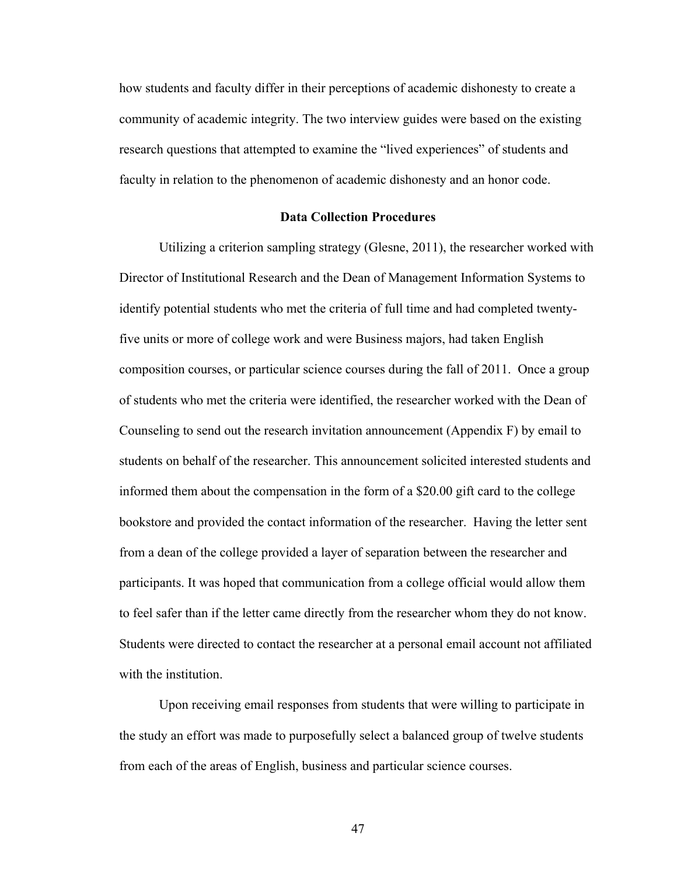how students and faculty differ in their perceptions of academic dishonesty to create a community of academic integrity. The two interview guides were based on the existing research questions that attempted to examine the "lived experiences" of students and faculty in relation to the phenomenon of academic dishonesty and an honor code.

### **Data Collection Procedures**

Utilizing a criterion sampling strategy (Glesne, 2011), the researcher worked with Director of Institutional Research and the Dean of Management Information Systems to identify potential students who met the criteria of full time and had completed twentyfive units or more of college work and were Business majors, had taken English composition courses, or particular science courses during the fall of 2011. Once a group of students who met the criteria were identified, the researcher worked with the Dean of Counseling to send out the research invitation announcement (Appendix F) by email to students on behalf of the researcher. This announcement solicited interested students and informed them about the compensation in the form of a \$20.00 gift card to the college bookstore and provided the contact information of the researcher. Having the letter sent from a dean of the college provided a layer of separation between the researcher and participants. It was hoped that communication from a college official would allow them to feel safer than if the letter came directly from the researcher whom they do not know. Students were directed to contact the researcher at a personal email account not affiliated with the institution.

Upon receiving email responses from students that were willing to participate in the study an effort was made to purposefully select a balanced group of twelve students from each of the areas of English, business and particular science courses.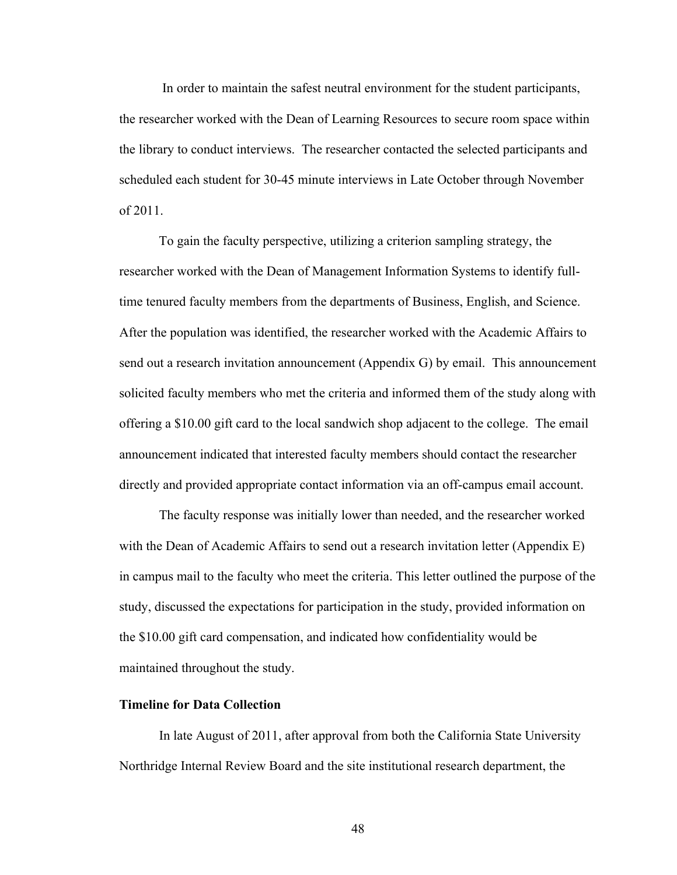In order to maintain the safest neutral environment for the student participants, the researcher worked with the Dean of Learning Resources to secure room space within the library to conduct interviews. The researcher contacted the selected participants and scheduled each student for 30-45 minute interviews in Late October through November of 2011.

To gain the faculty perspective, utilizing a criterion sampling strategy, the researcher worked with the Dean of Management Information Systems to identify fulltime tenured faculty members from the departments of Business, English, and Science. After the population was identified, the researcher worked with the Academic Affairs to send out a research invitation announcement (Appendix G) by email. This announcement solicited faculty members who met the criteria and informed them of the study along with offering a \$10.00 gift card to the local sandwich shop adjacent to the college. The email announcement indicated that interested faculty members should contact the researcher directly and provided appropriate contact information via an off-campus email account.

The faculty response was initially lower than needed, and the researcher worked with the Dean of Academic Affairs to send out a research invitation letter (Appendix E) in campus mail to the faculty who meet the criteria. This letter outlined the purpose of the study, discussed the expectations for participation in the study, provided information on the \$10.00 gift card compensation, and indicated how confidentiality would be maintained throughout the study.

# **Timeline for Data Collection**

In late August of 2011, after approval from both the California State University Northridge Internal Review Board and the site institutional research department, the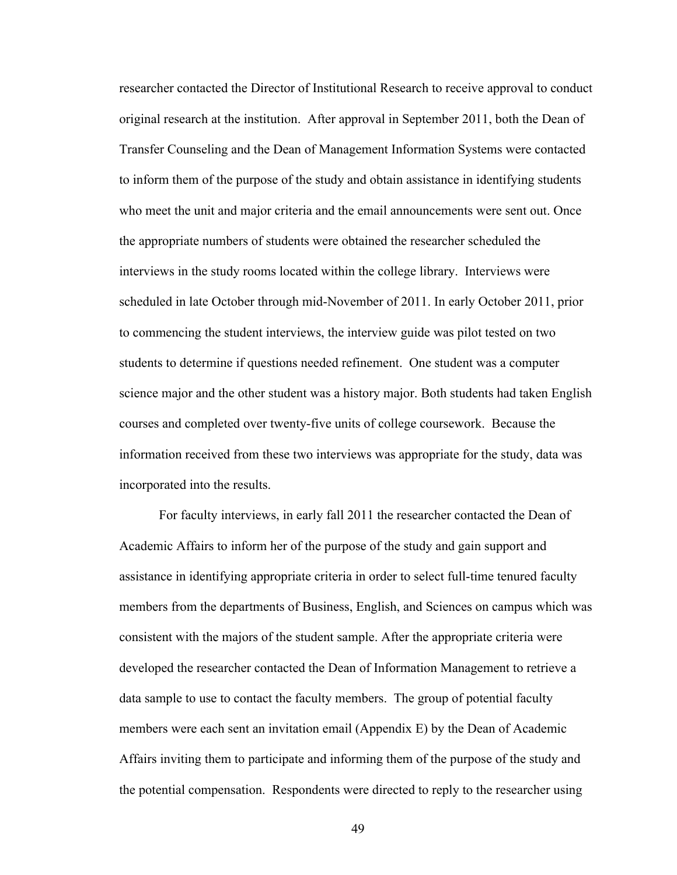researcher contacted the Director of Institutional Research to receive approval to conduct original research at the institution. After approval in September 2011, both the Dean of Transfer Counseling and the Dean of Management Information Systems were contacted to inform them of the purpose of the study and obtain assistance in identifying students who meet the unit and major criteria and the email announcements were sent out. Once the appropriate numbers of students were obtained the researcher scheduled the interviews in the study rooms located within the college library. Interviews were scheduled in late October through mid-November of 2011. In early October 2011, prior to commencing the student interviews, the interview guide was pilot tested on two students to determine if questions needed refinement. One student was a computer science major and the other student was a history major. Both students had taken English courses and completed over twenty-five units of college coursework. Because the information received from these two interviews was appropriate for the study, data was incorporated into the results.

For faculty interviews, in early fall 2011 the researcher contacted the Dean of Academic Affairs to inform her of the purpose of the study and gain support and assistance in identifying appropriate criteria in order to select full-time tenured faculty members from the departments of Business, English, and Sciences on campus which was consistent with the majors of the student sample. After the appropriate criteria were developed the researcher contacted the Dean of Information Management to retrieve a data sample to use to contact the faculty members. The group of potential faculty members were each sent an invitation email (Appendix E) by the Dean of Academic Affairs inviting them to participate and informing them of the purpose of the study and the potential compensation. Respondents were directed to reply to the researcher using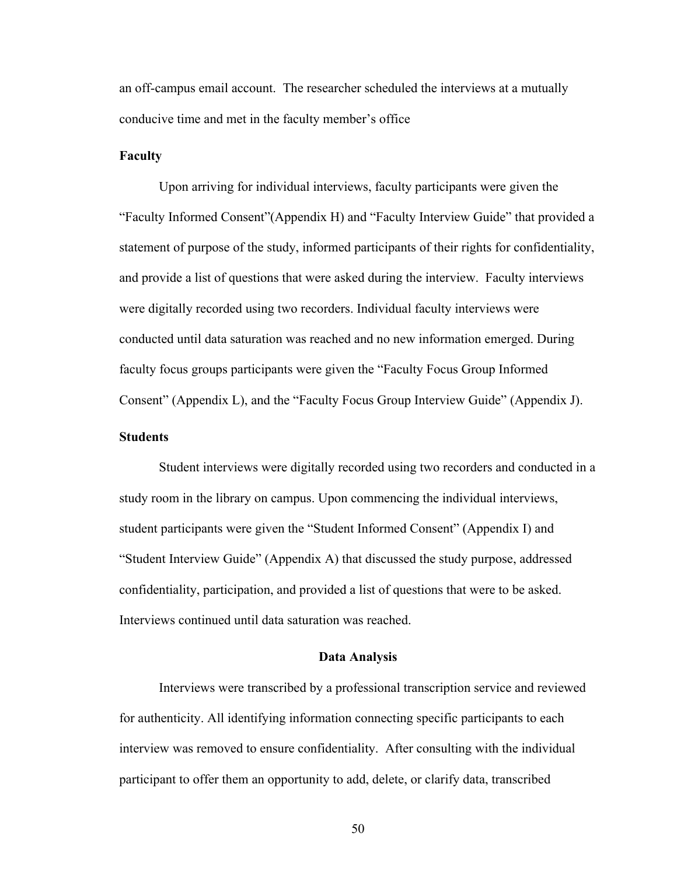an off-campus email account. The researcher scheduled the interviews at a mutually conducive time and met in the faculty member's office

# **Faculty**

Upon arriving for individual interviews, faculty participants were given the "Faculty Informed Consent"(Appendix H) and "Faculty Interview Guide" that provided a statement of purpose of the study, informed participants of their rights for confidentiality, and provide a list of questions that were asked during the interview. Faculty interviews were digitally recorded using two recorders. Individual faculty interviews were conducted until data saturation was reached and no new information emerged. During faculty focus groups participants were given the "Faculty Focus Group Informed Consent" (Appendix L), and the "Faculty Focus Group Interview Guide" (Appendix J).

# **Students**

Student interviews were digitally recorded using two recorders and conducted in a study room in the library on campus. Upon commencing the individual interviews, student participants were given the "Student Informed Consent" (Appendix I) and "Student Interview Guide" (Appendix A) that discussed the study purpose, addressed confidentiality, participation, and provided a list of questions that were to be asked. Interviews continued until data saturation was reached.

# **Data Analysis**

Interviews were transcribed by a professional transcription service and reviewed for authenticity. All identifying information connecting specific participants to each interview was removed to ensure confidentiality. After consulting with the individual participant to offer them an opportunity to add, delete, or clarify data, transcribed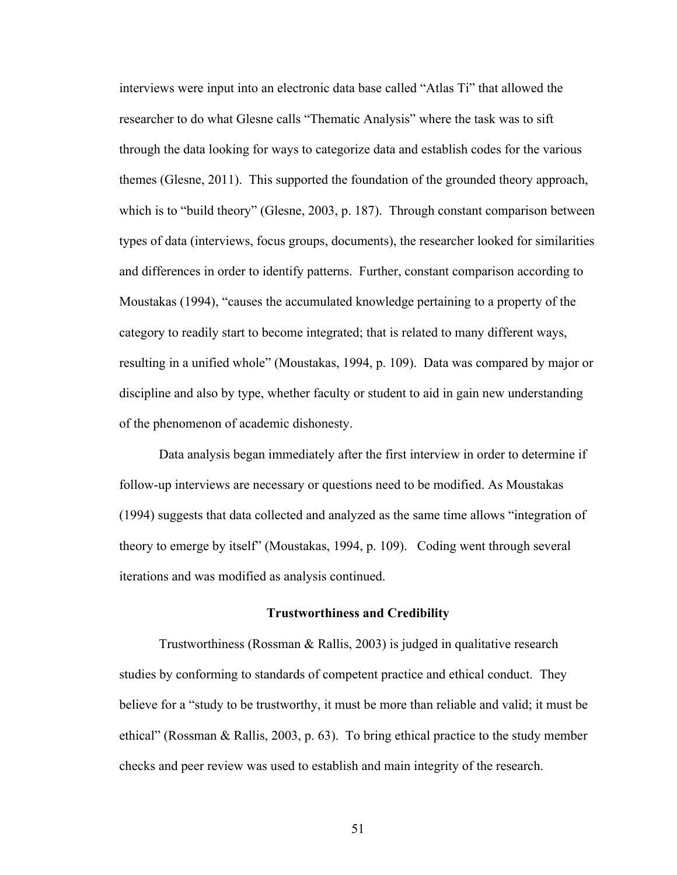interviews were input into an electronic data base called "Atlas Ti" that allowed the researcher to do what Glesne calls "Thematic Analysis" where the task was to sift through the data looking for ways to categorize data and establish codes for the various themes (Glesne, 2011). This supported the foundation of the grounded theory approach, which is to "build theory" (Glesne, 2003, p. 187). Through constant comparison between types of data (interviews, focus groups, documents), the researcher looked for similarities and differences in order to identify patterns. Further, constant comparison according to Moustakas (1994), "causes the accumulated knowledge pertaining to a property of the category to readily start to become integrated; that is related to many different ways, resulting in a unified whole" (Moustakas, 1994, p. 109). Data was compared by major or discipline and also by type, whether faculty or student to aid in gain new understanding of the phenomenon of academic dishonesty.

Data analysis began immediately after the first interview in order to determine if follow-up interviews are necessary or questions need to be modified. As Moustakas (1994) suggests that data collected and analyzed as the same time allows "integration of theory to emerge by itself" (Moustakas, 1994, p. 109). Coding went through several iterations and was modified as analysis continued.

# **Trustworthiness and Credibility**

Trustworthiness (Rossman & Rallis, 2003) is judged in qualitative research studies by conforming to standards of competent practice and ethical conduct. They believe for a "study to be trustworthy, it must be more than reliable and valid; it must be ethical" (Rossman & Rallis, 2003, p. 63). To bring ethical practice to the study member checks and peer review was used to establish and main integrity of the research.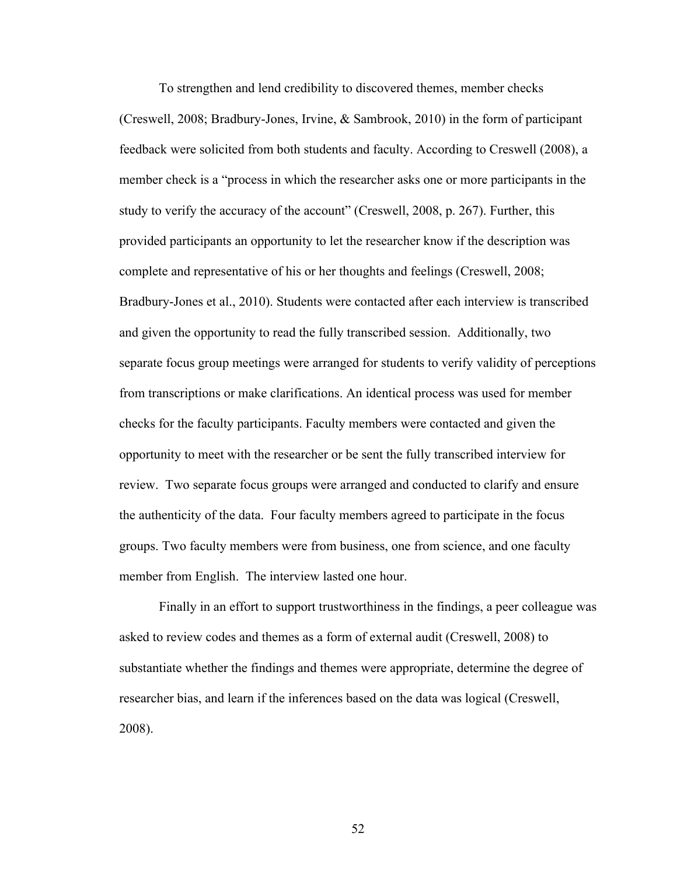To strengthen and lend credibility to discovered themes, member checks (Creswell, 2008; Bradbury-Jones, Irvine, & Sambrook, 2010) in the form of participant feedback were solicited from both students and faculty. According to Creswell (2008), a member check is a "process in which the researcher asks one or more participants in the study to verify the accuracy of the account" (Creswell, 2008, p. 267). Further, this provided participants an opportunity to let the researcher know if the description was complete and representative of his or her thoughts and feelings (Creswell, 2008; Bradbury-Jones et al., 2010). Students were contacted after each interview is transcribed and given the opportunity to read the fully transcribed session. Additionally, two separate focus group meetings were arranged for students to verify validity of perceptions from transcriptions or make clarifications. An identical process was used for member checks for the faculty participants. Faculty members were contacted and given the opportunity to meet with the researcher or be sent the fully transcribed interview for review. Two separate focus groups were arranged and conducted to clarify and ensure the authenticity of the data. Four faculty members agreed to participate in the focus groups. Two faculty members were from business, one from science, and one faculty member from English. The interview lasted one hour.

Finally in an effort to support trustworthiness in the findings, a peer colleague was asked to review codes and themes as a form of external audit (Creswell, 2008) to substantiate whether the findings and themes were appropriate, determine the degree of researcher bias, and learn if the inferences based on the data was logical (Creswell, 2008).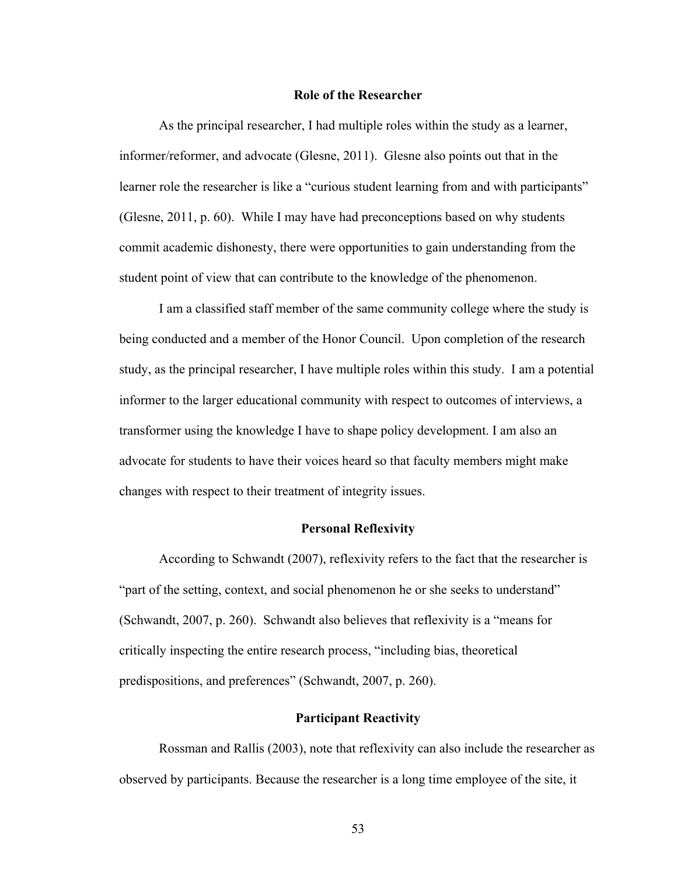### **Role of the Researcher**

As the principal researcher, I had multiple roles within the study as a learner, informer/reformer, and advocate (Glesne, 2011). Glesne also points out that in the learner role the researcher is like a "curious student learning from and with participants" (Glesne, 2011, p. 60). While I may have had preconceptions based on why students commit academic dishonesty, there were opportunities to gain understanding from the student point of view that can contribute to the knowledge of the phenomenon.

I am a classified staff member of the same community college where the study is being conducted and a member of the Honor Council. Upon completion of the research study, as the principal researcher, I have multiple roles within this study. I am a potential informer to the larger educational community with respect to outcomes of interviews, a transformer using the knowledge I have to shape policy development. I am also an advocate for students to have their voices heard so that faculty members might make changes with respect to their treatment of integrity issues.

# **Personal Reflexivity**

According to Schwandt (2007), reflexivity refers to the fact that the researcher is "part of the setting, context, and social phenomenon he or she seeks to understand" (Schwandt, 2007, p. 260). Schwandt also believes that reflexivity is a "means for critically inspecting the entire research process, "including bias, theoretical predispositions, and preferences" (Schwandt, 2007, p. 260).

## **Participant Reactivity**

Rossman and Rallis (2003), note that reflexivity can also include the researcher as observed by participants. Because the researcher is a long time employee of the site, it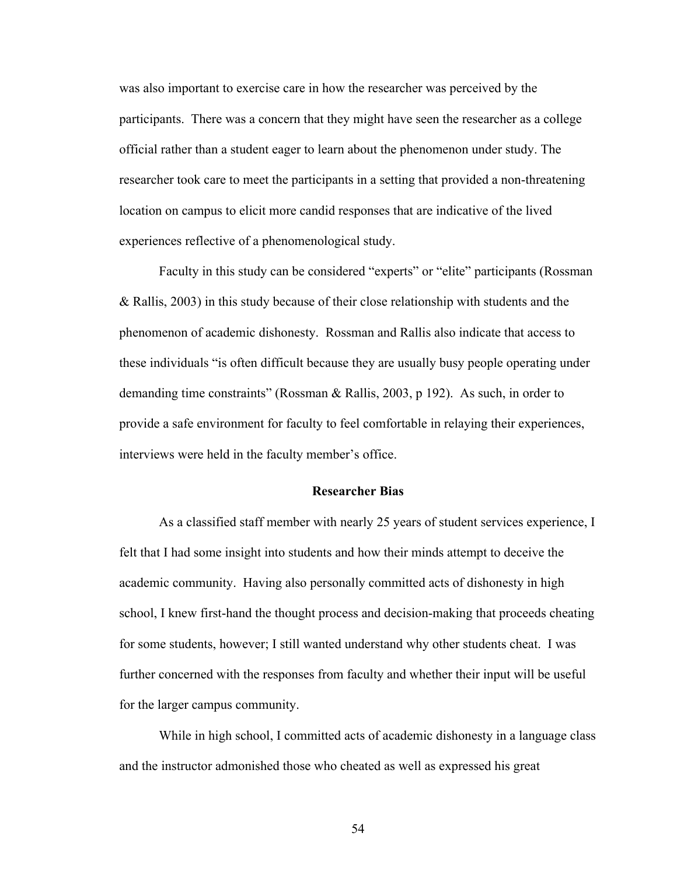was also important to exercise care in how the researcher was perceived by the participants. There was a concern that they might have seen the researcher as a college official rather than a student eager to learn about the phenomenon under study. The researcher took care to meet the participants in a setting that provided a non-threatening location on campus to elicit more candid responses that are indicative of the lived experiences reflective of a phenomenological study.

Faculty in this study can be considered "experts" or "elite" participants (Rossman & Rallis, 2003) in this study because of their close relationship with students and the phenomenon of academic dishonesty. Rossman and Rallis also indicate that access to these individuals "is often difficult because they are usually busy people operating under demanding time constraints" (Rossman & Rallis, 2003, p 192). As such, in order to provide a safe environment for faculty to feel comfortable in relaying their experiences, interviews were held in the faculty member's office.

# **Researcher Bias**

As a classified staff member with nearly 25 years of student services experience, I felt that I had some insight into students and how their minds attempt to deceive the academic community. Having also personally committed acts of dishonesty in high school, I knew first-hand the thought process and decision-making that proceeds cheating for some students, however; I still wanted understand why other students cheat. I was further concerned with the responses from faculty and whether their input will be useful for the larger campus community.

While in high school, I committed acts of academic dishonesty in a language class and the instructor admonished those who cheated as well as expressed his great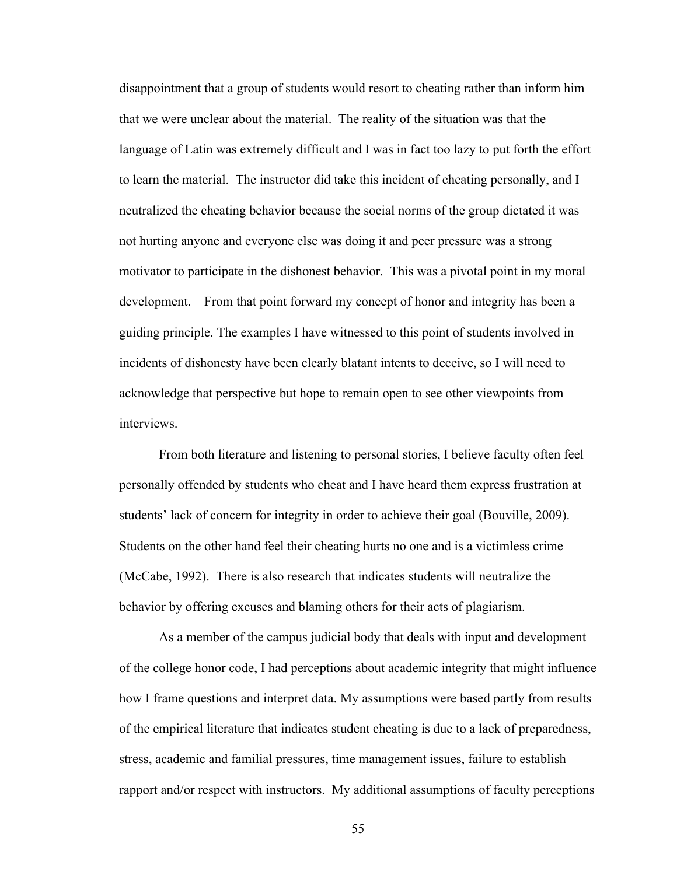disappointment that a group of students would resort to cheating rather than inform him that we were unclear about the material. The reality of the situation was that the language of Latin was extremely difficult and I was in fact too lazy to put forth the effort to learn the material. The instructor did take this incident of cheating personally, and I neutralized the cheating behavior because the social norms of the group dictated it was not hurting anyone and everyone else was doing it and peer pressure was a strong motivator to participate in the dishonest behavior. This was a pivotal point in my moral development. From that point forward my concept of honor and integrity has been a guiding principle. The examples I have witnessed to this point of students involved in incidents of dishonesty have been clearly blatant intents to deceive, so I will need to acknowledge that perspective but hope to remain open to see other viewpoints from interviews.

From both literature and listening to personal stories, I believe faculty often feel personally offended by students who cheat and I have heard them express frustration at students' lack of concern for integrity in order to achieve their goal (Bouville, 2009). Students on the other hand feel their cheating hurts no one and is a victimless crime (McCabe, 1992). There is also research that indicates students will neutralize the behavior by offering excuses and blaming others for their acts of plagiarism.

As a member of the campus judicial body that deals with input and development of the college honor code, I had perceptions about academic integrity that might influence how I frame questions and interpret data. My assumptions were based partly from results of the empirical literature that indicates student cheating is due to a lack of preparedness, stress, academic and familial pressures, time management issues, failure to establish rapport and/or respect with instructors. My additional assumptions of faculty perceptions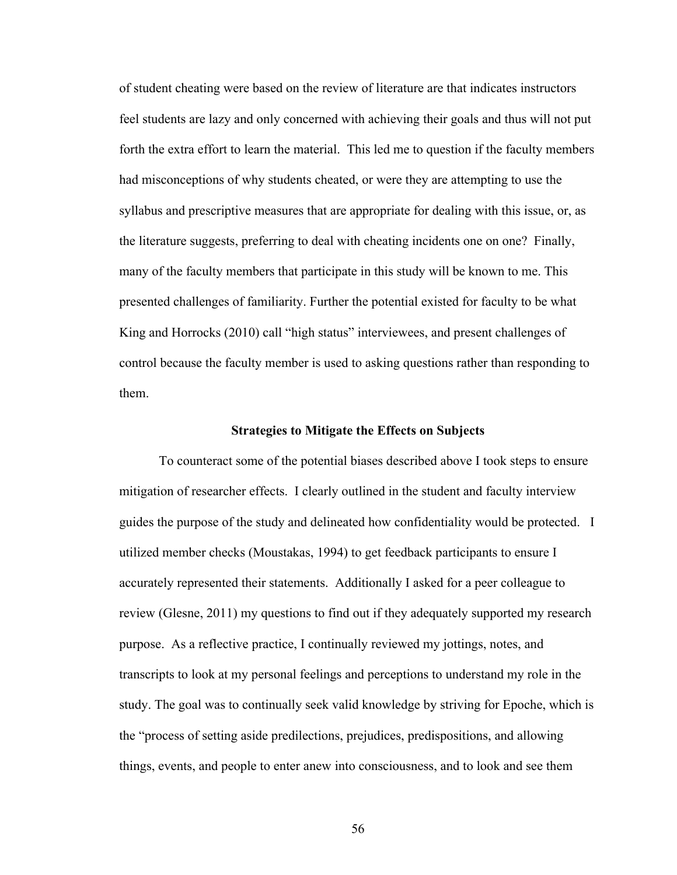of student cheating were based on the review of literature are that indicates instructors feel students are lazy and only concerned with achieving their goals and thus will not put forth the extra effort to learn the material. This led me to question if the faculty members had misconceptions of why students cheated, or were they are attempting to use the syllabus and prescriptive measures that are appropriate for dealing with this issue, or, as the literature suggests, preferring to deal with cheating incidents one on one? Finally, many of the faculty members that participate in this study will be known to me. This presented challenges of familiarity. Further the potential existed for faculty to be what King and Horrocks (2010) call "high status" interviewees, and present challenges of control because the faculty member is used to asking questions rather than responding to them.

## **Strategies to Mitigate the Effects on Subjects**

To counteract some of the potential biases described above I took steps to ensure mitigation of researcher effects. I clearly outlined in the student and faculty interview guides the purpose of the study and delineated how confidentiality would be protected. I utilized member checks (Moustakas, 1994) to get feedback participants to ensure I accurately represented their statements. Additionally I asked for a peer colleague to review (Glesne, 2011) my questions to find out if they adequately supported my research purpose. As a reflective practice, I continually reviewed my jottings, notes, and transcripts to look at my personal feelings and perceptions to understand my role in the study. The goal was to continually seek valid knowledge by striving for Epoche, which is the "process of setting aside predilections, prejudices, predispositions, and allowing things, events, and people to enter anew into consciousness, and to look and see them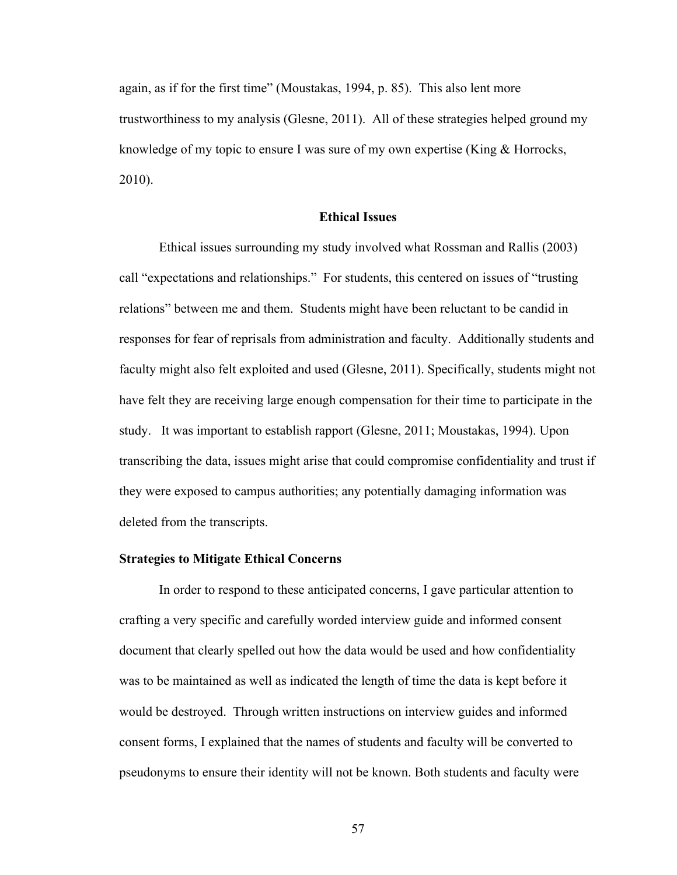again, as if for the first time" (Moustakas, 1994, p. 85). This also lent more trustworthiness to my analysis (Glesne, 2011). All of these strategies helped ground my knowledge of my topic to ensure I was sure of my own expertise (King & Horrocks, 2010).

# **Ethical Issues**

Ethical issues surrounding my study involved what Rossman and Rallis (2003) call "expectations and relationships." For students, this centered on issues of "trusting relations" between me and them. Students might have been reluctant to be candid in responses for fear of reprisals from administration and faculty. Additionally students and faculty might also felt exploited and used (Glesne, 2011). Specifically, students might not have felt they are receiving large enough compensation for their time to participate in the study. It was important to establish rapport (Glesne, 2011; Moustakas, 1994). Upon transcribing the data, issues might arise that could compromise confidentiality and trust if they were exposed to campus authorities; any potentially damaging information was deleted from the transcripts.

# **Strategies to Mitigate Ethical Concerns**

In order to respond to these anticipated concerns, I gave particular attention to crafting a very specific and carefully worded interview guide and informed consent document that clearly spelled out how the data would be used and how confidentiality was to be maintained as well as indicated the length of time the data is kept before it would be destroyed. Through written instructions on interview guides and informed consent forms, I explained that the names of students and faculty will be converted to pseudonyms to ensure their identity will not be known. Both students and faculty were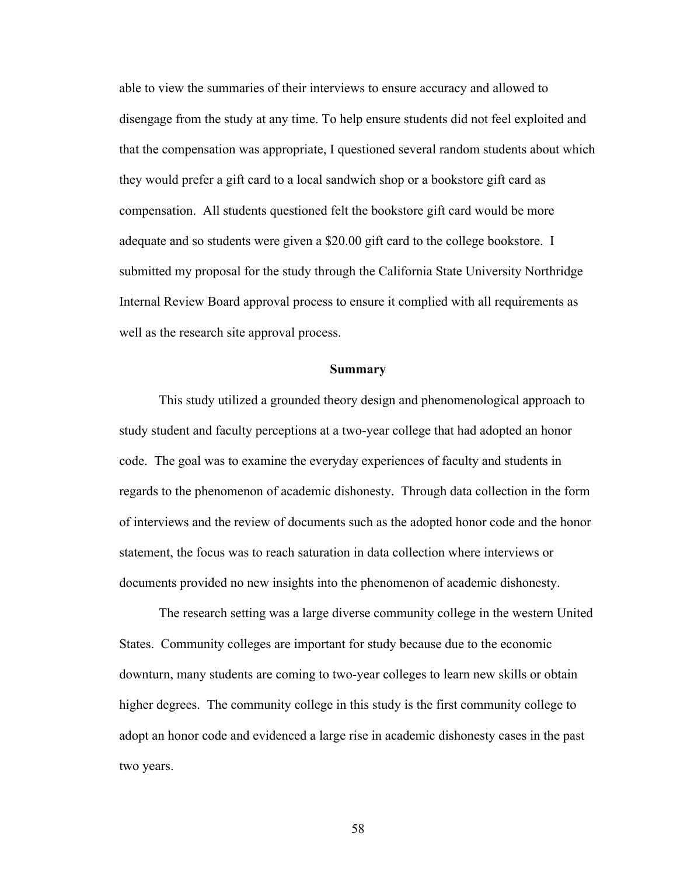able to view the summaries of their interviews to ensure accuracy and allowed to disengage from the study at any time. To help ensure students did not feel exploited and that the compensation was appropriate, I questioned several random students about which they would prefer a gift card to a local sandwich shop or a bookstore gift card as compensation. All students questioned felt the bookstore gift card would be more adequate and so students were given a \$20.00 gift card to the college bookstore. I submitted my proposal for the study through the California State University Northridge Internal Review Board approval process to ensure it complied with all requirements as well as the research site approval process.

#### **Summary**

This study utilized a grounded theory design and phenomenological approach to study student and faculty perceptions at a two-year college that had adopted an honor code. The goal was to examine the everyday experiences of faculty and students in regards to the phenomenon of academic dishonesty. Through data collection in the form of interviews and the review of documents such as the adopted honor code and the honor statement, the focus was to reach saturation in data collection where interviews or documents provided no new insights into the phenomenon of academic dishonesty.

The research setting was a large diverse community college in the western United States. Community colleges are important for study because due to the economic downturn, many students are coming to two-year colleges to learn new skills or obtain higher degrees. The community college in this study is the first community college to adopt an honor code and evidenced a large rise in academic dishonesty cases in the past two years.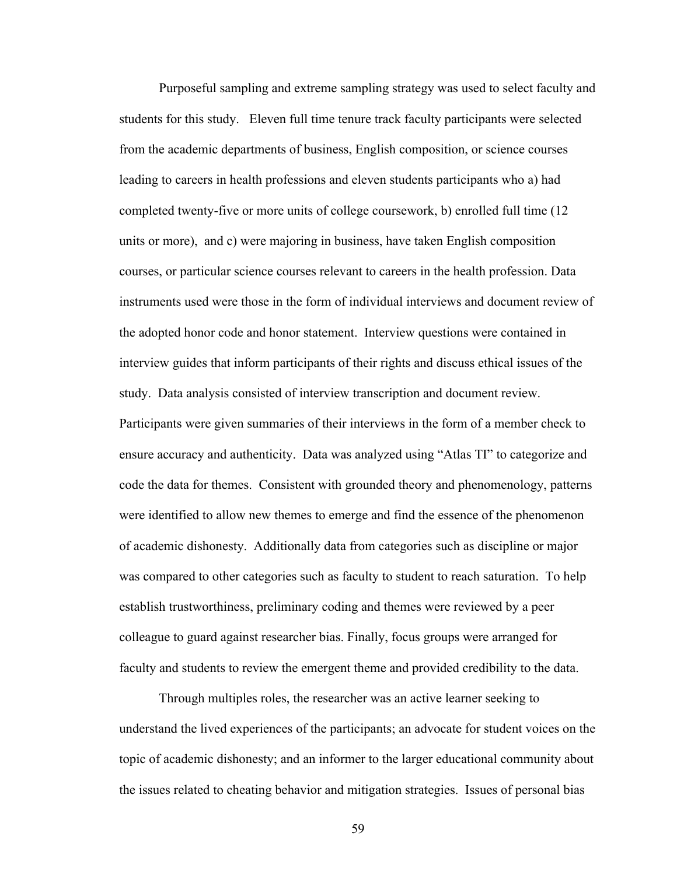Purposeful sampling and extreme sampling strategy was used to select faculty and students for this study. Eleven full time tenure track faculty participants were selected from the academic departments of business, English composition, or science courses leading to careers in health professions and eleven students participants who a) had completed twenty-five or more units of college coursework, b) enrolled full time (12 units or more), and c) were majoring in business, have taken English composition courses, or particular science courses relevant to careers in the health profession. Data instruments used were those in the form of individual interviews and document review of the adopted honor code and honor statement. Interview questions were contained in interview guides that inform participants of their rights and discuss ethical issues of the study. Data analysis consisted of interview transcription and document review. Participants were given summaries of their interviews in the form of a member check to ensure accuracy and authenticity. Data was analyzed using "Atlas TI" to categorize and code the data for themes. Consistent with grounded theory and phenomenology, patterns were identified to allow new themes to emerge and find the essence of the phenomenon of academic dishonesty. Additionally data from categories such as discipline or major was compared to other categories such as faculty to student to reach saturation. To help establish trustworthiness, preliminary coding and themes were reviewed by a peer colleague to guard against researcher bias. Finally, focus groups were arranged for faculty and students to review the emergent theme and provided credibility to the data.

Through multiples roles, the researcher was an active learner seeking to understand the lived experiences of the participants; an advocate for student voices on the topic of academic dishonesty; and an informer to the larger educational community about the issues related to cheating behavior and mitigation strategies. Issues of personal bias

59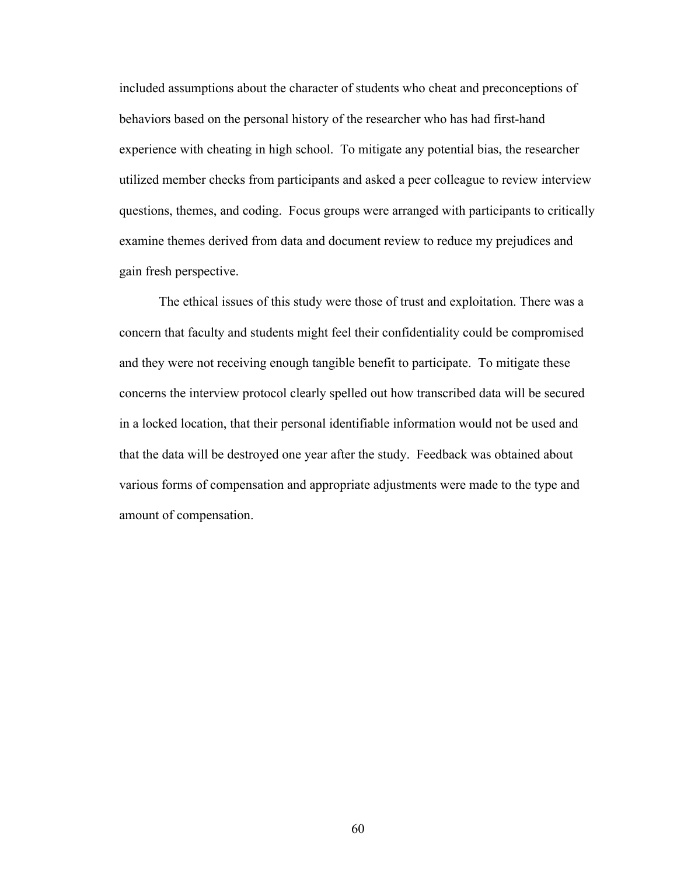included assumptions about the character of students who cheat and preconceptions of behaviors based on the personal history of the researcher who has had first-hand experience with cheating in high school. To mitigate any potential bias, the researcher utilized member checks from participants and asked a peer colleague to review interview questions, themes, and coding. Focus groups were arranged with participants to critically examine themes derived from data and document review to reduce my prejudices and gain fresh perspective.

The ethical issues of this study were those of trust and exploitation. There was a concern that faculty and students might feel their confidentiality could be compromised and they were not receiving enough tangible benefit to participate. To mitigate these concerns the interview protocol clearly spelled out how transcribed data will be secured in a locked location, that their personal identifiable information would not be used and that the data will be destroyed one year after the study. Feedback was obtained about various forms of compensation and appropriate adjustments were made to the type and amount of compensation.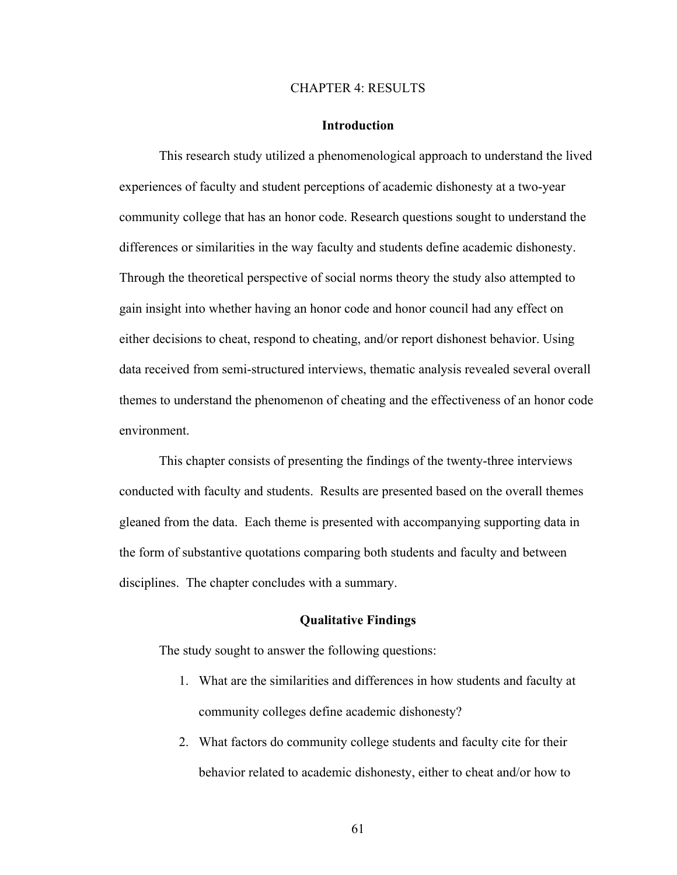#### CHAPTER 4: RESULTS

#### **Introduction**

This research study utilized a phenomenological approach to understand the lived experiences of faculty and student perceptions of academic dishonesty at a two-year community college that has an honor code. Research questions sought to understand the differences or similarities in the way faculty and students define academic dishonesty. Through the theoretical perspective of social norms theory the study also attempted to gain insight into whether having an honor code and honor council had any effect on either decisions to cheat, respond to cheating, and/or report dishonest behavior. Using data received from semi-structured interviews, thematic analysis revealed several overall themes to understand the phenomenon of cheating and the effectiveness of an honor code environment.

This chapter consists of presenting the findings of the twenty-three interviews conducted with faculty and students. Results are presented based on the overall themes gleaned from the data. Each theme is presented with accompanying supporting data in the form of substantive quotations comparing both students and faculty and between disciplines. The chapter concludes with a summary.

## **Qualitative Findings**

The study sought to answer the following questions:

- 1. What are the similarities and differences in how students and faculty at community colleges define academic dishonesty?
- 2. What factors do community college students and faculty cite for their behavior related to academic dishonesty, either to cheat and/or how to

61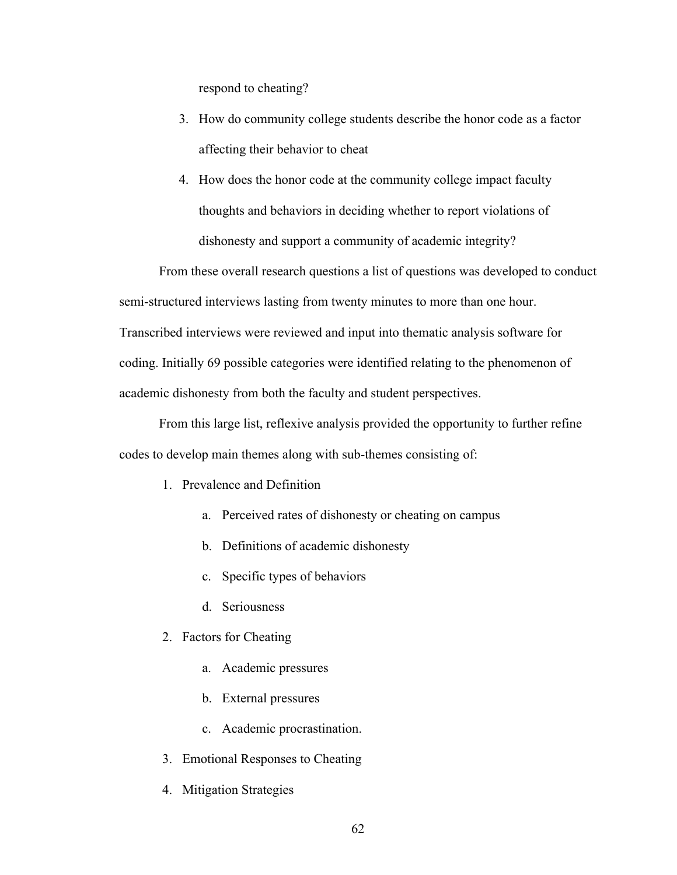respond to cheating?

- 3. How do community college students describe the honor code as a factor affecting their behavior to cheat
- 4. How does the honor code at the community college impact faculty thoughts and behaviors in deciding whether to report violations of dishonesty and support a community of academic integrity?

From these overall research questions a list of questions was developed to conduct semi-structured interviews lasting from twenty minutes to more than one hour. Transcribed interviews were reviewed and input into thematic analysis software for coding. Initially 69 possible categories were identified relating to the phenomenon of academic dishonesty from both the faculty and student perspectives.

From this large list, reflexive analysis provided the opportunity to further refine codes to develop main themes along with sub-themes consisting of:

- 1. Prevalence and Definition
	- a. Perceived rates of dishonesty or cheating on campus
	- b. Definitions of academic dishonesty
	- c. Specific types of behaviors
	- d. Seriousness
- 2. Factors for Cheating
	- a. Academic pressures
	- b. External pressures
	- c. Academic procrastination.
- 3. Emotional Responses to Cheating
- 4. Mitigation Strategies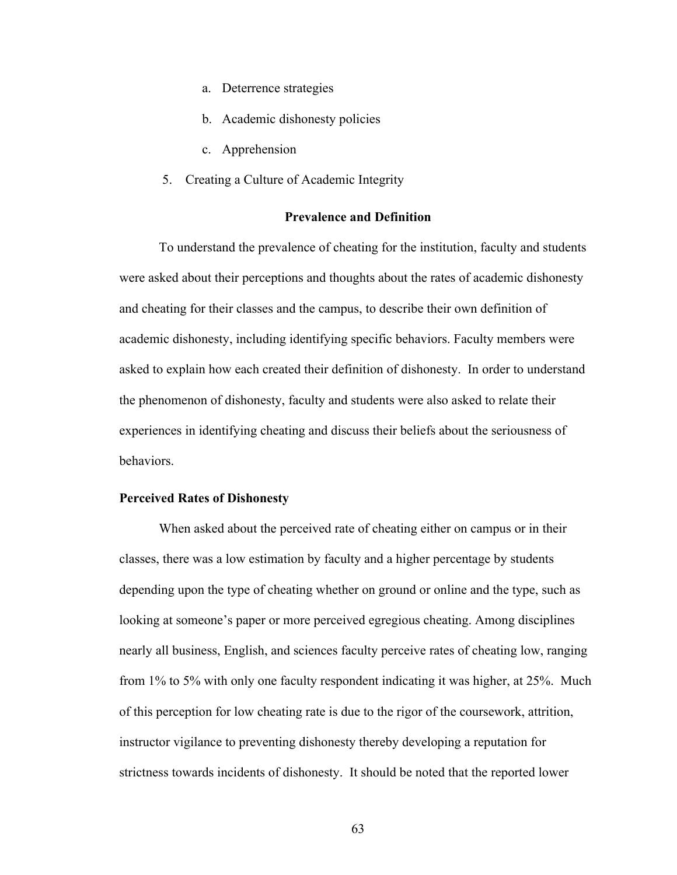- a. Deterrence strategies
- b. Academic dishonesty policies
- c. Apprehension
- 5. Creating a Culture of Academic Integrity

#### **Prevalence and Definition**

To understand the prevalence of cheating for the institution, faculty and students were asked about their perceptions and thoughts about the rates of academic dishonesty and cheating for their classes and the campus, to describe their own definition of academic dishonesty, including identifying specific behaviors. Faculty members were asked to explain how each created their definition of dishonesty. In order to understand the phenomenon of dishonesty, faculty and students were also asked to relate their experiences in identifying cheating and discuss their beliefs about the seriousness of behaviors.

## **Perceived Rates of Dishonesty**

When asked about the perceived rate of cheating either on campus or in their classes, there was a low estimation by faculty and a higher percentage by students depending upon the type of cheating whether on ground or online and the type, such as looking at someone's paper or more perceived egregious cheating. Among disciplines nearly all business, English, and sciences faculty perceive rates of cheating low, ranging from 1% to 5% with only one faculty respondent indicating it was higher, at 25%. Much of this perception for low cheating rate is due to the rigor of the coursework, attrition, instructor vigilance to preventing dishonesty thereby developing a reputation for strictness towards incidents of dishonesty. It should be noted that the reported lower

63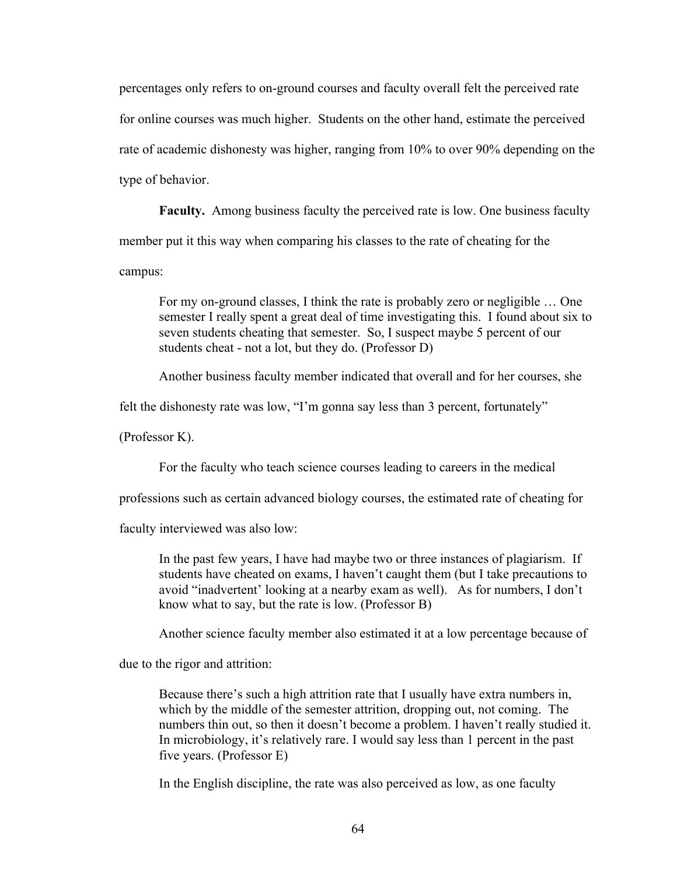percentages only refers to on-ground courses and faculty overall felt the perceived rate for online courses was much higher. Students on the other hand, estimate the perceived rate of academic dishonesty was higher, ranging from 10% to over 90% depending on the type of behavior.

**Faculty.** Among business faculty the perceived rate is low. One business faculty member put it this way when comparing his classes to the rate of cheating for the campus:

For my on-ground classes, I think the rate is probably zero or negligible … One semester I really spent a great deal of time investigating this. I found about six to seven students cheating that semester. So, I suspect maybe 5 percent of our students cheat - not a lot, but they do. (Professor D)

Another business faculty member indicated that overall and for her courses, she

felt the dishonesty rate was low, "I'm gonna say less than 3 percent, fortunately"

(Professor K).

For the faculty who teach science courses leading to careers in the medical

professions such as certain advanced biology courses, the estimated rate of cheating for

faculty interviewed was also low:

In the past few years, I have had maybe two or three instances of plagiarism. If students have cheated on exams, I haven't caught them (but I take precautions to avoid "inadvertent' looking at a nearby exam as well). As for numbers, I don't know what to say, but the rate is low. (Professor B)

Another science faculty member also estimated it at a low percentage because of

due to the rigor and attrition:

Because there's such a high attrition rate that I usually have extra numbers in, which by the middle of the semester attrition, dropping out, not coming. The numbers thin out, so then it doesn't become a problem. I haven't really studied it. In microbiology, it's relatively rare. I would say less than 1 percent in the past five years. (Professor E)

In the English discipline, the rate was also perceived as low, as one faculty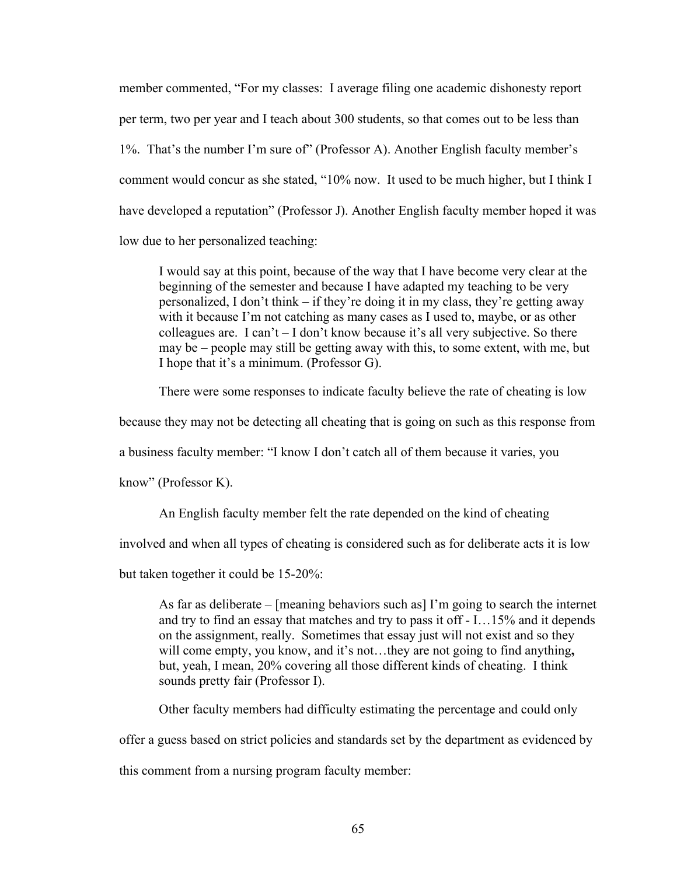member commented, "For my classes: I average filing one academic dishonesty report per term, two per year and I teach about 300 students, so that comes out to be less than 1%. That's the number I'm sure of" (Professor A). Another English faculty member's comment would concur as she stated, "10% now. It used to be much higher, but I think I have developed a reputation" (Professor J). Another English faculty member hoped it was low due to her personalized teaching:

I would say at this point, because of the way that I have become very clear at the beginning of the semester and because I have adapted my teaching to be very personalized, I don't think – if they're doing it in my class, they're getting away with it because I'm not catching as many cases as I used to, maybe, or as other colleagues are. I can't – I don't know because it's all very subjective. So there may be – people may still be getting away with this, to some extent, with me, but I hope that it's a minimum. (Professor G).

There were some responses to indicate faculty believe the rate of cheating is low

because they may not be detecting all cheating that is going on such as this response from

a business faculty member: "I know I don't catch all of them because it varies, you

know" (Professor K).

An English faculty member felt the rate depended on the kind of cheating

involved and when all types of cheating is considered such as for deliberate acts it is low

but taken together it could be 15-20%:

As far as deliberate – [meaning behaviors such as] I'm going to search the internet and try to find an essay that matches and try to pass it off - I…15% and it depends on the assignment, really. Sometimes that essay just will not exist and so they will come empty, you know, and it's not…they are not going to find anything**,**  but, yeah, I mean, 20% covering all those different kinds of cheating. I think sounds pretty fair (Professor I).

Other faculty members had difficulty estimating the percentage and could only

offer a guess based on strict policies and standards set by the department as evidenced by

this comment from a nursing program faculty member: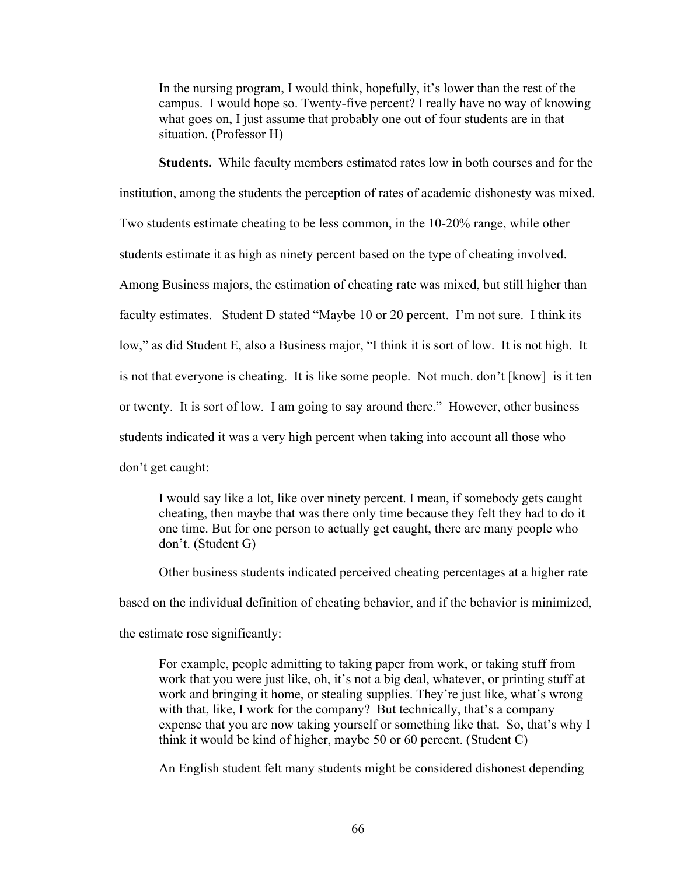In the nursing program, I would think, hopefully, it's lower than the rest of the campus. I would hope so. Twenty-five percent? I really have no way of knowing what goes on, I just assume that probably one out of four students are in that situation. (Professor H)

**Students.** While faculty members estimated rates low in both courses and for the institution, among the students the perception of rates of academic dishonesty was mixed. Two students estimate cheating to be less common, in the 10-20% range, while other students estimate it as high as ninety percent based on the type of cheating involved. Among Business majors, the estimation of cheating rate was mixed, but still higher than faculty estimates. Student D stated "Maybe 10 or 20 percent. I'm not sure. I think its low," as did Student E, also a Business major, "I think it is sort of low. It is not high. It is not that everyone is cheating. It is like some people. Not much. don't [know] is it ten or twenty. It is sort of low. I am going to say around there." However, other business students indicated it was a very high percent when taking into account all those who don't get caught:

I would say like a lot, like over ninety percent. I mean, if somebody gets caught cheating, then maybe that was there only time because they felt they had to do it one time. But for one person to actually get caught, there are many people who don't. (Student G)

Other business students indicated perceived cheating percentages at a higher rate

based on the individual definition of cheating behavior, and if the behavior is minimized,

the estimate rose significantly:

For example, people admitting to taking paper from work, or taking stuff from work that you were just like, oh, it's not a big deal, whatever, or printing stuff at work and bringing it home, or stealing supplies. They're just like, what's wrong with that, like, I work for the company? But technically, that's a company expense that you are now taking yourself or something like that. So, that's why I think it would be kind of higher, maybe 50 or 60 percent. (Student C)

An English student felt many students might be considered dishonest depending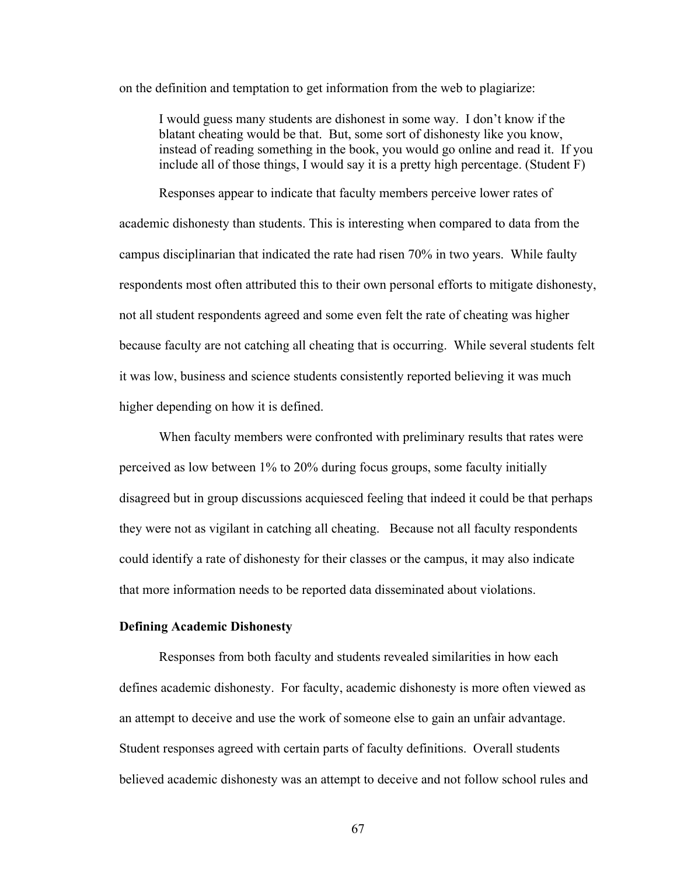on the definition and temptation to get information from the web to plagiarize:

I would guess many students are dishonest in some way. I don't know if the blatant cheating would be that. But, some sort of dishonesty like you know, instead of reading something in the book, you would go online and read it. If you include all of those things, I would say it is a pretty high percentage. (Student F)

Responses appear to indicate that faculty members perceive lower rates of academic dishonesty than students. This is interesting when compared to data from the campus disciplinarian that indicated the rate had risen 70% in two years. While faulty respondents most often attributed this to their own personal efforts to mitigate dishonesty, not all student respondents agreed and some even felt the rate of cheating was higher because faculty are not catching all cheating that is occurring. While several students felt it was low, business and science students consistently reported believing it was much higher depending on how it is defined.

When faculty members were confronted with preliminary results that rates were perceived as low between 1% to 20% during focus groups, some faculty initially disagreed but in group discussions acquiesced feeling that indeed it could be that perhaps they were not as vigilant in catching all cheating. Because not all faculty respondents could identify a rate of dishonesty for their classes or the campus, it may also indicate that more information needs to be reported data disseminated about violations.

#### **Defining Academic Dishonesty**

Responses from both faculty and students revealed similarities in how each defines academic dishonesty. For faculty, academic dishonesty is more often viewed as an attempt to deceive and use the work of someone else to gain an unfair advantage. Student responses agreed with certain parts of faculty definitions. Overall students believed academic dishonesty was an attempt to deceive and not follow school rules and

67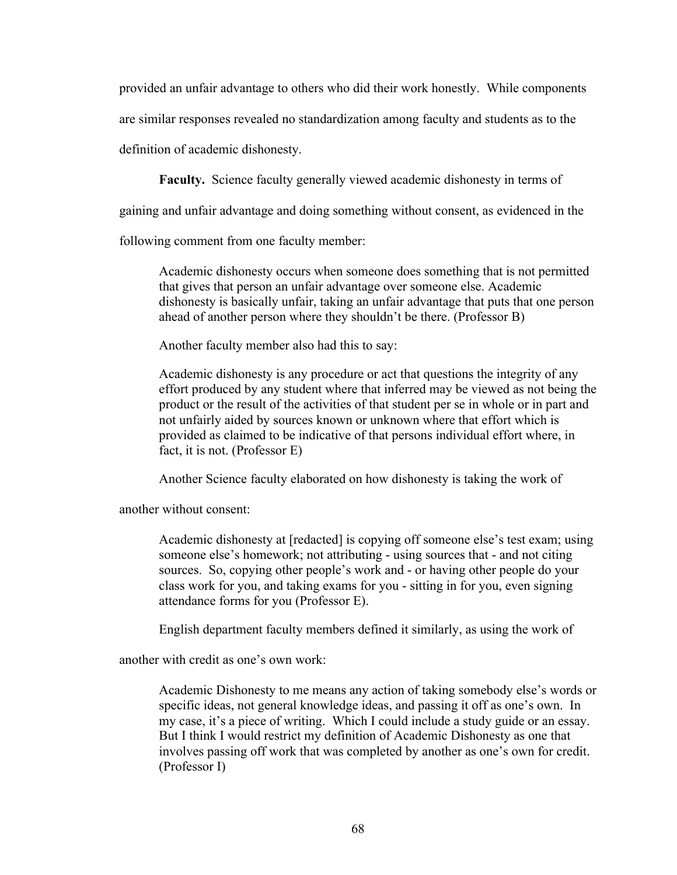provided an unfair advantage to others who did their work honestly. While components

are similar responses revealed no standardization among faculty and students as to the

definition of academic dishonesty.

**Faculty.** Science faculty generally viewed academic dishonesty in terms of

gaining and unfair advantage and doing something without consent, as evidenced in the

following comment from one faculty member:

Academic dishonesty occurs when someone does something that is not permitted that gives that person an unfair advantage over someone else. Academic dishonesty is basically unfair, taking an unfair advantage that puts that one person ahead of another person where they shouldn't be there. (Professor B)

Another faculty member also had this to say:

Academic dishonesty is any procedure or act that questions the integrity of any effort produced by any student where that inferred may be viewed as not being the product or the result of the activities of that student per se in whole or in part and not unfairly aided by sources known or unknown where that effort which is provided as claimed to be indicative of that persons individual effort where, in fact, it is not. (Professor E)

Another Science faculty elaborated on how dishonesty is taking the work of

another without consent:

Academic dishonesty at [redacted] is copying off someone else's test exam; using someone else's homework; not attributing - using sources that - and not citing sources. So, copying other people's work and - or having other people do your class work for you, and taking exams for you - sitting in for you, even signing attendance forms for you (Professor E).

English department faculty members defined it similarly, as using the work of

another with credit as one's own work:

Academic Dishonesty to me means any action of taking somebody else's words or specific ideas, not general knowledge ideas, and passing it off as one's own. In my case, it's a piece of writing. Which I could include a study guide or an essay. But I think I would restrict my definition of Academic Dishonesty as one that involves passing off work that was completed by another as one's own for credit. (Professor I)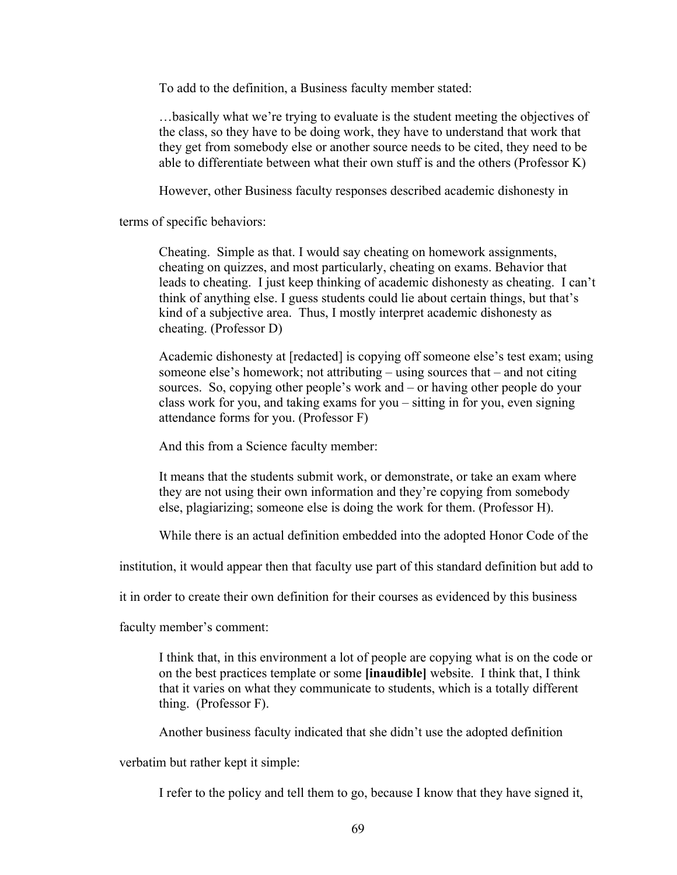To add to the definition, a Business faculty member stated:

…basically what we're trying to evaluate is the student meeting the objectives of the class, so they have to be doing work, they have to understand that work that they get from somebody else or another source needs to be cited, they need to be able to differentiate between what their own stuff is and the others (Professor K)

However, other Business faculty responses described academic dishonesty in

terms of specific behaviors:

Cheating. Simple as that. I would say cheating on homework assignments, cheating on quizzes, and most particularly, cheating on exams. Behavior that leads to cheating. I just keep thinking of academic dishonesty as cheating. I can't think of anything else. I guess students could lie about certain things, but that's kind of a subjective area. Thus, I mostly interpret academic dishonesty as cheating. (Professor D)

Academic dishonesty at [redacted] is copying off someone else's test exam; using someone else's homework; not attributing – using sources that – and not citing sources. So, copying other people's work and – or having other people do your class work for you, and taking exams for you – sitting in for you, even signing attendance forms for you. (Professor F)

And this from a Science faculty member:

It means that the students submit work, or demonstrate, or take an exam where they are not using their own information and they're copying from somebody else, plagiarizing; someone else is doing the work for them. (Professor H).

While there is an actual definition embedded into the adopted Honor Code of the

institution, it would appear then that faculty use part of this standard definition but add to

it in order to create their own definition for their courses as evidenced by this business

faculty member's comment:

I think that, in this environment a lot of people are copying what is on the code or on the best practices template or some **[inaudible]** website. I think that, I think that it varies on what they communicate to students, which is a totally different thing. (Professor F).

Another business faculty indicated that she didn't use the adopted definition

verbatim but rather kept it simple:

I refer to the policy and tell them to go, because I know that they have signed it,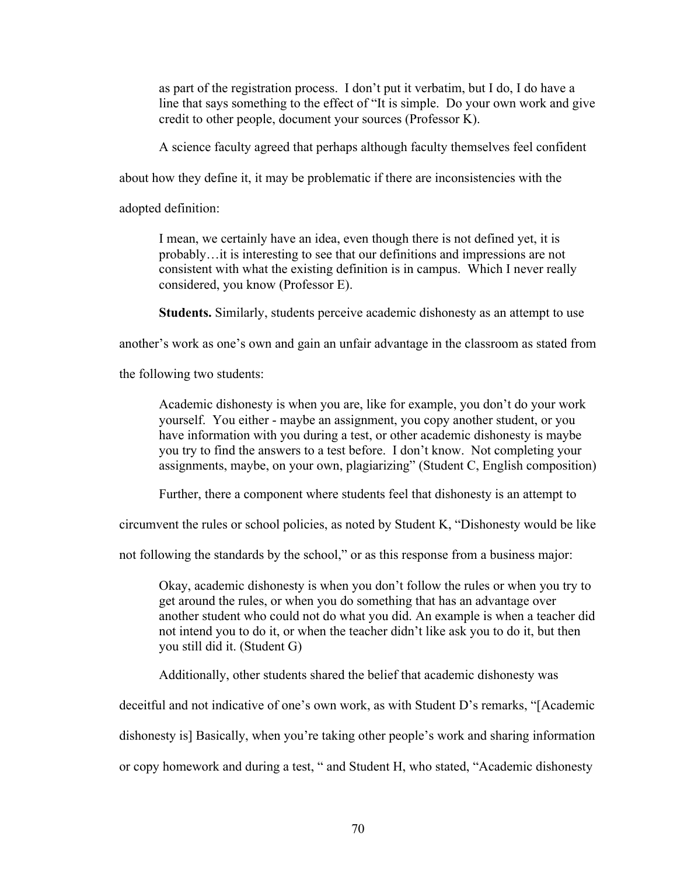as part of the registration process. I don't put it verbatim, but I do, I do have a line that says something to the effect of "It is simple. Do your own work and give credit to other people, document your sources (Professor K).

A science faculty agreed that perhaps although faculty themselves feel confident

about how they define it, it may be problematic if there are inconsistencies with the

adopted definition:

I mean, we certainly have an idea, even though there is not defined yet, it is probably…it is interesting to see that our definitions and impressions are not consistent with what the existing definition is in campus. Which I never really considered, you know (Professor E).

**Students.** Similarly, students perceive academic dishonesty as an attempt to use

another's work as one's own and gain an unfair advantage in the classroom as stated from

the following two students:

Academic dishonesty is when you are, like for example, you don't do your work yourself. You either - maybe an assignment, you copy another student, or you have information with you during a test, or other academic dishonesty is maybe you try to find the answers to a test before. I don't know. Not completing your assignments, maybe, on your own, plagiarizing" (Student C, English composition)

Further, there a component where students feel that dishonesty is an attempt to

circumvent the rules or school policies, as noted by Student K, "Dishonesty would be like

not following the standards by the school," or as this response from a business major:

Okay, academic dishonesty is when you don't follow the rules or when you try to get around the rules, or when you do something that has an advantage over another student who could not do what you did. An example is when a teacher did not intend you to do it, or when the teacher didn't like ask you to do it, but then you still did it. (Student G)

Additionally, other students shared the belief that academic dishonesty was

deceitful and not indicative of one's own work, as with Student D's remarks, "[Academic

dishonesty is] Basically, when you're taking other people's work and sharing information

or copy homework and during a test, " and Student H, who stated, "Academic dishonesty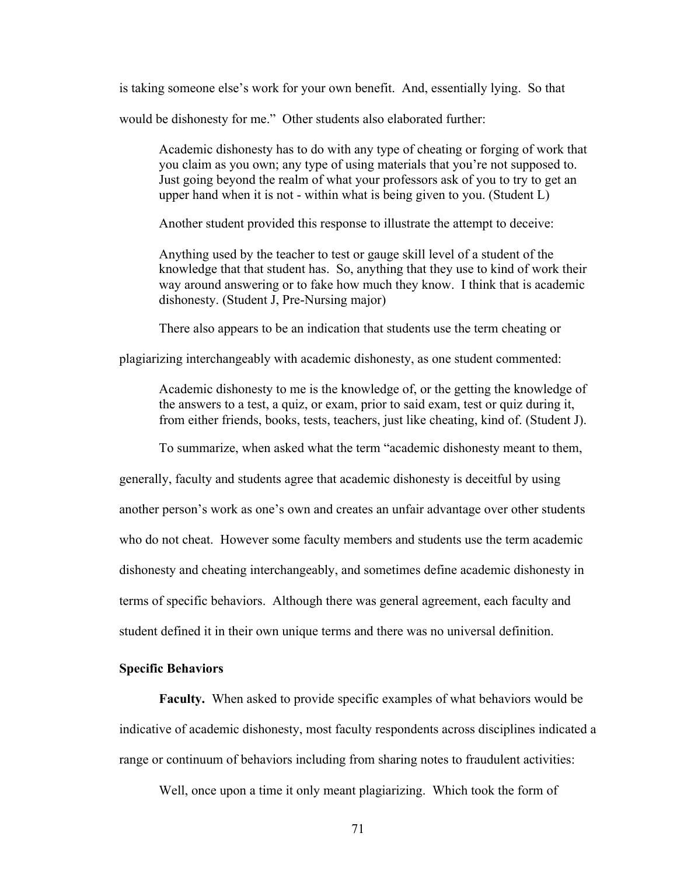is taking someone else's work for your own benefit. And, essentially lying. So that

would be dishonesty for me." Other students also elaborated further:

Academic dishonesty has to do with any type of cheating or forging of work that you claim as you own; any type of using materials that you're not supposed to. Just going beyond the realm of what your professors ask of you to try to get an upper hand when it is not - within what is being given to you. (Student L)

Another student provided this response to illustrate the attempt to deceive:

Anything used by the teacher to test or gauge skill level of a student of the knowledge that that student has. So, anything that they use to kind of work their way around answering or to fake how much they know. I think that is academic dishonesty. (Student J, Pre-Nursing major)

There also appears to be an indication that students use the term cheating or

plagiarizing interchangeably with academic dishonesty, as one student commented:

Academic dishonesty to me is the knowledge of, or the getting the knowledge of the answers to a test, a quiz, or exam, prior to said exam, test or quiz during it, from either friends, books, tests, teachers, just like cheating, kind of. (Student J).

To summarize, when asked what the term "academic dishonesty meant to them,

generally, faculty and students agree that academic dishonesty is deceitful by using another person's work as one's own and creates an unfair advantage over other students who do not cheat. However some faculty members and students use the term academic dishonesty and cheating interchangeably, and sometimes define academic dishonesty in terms of specific behaviors. Although there was general agreement, each faculty and student defined it in their own unique terms and there was no universal definition.

## **Specific Behaviors**

**Faculty.** When asked to provide specific examples of what behaviors would be indicative of academic dishonesty, most faculty respondents across disciplines indicated a range or continuum of behaviors including from sharing notes to fraudulent activities:

Well, once upon a time it only meant plagiarizing. Which took the form of

71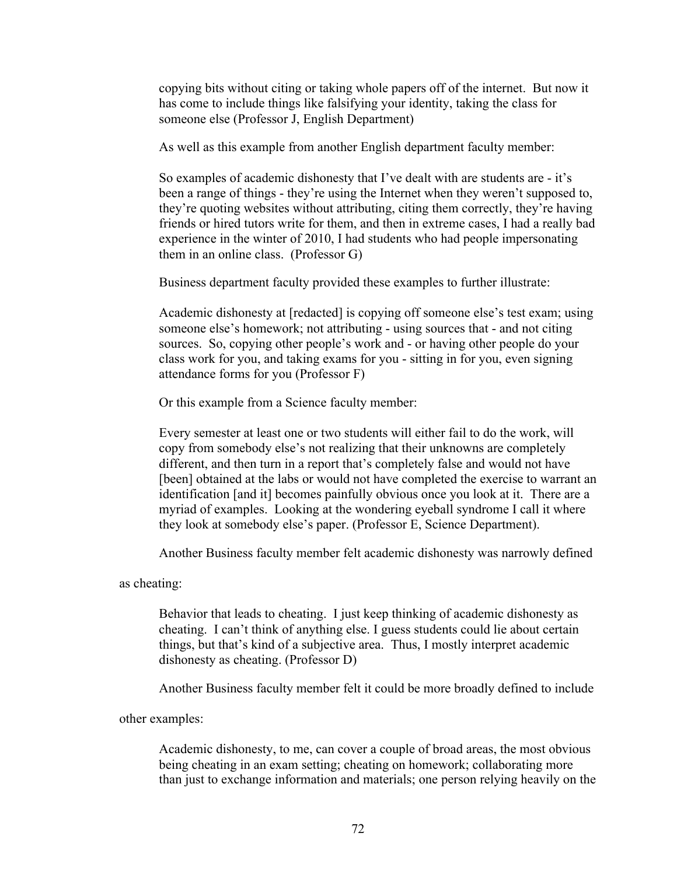copying bits without citing or taking whole papers off of the internet. But now it has come to include things like falsifying your identity, taking the class for someone else (Professor J, English Department)

As well as this example from another English department faculty member:

So examples of academic dishonesty that I've dealt with are students are - it's been a range of things - they're using the Internet when they weren't supposed to, they're quoting websites without attributing, citing them correctly, they're having friends or hired tutors write for them, and then in extreme cases, I had a really bad experience in the winter of 2010, I had students who had people impersonating them in an online class. (Professor G)

Business department faculty provided these examples to further illustrate:

Academic dishonesty at [redacted] is copying off someone else's test exam; using someone else's homework; not attributing - using sources that - and not citing sources. So, copying other people's work and - or having other people do your class work for you, and taking exams for you - sitting in for you, even signing attendance forms for you (Professor F)

Or this example from a Science faculty member:

Every semester at least one or two students will either fail to do the work, will copy from somebody else's not realizing that their unknowns are completely different, and then turn in a report that's completely false and would not have [been] obtained at the labs or would not have completed the exercise to warrant an identification [and it] becomes painfully obvious once you look at it. There are a myriad of examples. Looking at the wondering eyeball syndrome I call it where they look at somebody else's paper. (Professor E, Science Department).

Another Business faculty member felt academic dishonesty was narrowly defined

as cheating:

Behavior that leads to cheating. I just keep thinking of academic dishonesty as cheating. I can't think of anything else. I guess students could lie about certain things, but that's kind of a subjective area. Thus, I mostly interpret academic dishonesty as cheating. (Professor D)

Another Business faculty member felt it could be more broadly defined to include

other examples:

Academic dishonesty, to me, can cover a couple of broad areas, the most obvious being cheating in an exam setting; cheating on homework; collaborating more than just to exchange information and materials; one person relying heavily on the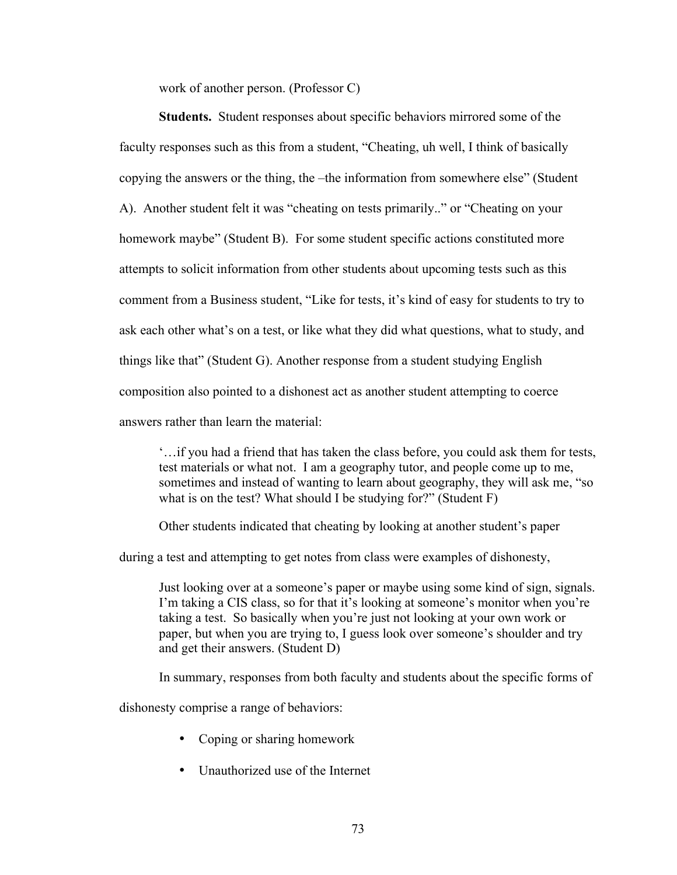work of another person. (Professor C)

**Students.** Student responses about specific behaviors mirrored some of the faculty responses such as this from a student, "Cheating, uh well, I think of basically copying the answers or the thing, the –the information from somewhere else" (Student A). Another student felt it was "cheating on tests primarily.." or "Cheating on your homework maybe" (Student B). For some student specific actions constituted more attempts to solicit information from other students about upcoming tests such as this comment from a Business student, "Like for tests, it's kind of easy for students to try to ask each other what's on a test, or like what they did what questions, what to study, and things like that" (Student G). Another response from a student studying English composition also pointed to a dishonest act as another student attempting to coerce answers rather than learn the material:

'…if you had a friend that has taken the class before, you could ask them for tests, test materials or what not. I am a geography tutor, and people come up to me, sometimes and instead of wanting to learn about geography, they will ask me, "so what is on the test? What should I be studying for?" (Student F)

Other students indicated that cheating by looking at another student's paper

during a test and attempting to get notes from class were examples of dishonesty,

Just looking over at a someone's paper or maybe using some kind of sign, signals. I'm taking a CIS class, so for that it's looking at someone's monitor when you're taking a test. So basically when you're just not looking at your own work or paper, but when you are trying to, I guess look over someone's shoulder and try and get their answers. (Student D)

In summary, responses from both faculty and students about the specific forms of

dishonesty comprise a range of behaviors:

- Coping or sharing homework
- Unauthorized use of the Internet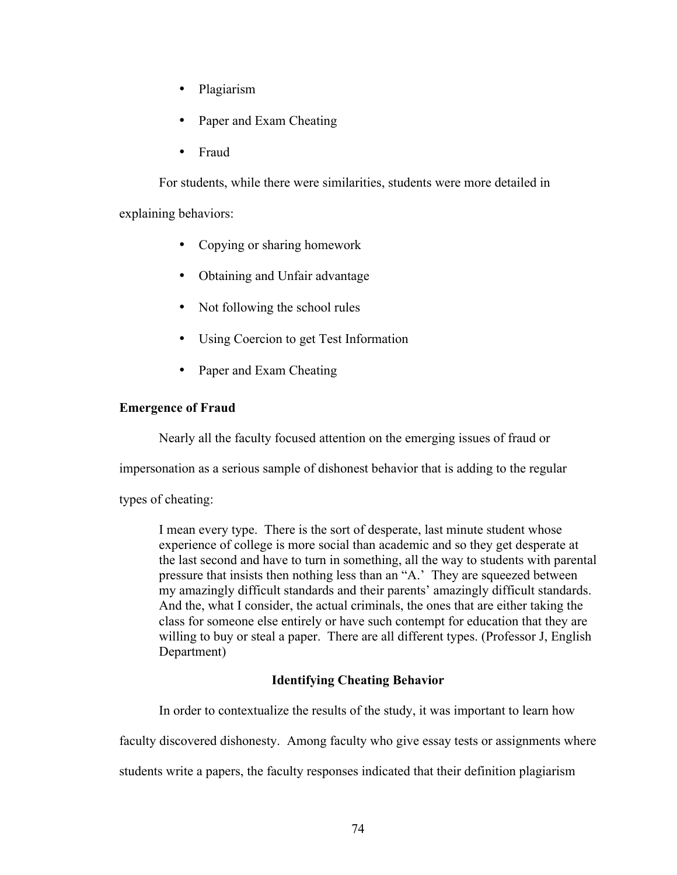- Plagiarism
- Paper and Exam Cheating
- Fraud

For students, while there were similarities, students were more detailed in explaining behaviors:

- Copying or sharing homework
- Obtaining and Unfair advantage
- Not following the school rules
- Using Coercion to get Test Information
- Paper and Exam Cheating

# **Emergence of Fraud**

Nearly all the faculty focused attention on the emerging issues of fraud or

impersonation as a serious sample of dishonest behavior that is adding to the regular

types of cheating:

I mean every type. There is the sort of desperate, last minute student whose experience of college is more social than academic and so they get desperate at the last second and have to turn in something, all the way to students with parental pressure that insists then nothing less than an "A.' They are squeezed between my amazingly difficult standards and their parents' amazingly difficult standards. And the, what I consider, the actual criminals, the ones that are either taking the class for someone else entirely or have such contempt for education that they are willing to buy or steal a paper. There are all different types. (Professor J, English Department)

# **Identifying Cheating Behavior**

In order to contextualize the results of the study, it was important to learn how

faculty discovered dishonesty. Among faculty who give essay tests or assignments where

students write a papers, the faculty responses indicated that their definition plagiarism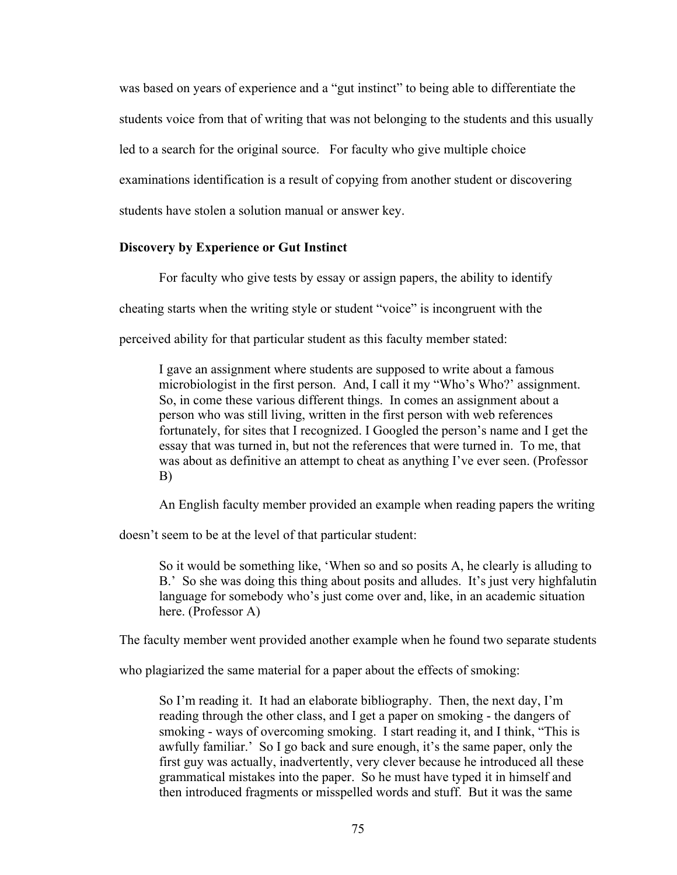was based on years of experience and a "gut instinct" to being able to differentiate the students voice from that of writing that was not belonging to the students and this usually led to a search for the original source. For faculty who give multiple choice examinations identification is a result of copying from another student or discovering students have stolen a solution manual or answer key.

### **Discovery by Experience or Gut Instinct**

For faculty who give tests by essay or assign papers, the ability to identify

cheating starts when the writing style or student "voice" is incongruent with the

perceived ability for that particular student as this faculty member stated:

I gave an assignment where students are supposed to write about a famous microbiologist in the first person. And, I call it my "Who's Who?' assignment. So, in come these various different things. In comes an assignment about a person who was still living, written in the first person with web references fortunately, for sites that I recognized. I Googled the person's name and I get the essay that was turned in, but not the references that were turned in. To me, that was about as definitive an attempt to cheat as anything I've ever seen. (Professor B)

An English faculty member provided an example when reading papers the writing

doesn't seem to be at the level of that particular student:

So it would be something like, 'When so and so posits A, he clearly is alluding to B.' So she was doing this thing about posits and alludes. It's just very highfalutin language for somebody who's just come over and, like, in an academic situation here. (Professor A)

The faculty member went provided another example when he found two separate students

who plagiarized the same material for a paper about the effects of smoking:

So I'm reading it. It had an elaborate bibliography. Then, the next day, I'm reading through the other class, and I get a paper on smoking - the dangers of smoking - ways of overcoming smoking. I start reading it, and I think, "This is awfully familiar.' So I go back and sure enough, it's the same paper, only the first guy was actually, inadvertently, very clever because he introduced all these grammatical mistakes into the paper. So he must have typed it in himself and then introduced fragments or misspelled words and stuff. But it was the same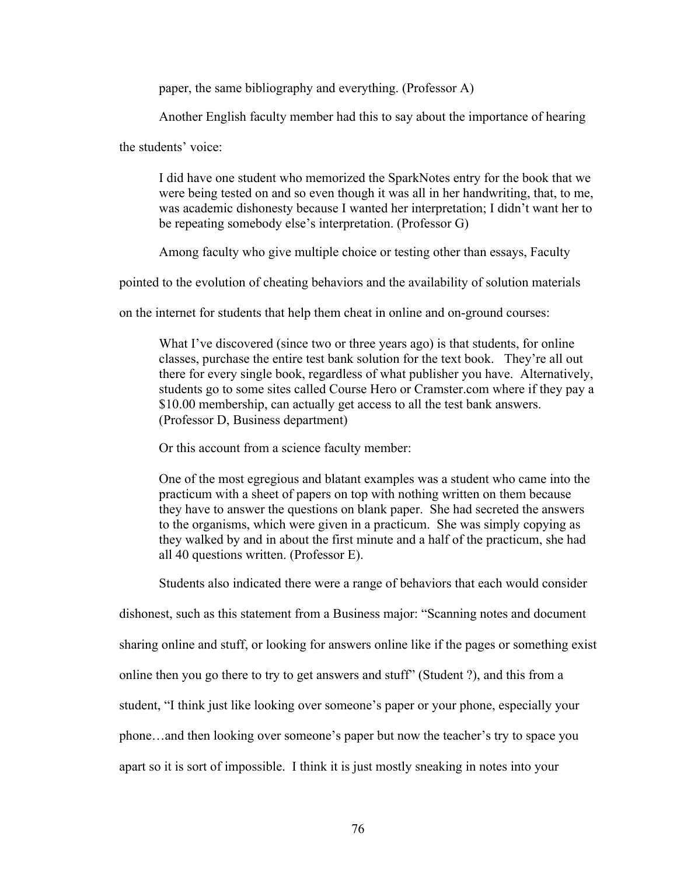paper, the same bibliography and everything. (Professor A)

Another English faculty member had this to say about the importance of hearing

the students' voice:

I did have one student who memorized the SparkNotes entry for the book that we were being tested on and so even though it was all in her handwriting, that, to me, was academic dishonesty because I wanted her interpretation; I didn't want her to be repeating somebody else's interpretation. (Professor G)

Among faculty who give multiple choice or testing other than essays, Faculty

pointed to the evolution of cheating behaviors and the availability of solution materials

on the internet for students that help them cheat in online and on-ground courses:

What I've discovered (since two or three years ago) is that students, for online classes, purchase the entire test bank solution for the text book. They're all out there for every single book, regardless of what publisher you have. Alternatively, students go to some sites called Course Hero or Cramster.com where if they pay a \$10.00 membership, can actually get access to all the test bank answers. (Professor D, Business department)

Or this account from a science faculty member:

One of the most egregious and blatant examples was a student who came into the practicum with a sheet of papers on top with nothing written on them because they have to answer the questions on blank paper. She had secreted the answers to the organisms, which were given in a practicum. She was simply copying as they walked by and in about the first minute and a half of the practicum, she had all 40 questions written. (Professor E).

Students also indicated there were a range of behaviors that each would consider

dishonest, such as this statement from a Business major: "Scanning notes and document sharing online and stuff, or looking for answers online like if the pages or something exist online then you go there to try to get answers and stuff" (Student ?), and this from a student, "I think just like looking over someone's paper or your phone, especially your phone…and then looking over someone's paper but now the teacher's try to space you apart so it is sort of impossible. I think it is just mostly sneaking in notes into your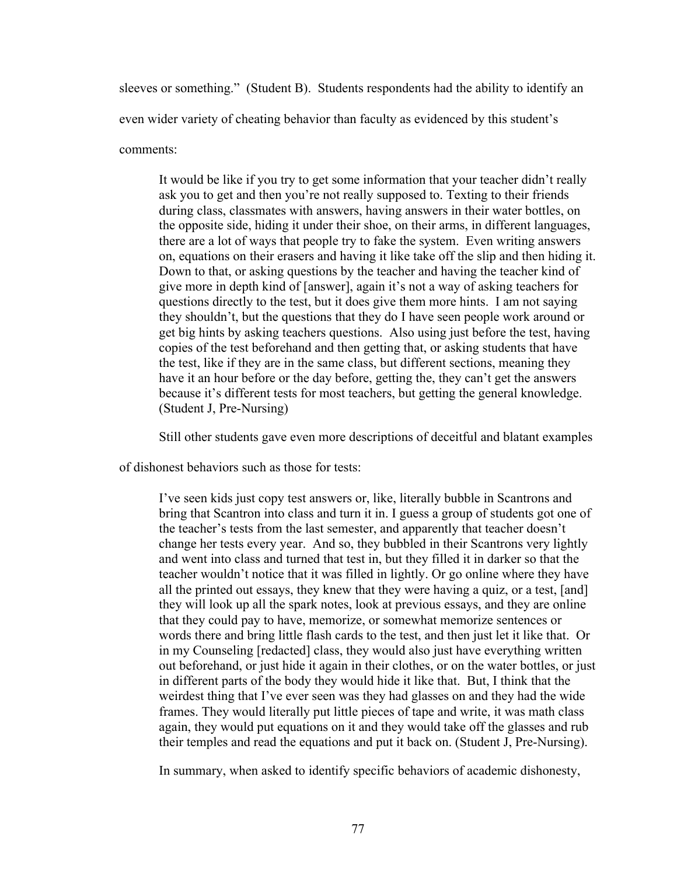sleeves or something." (Student B). Students respondents had the ability to identify an even wider variety of cheating behavior than faculty as evidenced by this student's comments:

It would be like if you try to get some information that your teacher didn't really ask you to get and then you're not really supposed to. Texting to their friends during class, classmates with answers, having answers in their water bottles, on the opposite side, hiding it under their shoe, on their arms, in different languages, there are a lot of ways that people try to fake the system. Even writing answers on, equations on their erasers and having it like take off the slip and then hiding it. Down to that, or asking questions by the teacher and having the teacher kind of give more in depth kind of [answer], again it's not a way of asking teachers for questions directly to the test, but it does give them more hints. I am not saying they shouldn't, but the questions that they do I have seen people work around or get big hints by asking teachers questions. Also using just before the test, having copies of the test beforehand and then getting that, or asking students that have the test, like if they are in the same class, but different sections, meaning they have it an hour before or the day before, getting the, they can't get the answers because it's different tests for most teachers, but getting the general knowledge. (Student J, Pre-Nursing)

Still other students gave even more descriptions of deceitful and blatant examples

of dishonest behaviors such as those for tests:

I've seen kids just copy test answers or, like, literally bubble in Scantrons and bring that Scantron into class and turn it in. I guess a group of students got one of the teacher's tests from the last semester, and apparently that teacher doesn't change her tests every year. And so, they bubbled in their Scantrons very lightly and went into class and turned that test in, but they filled it in darker so that the teacher wouldn't notice that it was filled in lightly. Or go online where they have all the printed out essays, they knew that they were having a quiz, or a test, [and] they will look up all the spark notes, look at previous essays, and they are online that they could pay to have, memorize, or somewhat memorize sentences or words there and bring little flash cards to the test, and then just let it like that. Or in my Counseling [redacted] class, they would also just have everything written out beforehand, or just hide it again in their clothes, or on the water bottles, or just in different parts of the body they would hide it like that. But, I think that the weirdest thing that I've ever seen was they had glasses on and they had the wide frames. They would literally put little pieces of tape and write, it was math class again, they would put equations on it and they would take off the glasses and rub their temples and read the equations and put it back on. (Student J, Pre-Nursing).

In summary, when asked to identify specific behaviors of academic dishonesty,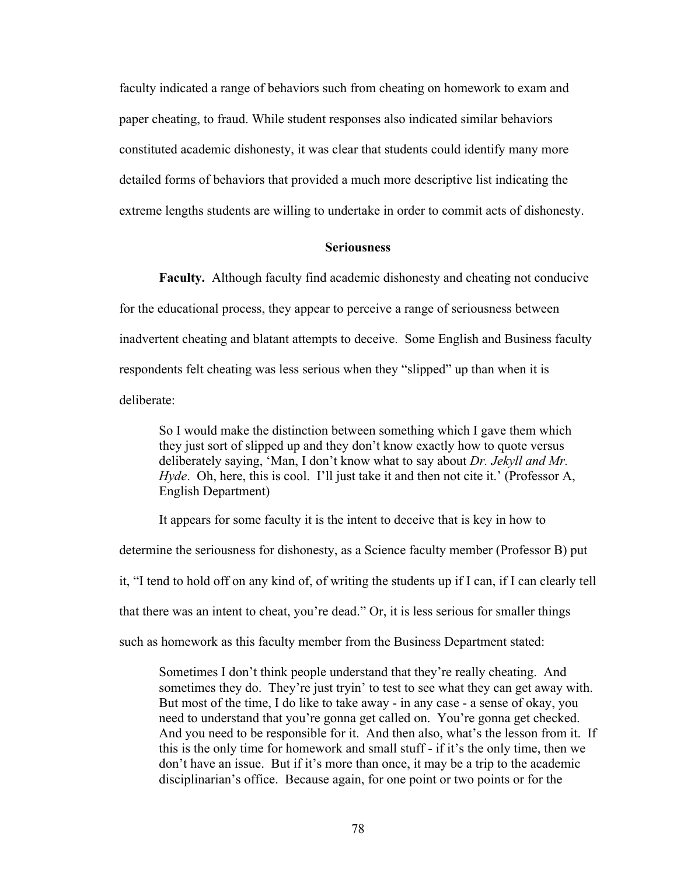faculty indicated a range of behaviors such from cheating on homework to exam and paper cheating, to fraud. While student responses also indicated similar behaviors constituted academic dishonesty, it was clear that students could identify many more detailed forms of behaviors that provided a much more descriptive list indicating the extreme lengths students are willing to undertake in order to commit acts of dishonesty.

## **Seriousness**

**Faculty.** Although faculty find academic dishonesty and cheating not conducive for the educational process, they appear to perceive a range of seriousness between inadvertent cheating and blatant attempts to deceive. Some English and Business faculty respondents felt cheating was less serious when they "slipped" up than when it is deliberate:

So I would make the distinction between something which I gave them which they just sort of slipped up and they don't know exactly how to quote versus deliberately saying, 'Man, I don't know what to say about *Dr. Jekyll and Mr. Hyde*. Oh, here, this is cool. I'll just take it and then not cite it.' (Professor A, English Department)

It appears for some faculty it is the intent to deceive that is key in how to determine the seriousness for dishonesty, as a Science faculty member (Professor B) put it, "I tend to hold off on any kind of, of writing the students up if I can, if I can clearly tell that there was an intent to cheat, you're dead." Or, it is less serious for smaller things such as homework as this faculty member from the Business Department stated:

Sometimes I don't think people understand that they're really cheating. And sometimes they do. They're just tryin' to test to see what they can get away with. But most of the time, I do like to take away - in any case - a sense of okay, you need to understand that you're gonna get called on. You're gonna get checked. And you need to be responsible for it. And then also, what's the lesson from it. If this is the only time for homework and small stuff - if it's the only time, then we don't have an issue. But if it's more than once, it may be a trip to the academic disciplinarian's office. Because again, for one point or two points or for the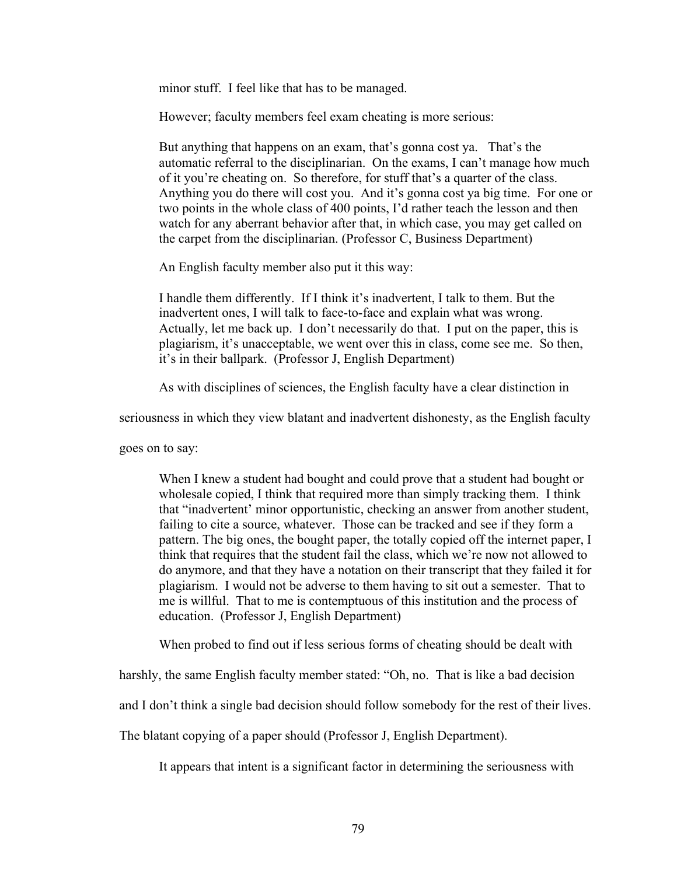minor stuff. I feel like that has to be managed.

However; faculty members feel exam cheating is more serious:

But anything that happens on an exam, that's gonna cost ya. That's the automatic referral to the disciplinarian. On the exams, I can't manage how much of it you're cheating on. So therefore, for stuff that's a quarter of the class. Anything you do there will cost you. And it's gonna cost ya big time. For one or two points in the whole class of 400 points, I'd rather teach the lesson and then watch for any aberrant behavior after that, in which case, you may get called on the carpet from the disciplinarian. (Professor C, Business Department)

An English faculty member also put it this way:

I handle them differently. If I think it's inadvertent, I talk to them. But the inadvertent ones, I will talk to face-to-face and explain what was wrong. Actually, let me back up. I don't necessarily do that. I put on the paper, this is plagiarism, it's unacceptable, we went over this in class, come see me. So then, it's in their ballpark. (Professor J, English Department)

As with disciplines of sciences, the English faculty have a clear distinction in

seriousness in which they view blatant and inadvertent dishonesty, as the English faculty

goes on to say:

When I knew a student had bought and could prove that a student had bought or wholesale copied, I think that required more than simply tracking them. I think that "inadvertent' minor opportunistic, checking an answer from another student, failing to cite a source, whatever. Those can be tracked and see if they form a pattern. The big ones, the bought paper, the totally copied off the internet paper, I think that requires that the student fail the class, which we're now not allowed to do anymore, and that they have a notation on their transcript that they failed it for plagiarism. I would not be adverse to them having to sit out a semester. That to me is willful. That to me is contemptuous of this institution and the process of education. (Professor J, English Department)

When probed to find out if less serious forms of cheating should be dealt with

harshly, the same English faculty member stated: "Oh, no. That is like a bad decision

and I don't think a single bad decision should follow somebody for the rest of their lives.

The blatant copying of a paper should (Professor J, English Department).

It appears that intent is a significant factor in determining the seriousness with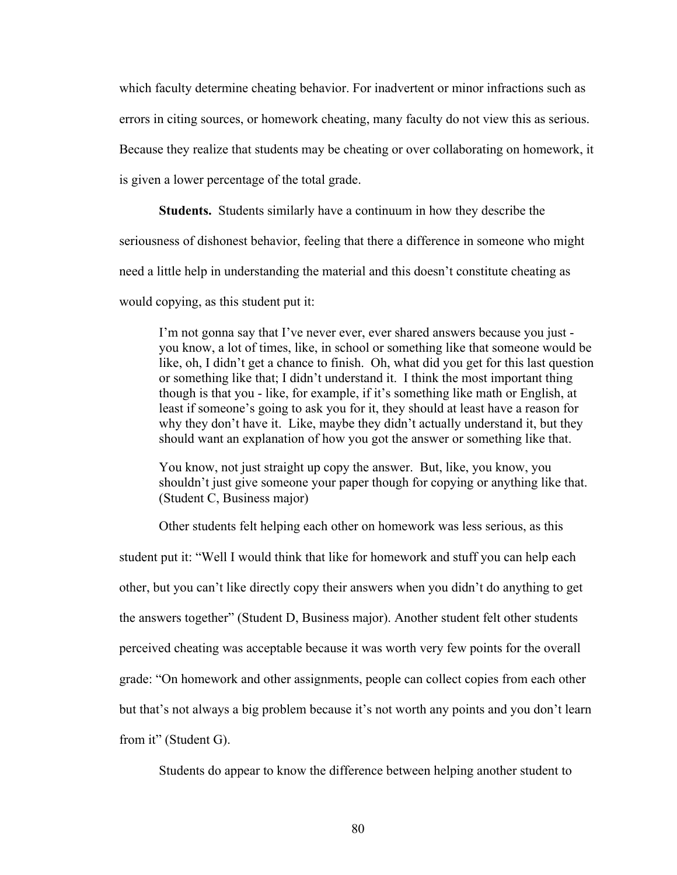which faculty determine cheating behavior. For inadvertent or minor infractions such as

errors in citing sources, or homework cheating, many faculty do not view this as serious.

Because they realize that students may be cheating or over collaborating on homework, it

is given a lower percentage of the total grade.

**Students.** Students similarly have a continuum in how they describe the

seriousness of dishonest behavior, feeling that there a difference in someone who might

need a little help in understanding the material and this doesn't constitute cheating as

would copying, as this student put it:

I'm not gonna say that I've never ever, ever shared answers because you just you know, a lot of times, like, in school or something like that someone would be like, oh, I didn't get a chance to finish. Oh, what did you get for this last question or something like that; I didn't understand it. I think the most important thing though is that you - like, for example, if it's something like math or English, at least if someone's going to ask you for it, they should at least have a reason for why they don't have it. Like, maybe they didn't actually understand it, but they should want an explanation of how you got the answer or something like that.

You know, not just straight up copy the answer. But, like, you know, you shouldn't just give someone your paper though for copying or anything like that. (Student C, Business major)

Other students felt helping each other on homework was less serious, as this

student put it: "Well I would think that like for homework and stuff you can help each other, but you can't like directly copy their answers when you didn't do anything to get the answers together" (Student D, Business major). Another student felt other students perceived cheating was acceptable because it was worth very few points for the overall grade: "On homework and other assignments, people can collect copies from each other but that's not always a big problem because it's not worth any points and you don't learn from it" (Student G).

Students do appear to know the difference between helping another student to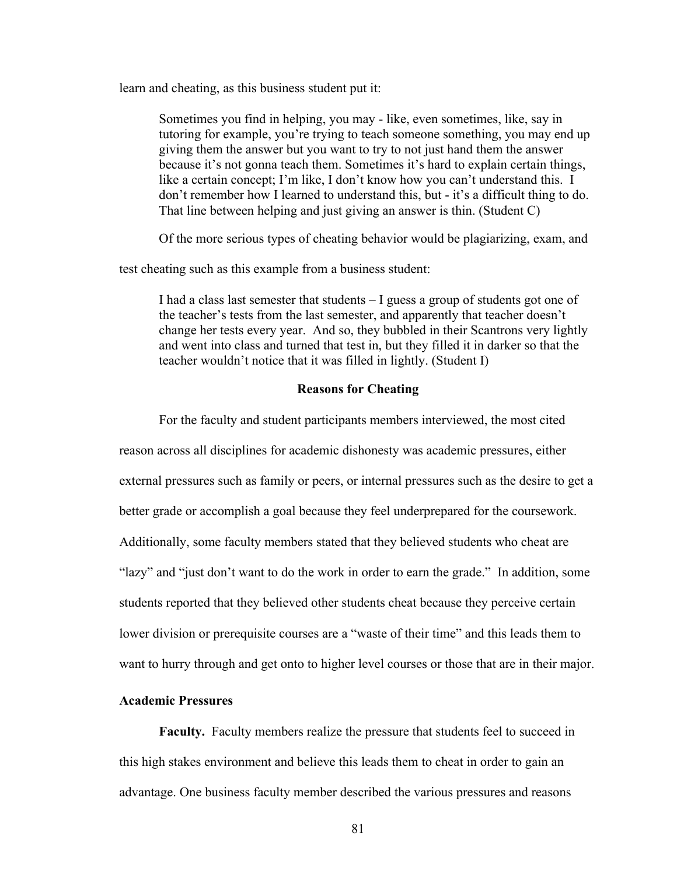learn and cheating, as this business student put it:

Sometimes you find in helping, you may - like, even sometimes, like, say in tutoring for example, you're trying to teach someone something, you may end up giving them the answer but you want to try to not just hand them the answer because it's not gonna teach them. Sometimes it's hard to explain certain things, like a certain concept; I'm like, I don't know how you can't understand this. I don't remember how I learned to understand this, but - it's a difficult thing to do. That line between helping and just giving an answer is thin. (Student C)

Of the more serious types of cheating behavior would be plagiarizing, exam, and

test cheating such as this example from a business student:

I had a class last semester that students – I guess a group of students got one of the teacher's tests from the last semester, and apparently that teacher doesn't change her tests every year. And so, they bubbled in their Scantrons very lightly and went into class and turned that test in, but they filled it in darker so that the teacher wouldn't notice that it was filled in lightly. (Student I)

## **Reasons for Cheating**

For the faculty and student participants members interviewed, the most cited reason across all disciplines for academic dishonesty was academic pressures, either external pressures such as family or peers, or internal pressures such as the desire to get a better grade or accomplish a goal because they feel underprepared for the coursework. Additionally, some faculty members stated that they believed students who cheat are "lazy" and "just don't want to do the work in order to earn the grade." In addition, some students reported that they believed other students cheat because they perceive certain lower division or prerequisite courses are a "waste of their time" and this leads them to want to hurry through and get onto to higher level courses or those that are in their major.

# **Academic Pressures**

**Faculty.** Faculty members realize the pressure that students feel to succeed in this high stakes environment and believe this leads them to cheat in order to gain an advantage. One business faculty member described the various pressures and reasons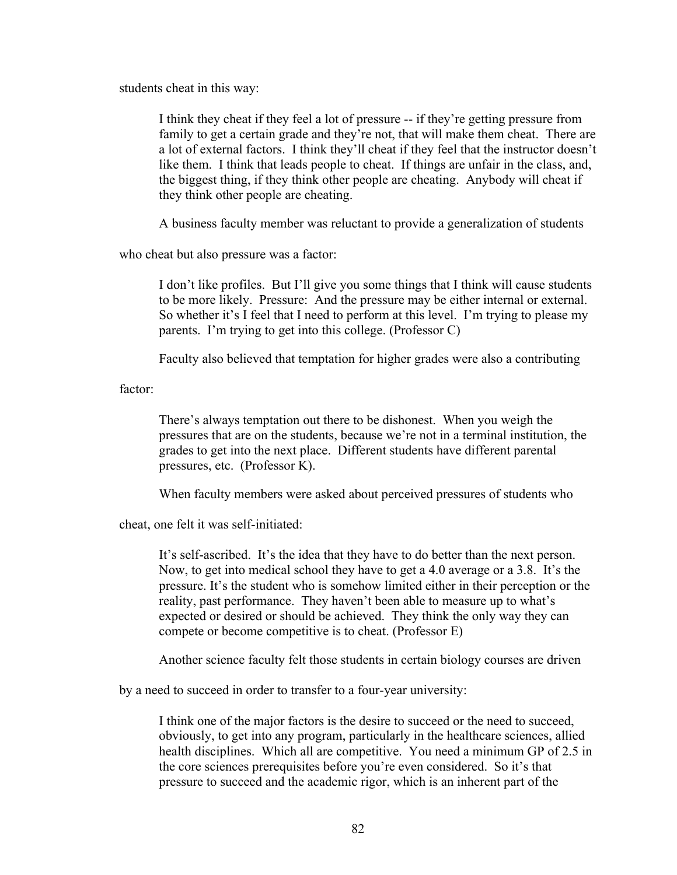students cheat in this way:

I think they cheat if they feel a lot of pressure -- if they're getting pressure from family to get a certain grade and they're not, that will make them cheat. There are a lot of external factors. I think they'll cheat if they feel that the instructor doesn't like them. I think that leads people to cheat. If things are unfair in the class, and, the biggest thing, if they think other people are cheating. Anybody will cheat if they think other people are cheating.

A business faculty member was reluctant to provide a generalization of students

who cheat but also pressure was a factor:

I don't like profiles. But I'll give you some things that I think will cause students to be more likely. Pressure: And the pressure may be either internal or external. So whether it's I feel that I need to perform at this level. I'm trying to please my parents. I'm trying to get into this college. (Professor C)

Faculty also believed that temptation for higher grades were also a contributing

factor:

There's always temptation out there to be dishonest. When you weigh the pressures that are on the students, because we're not in a terminal institution, the grades to get into the next place. Different students have different parental pressures, etc. (Professor K).

When faculty members were asked about perceived pressures of students who

cheat, one felt it was self-initiated:

It's self-ascribed. It's the idea that they have to do better than the next person. Now, to get into medical school they have to get a 4.0 average or a 3.8. It's the pressure. It's the student who is somehow limited either in their perception or the reality, past performance. They haven't been able to measure up to what's expected or desired or should be achieved. They think the only way they can compete or become competitive is to cheat. (Professor E)

Another science faculty felt those students in certain biology courses are driven

by a need to succeed in order to transfer to a four-year university:

I think one of the major factors is the desire to succeed or the need to succeed, obviously, to get into any program, particularly in the healthcare sciences, allied health disciplines. Which all are competitive. You need a minimum GP of 2.5 in the core sciences prerequisites before you're even considered. So it's that pressure to succeed and the academic rigor, which is an inherent part of the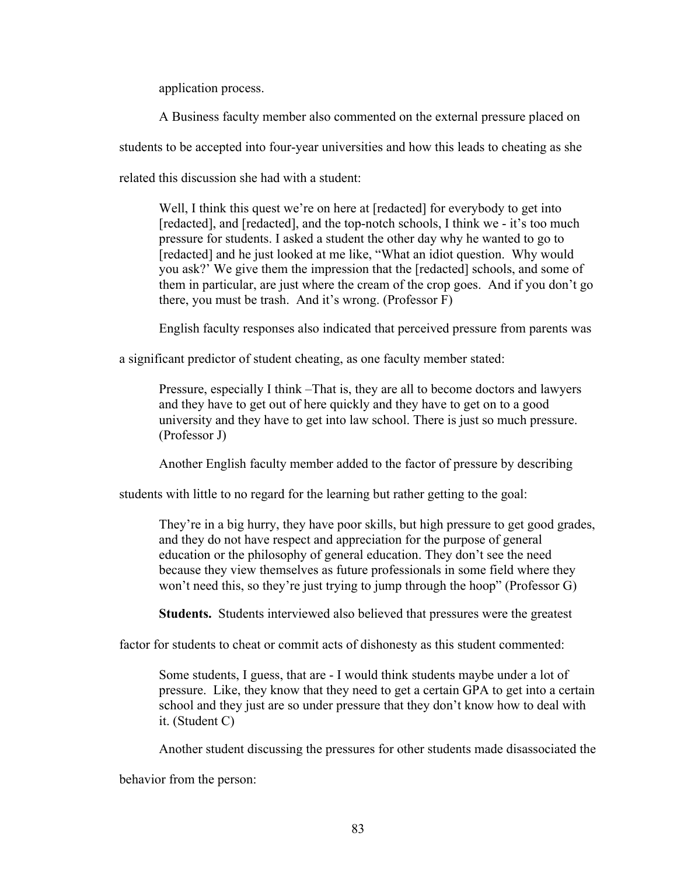application process.

A Business faculty member also commented on the external pressure placed on

students to be accepted into four-year universities and how this leads to cheating as she

related this discussion she had with a student:

Well, I think this quest we're on here at [redacted] for everybody to get into [redacted], and [redacted], and the top-notch schools, I think we - it's too much pressure for students. I asked a student the other day why he wanted to go to [redacted] and he just looked at me like, "What an idiot question. Why would you ask?' We give them the impression that the [redacted] schools, and some of them in particular, are just where the cream of the crop goes. And if you don't go there, you must be trash. And it's wrong. (Professor F)

English faculty responses also indicated that perceived pressure from parents was

a significant predictor of student cheating, as one faculty member stated:

Pressure, especially I think –That is, they are all to become doctors and lawyers and they have to get out of here quickly and they have to get on to a good university and they have to get into law school. There is just so much pressure. (Professor J)

Another English faculty member added to the factor of pressure by describing

students with little to no regard for the learning but rather getting to the goal:

They're in a big hurry, they have poor skills, but high pressure to get good grades, and they do not have respect and appreciation for the purpose of general education or the philosophy of general education. They don't see the need because they view themselves as future professionals in some field where they won't need this, so they're just trying to jump through the hoop" (Professor G)

**Students.** Students interviewed also believed that pressures were the greatest

factor for students to cheat or commit acts of dishonesty as this student commented:

Some students, I guess, that are - I would think students maybe under a lot of pressure. Like, they know that they need to get a certain GPA to get into a certain school and they just are so under pressure that they don't know how to deal with it. (Student C)

Another student discussing the pressures for other students made disassociated the

behavior from the person: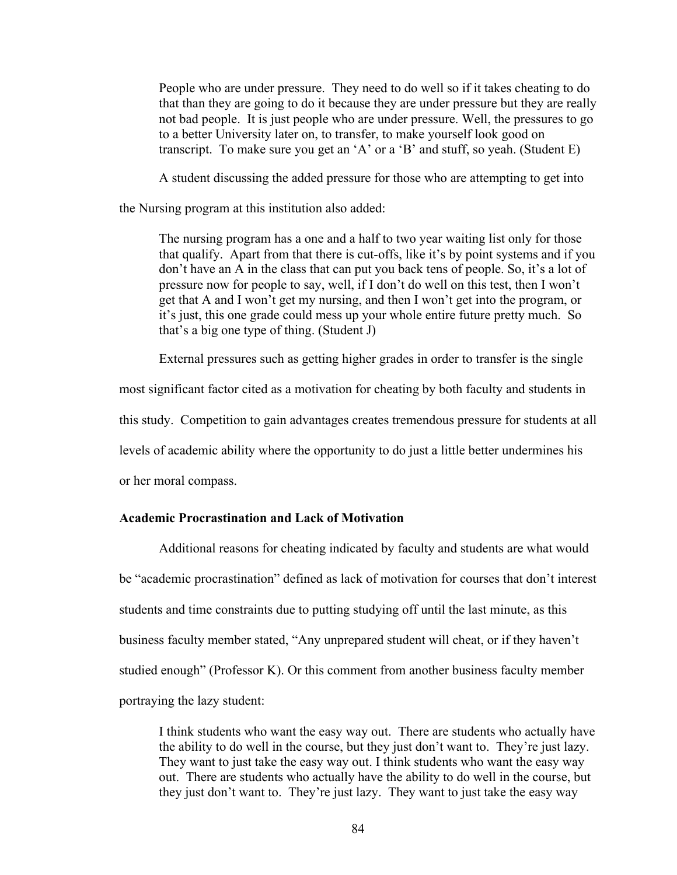People who are under pressure. They need to do well so if it takes cheating to do that than they are going to do it because they are under pressure but they are really not bad people. It is just people who are under pressure. Well, the pressures to go to a better University later on, to transfer, to make yourself look good on transcript. To make sure you get an 'A' or a 'B' and stuff, so yeah. (Student E)

A student discussing the added pressure for those who are attempting to get into

the Nursing program at this institution also added:

The nursing program has a one and a half to two year waiting list only for those that qualify. Apart from that there is cut-offs, like it's by point systems and if you don't have an A in the class that can put you back tens of people. So, it's a lot of pressure now for people to say, well, if I don't do well on this test, then I won't get that A and I won't get my nursing, and then I won't get into the program, or it's just, this one grade could mess up your whole entire future pretty much. So that's a big one type of thing. (Student J)

External pressures such as getting higher grades in order to transfer is the single

most significant factor cited as a motivation for cheating by both faculty and students in this study. Competition to gain advantages creates tremendous pressure for students at all levels of academic ability where the opportunity to do just a little better undermines his or her moral compass.

# **Academic Procrastination and Lack of Motivation**

Additional reasons for cheating indicated by faculty and students are what would be "academic procrastination" defined as lack of motivation for courses that don't interest students and time constraints due to putting studying off until the last minute, as this business faculty member stated, "Any unprepared student will cheat, or if they haven't studied enough" (Professor K). Or this comment from another business faculty member portraying the lazy student:

I think students who want the easy way out. There are students who actually have the ability to do well in the course, but they just don't want to. They're just lazy. They want to just take the easy way out. I think students who want the easy way out. There are students who actually have the ability to do well in the course, but they just don't want to. They're just lazy. They want to just take the easy way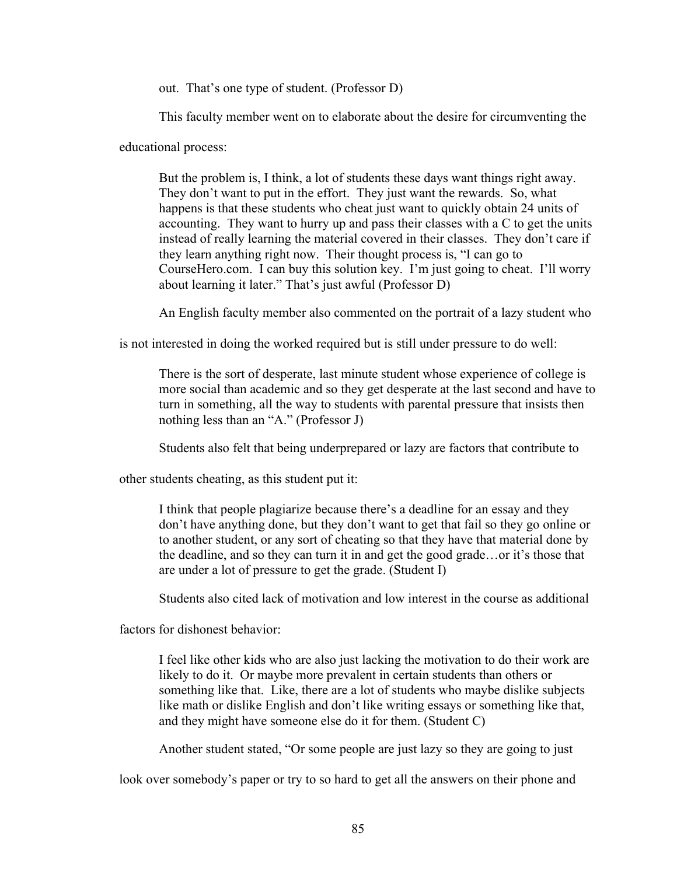out. That's one type of student. (Professor D)

This faculty member went on to elaborate about the desire for circumventing the

educational process:

But the problem is, I think, a lot of students these days want things right away. They don't want to put in the effort. They just want the rewards. So, what happens is that these students who cheat just want to quickly obtain 24 units of accounting. They want to hurry up and pass their classes with a C to get the units instead of really learning the material covered in their classes. They don't care if they learn anything right now. Their thought process is, "I can go to CourseHero.com. I can buy this solution key. I'm just going to cheat. I'll worry about learning it later." That's just awful (Professor D)

An English faculty member also commented on the portrait of a lazy student who

is not interested in doing the worked required but is still under pressure to do well:

There is the sort of desperate, last minute student whose experience of college is more social than academic and so they get desperate at the last second and have to turn in something, all the way to students with parental pressure that insists then nothing less than an "A." (Professor J)

Students also felt that being underprepared or lazy are factors that contribute to

other students cheating, as this student put it:

I think that people plagiarize because there's a deadline for an essay and they don't have anything done, but they don't want to get that fail so they go online or to another student, or any sort of cheating so that they have that material done by the deadline, and so they can turn it in and get the good grade…or it's those that are under a lot of pressure to get the grade. (Student I)

Students also cited lack of motivation and low interest in the course as additional

factors for dishonest behavior:

I feel like other kids who are also just lacking the motivation to do their work are likely to do it. Or maybe more prevalent in certain students than others or something like that. Like, there are a lot of students who maybe dislike subjects like math or dislike English and don't like writing essays or something like that, and they might have someone else do it for them. (Student C)

Another student stated, "Or some people are just lazy so they are going to just

look over somebody's paper or try to so hard to get all the answers on their phone and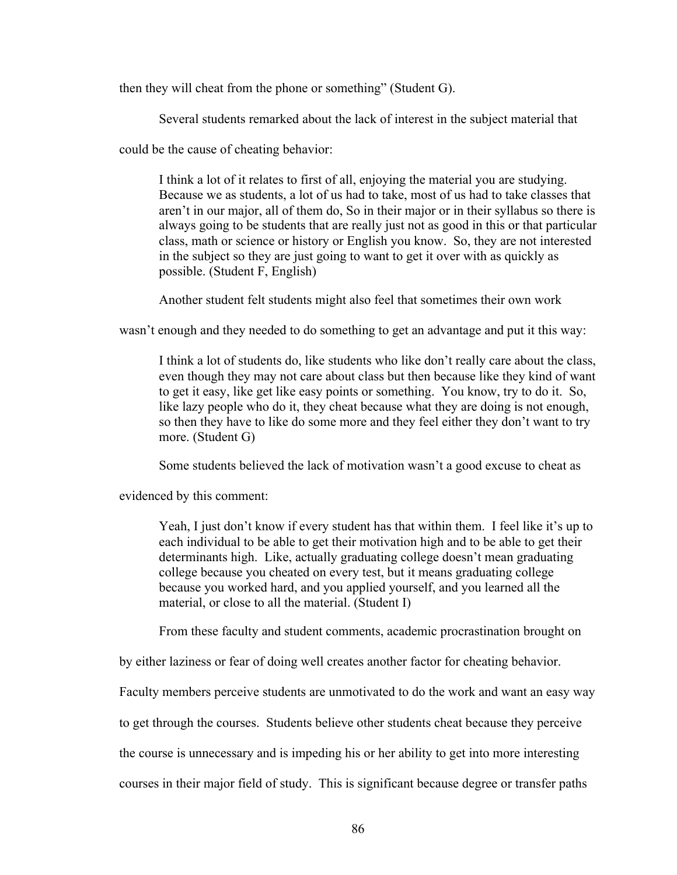then they will cheat from the phone or something" (Student G).

Several students remarked about the lack of interest in the subject material that

could be the cause of cheating behavior:

I think a lot of it relates to first of all, enjoying the material you are studying. Because we as students, a lot of us had to take, most of us had to take classes that aren't in our major, all of them do, So in their major or in their syllabus so there is always going to be students that are really just not as good in this or that particular class, math or science or history or English you know. So, they are not interested in the subject so they are just going to want to get it over with as quickly as possible. (Student F, English)

Another student felt students might also feel that sometimes their own work

wasn't enough and they needed to do something to get an advantage and put it this way:

I think a lot of students do, like students who like don't really care about the class, even though they may not care about class but then because like they kind of want to get it easy, like get like easy points or something. You know, try to do it. So, like lazy people who do it, they cheat because what they are doing is not enough, so then they have to like do some more and they feel either they don't want to try more. (Student G)

Some students believed the lack of motivation wasn't a good excuse to cheat as

evidenced by this comment:

Yeah, I just don't know if every student has that within them. I feel like it's up to each individual to be able to get their motivation high and to be able to get their determinants high. Like, actually graduating college doesn't mean graduating college because you cheated on every test, but it means graduating college because you worked hard, and you applied yourself, and you learned all the material, or close to all the material. (Student I)

From these faculty and student comments, academic procrastination brought on

by either laziness or fear of doing well creates another factor for cheating behavior.

Faculty members perceive students are unmotivated to do the work and want an easy way

to get through the courses. Students believe other students cheat because they perceive

the course is unnecessary and is impeding his or her ability to get into more interesting

courses in their major field of study. This is significant because degree or transfer paths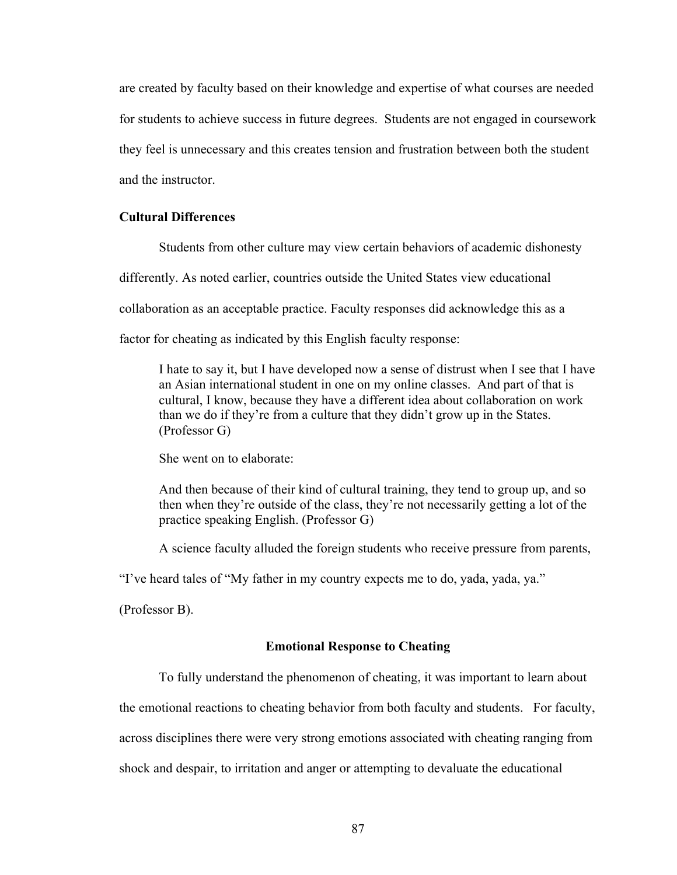are created by faculty based on their knowledge and expertise of what courses are needed for students to achieve success in future degrees. Students are not engaged in coursework they feel is unnecessary and this creates tension and frustration between both the student and the instructor.

## **Cultural Differences**

Students from other culture may view certain behaviors of academic dishonesty

differently. As noted earlier, countries outside the United States view educational

collaboration as an acceptable practice. Faculty responses did acknowledge this as a

factor for cheating as indicated by this English faculty response:

I hate to say it, but I have developed now a sense of distrust when I see that I have an Asian international student in one on my online classes. And part of that is cultural, I know, because they have a different idea about collaboration on work than we do if they're from a culture that they didn't grow up in the States. (Professor G)

She went on to elaborate:

And then because of their kind of cultural training, they tend to group up, and so then when they're outside of the class, they're not necessarily getting a lot of the practice speaking English. (Professor G)

A science faculty alluded the foreign students who receive pressure from parents,

"I've heard tales of "My father in my country expects me to do, yada, yada, ya."

(Professor B).

#### **Emotional Response to Cheating**

To fully understand the phenomenon of cheating, it was important to learn about

the emotional reactions to cheating behavior from both faculty and students. For faculty,

across disciplines there were very strong emotions associated with cheating ranging from

shock and despair, to irritation and anger or attempting to devaluate the educational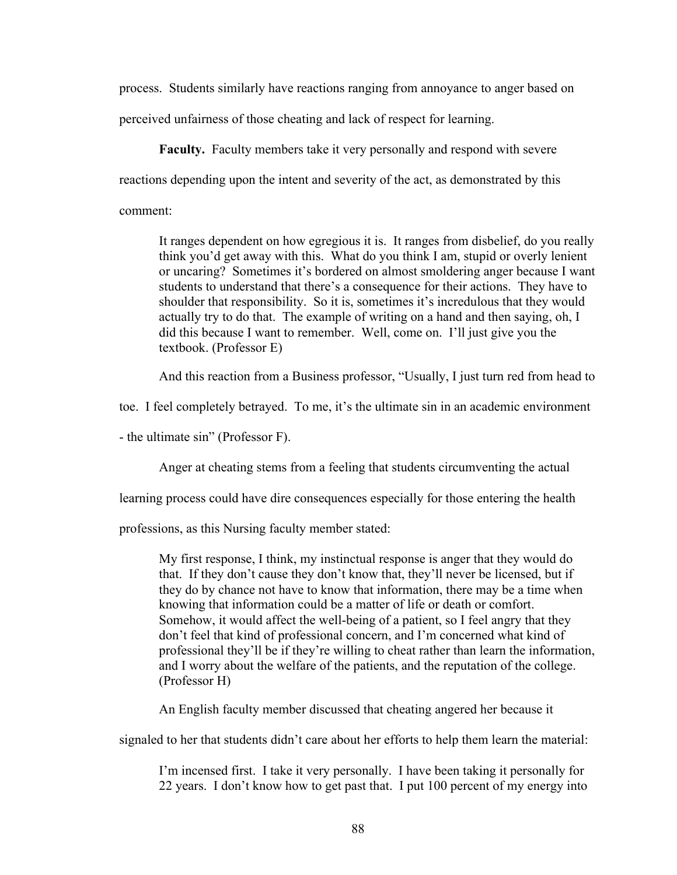process. Students similarly have reactions ranging from annoyance to anger based on perceived unfairness of those cheating and lack of respect for learning.

**Faculty.** Faculty members take it very personally and respond with severe reactions depending upon the intent and severity of the act, as demonstrated by this comment:

It ranges dependent on how egregious it is. It ranges from disbelief, do you really think you'd get away with this. What do you think I am, stupid or overly lenient or uncaring? Sometimes it's bordered on almost smoldering anger because I want students to understand that there's a consequence for their actions. They have to shoulder that responsibility. So it is, sometimes it's incredulous that they would actually try to do that. The example of writing on a hand and then saying, oh, I did this because I want to remember. Well, come on. I'll just give you the textbook. (Professor E)

And this reaction from a Business professor, "Usually, I just turn red from head to

toe. I feel completely betrayed. To me, it's the ultimate sin in an academic environment

- the ultimate sin" (Professor F).

Anger at cheating stems from a feeling that students circumventing the actual

learning process could have dire consequences especially for those entering the health

professions, as this Nursing faculty member stated:

My first response, I think, my instinctual response is anger that they would do that. If they don't cause they don't know that, they'll never be licensed, but if they do by chance not have to know that information, there may be a time when knowing that information could be a matter of life or death or comfort. Somehow, it would affect the well-being of a patient, so I feel angry that they don't feel that kind of professional concern, and I'm concerned what kind of professional they'll be if they're willing to cheat rather than learn the information, and I worry about the welfare of the patients, and the reputation of the college. (Professor H)

An English faculty member discussed that cheating angered her because it

signaled to her that students didn't care about her efforts to help them learn the material:

I'm incensed first. I take it very personally. I have been taking it personally for 22 years. I don't know how to get past that. I put 100 percent of my energy into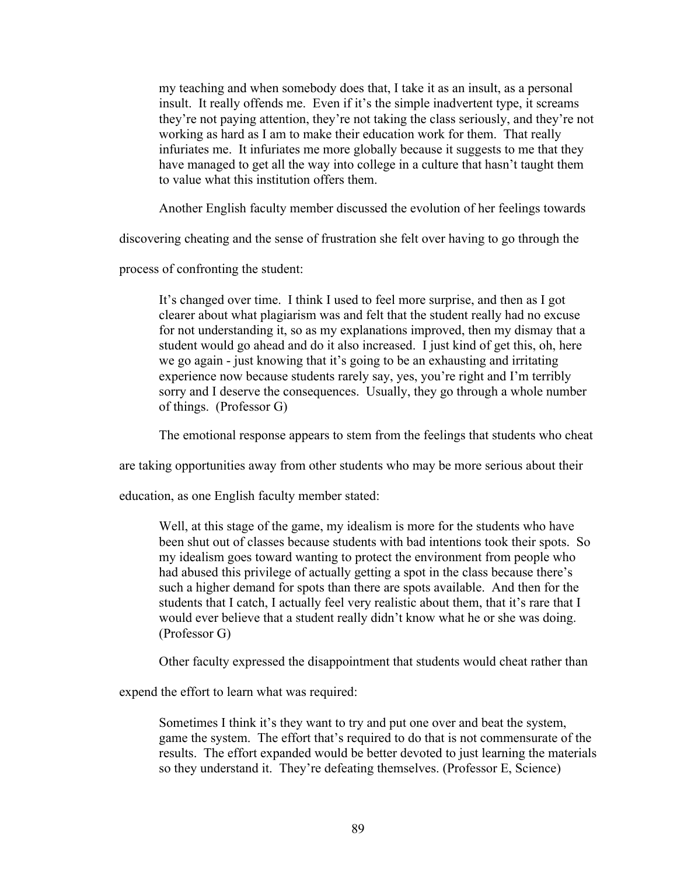my teaching and when somebody does that, I take it as an insult, as a personal insult. It really offends me. Even if it's the simple inadvertent type, it screams they're not paying attention, they're not taking the class seriously, and they're not working as hard as I am to make their education work for them. That really infuriates me. It infuriates me more globally because it suggests to me that they have managed to get all the way into college in a culture that hasn't taught them to value what this institution offers them.

Another English faculty member discussed the evolution of her feelings towards

discovering cheating and the sense of frustration she felt over having to go through the

process of confronting the student:

It's changed over time. I think I used to feel more surprise, and then as I got clearer about what plagiarism was and felt that the student really had no excuse for not understanding it, so as my explanations improved, then my dismay that a student would go ahead and do it also increased. I just kind of get this, oh, here we go again - just knowing that it's going to be an exhausting and irritating experience now because students rarely say, yes, you're right and I'm terribly sorry and I deserve the consequences. Usually, they go through a whole number of things. (Professor G)

The emotional response appears to stem from the feelings that students who cheat

are taking opportunities away from other students who may be more serious about their

education, as one English faculty member stated:

Well, at this stage of the game, my idealism is more for the students who have been shut out of classes because students with bad intentions took their spots. So my idealism goes toward wanting to protect the environment from people who had abused this privilege of actually getting a spot in the class because there's such a higher demand for spots than there are spots available. And then for the students that I catch, I actually feel very realistic about them, that it's rare that I would ever believe that a student really didn't know what he or she was doing. (Professor G)

Other faculty expressed the disappointment that students would cheat rather than

expend the effort to learn what was required:

Sometimes I think it's they want to try and put one over and beat the system, game the system. The effort that's required to do that is not commensurate of the results. The effort expanded would be better devoted to just learning the materials so they understand it. They're defeating themselves. (Professor E, Science)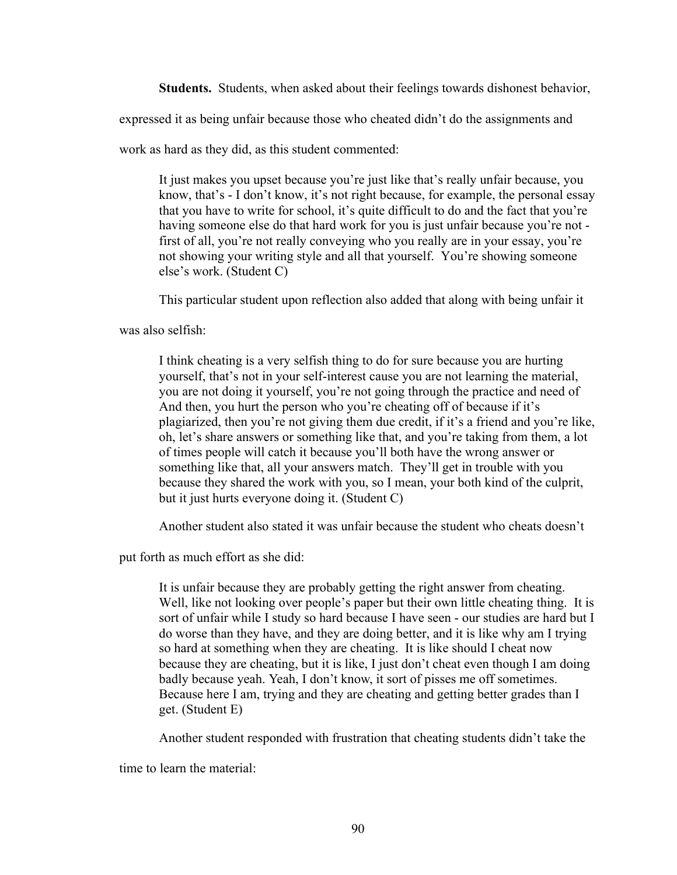**Students.** Students, when asked about their feelings towards dishonest behavior,

expressed it as being unfair because those who cheated didn't do the assignments and

work as hard as they did, as this student commented:

It just makes you upset because you're just like that's really unfair because, you know, that's - I don't know, it's not right because, for example, the personal essay that you have to write for school, it's quite difficult to do and the fact that you're having someone else do that hard work for you is just unfair because you're not first of all, you're not really conveying who you really are in your essay, you're not showing your writing style and all that yourself. You're showing someone else's work. (Student C)

This particular student upon reflection also added that along with being unfair it

was also selfish:

I think cheating is a very selfish thing to do for sure because you are hurting yourself, that's not in your self-interest cause you are not learning the material, you are not doing it yourself, you're not going through the practice and need of And then, you hurt the person who you're cheating off of because if it's plagiarized, then you're not giving them due credit, if it's a friend and you're like, oh, let's share answers or something like that, and you're taking from them, a lot of times people will catch it because you'll both have the wrong answer or something like that, all your answers match. They'll get in trouble with you because they shared the work with you, so I mean, your both kind of the culprit, but it just hurts everyone doing it. (Student C)

Another student also stated it was unfair because the student who cheats doesn't

put forth as much effort as she did:

It is unfair because they are probably getting the right answer from cheating. Well, like not looking over people's paper but their own little cheating thing. It is sort of unfair while I study so hard because I have seen - our studies are hard but I do worse than they have, and they are doing better, and it is like why am I trying so hard at something when they are cheating. It is like should I cheat now because they are cheating, but it is like, I just don't cheat even though I am doing badly because yeah. Yeah, I don't know, it sort of pisses me off sometimes. Because here I am, trying and they are cheating and getting better grades than I get. (Student E)

Another student responded with frustration that cheating students didn't take the

time to learn the material: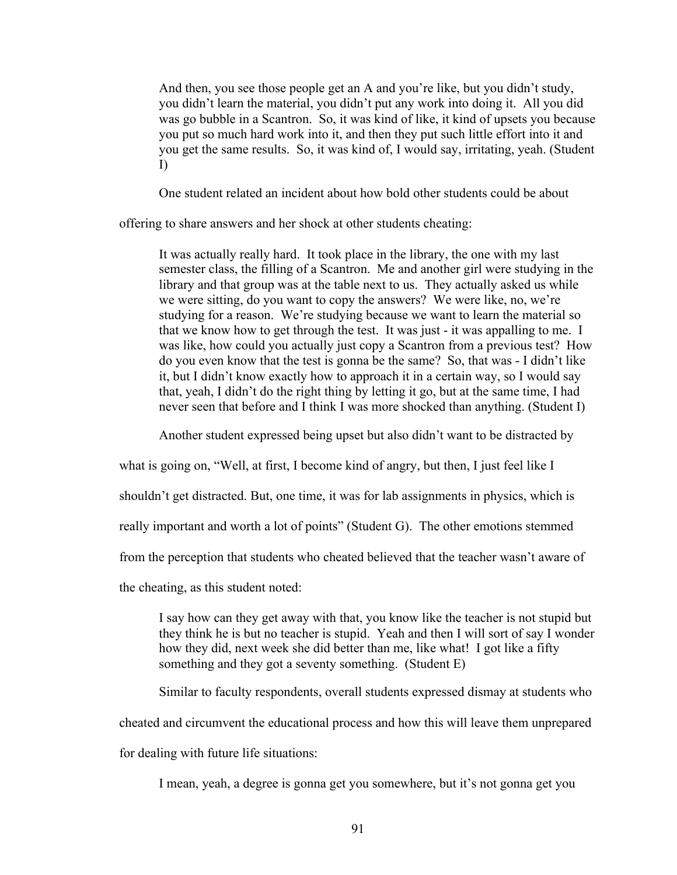And then, you see those people get an A and you're like, but you didn't study, you didn't learn the material, you didn't put any work into doing it. All you did was go bubble in a Scantron. So, it was kind of like, it kind of upsets you because you put so much hard work into it, and then they put such little effort into it and you get the same results. So, it was kind of, I would say, irritating, yeah. (Student I)

One student related an incident about how bold other students could be about

offering to share answers and her shock at other students cheating:

It was actually really hard. It took place in the library, the one with my last semester class, the filling of a Scantron. Me and another girl were studying in the library and that group was at the table next to us. They actually asked us while we were sitting, do you want to copy the answers? We were like, no, we're studying for a reason. We're studying because we want to learn the material so that we know how to get through the test. It was just - it was appalling to me. I was like, how could you actually just copy a Scantron from a previous test? How do you even know that the test is gonna be the same? So, that was - I didn't like it, but I didn't know exactly how to approach it in a certain way, so I would say that, yeah, I didn't do the right thing by letting it go, but at the same time, I had never seen that before and I think I was more shocked than anything. (Student I)

Another student expressed being upset but also didn't want to be distracted by

what is going on, "Well, at first, I become kind of angry, but then, I just feel like I

shouldn't get distracted. But, one time, it was for lab assignments in physics, which is

really important and worth a lot of points" (Student G). The other emotions stemmed

from the perception that students who cheated believed that the teacher wasn't aware of

the cheating, as this student noted:

I say how can they get away with that, you know like the teacher is not stupid but they think he is but no teacher is stupid. Yeah and then I will sort of say I wonder how they did, next week she did better than me, like what! I got like a fifty something and they got a seventy something. (Student E)

Similar to faculty respondents, overall students expressed dismay at students who cheated and circumvent the educational process and how this will leave them unprepared for dealing with future life situations:

I mean, yeah, a degree is gonna get you somewhere, but it's not gonna get you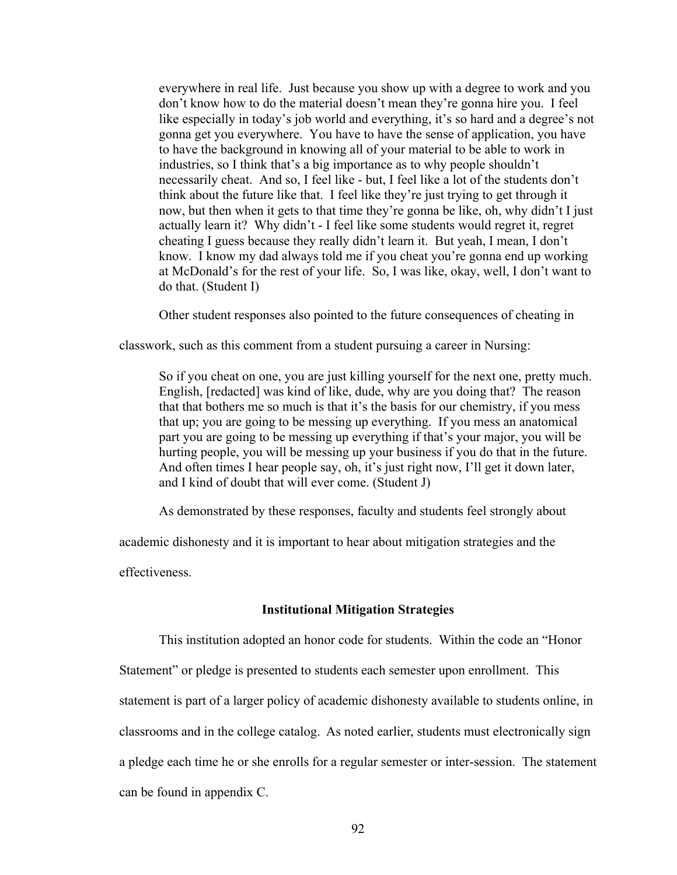everywhere in real life. Just because you show up with a degree to work and you don't know how to do the material doesn't mean they're gonna hire you. I feel like especially in today's job world and everything, it's so hard and a degree's not gonna get you everywhere. You have to have the sense of application, you have to have the background in knowing all of your material to be able to work in industries, so I think that's a big importance as to why people shouldn't necessarily cheat. And so, I feel like - but, I feel like a lot of the students don't think about the future like that. I feel like they're just trying to get through it now, but then when it gets to that time they're gonna be like, oh, why didn't I just actually learn it? Why didn't - I feel like some students would regret it, regret cheating I guess because they really didn't learn it. But yeah, I mean, I don't know. I know my dad always told me if you cheat you're gonna end up working at McDonald's for the rest of your life. So, I was like, okay, well, I don't want to do that. (Student I)

Other student responses also pointed to the future consequences of cheating in

classwork, such as this comment from a student pursuing a career in Nursing:

So if you cheat on one, you are just killing yourself for the next one, pretty much. English, [redacted] was kind of like, dude, why are you doing that? The reason that that bothers me so much is that it's the basis for our chemistry, if you mess that up; you are going to be messing up everything. If you mess an anatomical part you are going to be messing up everything if that's your major, you will be hurting people, you will be messing up your business if you do that in the future. And often times I hear people say, oh, it's just right now, I'll get it down later, and I kind of doubt that will ever come. (Student J)

As demonstrated by these responses, faculty and students feel strongly about

academic dishonesty and it is important to hear about mitigation strategies and the

effectiveness.

### **Institutional Mitigation Strategies**

This institution adopted an honor code for students. Within the code an "Honor Statement" or pledge is presented to students each semester upon enrollment. This statement is part of a larger policy of academic dishonesty available to students online, in classrooms and in the college catalog. As noted earlier, students must electronically sign a pledge each time he or she enrolls for a regular semester or inter-session. The statement can be found in appendix C.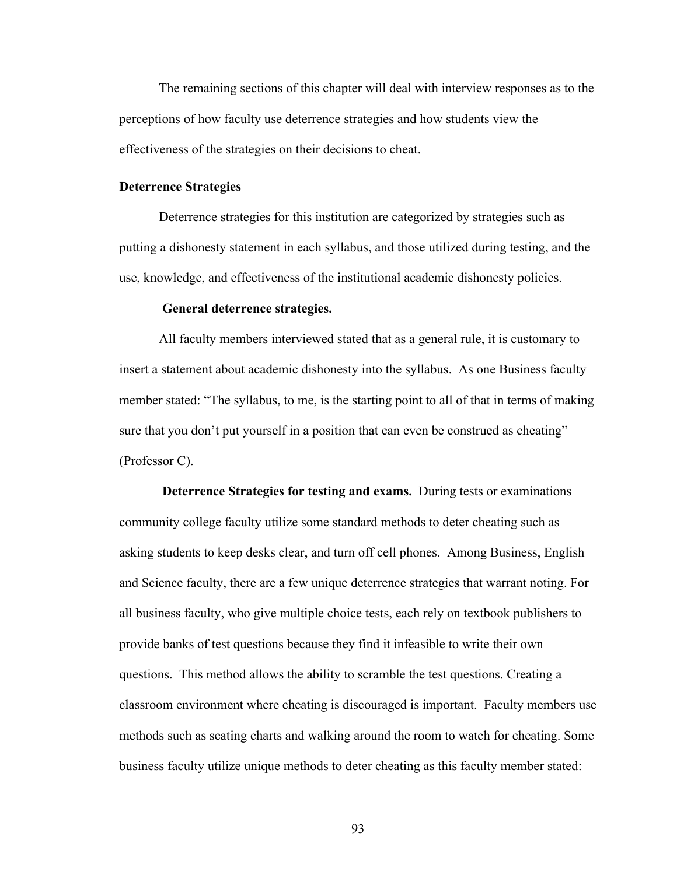The remaining sections of this chapter will deal with interview responses as to the perceptions of how faculty use deterrence strategies and how students view the effectiveness of the strategies on their decisions to cheat.

#### **Deterrence Strategies**

Deterrence strategies for this institution are categorized by strategies such as putting a dishonesty statement in each syllabus, and those utilized during testing, and the use, knowledge, and effectiveness of the institutional academic dishonesty policies.

## **General deterrence strategies.**

All faculty members interviewed stated that as a general rule, it is customary to insert a statement about academic dishonesty into the syllabus. As one Business faculty member stated: "The syllabus, to me, is the starting point to all of that in terms of making sure that you don't put yourself in a position that can even be construed as cheating" (Professor C).

**Deterrence Strategies for testing and exams.** During tests or examinations community college faculty utilize some standard methods to deter cheating such as asking students to keep desks clear, and turn off cell phones. Among Business, English and Science faculty, there are a few unique deterrence strategies that warrant noting. For all business faculty, who give multiple choice tests, each rely on textbook publishers to provide banks of test questions because they find it infeasible to write their own questions. This method allows the ability to scramble the test questions. Creating a classroom environment where cheating is discouraged is important. Faculty members use methods such as seating charts and walking around the room to watch for cheating. Some business faculty utilize unique methods to deter cheating as this faculty member stated:

93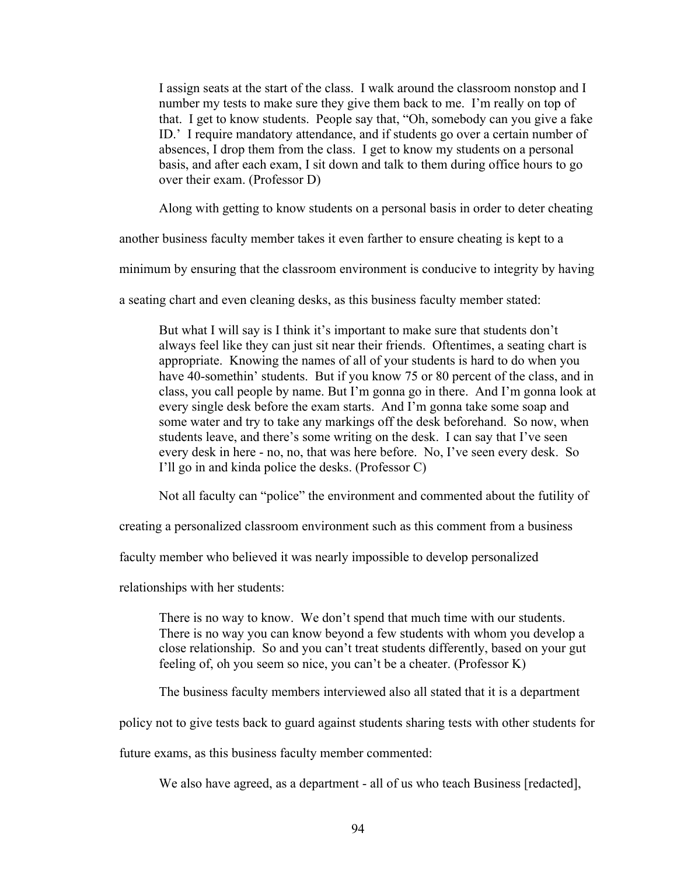I assign seats at the start of the class. I walk around the classroom nonstop and I number my tests to make sure they give them back to me. I'm really on top of that. I get to know students. People say that, "Oh, somebody can you give a fake ID.' I require mandatory attendance, and if students go over a certain number of absences, I drop them from the class. I get to know my students on a personal basis, and after each exam, I sit down and talk to them during office hours to go over their exam. (Professor D)

Along with getting to know students on a personal basis in order to deter cheating

another business faculty member takes it even farther to ensure cheating is kept to a

minimum by ensuring that the classroom environment is conducive to integrity by having

a seating chart and even cleaning desks, as this business faculty member stated:

But what I will say is I think it's important to make sure that students don't always feel like they can just sit near their friends. Oftentimes, a seating chart is appropriate. Knowing the names of all of your students is hard to do when you have 40-somethin' students. But if you know 75 or 80 percent of the class, and in class, you call people by name. But I'm gonna go in there. And I'm gonna look at every single desk before the exam starts. And I'm gonna take some soap and some water and try to take any markings off the desk beforehand. So now, when students leave, and there's some writing on the desk. I can say that I've seen every desk in here - no, no, that was here before. No, I've seen every desk. So I'll go in and kinda police the desks. (Professor C)

Not all faculty can "police" the environment and commented about the futility of

creating a personalized classroom environment such as this comment from a business

faculty member who believed it was nearly impossible to develop personalized

relationships with her students:

There is no way to know. We don't spend that much time with our students. There is no way you can know beyond a few students with whom you develop a close relationship. So and you can't treat students differently, based on your gut feeling of, oh you seem so nice, you can't be a cheater. (Professor K)

The business faculty members interviewed also all stated that it is a department

policy not to give tests back to guard against students sharing tests with other students for

future exams, as this business faculty member commented:

We also have agreed, as a department - all of us who teach Business [redacted],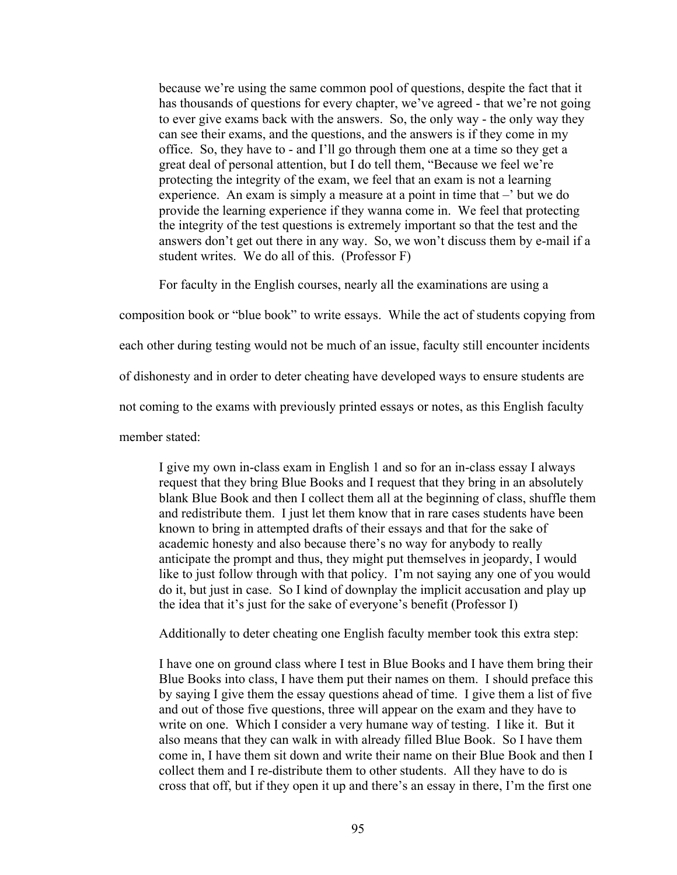because we're using the same common pool of questions, despite the fact that it has thousands of questions for every chapter, we've agreed - that we're not going to ever give exams back with the answers. So, the only way - the only way they can see their exams, and the questions, and the answers is if they come in my office. So, they have to - and I'll go through them one at a time so they get a great deal of personal attention, but I do tell them, "Because we feel we're protecting the integrity of the exam, we feel that an exam is not a learning experience. An exam is simply a measure at a point in time that –' but we do provide the learning experience if they wanna come in. We feel that protecting the integrity of the test questions is extremely important so that the test and the answers don't get out there in any way. So, we won't discuss them by e-mail if a student writes. We do all of this. (Professor F)

For faculty in the English courses, nearly all the examinations are using a

composition book or "blue book" to write essays. While the act of students copying from

each other during testing would not be much of an issue, faculty still encounter incidents

of dishonesty and in order to deter cheating have developed ways to ensure students are

not coming to the exams with previously printed essays or notes, as this English faculty

member stated:

I give my own in-class exam in English 1 and so for an in-class essay I always request that they bring Blue Books and I request that they bring in an absolutely blank Blue Book and then I collect them all at the beginning of class, shuffle them and redistribute them. I just let them know that in rare cases students have been known to bring in attempted drafts of their essays and that for the sake of academic honesty and also because there's no way for anybody to really anticipate the prompt and thus, they might put themselves in jeopardy, I would like to just follow through with that policy. I'm not saying any one of you would do it, but just in case. So I kind of downplay the implicit accusation and play up the idea that it's just for the sake of everyone's benefit (Professor I)

Additionally to deter cheating one English faculty member took this extra step:

I have one on ground class where I test in Blue Books and I have them bring their Blue Books into class, I have them put their names on them. I should preface this by saying I give them the essay questions ahead of time. I give them a list of five and out of those five questions, three will appear on the exam and they have to write on one. Which I consider a very humane way of testing. I like it. But it also means that they can walk in with already filled Blue Book. So I have them come in, I have them sit down and write their name on their Blue Book and then I collect them and I re-distribute them to other students. All they have to do is cross that off, but if they open it up and there's an essay in there, I'm the first one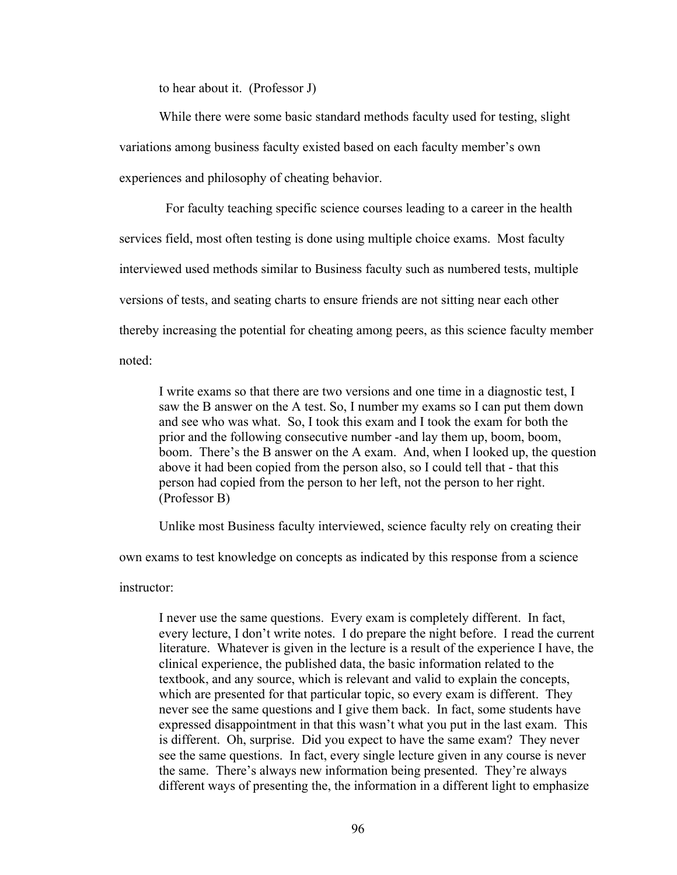to hear about it. (Professor J)

While there were some basic standard methods faculty used for testing, slight variations among business faculty existed based on each faculty member's own experiences and philosophy of cheating behavior.

 For faculty teaching specific science courses leading to a career in the health services field, most often testing is done using multiple choice exams. Most faculty interviewed used methods similar to Business faculty such as numbered tests, multiple versions of tests, and seating charts to ensure friends are not sitting near each other thereby increasing the potential for cheating among peers, as this science faculty member noted:

I write exams so that there are two versions and one time in a diagnostic test, I saw the B answer on the A test. So, I number my exams so I can put them down and see who was what. So, I took this exam and I took the exam for both the prior and the following consecutive number -and lay them up, boom, boom, boom. There's the B answer on the A exam. And, when I looked up, the question above it had been copied from the person also, so I could tell that - that this person had copied from the person to her left, not the person to her right. (Professor B)

Unlike most Business faculty interviewed, science faculty rely on creating their

own exams to test knowledge on concepts as indicated by this response from a science

instructor:

I never use the same questions. Every exam is completely different. In fact, every lecture, I don't write notes. I do prepare the night before. I read the current literature. Whatever is given in the lecture is a result of the experience I have, the clinical experience, the published data, the basic information related to the textbook, and any source, which is relevant and valid to explain the concepts, which are presented for that particular topic, so every exam is different. They never see the same questions and I give them back. In fact, some students have expressed disappointment in that this wasn't what you put in the last exam. This is different. Oh, surprise. Did you expect to have the same exam? They never see the same questions. In fact, every single lecture given in any course is never the same. There's always new information being presented. They're always different ways of presenting the, the information in a different light to emphasize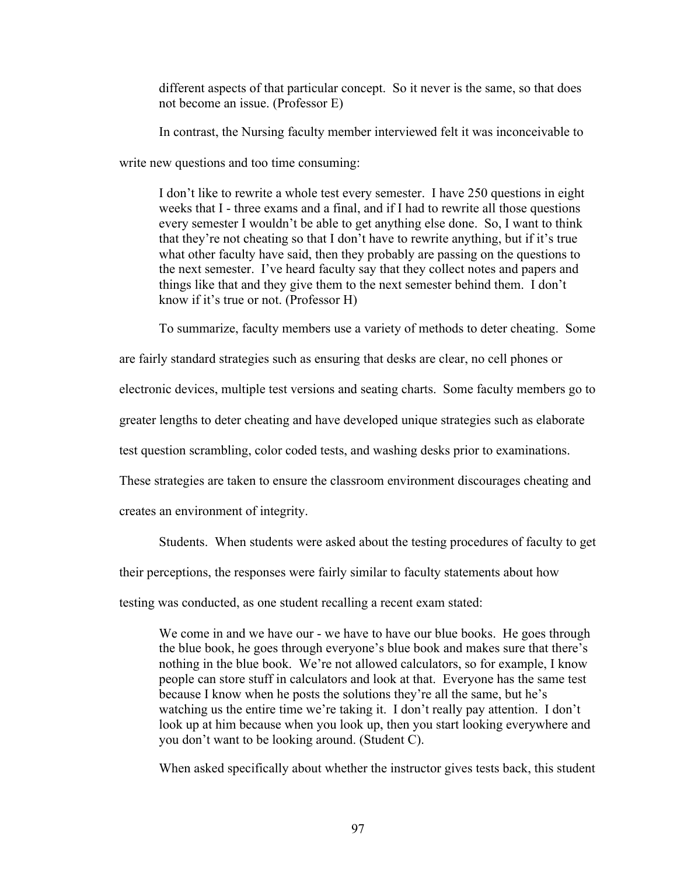different aspects of that particular concept. So it never is the same, so that does not become an issue. (Professor E)

In contrast, the Nursing faculty member interviewed felt it was inconceivable to

write new questions and too time consuming:

I don't like to rewrite a whole test every semester. I have 250 questions in eight weeks that I - three exams and a final, and if I had to rewrite all those questions every semester I wouldn't be able to get anything else done. So, I want to think that they're not cheating so that I don't have to rewrite anything, but if it's true what other faculty have said, then they probably are passing on the questions to the next semester. I've heard faculty say that they collect notes and papers and things like that and they give them to the next semester behind them. I don't know if it's true or not. (Professor H)

To summarize, faculty members use a variety of methods to deter cheating. Some

are fairly standard strategies such as ensuring that desks are clear, no cell phones or

electronic devices, multiple test versions and seating charts. Some faculty members go to

greater lengths to deter cheating and have developed unique strategies such as elaborate

test question scrambling, color coded tests, and washing desks prior to examinations.

These strategies are taken to ensure the classroom environment discourages cheating and

creates an environment of integrity.

Students. When students were asked about the testing procedures of faculty to get

their perceptions, the responses were fairly similar to faculty statements about how

testing was conducted, as one student recalling a recent exam stated:

We come in and we have our - we have to have our blue books. He goes through the blue book, he goes through everyone's blue book and makes sure that there's nothing in the blue book. We're not allowed calculators, so for example, I know people can store stuff in calculators and look at that. Everyone has the same test because I know when he posts the solutions they're all the same, but he's watching us the entire time we're taking it. I don't really pay attention. I don't look up at him because when you look up, then you start looking everywhere and you don't want to be looking around. (Student C).

When asked specifically about whether the instructor gives tests back, this student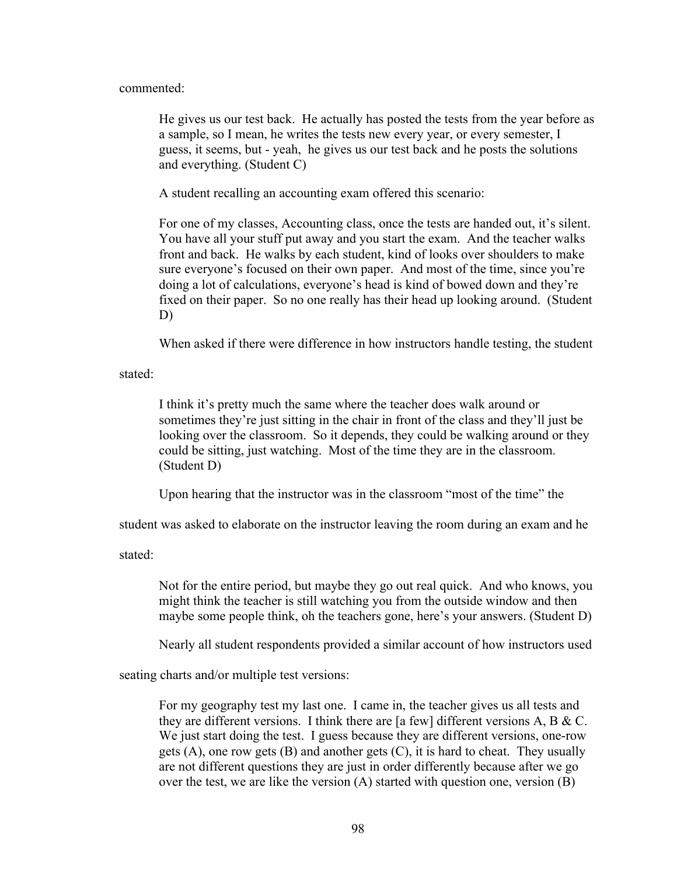commented:

He gives us our test back. He actually has posted the tests from the year before as a sample, so I mean, he writes the tests new every year, or every semester, I guess, it seems, but - yeah, he gives us our test back and he posts the solutions and everything. (Student C)

A student recalling an accounting exam offered this scenario:

For one of my classes, Accounting class, once the tests are handed out, it's silent. You have all your stuff put away and you start the exam. And the teacher walks front and back. He walks by each student, kind of looks over shoulders to make sure everyone's focused on their own paper. And most of the time, since you're doing a lot of calculations, everyone's head is kind of bowed down and they're fixed on their paper. So no one really has their head up looking around. (Student D)

When asked if there were difference in how instructors handle testing, the student

stated:

I think it's pretty much the same where the teacher does walk around or sometimes they're just sitting in the chair in front of the class and they'll just be looking over the classroom. So it depends, they could be walking around or they could be sitting, just watching. Most of the time they are in the classroom. (Student D)

Upon hearing that the instructor was in the classroom "most of the time" the

student was asked to elaborate on the instructor leaving the room during an exam and he

stated:

Not for the entire period, but maybe they go out real quick. And who knows, you might think the teacher is still watching you from the outside window and then maybe some people think, oh the teachers gone, here's your answers. (Student D)

Nearly all student respondents provided a similar account of how instructors used

seating charts and/or multiple test versions:

For my geography test my last one. I came in, the teacher gives us all tests and they are different versions. I think there are [a few] different versions A, B & C. We just start doing the test. I guess because they are different versions, one-row gets  $(A)$ , one row gets  $(B)$  and another gets  $(C)$ , it is hard to cheat. They usually are not different questions they are just in order differently because after we go over the test, we are like the version (A) started with question one, version (B)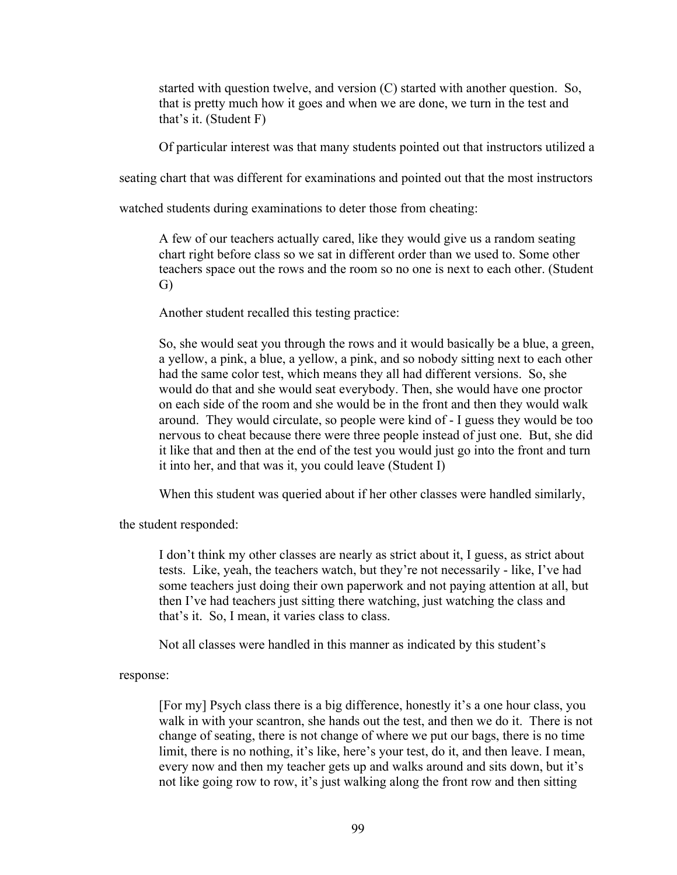started with question twelve, and version (C) started with another question. So, that is pretty much how it goes and when we are done, we turn in the test and that's it. (Student F)

Of particular interest was that many students pointed out that instructors utilized a

seating chart that was different for examinations and pointed out that the most instructors

watched students during examinations to deter those from cheating:

A few of our teachers actually cared, like they would give us a random seating chart right before class so we sat in different order than we used to. Some other teachers space out the rows and the room so no one is next to each other. (Student G)

Another student recalled this testing practice:

So, she would seat you through the rows and it would basically be a blue, a green, a yellow, a pink, a blue, a yellow, a pink, and so nobody sitting next to each other had the same color test, which means they all had different versions. So, she would do that and she would seat everybody. Then, she would have one proctor on each side of the room and she would be in the front and then they would walk around. They would circulate, so people were kind of - I guess they would be too nervous to cheat because there were three people instead of just one. But, she did it like that and then at the end of the test you would just go into the front and turn it into her, and that was it, you could leave (Student I)

When this student was queried about if her other classes were handled similarly,

the student responded:

I don't think my other classes are nearly as strict about it, I guess, as strict about tests. Like, yeah, the teachers watch, but they're not necessarily - like, I've had some teachers just doing their own paperwork and not paying attention at all, but then I've had teachers just sitting there watching, just watching the class and that's it. So, I mean, it varies class to class.

Not all classes were handled in this manner as indicated by this student's

response:

[For my] Psych class there is a big difference, honestly it's a one hour class, you walk in with your scantron, she hands out the test, and then we do it. There is not change of seating, there is not change of where we put our bags, there is no time limit, there is no nothing, it's like, here's your test, do it, and then leave. I mean, every now and then my teacher gets up and walks around and sits down, but it's not like going row to row, it's just walking along the front row and then sitting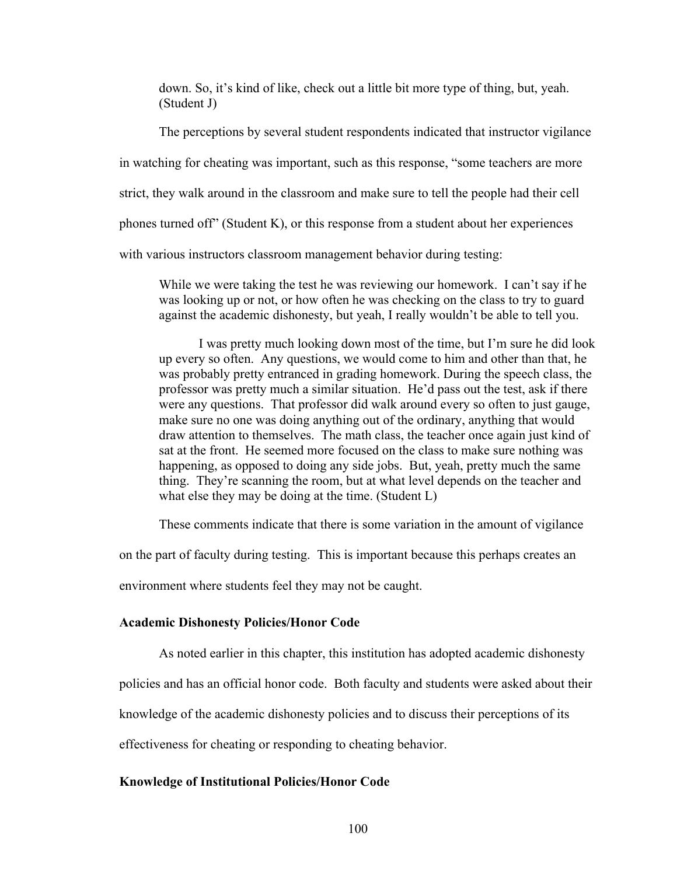down. So, it's kind of like, check out a little bit more type of thing, but, yeah. (Student J)

The perceptions by several student respondents indicated that instructor vigilance in watching for cheating was important, such as this response, "some teachers are more strict, they walk around in the classroom and make sure to tell the people had their cell phones turned off" (Student K), or this response from a student about her experiences with various instructors classroom management behavior during testing:

While we were taking the test he was reviewing our homework. I can't say if he was looking up or not, or how often he was checking on the class to try to guard against the academic dishonesty, but yeah, I really wouldn't be able to tell you.

I was pretty much looking down most of the time, but I'm sure he did look up every so often. Any questions, we would come to him and other than that, he was probably pretty entranced in grading homework. During the speech class, the professor was pretty much a similar situation. He'd pass out the test, ask if there were any questions. That professor did walk around every so often to just gauge, make sure no one was doing anything out of the ordinary, anything that would draw attention to themselves. The math class, the teacher once again just kind of sat at the front. He seemed more focused on the class to make sure nothing was happening, as opposed to doing any side jobs. But, yeah, pretty much the same thing. They're scanning the room, but at what level depends on the teacher and what else they may be doing at the time. (Student L)

These comments indicate that there is some variation in the amount of vigilance

on the part of faculty during testing. This is important because this perhaps creates an

environment where students feel they may not be caught.

#### **Academic Dishonesty Policies/Honor Code**

As noted earlier in this chapter, this institution has adopted academic dishonesty

policies and has an official honor code. Both faculty and students were asked about their

knowledge of the academic dishonesty policies and to discuss their perceptions of its

effectiveness for cheating or responding to cheating behavior.

## **Knowledge of Institutional Policies/Honor Code**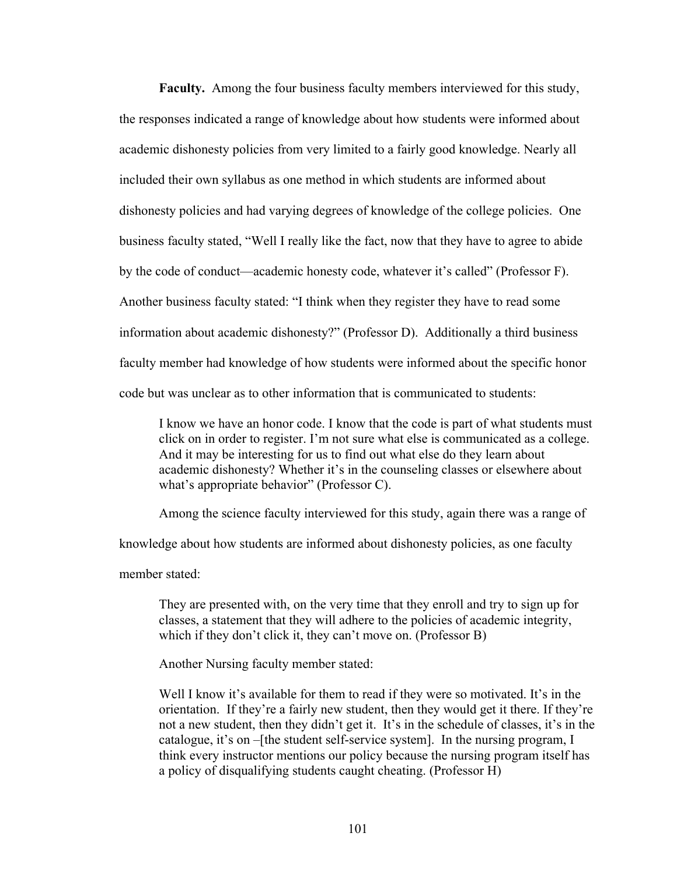**Faculty.** Among the four business faculty members interviewed for this study, the responses indicated a range of knowledge about how students were informed about academic dishonesty policies from very limited to a fairly good knowledge. Nearly all included their own syllabus as one method in which students are informed about dishonesty policies and had varying degrees of knowledge of the college policies. One business faculty stated, "Well I really like the fact, now that they have to agree to abide by the code of conduct—academic honesty code, whatever it's called" (Professor F). Another business faculty stated: "I think when they register they have to read some information about academic dishonesty?" (Professor D). Additionally a third business faculty member had knowledge of how students were informed about the specific honor code but was unclear as to other information that is communicated to students:

I know we have an honor code. I know that the code is part of what students must click on in order to register. I'm not sure what else is communicated as a college. And it may be interesting for us to find out what else do they learn about academic dishonesty? Whether it's in the counseling classes or elsewhere about what's appropriate behavior" (Professor C).

Among the science faculty interviewed for this study, again there was a range of

knowledge about how students are informed about dishonesty policies, as one faculty

member stated:

They are presented with, on the very time that they enroll and try to sign up for classes, a statement that they will adhere to the policies of academic integrity, which if they don't click it, they can't move on. (Professor B)

Another Nursing faculty member stated:

Well I know it's available for them to read if they were so motivated. It's in the orientation. If they're a fairly new student, then they would get it there. If they're not a new student, then they didn't get it. It's in the schedule of classes, it's in the catalogue, it's on –[the student self-service system]. In the nursing program, I think every instructor mentions our policy because the nursing program itself has a policy of disqualifying students caught cheating. (Professor H)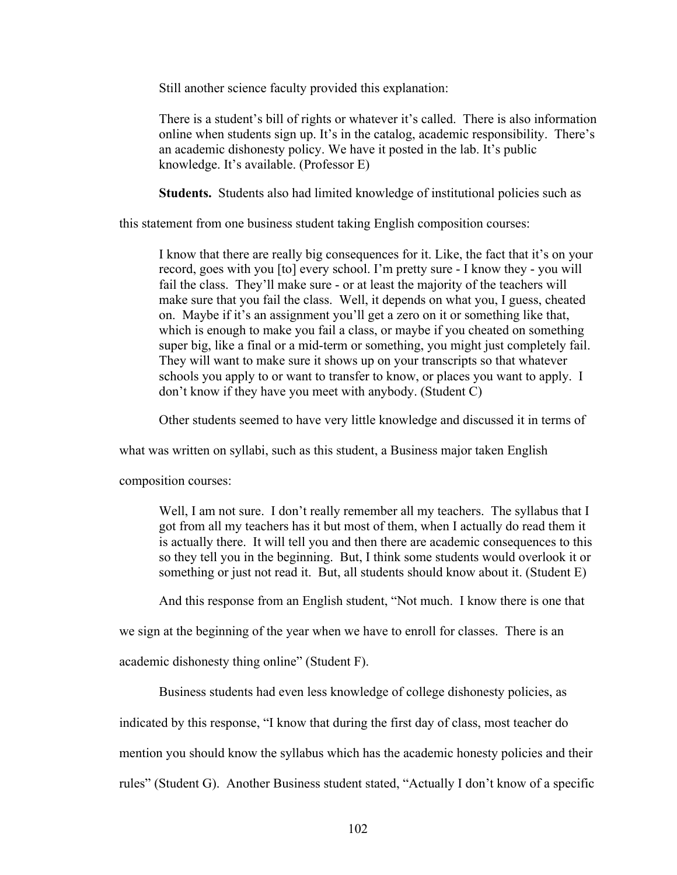Still another science faculty provided this explanation:

There is a student's bill of rights or whatever it's called. There is also information online when students sign up. It's in the catalog, academic responsibility. There's an academic dishonesty policy. We have it posted in the lab. It's public knowledge. It's available. (Professor E)

**Students.** Students also had limited knowledge of institutional policies such as

this statement from one business student taking English composition courses:

I know that there are really big consequences for it. Like, the fact that it's on your record, goes with you [to] every school. I'm pretty sure - I know they - you will fail the class. They'll make sure - or at least the majority of the teachers will make sure that you fail the class. Well, it depends on what you, I guess, cheated on. Maybe if it's an assignment you'll get a zero on it or something like that, which is enough to make you fail a class, or maybe if you cheated on something super big, like a final or a mid-term or something, you might just completely fail. They will want to make sure it shows up on your transcripts so that whatever schools you apply to or want to transfer to know, or places you want to apply. I don't know if they have you meet with anybody. (Student C)

Other students seemed to have very little knowledge and discussed it in terms of

what was written on syllabi, such as this student, a Business major taken English

composition courses:

Well, I am not sure. I don't really remember all my teachers. The syllabus that I got from all my teachers has it but most of them, when I actually do read them it is actually there. It will tell you and then there are academic consequences to this so they tell you in the beginning. But, I think some students would overlook it or something or just not read it. But, all students should know about it. (Student E)

And this response from an English student, "Not much. I know there is one that

we sign at the beginning of the year when we have to enroll for classes. There is an

academic dishonesty thing online" (Student F).

Business students had even less knowledge of college dishonesty policies, as

indicated by this response, "I know that during the first day of class, most teacher do

mention you should know the syllabus which has the academic honesty policies and their

rules" (Student G). Another Business student stated, "Actually I don't know of a specific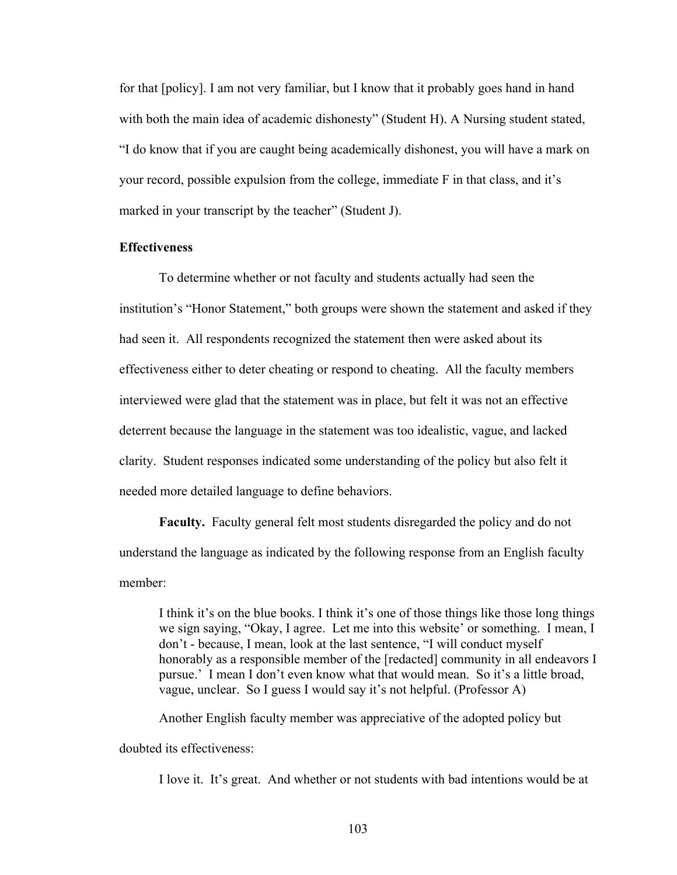for that [policy]. I am not very familiar, but I know that it probably goes hand in hand with both the main idea of academic dishonesty" (Student H). A Nursing student stated, "I do know that if you are caught being academically dishonest, you will have a mark on your record, possible expulsion from the college, immediate F in that class, and it's marked in your transcript by the teacher" (Student J).

## **Effectiveness**

To determine whether or not faculty and students actually had seen the institution's "Honor Statement," both groups were shown the statement and asked if they had seen it. All respondents recognized the statement then were asked about its effectiveness either to deter cheating or respond to cheating. All the faculty members interviewed were glad that the statement was in place, but felt it was not an effective deterrent because the language in the statement was too idealistic, vague, and lacked clarity. Student responses indicated some understanding of the policy but also felt it needed more detailed language to define behaviors.

**Faculty.** Faculty general felt most students disregarded the policy and do not understand the language as indicated by the following response from an English faculty member:

I think it's on the blue books. I think it's one of those things like those long things we sign saying, "Okay, I agree. Let me into this website' or something. I mean, I don't - because, I mean, look at the last sentence, "I will conduct myself honorably as a responsible member of the [redacted] community in all endeavors I pursue.' I mean I don't even know what that would mean. So it's a little broad, vague, unclear. So I guess I would say it's not helpful. (Professor A)

Another English faculty member was appreciative of the adopted policy but

doubted its effectiveness:

I love it. It's great. And whether or not students with bad intentions would be at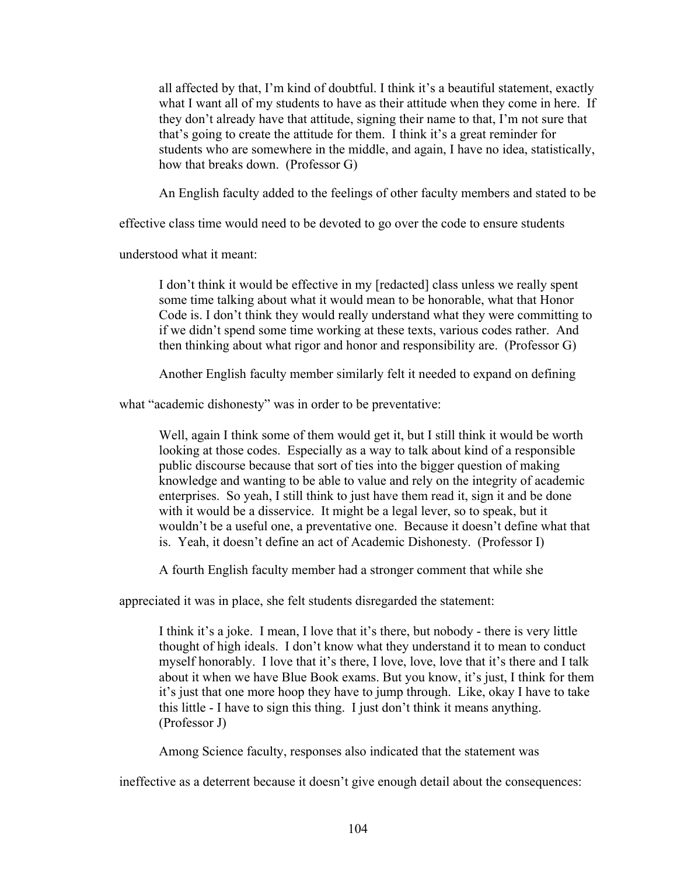all affected by that, I'm kind of doubtful. I think it's a beautiful statement, exactly what I want all of my students to have as their attitude when they come in here. If they don't already have that attitude, signing their name to that, I'm not sure that that's going to create the attitude for them. I think it's a great reminder for students who are somewhere in the middle, and again, I have no idea, statistically, how that breaks down. (Professor G)

An English faculty added to the feelings of other faculty members and stated to be

effective class time would need to be devoted to go over the code to ensure students

understood what it meant:

I don't think it would be effective in my [redacted] class unless we really spent some time talking about what it would mean to be honorable, what that Honor Code is. I don't think they would really understand what they were committing to if we didn't spend some time working at these texts, various codes rather. And then thinking about what rigor and honor and responsibility are. (Professor G)

Another English faculty member similarly felt it needed to expand on defining

what "academic dishonesty" was in order to be preventative:

Well, again I think some of them would get it, but I still think it would be worth looking at those codes. Especially as a way to talk about kind of a responsible public discourse because that sort of ties into the bigger question of making knowledge and wanting to be able to value and rely on the integrity of academic enterprises. So yeah, I still think to just have them read it, sign it and be done with it would be a disservice. It might be a legal lever, so to speak, but it wouldn't be a useful one, a preventative one. Because it doesn't define what that is. Yeah, it doesn't define an act of Academic Dishonesty. (Professor I)

A fourth English faculty member had a stronger comment that while she

appreciated it was in place, she felt students disregarded the statement:

I think it's a joke. I mean, I love that it's there, but nobody - there is very little thought of high ideals. I don't know what they understand it to mean to conduct myself honorably. I love that it's there, I love, love, love that it's there and I talk about it when we have Blue Book exams. But you know, it's just, I think for them it's just that one more hoop they have to jump through. Like, okay I have to take this little - I have to sign this thing. I just don't think it means anything. (Professor J)

Among Science faculty, responses also indicated that the statement was

ineffective as a deterrent because it doesn't give enough detail about the consequences: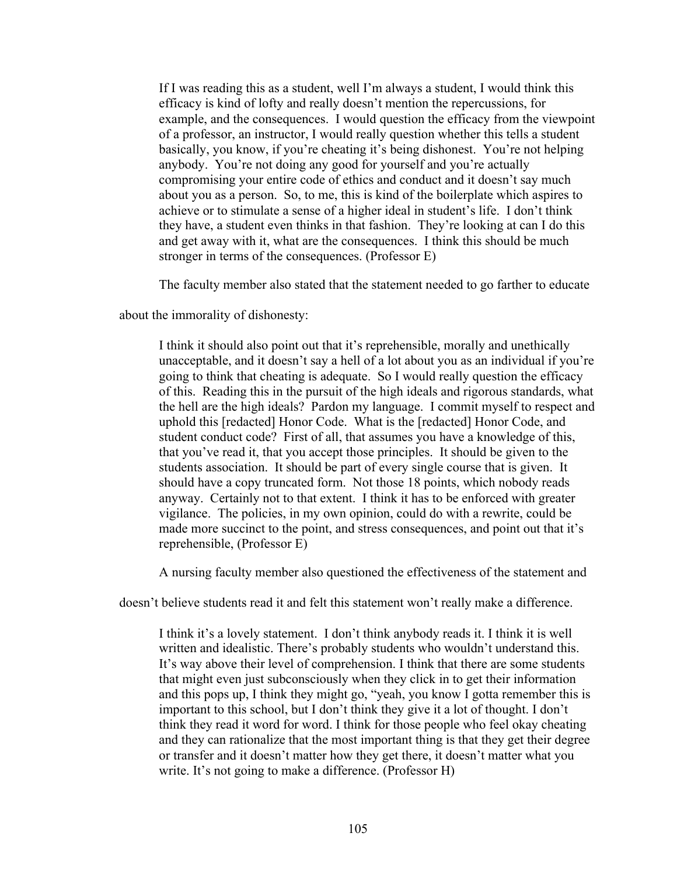If I was reading this as a student, well I'm always a student, I would think this efficacy is kind of lofty and really doesn't mention the repercussions, for example, and the consequences. I would question the efficacy from the viewpoint of a professor, an instructor, I would really question whether this tells a student basically, you know, if you're cheating it's being dishonest. You're not helping anybody. You're not doing any good for yourself and you're actually compromising your entire code of ethics and conduct and it doesn't say much about you as a person. So, to me, this is kind of the boilerplate which aspires to achieve or to stimulate a sense of a higher ideal in student's life. I don't think they have, a student even thinks in that fashion. They're looking at can I do this and get away with it, what are the consequences. I think this should be much stronger in terms of the consequences. (Professor E)

The faculty member also stated that the statement needed to go farther to educate

about the immorality of dishonesty:

I think it should also point out that it's reprehensible, morally and unethically unacceptable, and it doesn't say a hell of a lot about you as an individual if you're going to think that cheating is adequate. So I would really question the efficacy of this. Reading this in the pursuit of the high ideals and rigorous standards, what the hell are the high ideals? Pardon my language. I commit myself to respect and uphold this [redacted] Honor Code. What is the [redacted] Honor Code, and student conduct code? First of all, that assumes you have a knowledge of this, that you've read it, that you accept those principles. It should be given to the students association. It should be part of every single course that is given. It should have a copy truncated form. Not those 18 points, which nobody reads anyway. Certainly not to that extent. I think it has to be enforced with greater vigilance. The policies, in my own opinion, could do with a rewrite, could be made more succinct to the point, and stress consequences, and point out that it's reprehensible, (Professor E)

A nursing faculty member also questioned the effectiveness of the statement and

doesn't believe students read it and felt this statement won't really make a difference.

I think it's a lovely statement. I don't think anybody reads it. I think it is well written and idealistic. There's probably students who wouldn't understand this. It's way above their level of comprehension. I think that there are some students that might even just subconsciously when they click in to get their information and this pops up, I think they might go, "yeah, you know I gotta remember this is important to this school, but I don't think they give it a lot of thought. I don't think they read it word for word. I think for those people who feel okay cheating and they can rationalize that the most important thing is that they get their degree or transfer and it doesn't matter how they get there, it doesn't matter what you write. It's not going to make a difference. (Professor H)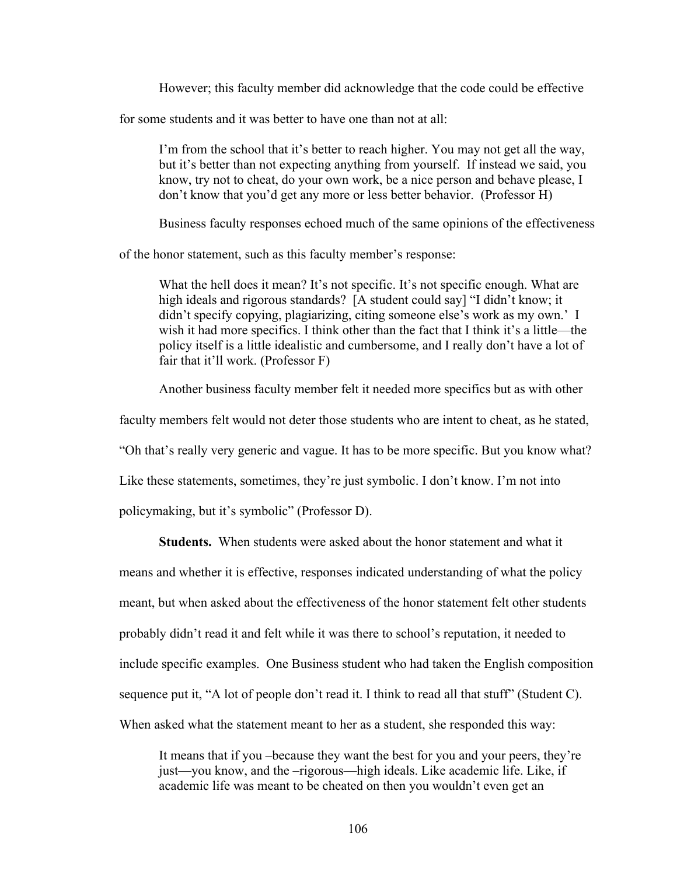However; this faculty member did acknowledge that the code could be effective

for some students and it was better to have one than not at all:

I'm from the school that it's better to reach higher. You may not get all the way, but it's better than not expecting anything from yourself. If instead we said, you know, try not to cheat, do your own work, be a nice person and behave please, I don't know that you'd get any more or less better behavior. (Professor H)

Business faculty responses echoed much of the same opinions of the effectiveness

of the honor statement, such as this faculty member's response:

What the hell does it mean? It's not specific. It's not specific enough. What are high ideals and rigorous standards? [A student could say] "I didn't know; it didn't specify copying, plagiarizing, citing someone else's work as my own.' I wish it had more specifics. I think other than the fact that I think it's a little—the policy itself is a little idealistic and cumbersome, and I really don't have a lot of fair that it'll work. (Professor F)

Another business faculty member felt it needed more specifics but as with other

faculty members felt would not deter those students who are intent to cheat, as he stated,

"Oh that's really very generic and vague. It has to be more specific. But you know what?

Like these statements, sometimes, they're just symbolic. I don't know. I'm not into

policymaking, but it's symbolic" (Professor D).

**Students.** When students were asked about the honor statement and what it

means and whether it is effective, responses indicated understanding of what the policy

meant, but when asked about the effectiveness of the honor statement felt other students

probably didn't read it and felt while it was there to school's reputation, it needed to

include specific examples. One Business student who had taken the English composition

sequence put it, "A lot of people don't read it. I think to read all that stuff" (Student C).

When asked what the statement meant to her as a student, she responded this way:

It means that if you –because they want the best for you and your peers, they're just—you know, and the –rigorous—high ideals. Like academic life. Like, if academic life was meant to be cheated on then you wouldn't even get an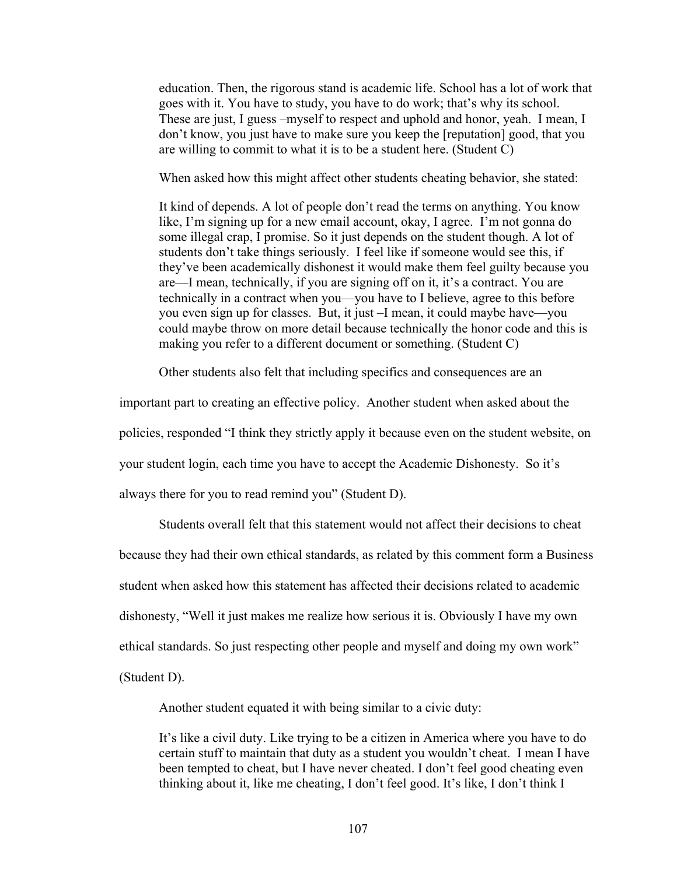education. Then, the rigorous stand is academic life. School has a lot of work that goes with it. You have to study, you have to do work; that's why its school. These are just, I guess –myself to respect and uphold and honor, yeah. I mean, I don't know, you just have to make sure you keep the [reputation] good, that you are willing to commit to what it is to be a student here. (Student C)

When asked how this might affect other students cheating behavior, she stated:

It kind of depends. A lot of people don't read the terms on anything. You know like, I'm signing up for a new email account, okay, I agree. I'm not gonna do some illegal crap, I promise. So it just depends on the student though. A lot of students don't take things seriously. I feel like if someone would see this, if they've been academically dishonest it would make them feel guilty because you are—I mean, technically, if you are signing off on it, it's a contract. You are technically in a contract when you—you have to I believe, agree to this before you even sign up for classes. But, it just –I mean, it could maybe have—you could maybe throw on more detail because technically the honor code and this is making you refer to a different document or something. (Student C)

Other students also felt that including specifics and consequences are an

important part to creating an effective policy. Another student when asked about the policies, responded "I think they strictly apply it because even on the student website, on your student login, each time you have to accept the Academic Dishonesty. So it's always there for you to read remind you" (Student D).

Students overall felt that this statement would not affect their decisions to cheat because they had their own ethical standards, as related by this comment form a Business student when asked how this statement has affected their decisions related to academic dishonesty, "Well it just makes me realize how serious it is. Obviously I have my own ethical standards. So just respecting other people and myself and doing my own work" (Student D).

Another student equated it with being similar to a civic duty:

It's like a civil duty. Like trying to be a citizen in America where you have to do certain stuff to maintain that duty as a student you wouldn't cheat. I mean I have been tempted to cheat, but I have never cheated. I don't feel good cheating even thinking about it, like me cheating, I don't feel good. It's like, I don't think I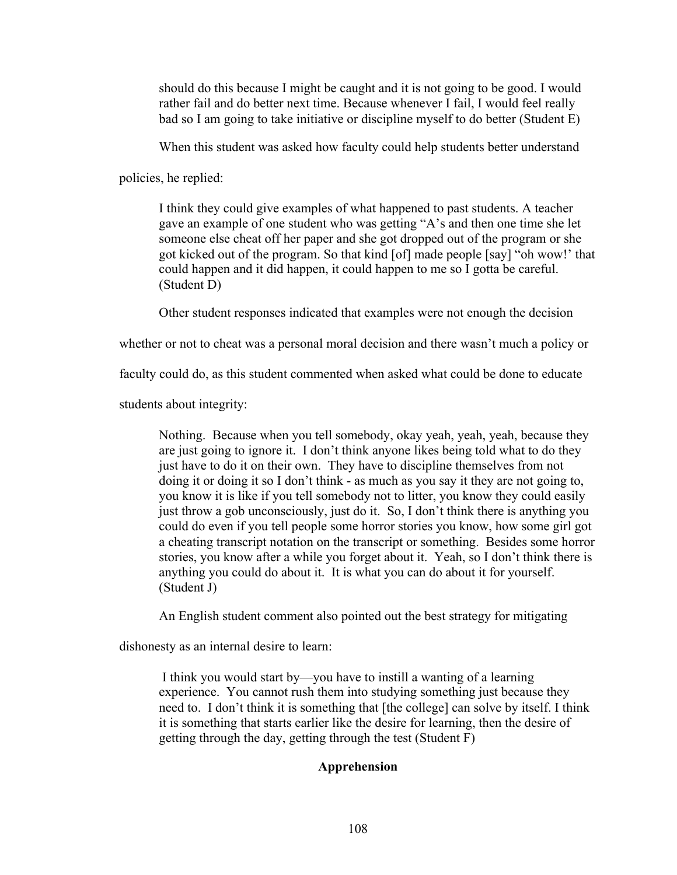should do this because I might be caught and it is not going to be good. I would rather fail and do better next time. Because whenever I fail, I would feel really bad so I am going to take initiative or discipline myself to do better (Student E)

When this student was asked how faculty could help students better understand

policies, he replied:

I think they could give examples of what happened to past students. A teacher gave an example of one student who was getting "A's and then one time she let someone else cheat off her paper and she got dropped out of the program or she got kicked out of the program. So that kind [of] made people [say] "oh wow!' that could happen and it did happen, it could happen to me so I gotta be careful. (Student D)

Other student responses indicated that examples were not enough the decision

whether or not to cheat was a personal moral decision and there wasn't much a policy or

faculty could do, as this student commented when asked what could be done to educate

students about integrity:

Nothing. Because when you tell somebody, okay yeah, yeah, yeah, because they are just going to ignore it. I don't think anyone likes being told what to do they just have to do it on their own. They have to discipline themselves from not doing it or doing it so I don't think - as much as you say it they are not going to, you know it is like if you tell somebody not to litter, you know they could easily just throw a gob unconsciously, just do it. So, I don't think there is anything you could do even if you tell people some horror stories you know, how some girl got a cheating transcript notation on the transcript or something. Besides some horror stories, you know after a while you forget about it. Yeah, so I don't think there is anything you could do about it. It is what you can do about it for yourself. (Student J)

An English student comment also pointed out the best strategy for mitigating

dishonesty as an internal desire to learn:

I think you would start by—you have to instill a wanting of a learning experience. You cannot rush them into studying something just because they need to. I don't think it is something that [the college] can solve by itself. I think it is something that starts earlier like the desire for learning, then the desire of getting through the day, getting through the test (Student F)

# **Apprehension**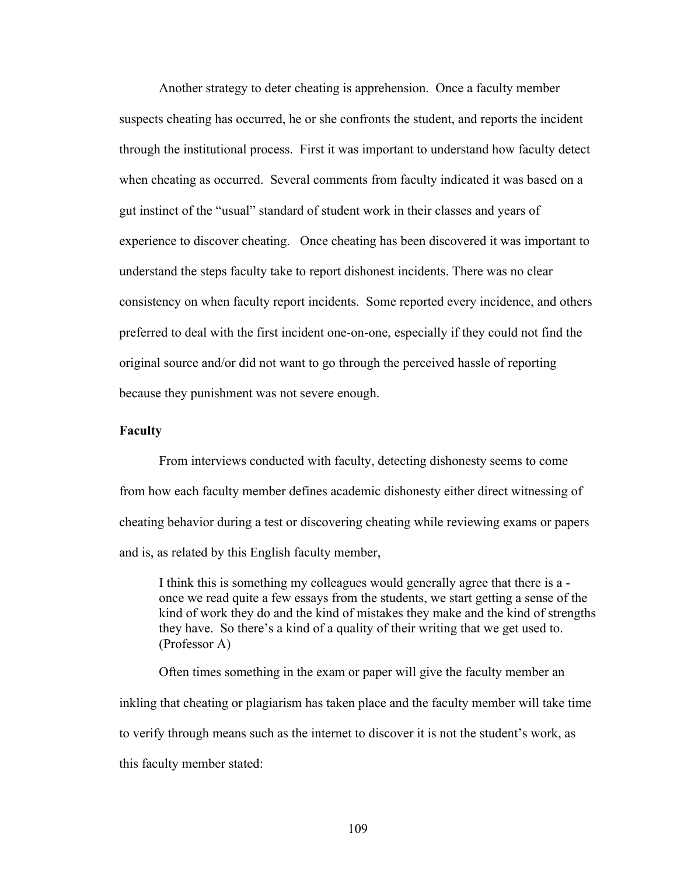Another strategy to deter cheating is apprehension. Once a faculty member suspects cheating has occurred, he or she confronts the student, and reports the incident through the institutional process. First it was important to understand how faculty detect when cheating as occurred. Several comments from faculty indicated it was based on a gut instinct of the "usual" standard of student work in their classes and years of experience to discover cheating. Once cheating has been discovered it was important to understand the steps faculty take to report dishonest incidents. There was no clear consistency on when faculty report incidents. Some reported every incidence, and others preferred to deal with the first incident one-on-one, especially if they could not find the original source and/or did not want to go through the perceived hassle of reporting because they punishment was not severe enough.

## **Faculty**

From interviews conducted with faculty, detecting dishonesty seems to come from how each faculty member defines academic dishonesty either direct witnessing of cheating behavior during a test or discovering cheating while reviewing exams or papers and is, as related by this English faculty member,

I think this is something my colleagues would generally agree that there is a once we read quite a few essays from the students, we start getting a sense of the kind of work they do and the kind of mistakes they make and the kind of strengths they have. So there's a kind of a quality of their writing that we get used to. (Professor A)

Often times something in the exam or paper will give the faculty member an inkling that cheating or plagiarism has taken place and the faculty member will take time to verify through means such as the internet to discover it is not the student's work, as this faculty member stated: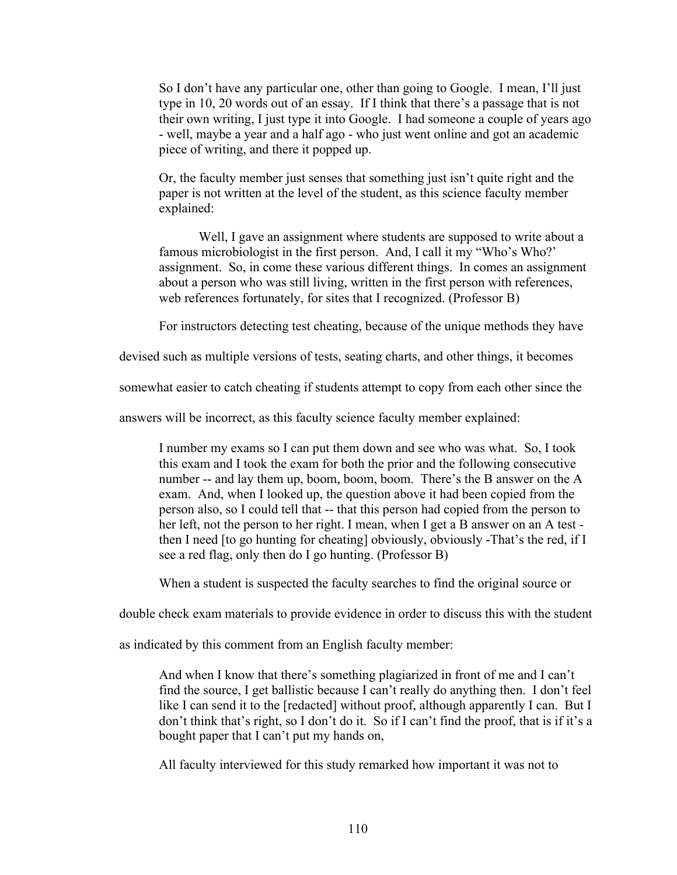So I don't have any particular one, other than going to Google. I mean, I'll just type in 10, 20 words out of an essay. If I think that there's a passage that is not their own writing, I just type it into Google. I had someone a couple of years ago - well, maybe a year and a half ago - who just went online and got an academic piece of writing, and there it popped up.

Or, the faculty member just senses that something just isn't quite right and the paper is not written at the level of the student, as this science faculty member explained:

Well, I gave an assignment where students are supposed to write about a famous microbiologist in the first person. And, I call it my "Who's Who?' assignment. So, in come these various different things. In comes an assignment about a person who was still living, written in the first person with references, web references fortunately, for sites that I recognized. (Professor B)

For instructors detecting test cheating, because of the unique methods they have

devised such as multiple versions of tests, seating charts, and other things, it becomes

somewhat easier to catch cheating if students attempt to copy from each other since the

answers will be incorrect, as this faculty science faculty member explained:

I number my exams so I can put them down and see who was what. So, I took this exam and I took the exam for both the prior and the following consecutive number -- and lay them up, boom, boom, boom. There's the B answer on the A exam. And, when I looked up, the question above it had been copied from the person also, so I could tell that -- that this person had copied from the person to her left, not the person to her right. I mean, when I get a B answer on an A test then I need [to go hunting for cheating] obviously, obviously -That's the red, if I see a red flag, only then do I go hunting. (Professor B)

When a student is suspected the faculty searches to find the original source or

double check exam materials to provide evidence in order to discuss this with the student

as indicated by this comment from an English faculty member:

And when I know that there's something plagiarized in front of me and I can't find the source, I get ballistic because I can't really do anything then. I don't feel like I can send it to the [redacted] without proof, although apparently I can. But I don't think that's right, so I don't do it. So if I can't find the proof, that is if it's a bought paper that I can't put my hands on,

All faculty interviewed for this study remarked how important it was not to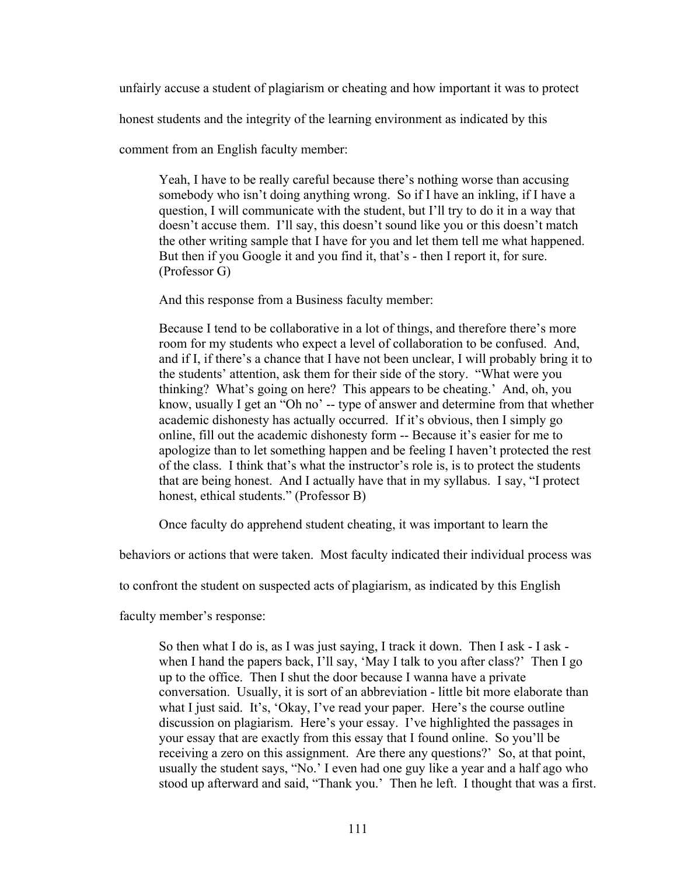unfairly accuse a student of plagiarism or cheating and how important it was to protect

honest students and the integrity of the learning environment as indicated by this

comment from an English faculty member:

Yeah, I have to be really careful because there's nothing worse than accusing somebody who isn't doing anything wrong. So if I have an inkling, if I have a question, I will communicate with the student, but I'll try to do it in a way that doesn't accuse them. I'll say, this doesn't sound like you or this doesn't match the other writing sample that I have for you and let them tell me what happened. But then if you Google it and you find it, that's - then I report it, for sure. (Professor G)

And this response from a Business faculty member:

Because I tend to be collaborative in a lot of things, and therefore there's more room for my students who expect a level of collaboration to be confused. And, and if I, if there's a chance that I have not been unclear, I will probably bring it to the students' attention, ask them for their side of the story. "What were you thinking? What's going on here? This appears to be cheating.' And, oh, you know, usually I get an "Oh no' -- type of answer and determine from that whether academic dishonesty has actually occurred. If it's obvious, then I simply go online, fill out the academic dishonesty form -- Because it's easier for me to apologize than to let something happen and be feeling I haven't protected the rest of the class. I think that's what the instructor's role is, is to protect the students that are being honest. And I actually have that in my syllabus. I say, "I protect honest, ethical students." (Professor B)

Once faculty do apprehend student cheating, it was important to learn the

behaviors or actions that were taken. Most faculty indicated their individual process was

to confront the student on suspected acts of plagiarism, as indicated by this English

faculty member's response:

So then what I do is, as I was just saying, I track it down. Then I ask - I ask when I hand the papers back, I'll say, 'May I talk to you after class?' Then I go up to the office. Then I shut the door because I wanna have a private conversation. Usually, it is sort of an abbreviation - little bit more elaborate than what I just said. It's, 'Okay, I've read your paper. Here's the course outline discussion on plagiarism. Here's your essay. I've highlighted the passages in your essay that are exactly from this essay that I found online. So you'll be receiving a zero on this assignment. Are there any questions?' So, at that point, usually the student says, "No.' I even had one guy like a year and a half ago who stood up afterward and said, "Thank you.' Then he left. I thought that was a first.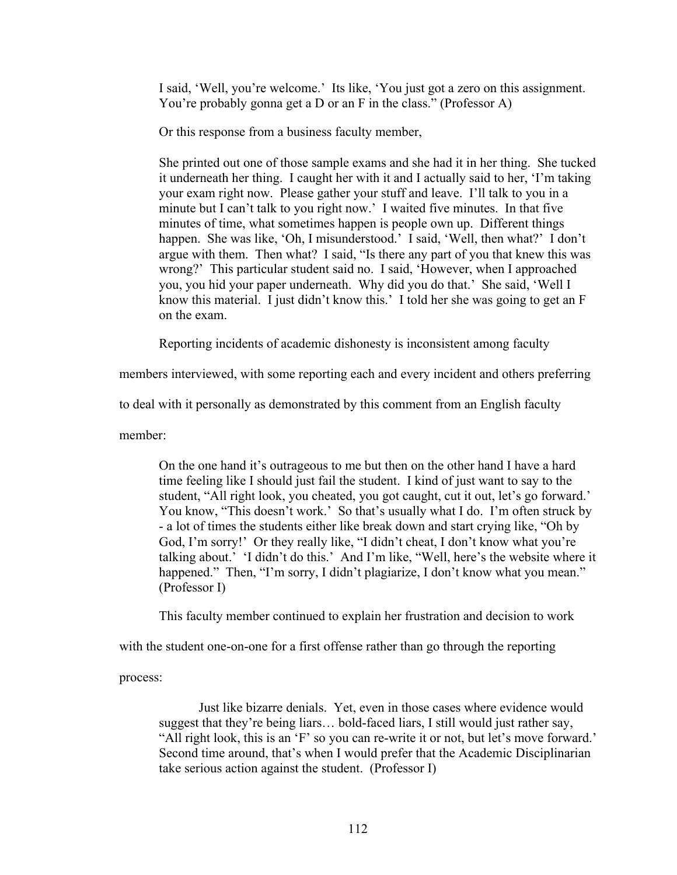I said, 'Well, you're welcome.' Its like, 'You just got a zero on this assignment. You're probably gonna get a D or an F in the class." (Professor A)

Or this response from a business faculty member,

She printed out one of those sample exams and she had it in her thing. She tucked it underneath her thing. I caught her with it and I actually said to her, 'I'm taking your exam right now. Please gather your stuff and leave. I'll talk to you in a minute but I can't talk to you right now.' I waited five minutes. In that five minutes of time, what sometimes happen is people own up. Different things happen. She was like, 'Oh, I misunderstood.' I said, 'Well, then what?' I don't argue with them. Then what? I said, "Is there any part of you that knew this was wrong?' This particular student said no. I said, 'However, when I approached you, you hid your paper underneath. Why did you do that.' She said, 'Well I know this material. I just didn't know this.' I told her she was going to get an F on the exam.

Reporting incidents of academic dishonesty is inconsistent among faculty

members interviewed, with some reporting each and every incident and others preferring

to deal with it personally as demonstrated by this comment from an English faculty

member:

On the one hand it's outrageous to me but then on the other hand I have a hard time feeling like I should just fail the student. I kind of just want to say to the student, "All right look, you cheated, you got caught, cut it out, let's go forward.' You know, "This doesn't work.' So that's usually what I do. I'm often struck by - a lot of times the students either like break down and start crying like, "Oh by God, I'm sorry!' Or they really like, "I didn't cheat, I don't know what you're talking about.' 'I didn't do this.' And I'm like, "Well, here's the website where it happened." Then, "I'm sorry, I didn't plagiarize, I don't know what you mean." (Professor I)

This faculty member continued to explain her frustration and decision to work

with the student one-on-one for a first offense rather than go through the reporting

process:

Just like bizarre denials. Yet, even in those cases where evidence would suggest that they're being liars… bold-faced liars, I still would just rather say, "All right look, this is an 'F' so you can re-write it or not, but let's move forward.' Second time around, that's when I would prefer that the Academic Disciplinarian take serious action against the student. (Professor I)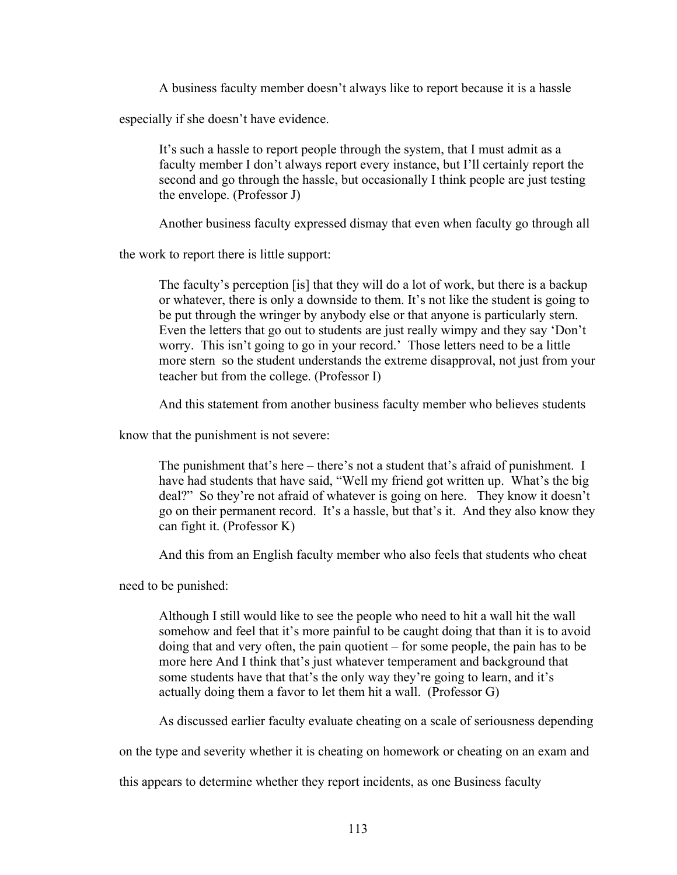A business faculty member doesn't always like to report because it is a hassle

especially if she doesn't have evidence.

It's such a hassle to report people through the system, that I must admit as a faculty member I don't always report every instance, but I'll certainly report the second and go through the hassle, but occasionally I think people are just testing the envelope. (Professor J)

Another business faculty expressed dismay that even when faculty go through all

the work to report there is little support:

The faculty's perception [is] that they will do a lot of work, but there is a backup or whatever, there is only a downside to them. It's not like the student is going to be put through the wringer by anybody else or that anyone is particularly stern. Even the letters that go out to students are just really wimpy and they say 'Don't worry. This isn't going to go in your record.' Those letters need to be a little more stern so the student understands the extreme disapproval, not just from your teacher but from the college. (Professor I)

And this statement from another business faculty member who believes students

know that the punishment is not severe:

The punishment that's here – there's not a student that's afraid of punishment. I have had students that have said, "Well my friend got written up. What's the big deal?" So they're not afraid of whatever is going on here. They know it doesn't go on their permanent record. It's a hassle, but that's it. And they also know they can fight it. (Professor K)

And this from an English faculty member who also feels that students who cheat

need to be punished:

Although I still would like to see the people who need to hit a wall hit the wall somehow and feel that it's more painful to be caught doing that than it is to avoid doing that and very often, the pain quotient – for some people, the pain has to be more here And I think that's just whatever temperament and background that some students have that that's the only way they're going to learn, and it's actually doing them a favor to let them hit a wall. (Professor G)

As discussed earlier faculty evaluate cheating on a scale of seriousness depending

on the type and severity whether it is cheating on homework or cheating on an exam and

this appears to determine whether they report incidents, as one Business faculty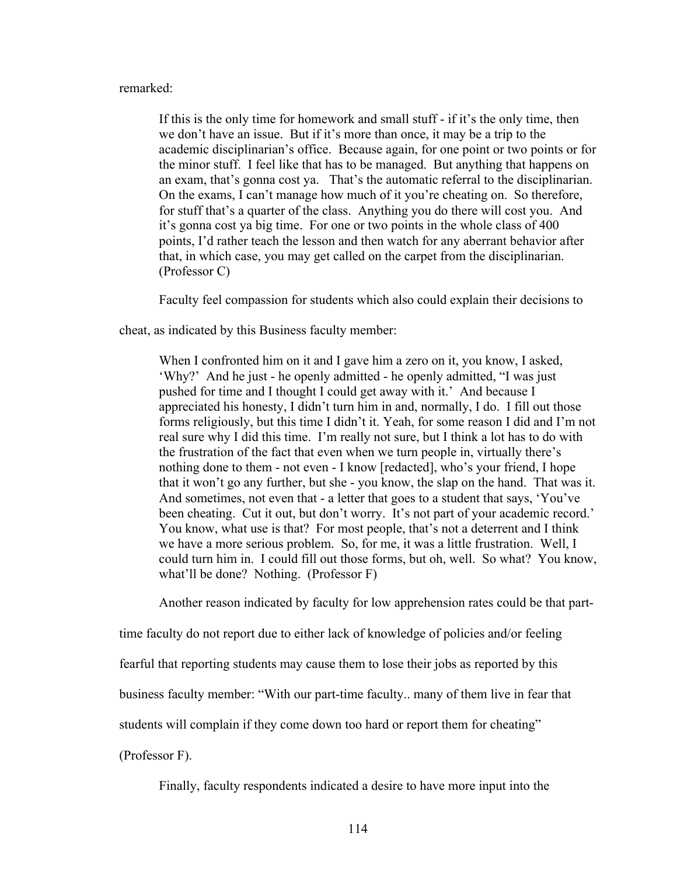## remarked:

If this is the only time for homework and small stuff - if it's the only time, then we don't have an issue. But if it's more than once, it may be a trip to the academic disciplinarian's office. Because again, for one point or two points or for the minor stuff. I feel like that has to be managed. But anything that happens on an exam, that's gonna cost ya. That's the automatic referral to the disciplinarian. On the exams, I can't manage how much of it you're cheating on. So therefore, for stuff that's a quarter of the class. Anything you do there will cost you. And it's gonna cost ya big time. For one or two points in the whole class of 400 points, I'd rather teach the lesson and then watch for any aberrant behavior after that, in which case, you may get called on the carpet from the disciplinarian. (Professor C)

Faculty feel compassion for students which also could explain their decisions to

cheat, as indicated by this Business faculty member:

When I confronted him on it and I gave him a zero on it, you know, I asked, 'Why?' And he just - he openly admitted - he openly admitted, "I was just pushed for time and I thought I could get away with it.' And because I appreciated his honesty, I didn't turn him in and, normally, I do. I fill out those forms religiously, but this time I didn't it. Yeah, for some reason I did and I'm not real sure why I did this time. I'm really not sure, but I think a lot has to do with the frustration of the fact that even when we turn people in, virtually there's nothing done to them - not even - I know [redacted], who's your friend, I hope that it won't go any further, but she - you know, the slap on the hand. That was it. And sometimes, not even that - a letter that goes to a student that says, 'You've been cheating. Cut it out, but don't worry. It's not part of your academic record.' You know, what use is that? For most people, that's not a deterrent and I think we have a more serious problem. So, for me, it was a little frustration. Well, I could turn him in. I could fill out those forms, but oh, well. So what? You know, what'll be done? Nothing. (Professor F)

Another reason indicated by faculty for low apprehension rates could be that part-

time faculty do not report due to either lack of knowledge of policies and/or feeling

fearful that reporting students may cause them to lose their jobs as reported by this

business faculty member: "With our part-time faculty.. many of them live in fear that

students will complain if they come down too hard or report them for cheating"

(Professor F).

Finally, faculty respondents indicated a desire to have more input into the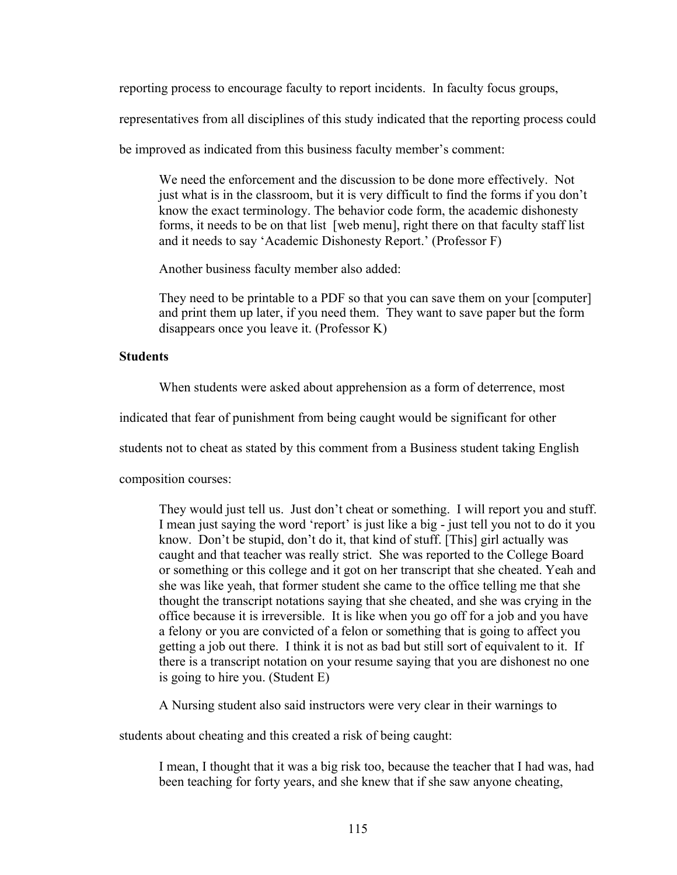reporting process to encourage faculty to report incidents. In faculty focus groups,

representatives from all disciplines of this study indicated that the reporting process could

be improved as indicated from this business faculty member's comment:

We need the enforcement and the discussion to be done more effectively. Not just what is in the classroom, but it is very difficult to find the forms if you don't know the exact terminology. The behavior code form, the academic dishonesty forms, it needs to be on that list [web menu], right there on that faculty staff list and it needs to say 'Academic Dishonesty Report.' (Professor F)

Another business faculty member also added:

They need to be printable to a PDF so that you can save them on your [computer] and print them up later, if you need them. They want to save paper but the form disappears once you leave it. (Professor K)

## **Students**

When students were asked about apprehension as a form of deterrence, most

indicated that fear of punishment from being caught would be significant for other

students not to cheat as stated by this comment from a Business student taking English

composition courses:

They would just tell us. Just don't cheat or something. I will report you and stuff. I mean just saying the word 'report' is just like a big - just tell you not to do it you know. Don't be stupid, don't do it, that kind of stuff. [This] girl actually was caught and that teacher was really strict. She was reported to the College Board or something or this college and it got on her transcript that she cheated. Yeah and she was like yeah, that former student she came to the office telling me that she thought the transcript notations saying that she cheated, and she was crying in the office because it is irreversible. It is like when you go off for a job and you have a felony or you are convicted of a felon or something that is going to affect you getting a job out there. I think it is not as bad but still sort of equivalent to it. If there is a transcript notation on your resume saying that you are dishonest no one is going to hire you. (Student E)

A Nursing student also said instructors were very clear in their warnings to

students about cheating and this created a risk of being caught:

I mean, I thought that it was a big risk too, because the teacher that I had was, had been teaching for forty years, and she knew that if she saw anyone cheating,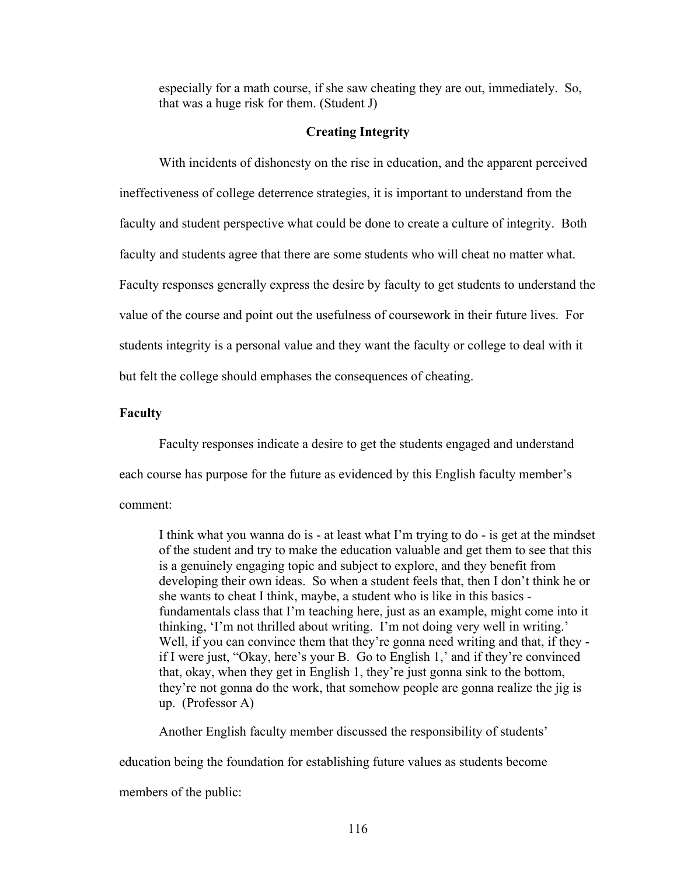especially for a math course, if she saw cheating they are out, immediately. So, that was a huge risk for them. (Student J)

## **Creating Integrity**

With incidents of dishonesty on the rise in education, and the apparent perceived ineffectiveness of college deterrence strategies, it is important to understand from the faculty and student perspective what could be done to create a culture of integrity. Both faculty and students agree that there are some students who will cheat no matter what. Faculty responses generally express the desire by faculty to get students to understand the value of the course and point out the usefulness of coursework in their future lives. For students integrity is a personal value and they want the faculty or college to deal with it but felt the college should emphases the consequences of cheating.

## **Faculty**

Faculty responses indicate a desire to get the students engaged and understand each course has purpose for the future as evidenced by this English faculty member's comment:

I think what you wanna do is - at least what I'm trying to do - is get at the mindset of the student and try to make the education valuable and get them to see that this is a genuinely engaging topic and subject to explore, and they benefit from developing their own ideas. So when a student feels that, then I don't think he or she wants to cheat I think, maybe, a student who is like in this basics fundamentals class that I'm teaching here, just as an example, might come into it thinking, 'I'm not thrilled about writing. I'm not doing very well in writing.' Well, if you can convince them that they're gonna need writing and that, if they if I were just, "Okay, here's your B. Go to English 1,' and if they're convinced that, okay, when they get in English 1, they're just gonna sink to the bottom, they're not gonna do the work, that somehow people are gonna realize the jig is up. (Professor A)

Another English faculty member discussed the responsibility of students'

education being the foundation for establishing future values as students become

members of the public: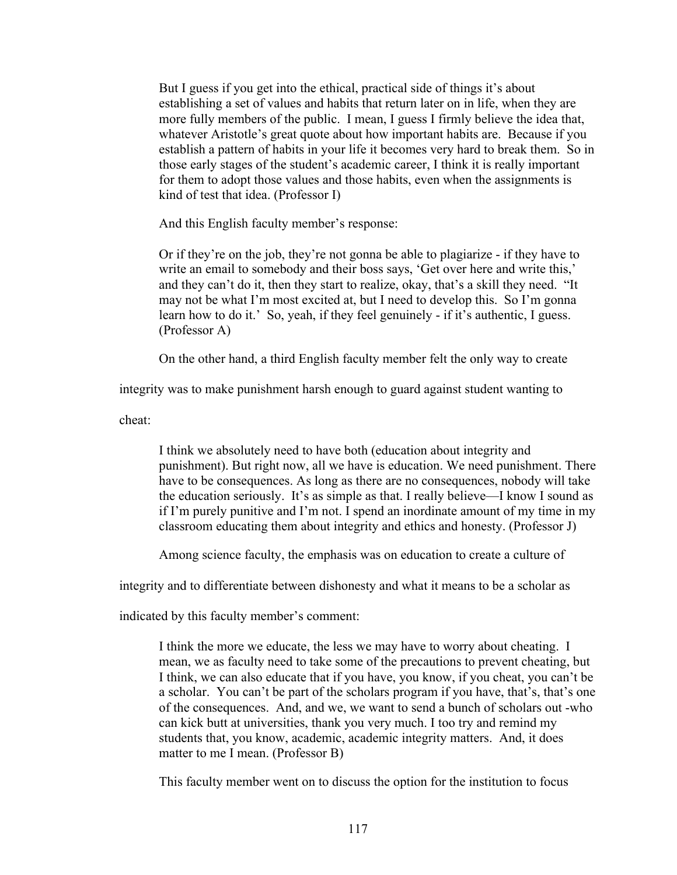But I guess if you get into the ethical, practical side of things it's about establishing a set of values and habits that return later on in life, when they are more fully members of the public. I mean, I guess I firmly believe the idea that, whatever Aristotle's great quote about how important habits are. Because if you establish a pattern of habits in your life it becomes very hard to break them. So in those early stages of the student's academic career, I think it is really important for them to adopt those values and those habits, even when the assignments is kind of test that idea. (Professor I)

And this English faculty member's response:

Or if they're on the job, they're not gonna be able to plagiarize - if they have to write an email to somebody and their boss says, 'Get over here and write this,' and they can't do it, then they start to realize, okay, that's a skill they need. "It may not be what I'm most excited at, but I need to develop this. So I'm gonna learn how to do it.' So, yeah, if they feel genuinely - if it's authentic, I guess. (Professor A)

On the other hand, a third English faculty member felt the only way to create

integrity was to make punishment harsh enough to guard against student wanting to

cheat:

I think we absolutely need to have both (education about integrity and punishment). But right now, all we have is education. We need punishment. There have to be consequences. As long as there are no consequences, nobody will take the education seriously. It's as simple as that. I really believe—I know I sound as if I'm purely punitive and I'm not. I spend an inordinate amount of my time in my classroom educating them about integrity and ethics and honesty. (Professor J)

Among science faculty, the emphasis was on education to create a culture of

integrity and to differentiate between dishonesty and what it means to be a scholar as

indicated by this faculty member's comment:

I think the more we educate, the less we may have to worry about cheating. I mean, we as faculty need to take some of the precautions to prevent cheating, but I think, we can also educate that if you have, you know, if you cheat, you can't be a scholar. You can't be part of the scholars program if you have, that's, that's one of the consequences. And, and we, we want to send a bunch of scholars out -who can kick butt at universities, thank you very much. I too try and remind my students that, you know, academic, academic integrity matters. And, it does matter to me I mean. (Professor B)

This faculty member went on to discuss the option for the institution to focus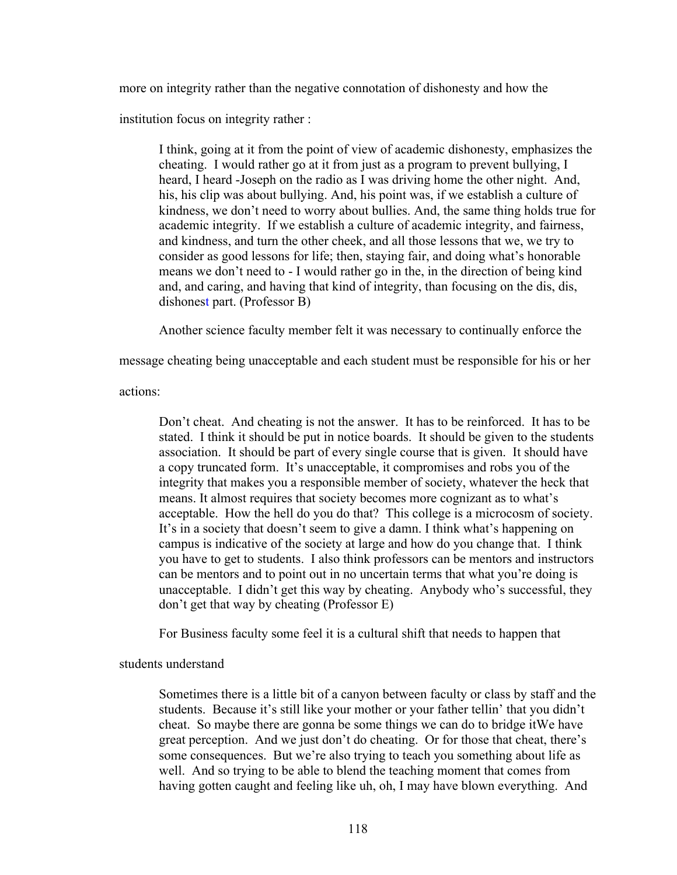more on integrity rather than the negative connotation of dishonesty and how the

institution focus on integrity rather :

I think, going at it from the point of view of academic dishonesty, emphasizes the cheating. I would rather go at it from just as a program to prevent bullying, I heard, I heard -Joseph on the radio as I was driving home the other night. And, his, his clip was about bullying. And, his point was, if we establish a culture of kindness, we don't need to worry about bullies. And, the same thing holds true for academic integrity. If we establish a culture of academic integrity, and fairness, and kindness, and turn the other cheek, and all those lessons that we, we try to consider as good lessons for life; then, staying fair, and doing what's honorable means we don't need to - I would rather go in the, in the direction of being kind and, and caring, and having that kind of integrity, than focusing on the dis, dis, dishonest part. (Professor B)

Another science faculty member felt it was necessary to continually enforce the

message cheating being unacceptable and each student must be responsible for his or her

actions:

Don't cheat. And cheating is not the answer. It has to be reinforced. It has to be stated. I think it should be put in notice boards. It should be given to the students association. It should be part of every single course that is given. It should have a copy truncated form. It's unacceptable, it compromises and robs you of the integrity that makes you a responsible member of society, whatever the heck that means. It almost requires that society becomes more cognizant as to what's acceptable. How the hell do you do that? This college is a microcosm of society. It's in a society that doesn't seem to give a damn. I think what's happening on campus is indicative of the society at large and how do you change that. I think you have to get to students. I also think professors can be mentors and instructors can be mentors and to point out in no uncertain terms that what you're doing is unacceptable. I didn't get this way by cheating. Anybody who's successful, they don't get that way by cheating (Professor E)

For Business faculty some feel it is a cultural shift that needs to happen that

students understand

Sometimes there is a little bit of a canyon between faculty or class by staff and the students. Because it's still like your mother or your father tellin' that you didn't cheat. So maybe there are gonna be some things we can do to bridge itWe have great perception. And we just don't do cheating. Or for those that cheat, there's some consequences. But we're also trying to teach you something about life as well. And so trying to be able to blend the teaching moment that comes from having gotten caught and feeling like uh, oh, I may have blown everything. And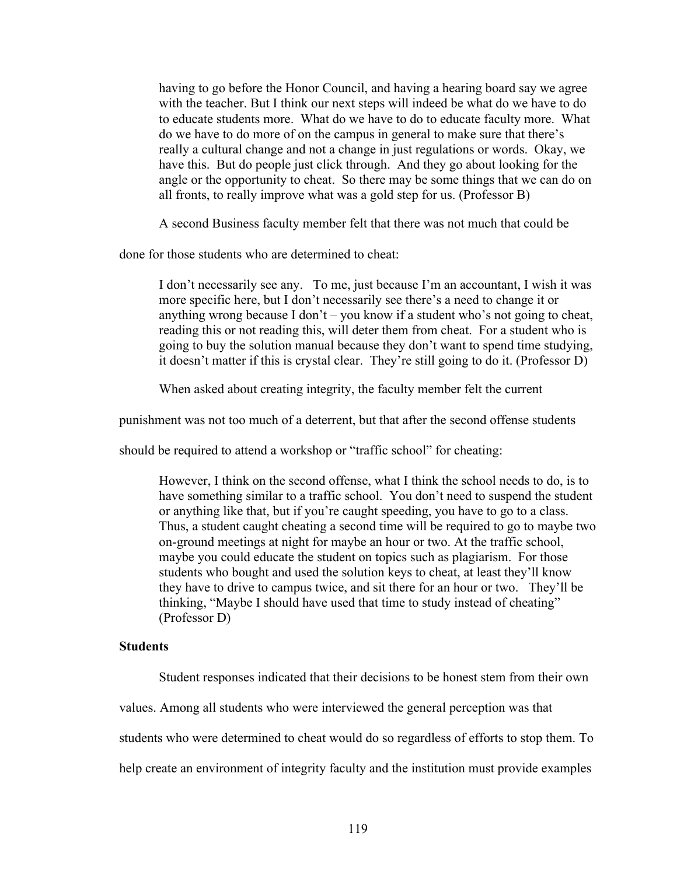having to go before the Honor Council, and having a hearing board say we agree with the teacher. But I think our next steps will indeed be what do we have to do to educate students more. What do we have to do to educate faculty more. What do we have to do more of on the campus in general to make sure that there's really a cultural change and not a change in just regulations or words. Okay, we have this. But do people just click through. And they go about looking for the angle or the opportunity to cheat. So there may be some things that we can do on all fronts, to really improve what was a gold step for us. (Professor B)

A second Business faculty member felt that there was not much that could be

done for those students who are determined to cheat:

I don't necessarily see any. To me, just because I'm an accountant, I wish it was more specific here, but I don't necessarily see there's a need to change it or anything wrong because I don't – you know if a student who's not going to cheat, reading this or not reading this, will deter them from cheat. For a student who is going to buy the solution manual because they don't want to spend time studying, it doesn't matter if this is crystal clear. They're still going to do it. (Professor D)

When asked about creating integrity, the faculty member felt the current

punishment was not too much of a deterrent, but that after the second offense students

should be required to attend a workshop or "traffic school" for cheating:

However, I think on the second offense, what I think the school needs to do, is to have something similar to a traffic school. You don't need to suspend the student or anything like that, but if you're caught speeding, you have to go to a class. Thus, a student caught cheating a second time will be required to go to maybe two on-ground meetings at night for maybe an hour or two. At the traffic school, maybe you could educate the student on topics such as plagiarism. For those students who bought and used the solution keys to cheat, at least they'll know they have to drive to campus twice, and sit there for an hour or two. They'll be thinking, "Maybe I should have used that time to study instead of cheating" (Professor D)

## **Students**

Student responses indicated that their decisions to be honest stem from their own

values. Among all students who were interviewed the general perception was that

students who were determined to cheat would do so regardless of efforts to stop them. To

help create an environment of integrity faculty and the institution must provide examples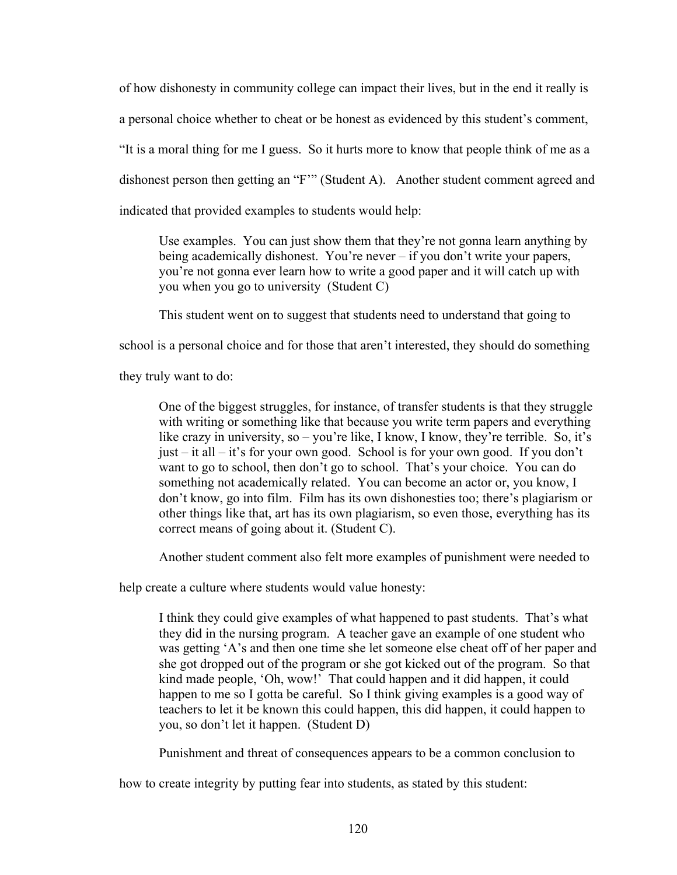of how dishonesty in community college can impact their lives, but in the end it really is a personal choice whether to cheat or be honest as evidenced by this student's comment, "It is a moral thing for me I guess. So it hurts more to know that people think of me as a dishonest person then getting an "F'" (Student A). Another student comment agreed and indicated that provided examples to students would help:

Use examples. You can just show them that they're not gonna learn anything by being academically dishonest. You're never – if you don't write your papers, you're not gonna ever learn how to write a good paper and it will catch up with you when you go to university (Student C)

This student went on to suggest that students need to understand that going to

school is a personal choice and for those that aren't interested, they should do something

they truly want to do:

One of the biggest struggles, for instance, of transfer students is that they struggle with writing or something like that because you write term papers and everything like crazy in university, so – you're like, I know, I know, they're terrible. So, it's just – it all – it's for your own good. School is for your own good. If you don't want to go to school, then don't go to school. That's your choice. You can do something not academically related. You can become an actor or, you know, I don't know, go into film. Film has its own dishonesties too; there's plagiarism or other things like that, art has its own plagiarism, so even those, everything has its correct means of going about it. (Student C).

Another student comment also felt more examples of punishment were needed to

help create a culture where students would value honesty:

I think they could give examples of what happened to past students. That's what they did in the nursing program. A teacher gave an example of one student who was getting 'A's and then one time she let someone else cheat off of her paper and she got dropped out of the program or she got kicked out of the program. So that kind made people, 'Oh, wow!' That could happen and it did happen, it could happen to me so I gotta be careful. So I think giving examples is a good way of teachers to let it be known this could happen, this did happen, it could happen to you, so don't let it happen. (Student D)

Punishment and threat of consequences appears to be a common conclusion to

how to create integrity by putting fear into students, as stated by this student: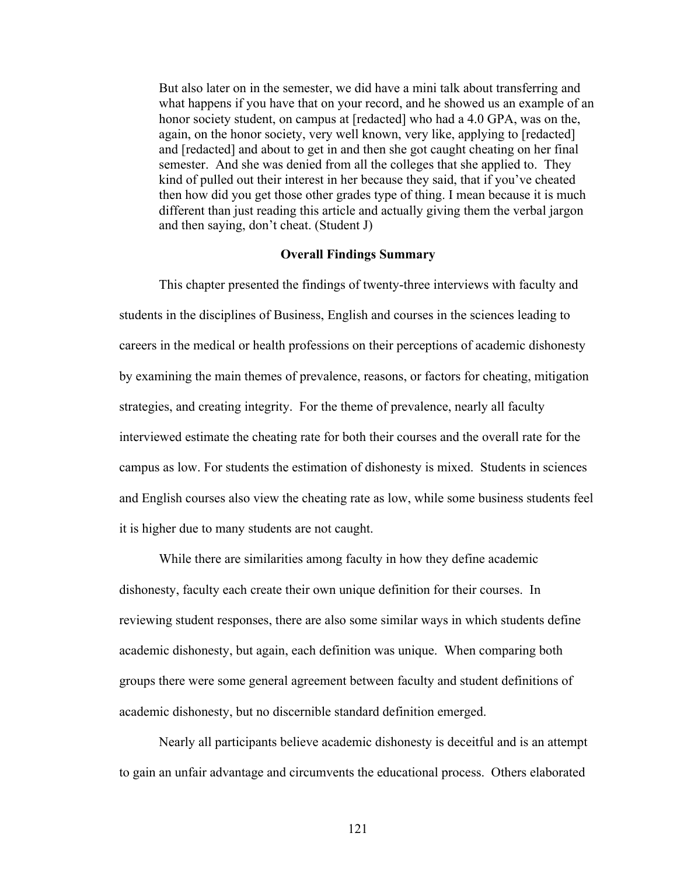But also later on in the semester, we did have a mini talk about transferring and what happens if you have that on your record, and he showed us an example of an honor society student, on campus at [redacted] who had a 4.0 GPA, was on the, again, on the honor society, very well known, very like, applying to [redacted] and [redacted] and about to get in and then she got caught cheating on her final semester. And she was denied from all the colleges that she applied to. They kind of pulled out their interest in her because they said, that if you've cheated then how did you get those other grades type of thing. I mean because it is much different than just reading this article and actually giving them the verbal jargon and then saying, don't cheat. (Student J)

## **Overall Findings Summary**

This chapter presented the findings of twenty-three interviews with faculty and students in the disciplines of Business, English and courses in the sciences leading to careers in the medical or health professions on their perceptions of academic dishonesty by examining the main themes of prevalence, reasons, or factors for cheating, mitigation strategies, and creating integrity. For the theme of prevalence, nearly all faculty interviewed estimate the cheating rate for both their courses and the overall rate for the campus as low. For students the estimation of dishonesty is mixed. Students in sciences and English courses also view the cheating rate as low, while some business students feel it is higher due to many students are not caught.

While there are similarities among faculty in how they define academic dishonesty, faculty each create their own unique definition for their courses. In reviewing student responses, there are also some similar ways in which students define academic dishonesty, but again, each definition was unique. When comparing both groups there were some general agreement between faculty and student definitions of academic dishonesty, but no discernible standard definition emerged.

Nearly all participants believe academic dishonesty is deceitful and is an attempt to gain an unfair advantage and circumvents the educational process. Others elaborated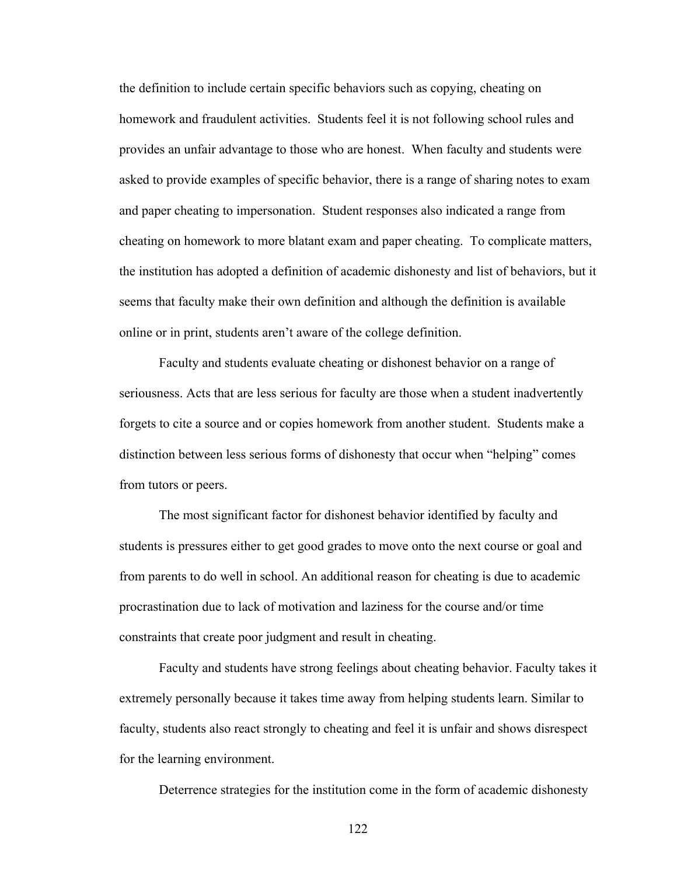the definition to include certain specific behaviors such as copying, cheating on homework and fraudulent activities. Students feel it is not following school rules and provides an unfair advantage to those who are honest. When faculty and students were asked to provide examples of specific behavior, there is a range of sharing notes to exam and paper cheating to impersonation. Student responses also indicated a range from cheating on homework to more blatant exam and paper cheating. To complicate matters, the institution has adopted a definition of academic dishonesty and list of behaviors, but it seems that faculty make their own definition and although the definition is available online or in print, students aren't aware of the college definition.

Faculty and students evaluate cheating or dishonest behavior on a range of seriousness. Acts that are less serious for faculty are those when a student inadvertently forgets to cite a source and or copies homework from another student. Students make a distinction between less serious forms of dishonesty that occur when "helping" comes from tutors or peers.

The most significant factor for dishonest behavior identified by faculty and students is pressures either to get good grades to move onto the next course or goal and from parents to do well in school. An additional reason for cheating is due to academic procrastination due to lack of motivation and laziness for the course and/or time constraints that create poor judgment and result in cheating.

Faculty and students have strong feelings about cheating behavior. Faculty takes it extremely personally because it takes time away from helping students learn. Similar to faculty, students also react strongly to cheating and feel it is unfair and shows disrespect for the learning environment.

Deterrence strategies for the institution come in the form of academic dishonesty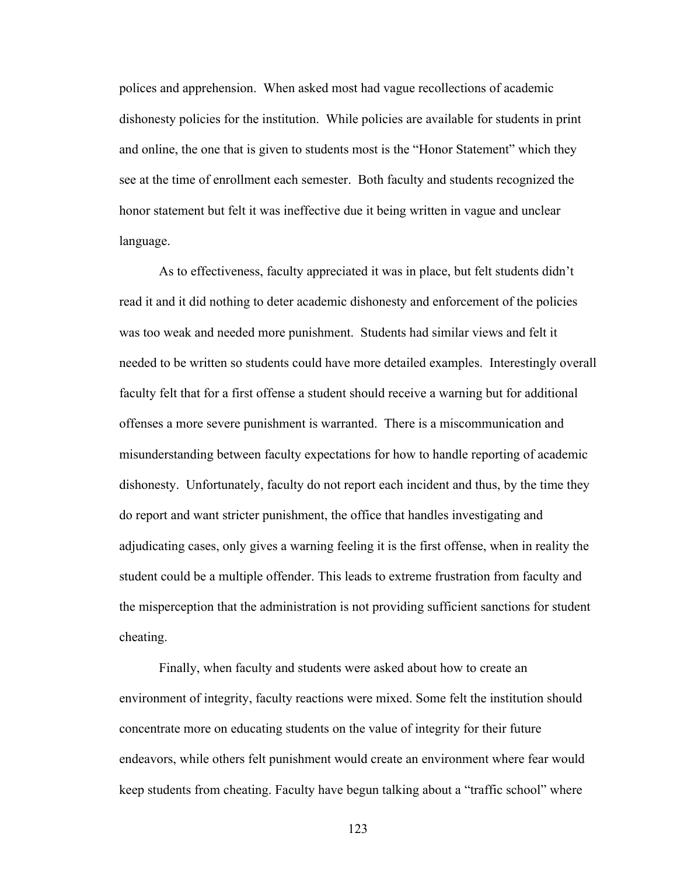polices and apprehension. When asked most had vague recollections of academic dishonesty policies for the institution. While policies are available for students in print and online, the one that is given to students most is the "Honor Statement" which they see at the time of enrollment each semester. Both faculty and students recognized the honor statement but felt it was ineffective due it being written in vague and unclear language.

As to effectiveness, faculty appreciated it was in place, but felt students didn't read it and it did nothing to deter academic dishonesty and enforcement of the policies was too weak and needed more punishment. Students had similar views and felt it needed to be written so students could have more detailed examples. Interestingly overall faculty felt that for a first offense a student should receive a warning but for additional offenses a more severe punishment is warranted. There is a miscommunication and misunderstanding between faculty expectations for how to handle reporting of academic dishonesty. Unfortunately, faculty do not report each incident and thus, by the time they do report and want stricter punishment, the office that handles investigating and adjudicating cases, only gives a warning feeling it is the first offense, when in reality the student could be a multiple offender. This leads to extreme frustration from faculty and the misperception that the administration is not providing sufficient sanctions for student cheating.

Finally, when faculty and students were asked about how to create an environment of integrity, faculty reactions were mixed. Some felt the institution should concentrate more on educating students on the value of integrity for their future endeavors, while others felt punishment would create an environment where fear would keep students from cheating. Faculty have begun talking about a "traffic school" where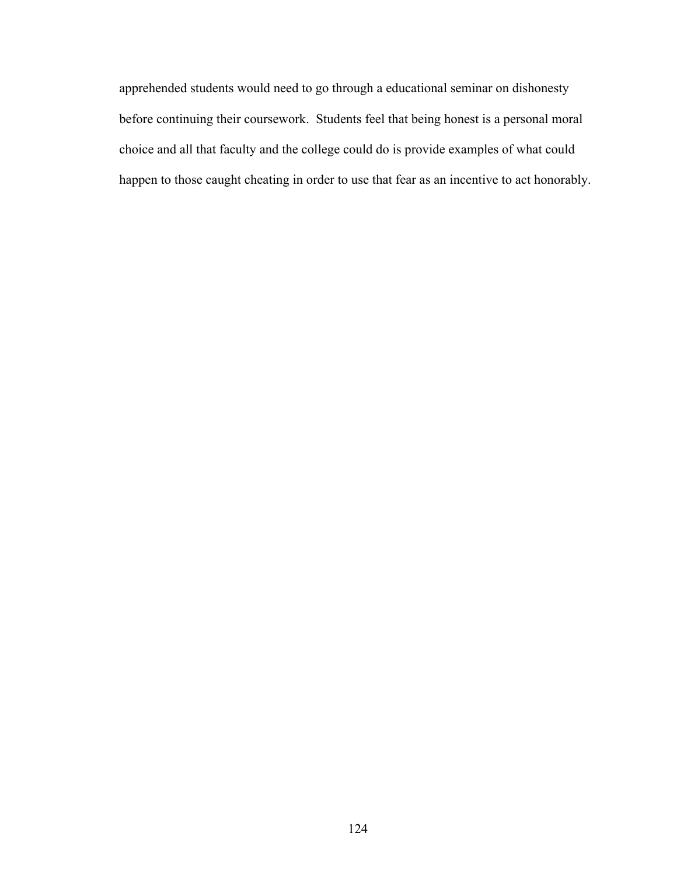apprehended students would need to go through a educational seminar on dishonesty before continuing their coursework. Students feel that being honest is a personal moral choice and all that faculty and the college could do is provide examples of what could happen to those caught cheating in order to use that fear as an incentive to act honorably.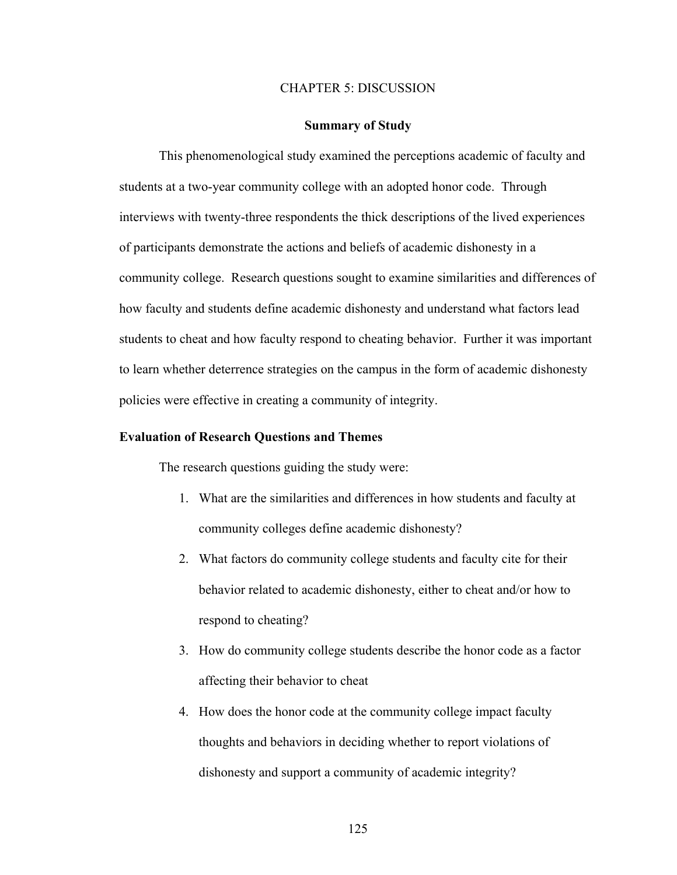#### CHAPTER 5: DISCUSSION

#### **Summary of Study**

This phenomenological study examined the perceptions academic of faculty and students at a two-year community college with an adopted honor code. Through interviews with twenty-three respondents the thick descriptions of the lived experiences of participants demonstrate the actions and beliefs of academic dishonesty in a community college. Research questions sought to examine similarities and differences of how faculty and students define academic dishonesty and understand what factors lead students to cheat and how faculty respond to cheating behavior. Further it was important to learn whether deterrence strategies on the campus in the form of academic dishonesty policies were effective in creating a community of integrity.

## **Evaluation of Research Questions and Themes**

The research questions guiding the study were:

- 1. What are the similarities and differences in how students and faculty at community colleges define academic dishonesty?
- 2. What factors do community college students and faculty cite for their behavior related to academic dishonesty, either to cheat and/or how to respond to cheating?
- 3. How do community college students describe the honor code as a factor affecting their behavior to cheat
- 4. How does the honor code at the community college impact faculty thoughts and behaviors in deciding whether to report violations of dishonesty and support a community of academic integrity?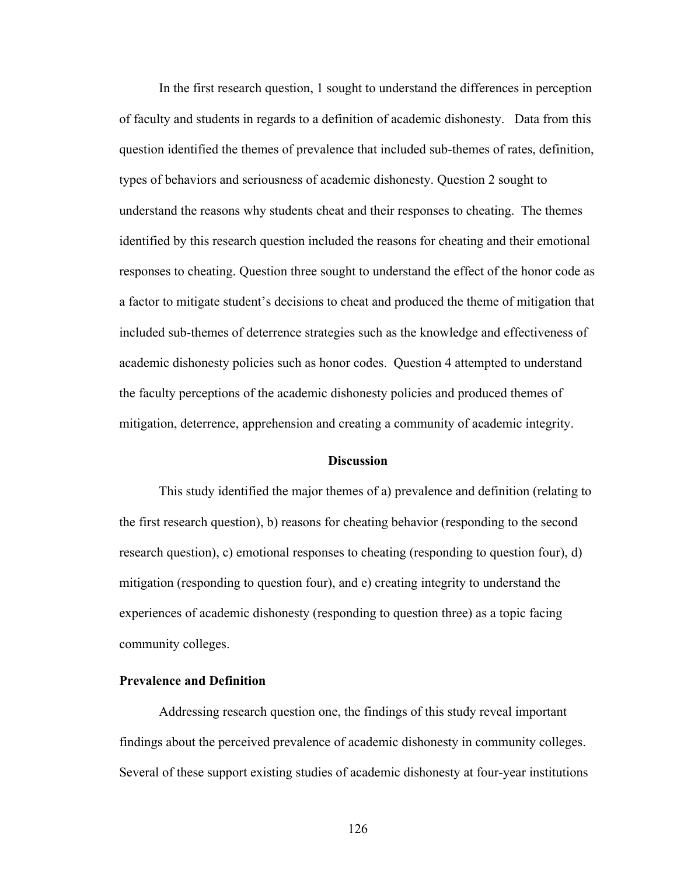In the first research question, 1 sought to understand the differences in perception of faculty and students in regards to a definition of academic dishonesty. Data from this question identified the themes of prevalence that included sub-themes of rates, definition, types of behaviors and seriousness of academic dishonesty. Question 2 sought to understand the reasons why students cheat and their responses to cheating. The themes identified by this research question included the reasons for cheating and their emotional responses to cheating. Question three sought to understand the effect of the honor code as a factor to mitigate student's decisions to cheat and produced the theme of mitigation that included sub-themes of deterrence strategies such as the knowledge and effectiveness of academic dishonesty policies such as honor codes. Question 4 attempted to understand the faculty perceptions of the academic dishonesty policies and produced themes of mitigation, deterrence, apprehension and creating a community of academic integrity.

#### **Discussion**

This study identified the major themes of a) prevalence and definition (relating to the first research question), b) reasons for cheating behavior (responding to the second research question), c) emotional responses to cheating (responding to question four), d) mitigation (responding to question four), and e) creating integrity to understand the experiences of academic dishonesty (responding to question three) as a topic facing community colleges.

## **Prevalence and Definition**

Addressing research question one, the findings of this study reveal important findings about the perceived prevalence of academic dishonesty in community colleges. Several of these support existing studies of academic dishonesty at four-year institutions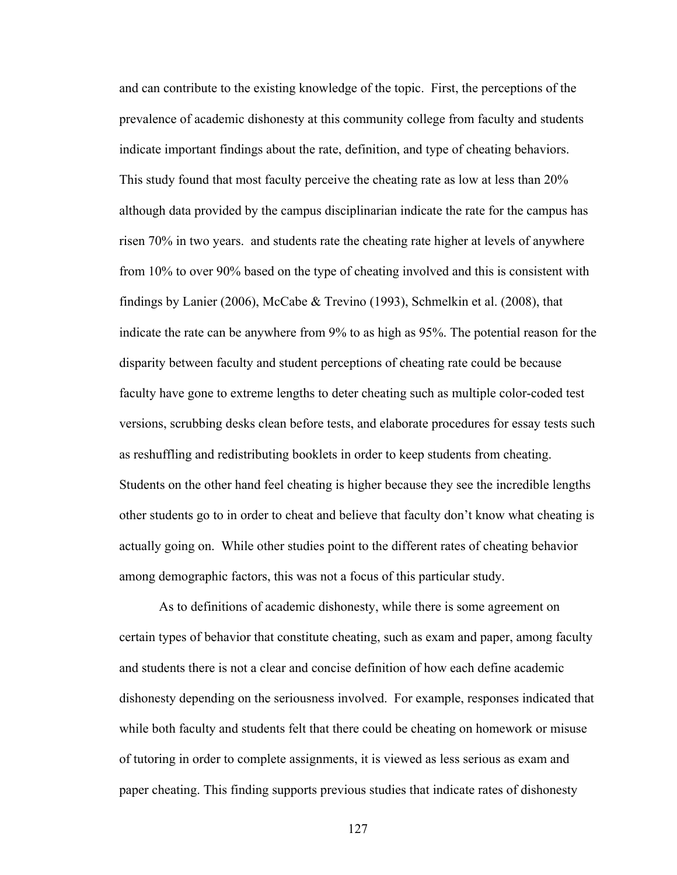and can contribute to the existing knowledge of the topic. First, the perceptions of the prevalence of academic dishonesty at this community college from faculty and students indicate important findings about the rate, definition, and type of cheating behaviors. This study found that most faculty perceive the cheating rate as low at less than 20% although data provided by the campus disciplinarian indicate the rate for the campus has risen 70% in two years. and students rate the cheating rate higher at levels of anywhere from 10% to over 90% based on the type of cheating involved and this is consistent with findings by Lanier (2006), McCabe & Trevino (1993), Schmelkin et al. (2008), that indicate the rate can be anywhere from 9% to as high as 95%. The potential reason for the disparity between faculty and student perceptions of cheating rate could be because faculty have gone to extreme lengths to deter cheating such as multiple color-coded test versions, scrubbing desks clean before tests, and elaborate procedures for essay tests such as reshuffling and redistributing booklets in order to keep students from cheating. Students on the other hand feel cheating is higher because they see the incredible lengths other students go to in order to cheat and believe that faculty don't know what cheating is actually going on. While other studies point to the different rates of cheating behavior among demographic factors, this was not a focus of this particular study.

As to definitions of academic dishonesty, while there is some agreement on certain types of behavior that constitute cheating, such as exam and paper, among faculty and students there is not a clear and concise definition of how each define academic dishonesty depending on the seriousness involved. For example, responses indicated that while both faculty and students felt that there could be cheating on homework or misuse of tutoring in order to complete assignments, it is viewed as less serious as exam and paper cheating. This finding supports previous studies that indicate rates of dishonesty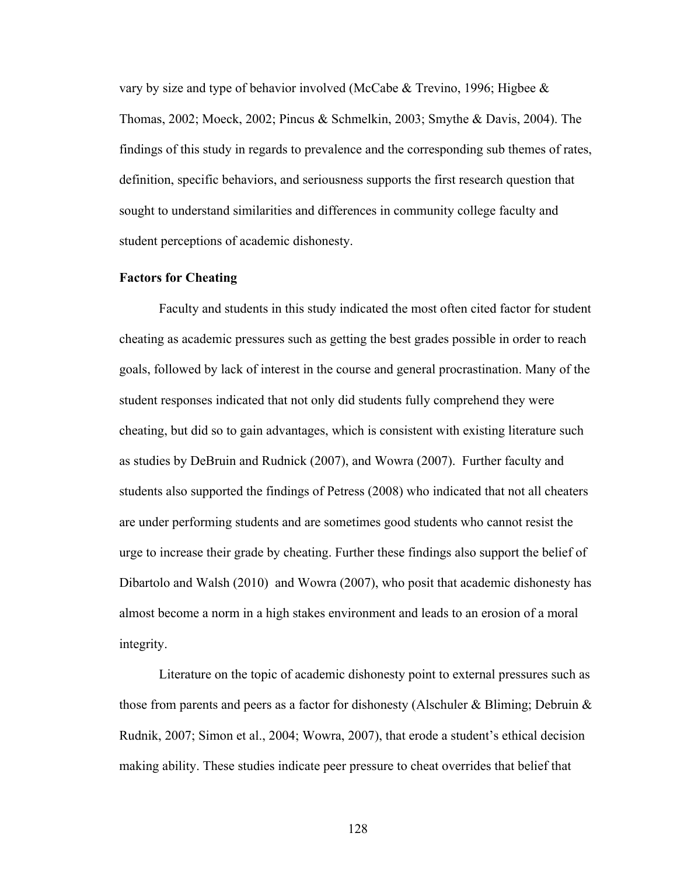vary by size and type of behavior involved (McCabe & Trevino, 1996; Higbee & Thomas, 2002; Moeck, 2002; Pincus & Schmelkin, 2003; Smythe & Davis, 2004). The findings of this study in regards to prevalence and the corresponding sub themes of rates, definition, specific behaviors, and seriousness supports the first research question that sought to understand similarities and differences in community college faculty and student perceptions of academic dishonesty.

## **Factors for Cheating**

Faculty and students in this study indicated the most often cited factor for student cheating as academic pressures such as getting the best grades possible in order to reach goals, followed by lack of interest in the course and general procrastination. Many of the student responses indicated that not only did students fully comprehend they were cheating, but did so to gain advantages, which is consistent with existing literature such as studies by DeBruin and Rudnick (2007), and Wowra (2007). Further faculty and students also supported the findings of Petress (2008) who indicated that not all cheaters are under performing students and are sometimes good students who cannot resist the urge to increase their grade by cheating. Further these findings also support the belief of Dibartolo and Walsh (2010) and Wowra (2007), who posit that academic dishonesty has almost become a norm in a high stakes environment and leads to an erosion of a moral integrity.

Literature on the topic of academic dishonesty point to external pressures such as those from parents and peers as a factor for dishonesty (Alschuler & Bliming; Debruin  $\&$ Rudnik, 2007; Simon et al., 2004; Wowra, 2007), that erode a student's ethical decision making ability. These studies indicate peer pressure to cheat overrides that belief that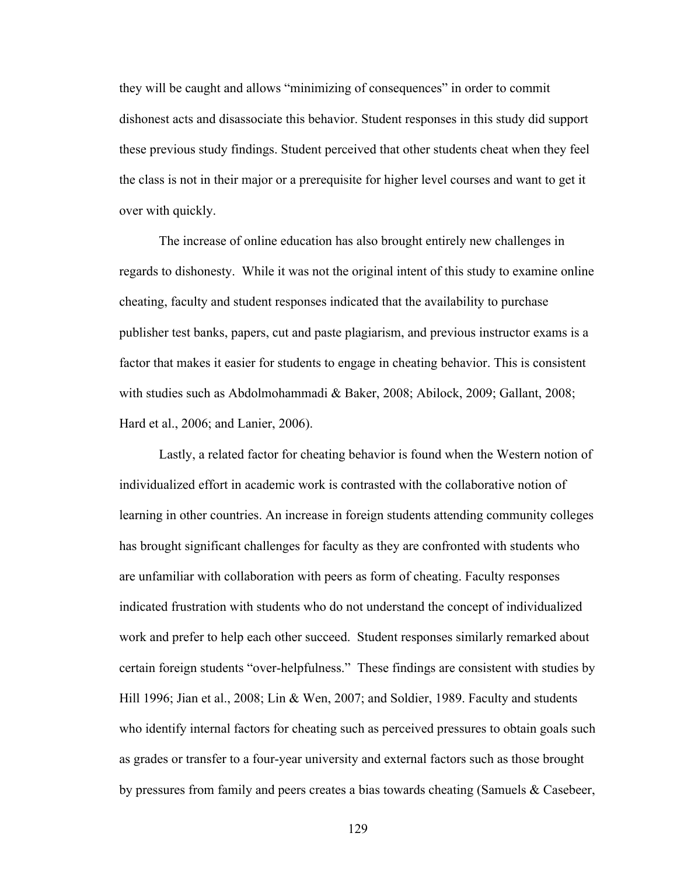they will be caught and allows "minimizing of consequences" in order to commit dishonest acts and disassociate this behavior. Student responses in this study did support these previous study findings. Student perceived that other students cheat when they feel the class is not in their major or a prerequisite for higher level courses and want to get it over with quickly.

The increase of online education has also brought entirely new challenges in regards to dishonesty. While it was not the original intent of this study to examine online cheating, faculty and student responses indicated that the availability to purchase publisher test banks, papers, cut and paste plagiarism, and previous instructor exams is a factor that makes it easier for students to engage in cheating behavior. This is consistent with studies such as Abdolmohammadi & Baker, 2008; Abilock, 2009; Gallant, 2008; Hard et al., 2006; and Lanier, 2006).

Lastly, a related factor for cheating behavior is found when the Western notion of individualized effort in academic work is contrasted with the collaborative notion of learning in other countries. An increase in foreign students attending community colleges has brought significant challenges for faculty as they are confronted with students who are unfamiliar with collaboration with peers as form of cheating. Faculty responses indicated frustration with students who do not understand the concept of individualized work and prefer to help each other succeed. Student responses similarly remarked about certain foreign students "over-helpfulness." These findings are consistent with studies by Hill 1996; Jian et al., 2008; Lin & Wen, 2007; and Soldier, 1989. Faculty and students who identify internal factors for cheating such as perceived pressures to obtain goals such as grades or transfer to a four-year university and external factors such as those brought by pressures from family and peers creates a bias towards cheating (Samuels & Casebeer,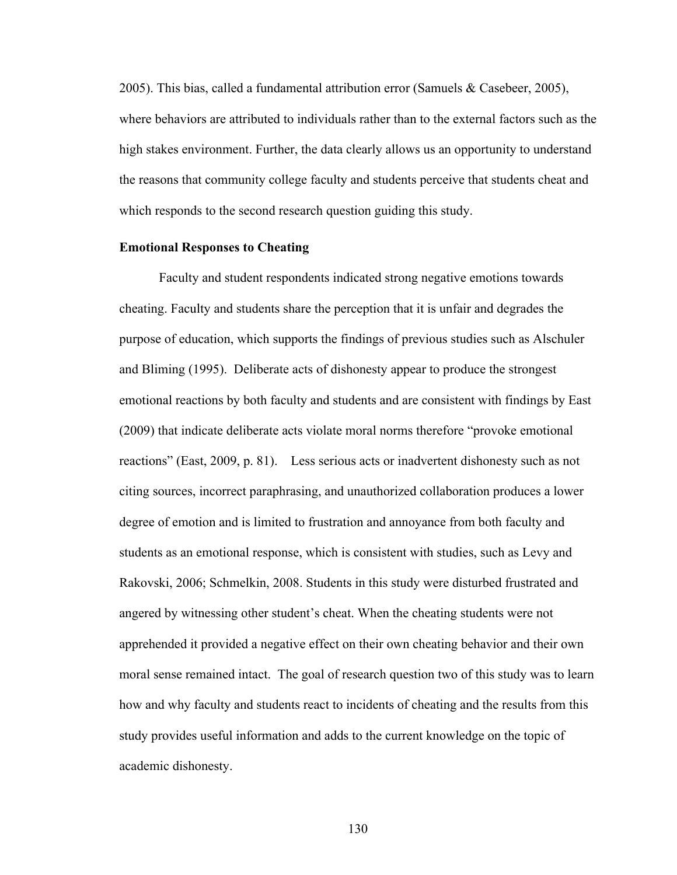2005). This bias, called a fundamental attribution error (Samuels & Casebeer, 2005), where behaviors are attributed to individuals rather than to the external factors such as the high stakes environment. Further, the data clearly allows us an opportunity to understand the reasons that community college faculty and students perceive that students cheat and which responds to the second research question guiding this study.

#### **Emotional Responses to Cheating**

Faculty and student respondents indicated strong negative emotions towards cheating. Faculty and students share the perception that it is unfair and degrades the purpose of education, which supports the findings of previous studies such as Alschuler and Bliming (1995). Deliberate acts of dishonesty appear to produce the strongest emotional reactions by both faculty and students and are consistent with findings by East (2009) that indicate deliberate acts violate moral norms therefore "provoke emotional reactions" (East, 2009, p. 81). Less serious acts or inadvertent dishonesty such as not citing sources, incorrect paraphrasing, and unauthorized collaboration produces a lower degree of emotion and is limited to frustration and annoyance from both faculty and students as an emotional response, which is consistent with studies, such as Levy and Rakovski, 2006; Schmelkin, 2008. Students in this study were disturbed frustrated and angered by witnessing other student's cheat. When the cheating students were not apprehended it provided a negative effect on their own cheating behavior and their own moral sense remained intact. The goal of research question two of this study was to learn how and why faculty and students react to incidents of cheating and the results from this study provides useful information and adds to the current knowledge on the topic of academic dishonesty.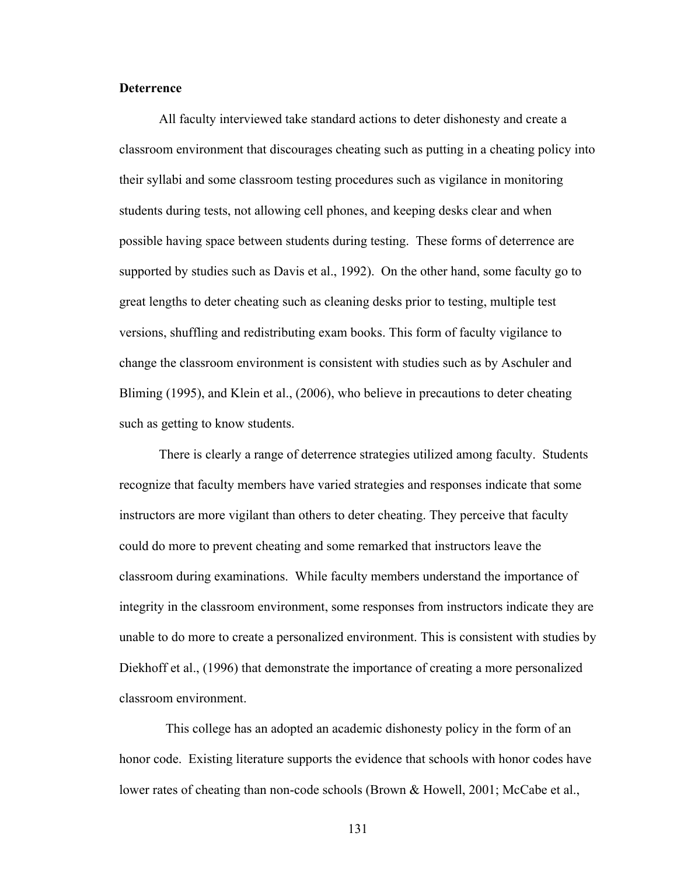#### **Deterrence**

All faculty interviewed take standard actions to deter dishonesty and create a classroom environment that discourages cheating such as putting in a cheating policy into their syllabi and some classroom testing procedures such as vigilance in monitoring students during tests, not allowing cell phones, and keeping desks clear and when possible having space between students during testing. These forms of deterrence are supported by studies such as Davis et al., 1992). On the other hand, some faculty go to great lengths to deter cheating such as cleaning desks prior to testing, multiple test versions, shuffling and redistributing exam books. This form of faculty vigilance to change the classroom environment is consistent with studies such as by Aschuler and Bliming (1995), and Klein et al., (2006), who believe in precautions to deter cheating such as getting to know students.

There is clearly a range of deterrence strategies utilized among faculty. Students recognize that faculty members have varied strategies and responses indicate that some instructors are more vigilant than others to deter cheating. They perceive that faculty could do more to prevent cheating and some remarked that instructors leave the classroom during examinations. While faculty members understand the importance of integrity in the classroom environment, some responses from instructors indicate they are unable to do more to create a personalized environment. This is consistent with studies by Diekhoff et al., (1996) that demonstrate the importance of creating a more personalized classroom environment.

 This college has an adopted an academic dishonesty policy in the form of an honor code. Existing literature supports the evidence that schools with honor codes have lower rates of cheating than non-code schools (Brown & Howell, 2001; McCabe et al.,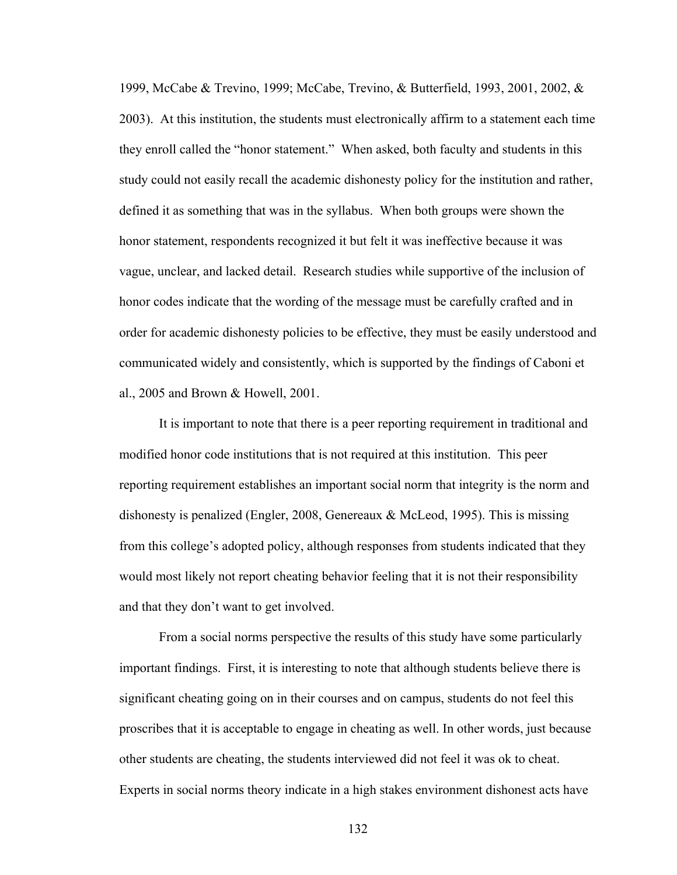1999, McCabe & Trevino, 1999; McCabe, Trevino, & Butterfield, 1993, 2001, 2002, & 2003). At this institution, the students must electronically affirm to a statement each time they enroll called the "honor statement." When asked, both faculty and students in this study could not easily recall the academic dishonesty policy for the institution and rather, defined it as something that was in the syllabus. When both groups were shown the honor statement, respondents recognized it but felt it was ineffective because it was vague, unclear, and lacked detail. Research studies while supportive of the inclusion of honor codes indicate that the wording of the message must be carefully crafted and in order for academic dishonesty policies to be effective, they must be easily understood and communicated widely and consistently, which is supported by the findings of Caboni et al., 2005 and Brown & Howell, 2001.

It is important to note that there is a peer reporting requirement in traditional and modified honor code institutions that is not required at this institution. This peer reporting requirement establishes an important social norm that integrity is the norm and dishonesty is penalized (Engler, 2008, Genereaux & McLeod, 1995). This is missing from this college's adopted policy, although responses from students indicated that they would most likely not report cheating behavior feeling that it is not their responsibility and that they don't want to get involved.

From a social norms perspective the results of this study have some particularly important findings. First, it is interesting to note that although students believe there is significant cheating going on in their courses and on campus, students do not feel this proscribes that it is acceptable to engage in cheating as well. In other words, just because other students are cheating, the students interviewed did not feel it was ok to cheat. Experts in social norms theory indicate in a high stakes environment dishonest acts have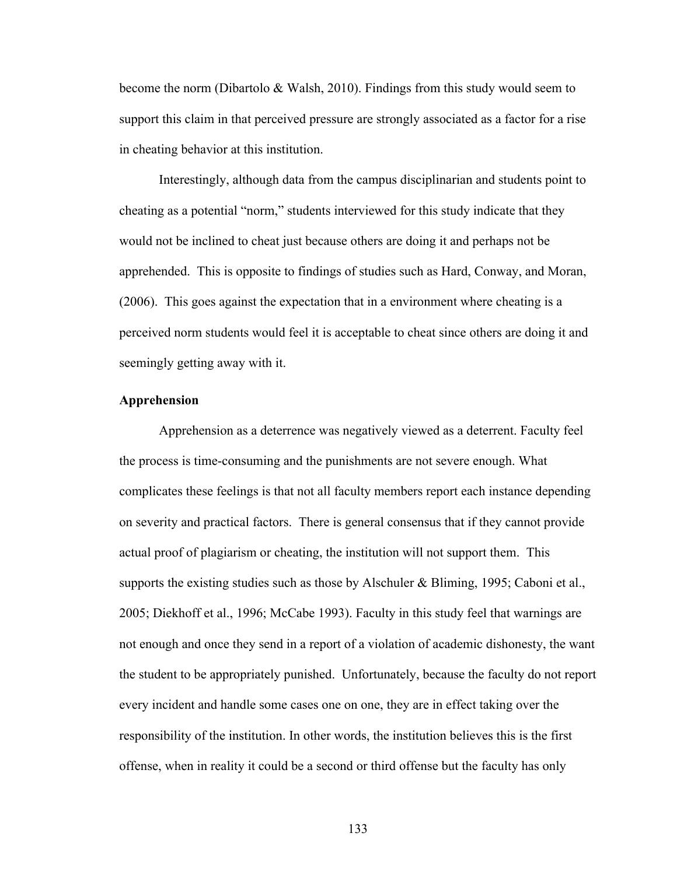become the norm (Dibartolo & Walsh, 2010). Findings from this study would seem to support this claim in that perceived pressure are strongly associated as a factor for a rise in cheating behavior at this institution.

Interestingly, although data from the campus disciplinarian and students point to cheating as a potential "norm," students interviewed for this study indicate that they would not be inclined to cheat just because others are doing it and perhaps not be apprehended. This is opposite to findings of studies such as Hard, Conway, and Moran, (2006). This goes against the expectation that in a environment where cheating is a perceived norm students would feel it is acceptable to cheat since others are doing it and seemingly getting away with it.

#### **Apprehension**

Apprehension as a deterrence was negatively viewed as a deterrent. Faculty feel the process is time-consuming and the punishments are not severe enough. What complicates these feelings is that not all faculty members report each instance depending on severity and practical factors. There is general consensus that if they cannot provide actual proof of plagiarism or cheating, the institution will not support them. This supports the existing studies such as those by Alschuler & Bliming, 1995; Caboni et al., 2005; Diekhoff et al., 1996; McCabe 1993). Faculty in this study feel that warnings are not enough and once they send in a report of a violation of academic dishonesty, the want the student to be appropriately punished. Unfortunately, because the faculty do not report every incident and handle some cases one on one, they are in effect taking over the responsibility of the institution. In other words, the institution believes this is the first offense, when in reality it could be a second or third offense but the faculty has only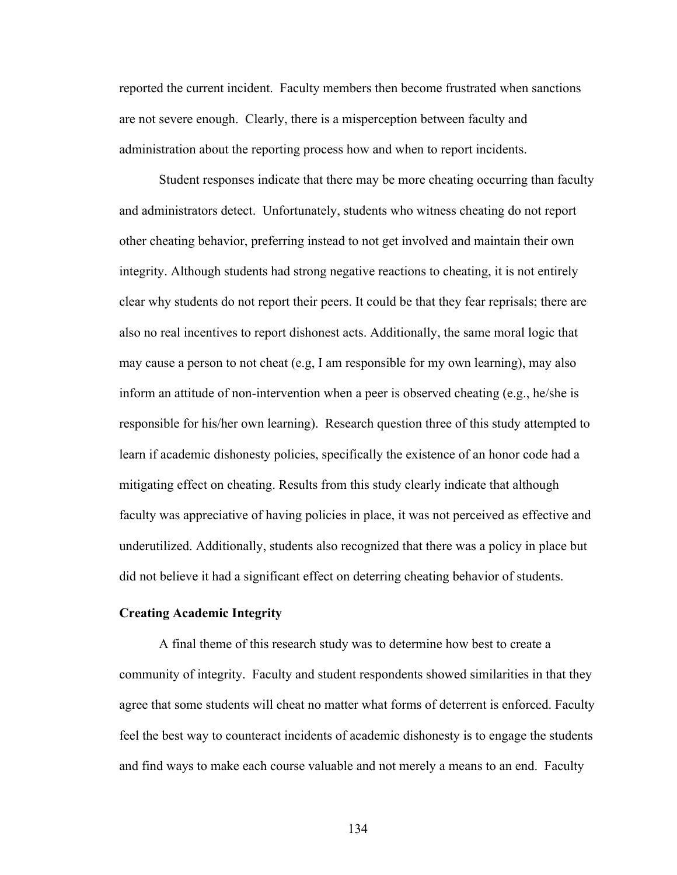reported the current incident. Faculty members then become frustrated when sanctions are not severe enough. Clearly, there is a misperception between faculty and administration about the reporting process how and when to report incidents.

Student responses indicate that there may be more cheating occurring than faculty and administrators detect. Unfortunately, students who witness cheating do not report other cheating behavior, preferring instead to not get involved and maintain their own integrity. Although students had strong negative reactions to cheating, it is not entirely clear why students do not report their peers. It could be that they fear reprisals; there are also no real incentives to report dishonest acts. Additionally, the same moral logic that may cause a person to not cheat (e.g, I am responsible for my own learning), may also inform an attitude of non-intervention when a peer is observed cheating (e.g., he/she is responsible for his/her own learning). Research question three of this study attempted to learn if academic dishonesty policies, specifically the existence of an honor code had a mitigating effect on cheating. Results from this study clearly indicate that although faculty was appreciative of having policies in place, it was not perceived as effective and underutilized. Additionally, students also recognized that there was a policy in place but did not believe it had a significant effect on deterring cheating behavior of students.

#### **Creating Academic Integrity**

A final theme of this research study was to determine how best to create a community of integrity. Faculty and student respondents showed similarities in that they agree that some students will cheat no matter what forms of deterrent is enforced. Faculty feel the best way to counteract incidents of academic dishonesty is to engage the students and find ways to make each course valuable and not merely a means to an end. Faculty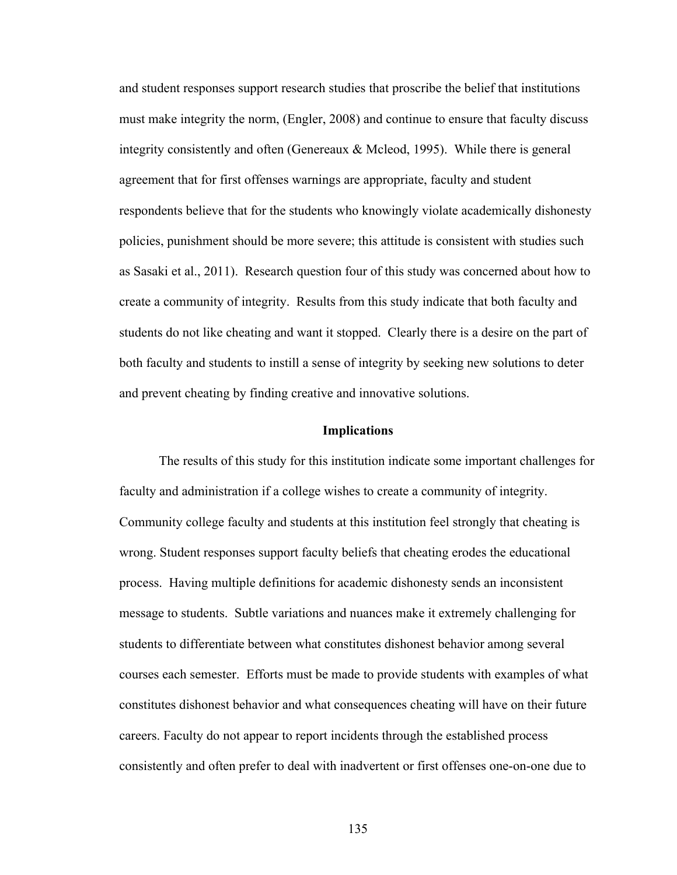and student responses support research studies that proscribe the belief that institutions must make integrity the norm, (Engler, 2008) and continue to ensure that faculty discuss integrity consistently and often (Genereaux  $\&$  Mcleod, 1995). While there is general agreement that for first offenses warnings are appropriate, faculty and student respondents believe that for the students who knowingly violate academically dishonesty policies, punishment should be more severe; this attitude is consistent with studies such as Sasaki et al., 2011). Research question four of this study was concerned about how to create a community of integrity. Results from this study indicate that both faculty and students do not like cheating and want it stopped. Clearly there is a desire on the part of both faculty and students to instill a sense of integrity by seeking new solutions to deter and prevent cheating by finding creative and innovative solutions.

#### **Implications**

The results of this study for this institution indicate some important challenges for faculty and administration if a college wishes to create a community of integrity. Community college faculty and students at this institution feel strongly that cheating is wrong. Student responses support faculty beliefs that cheating erodes the educational process. Having multiple definitions for academic dishonesty sends an inconsistent message to students. Subtle variations and nuances make it extremely challenging for students to differentiate between what constitutes dishonest behavior among several courses each semester. Efforts must be made to provide students with examples of what constitutes dishonest behavior and what consequences cheating will have on their future careers. Faculty do not appear to report incidents through the established process consistently and often prefer to deal with inadvertent or first offenses one-on-one due to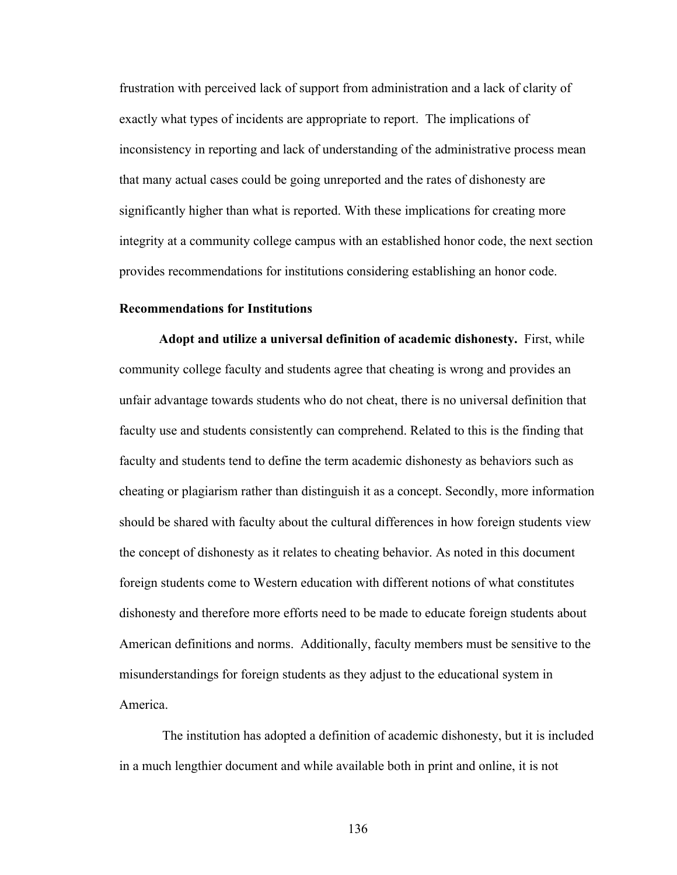frustration with perceived lack of support from administration and a lack of clarity of exactly what types of incidents are appropriate to report. The implications of inconsistency in reporting and lack of understanding of the administrative process mean that many actual cases could be going unreported and the rates of dishonesty are significantly higher than what is reported. With these implications for creating more integrity at a community college campus with an established honor code, the next section provides recommendations for institutions considering establishing an honor code.

#### **Recommendations for Institutions**

**Adopt and utilize a universal definition of academic dishonesty.** First, while community college faculty and students agree that cheating is wrong and provides an unfair advantage towards students who do not cheat, there is no universal definition that faculty use and students consistently can comprehend. Related to this is the finding that faculty and students tend to define the term academic dishonesty as behaviors such as cheating or plagiarism rather than distinguish it as a concept. Secondly, more information should be shared with faculty about the cultural differences in how foreign students view the concept of dishonesty as it relates to cheating behavior. As noted in this document foreign students come to Western education with different notions of what constitutes dishonesty and therefore more efforts need to be made to educate foreign students about American definitions and norms. Additionally, faculty members must be sensitive to the misunderstandings for foreign students as they adjust to the educational system in America.

The institution has adopted a definition of academic dishonesty, but it is included in a much lengthier document and while available both in print and online, it is not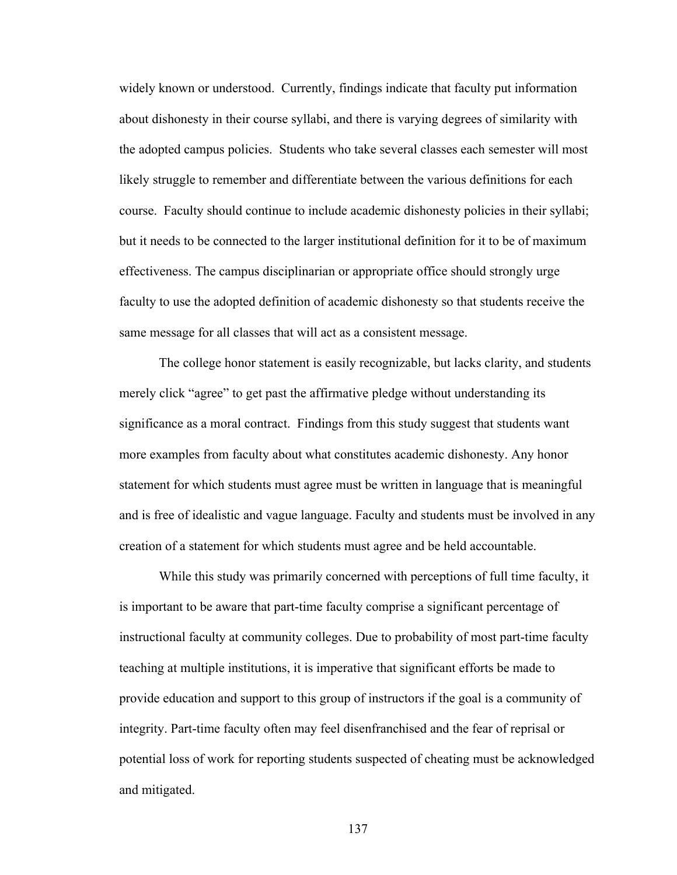widely known or understood. Currently, findings indicate that faculty put information about dishonesty in their course syllabi, and there is varying degrees of similarity with the adopted campus policies. Students who take several classes each semester will most likely struggle to remember and differentiate between the various definitions for each course. Faculty should continue to include academic dishonesty policies in their syllabi; but it needs to be connected to the larger institutional definition for it to be of maximum effectiveness. The campus disciplinarian or appropriate office should strongly urge faculty to use the adopted definition of academic dishonesty so that students receive the same message for all classes that will act as a consistent message.

The college honor statement is easily recognizable, but lacks clarity, and students merely click "agree" to get past the affirmative pledge without understanding its significance as a moral contract. Findings from this study suggest that students want more examples from faculty about what constitutes academic dishonesty. Any honor statement for which students must agree must be written in language that is meaningful and is free of idealistic and vague language. Faculty and students must be involved in any creation of a statement for which students must agree and be held accountable.

While this study was primarily concerned with perceptions of full time faculty, it is important to be aware that part-time faculty comprise a significant percentage of instructional faculty at community colleges. Due to probability of most part-time faculty teaching at multiple institutions, it is imperative that significant efforts be made to provide education and support to this group of instructors if the goal is a community of integrity. Part-time faculty often may feel disenfranchised and the fear of reprisal or potential loss of work for reporting students suspected of cheating must be acknowledged and mitigated.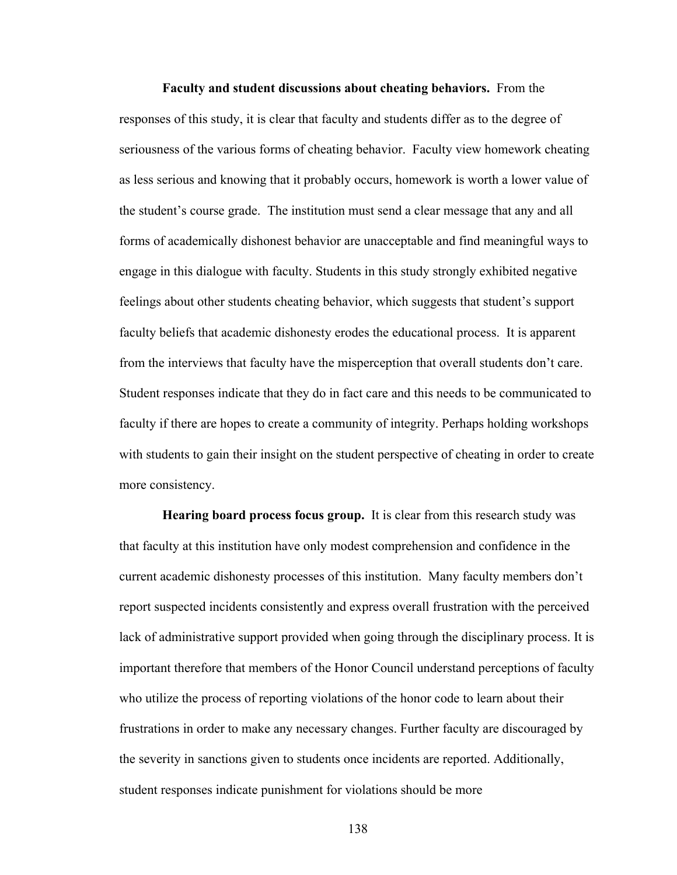**Faculty and student discussions about cheating behaviors.** From the responses of this study, it is clear that faculty and students differ as to the degree of seriousness of the various forms of cheating behavior. Faculty view homework cheating as less serious and knowing that it probably occurs, homework is worth a lower value of the student's course grade. The institution must send a clear message that any and all forms of academically dishonest behavior are unacceptable and find meaningful ways to engage in this dialogue with faculty. Students in this study strongly exhibited negative feelings about other students cheating behavior, which suggests that student's support faculty beliefs that academic dishonesty erodes the educational process. It is apparent from the interviews that faculty have the misperception that overall students don't care. Student responses indicate that they do in fact care and this needs to be communicated to faculty if there are hopes to create a community of integrity. Perhaps holding workshops with students to gain their insight on the student perspective of cheating in order to create more consistency.

**Hearing board process focus group.** It is clear from this research study was that faculty at this institution have only modest comprehension and confidence in the current academic dishonesty processes of this institution. Many faculty members don't report suspected incidents consistently and express overall frustration with the perceived lack of administrative support provided when going through the disciplinary process. It is important therefore that members of the Honor Council understand perceptions of faculty who utilize the process of reporting violations of the honor code to learn about their frustrations in order to make any necessary changes. Further faculty are discouraged by the severity in sanctions given to students once incidents are reported. Additionally, student responses indicate punishment for violations should be more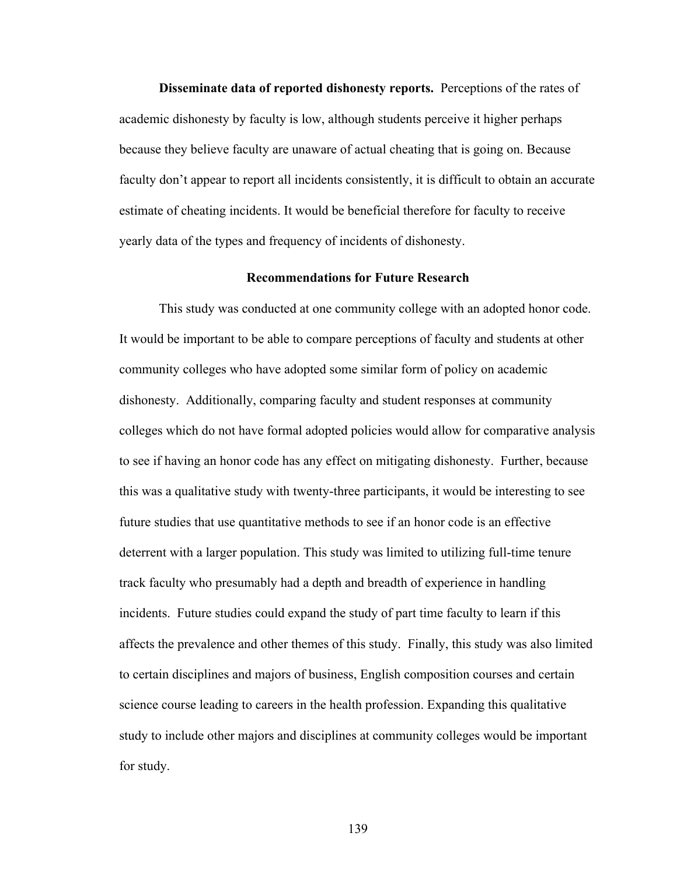**Disseminate data of reported dishonesty reports.** Perceptions of the rates of academic dishonesty by faculty is low, although students perceive it higher perhaps because they believe faculty are unaware of actual cheating that is going on. Because faculty don't appear to report all incidents consistently, it is difficult to obtain an accurate estimate of cheating incidents. It would be beneficial therefore for faculty to receive yearly data of the types and frequency of incidents of dishonesty.

#### **Recommendations for Future Research**

This study was conducted at one community college with an adopted honor code. It would be important to be able to compare perceptions of faculty and students at other community colleges who have adopted some similar form of policy on academic dishonesty. Additionally, comparing faculty and student responses at community colleges which do not have formal adopted policies would allow for comparative analysis to see if having an honor code has any effect on mitigating dishonesty. Further, because this was a qualitative study with twenty-three participants, it would be interesting to see future studies that use quantitative methods to see if an honor code is an effective deterrent with a larger population. This study was limited to utilizing full-time tenure track faculty who presumably had a depth and breadth of experience in handling incidents. Future studies could expand the study of part time faculty to learn if this affects the prevalence and other themes of this study. Finally, this study was also limited to certain disciplines and majors of business, English composition courses and certain science course leading to careers in the health profession. Expanding this qualitative study to include other majors and disciplines at community colleges would be important for study.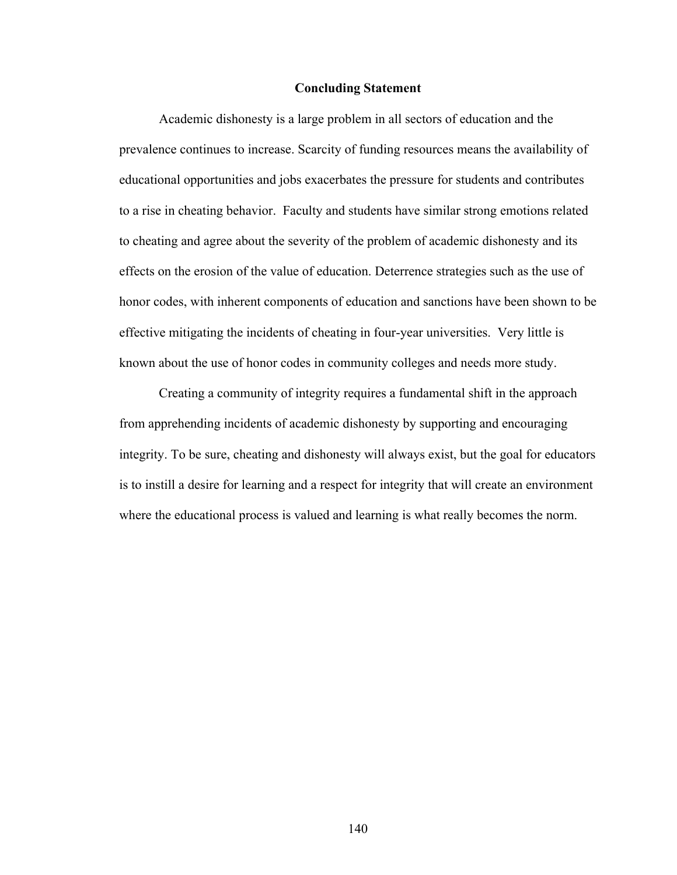#### **Concluding Statement**

Academic dishonesty is a large problem in all sectors of education and the prevalence continues to increase. Scarcity of funding resources means the availability of educational opportunities and jobs exacerbates the pressure for students and contributes to a rise in cheating behavior. Faculty and students have similar strong emotions related to cheating and agree about the severity of the problem of academic dishonesty and its effects on the erosion of the value of education. Deterrence strategies such as the use of honor codes, with inherent components of education and sanctions have been shown to be effective mitigating the incidents of cheating in four-year universities. Very little is known about the use of honor codes in community colleges and needs more study.

Creating a community of integrity requires a fundamental shift in the approach from apprehending incidents of academic dishonesty by supporting and encouraging integrity. To be sure, cheating and dishonesty will always exist, but the goal for educators is to instill a desire for learning and a respect for integrity that will create an environment where the educational process is valued and learning is what really becomes the norm.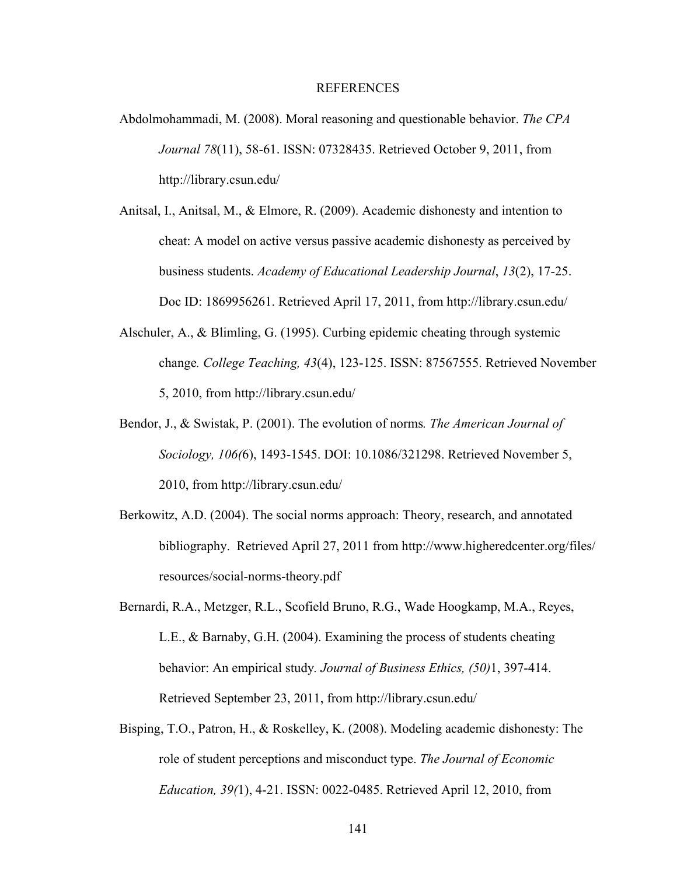#### REFERENCES

- Abdolmohammadi, M. (2008). Moral reasoning and questionable behavior. *The CPA Journal 78*(11), 58-61. ISSN: 07328435. Retrieved October 9, 2011, from http://library.csun.edu/
- Anitsal, I., Anitsal, M., & Elmore, R. (2009). Academic dishonesty and intention to cheat: A model on active versus passive academic dishonesty as perceived by business students. *Academy of Educational Leadership Journal*, *13*(2), 17-25. Doc ID: 1869956261. Retrieved April 17, 2011, from http://library.csun.edu/
- Alschuler, A., & Blimling, G. (1995). Curbing epidemic cheating through systemic change*. College Teaching, 43*(4), 123-125. ISSN: 87567555. Retrieved November 5, 2010, from http://library.csun.edu/
- Bendor, J., & Swistak, P. (2001). The evolution of norms*. The American Journal of Sociology, 106(*6), 1493-1545. DOI: 10.1086/321298. Retrieved November 5, 2010, from http://library.csun.edu/
- Berkowitz, A.D. (2004). The social norms approach: Theory, research, and annotated bibliography. Retrieved April 27, 2011 from http://www.higheredcenter.org/files/ resources/social-norms-theory.pdf
- Bernardi, R.A., Metzger, R.L., Scofield Bruno, R.G., Wade Hoogkamp, M.A., Reyes, L.E., & Barnaby, G.H. (2004). Examining the process of students cheating behavior: An empirical study*. Journal of Business Ethics, (50)*1, 397-414. Retrieved September 23, 2011, from http://library.csun.edu/
- Bisping, T.O., Patron, H., & Roskelley, K. (2008). Modeling academic dishonesty: The role of student perceptions and misconduct type. *The Journal of Economic Education, 39(*1), 4-21. ISSN: 0022-0485. Retrieved April 12, 2010, from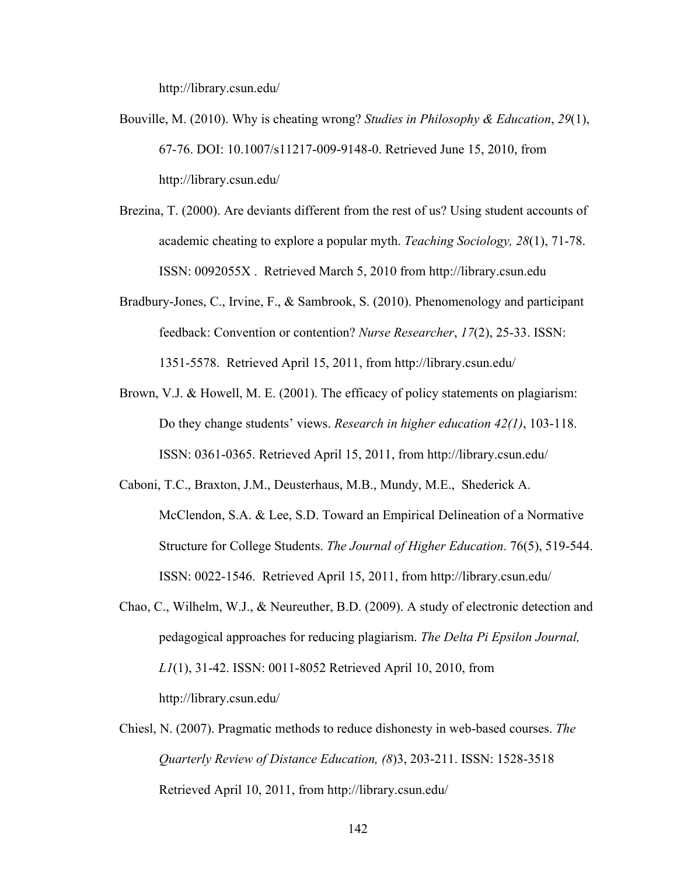http://library.csun.edu/

- Bouville, M. (2010). Why is cheating wrong? *Studies in Philosophy & Education*, *29*(1), 67-76. DOI: 10.1007/s11217-009-9148-0. Retrieved June 15, 2010, from http://library.csun.edu/
- Brezina, T. (2000). Are deviants different from the rest of us? Using student accounts of academic cheating to explore a popular myth. *Teaching Sociology, 28*(1), 71-78. ISSN: 0092055X . Retrieved March 5, 2010 from http://library.csun.edu
- Bradbury-Jones, C., Irvine, F., & Sambrook, S. (2010). Phenomenology and participant feedback: Convention or contention? *Nurse Researcher*, *17*(2), 25-33. ISSN: 1351-5578. Retrieved April 15, 2011, from http://library.csun.edu/
- Brown, V.J. & Howell, M. E. (2001). The efficacy of policy statements on plagiarism: Do they change students' views. *Research in higher education 42(1)*, 103-118. ISSN: 0361-0365. Retrieved April 15, 2011, from http://library.csun.edu/
- Caboni, T.C., Braxton, J.M., Deusterhaus, M.B., Mundy, M.E., Shederick A. McClendon, S.A. & Lee, S.D. Toward an Empirical Delineation of a Normative Structure for College Students. *The Journal of Higher Education*. 76(5), 519-544. ISSN: 0022-1546. Retrieved April 15, 2011, from http://library.csun.edu/
- Chao, C., Wilhelm, W.J., & Neureuther, B.D. (2009). A study of electronic detection and pedagogical approaches for reducing plagiarism. *The Delta Pi Epsilon Journal, L1*(1), 31-42. ISSN: 0011-8052 Retrieved April 10, 2010, from http://library.csun.edu/
- Chiesl, N. (2007). Pragmatic methods to reduce dishonesty in web-based courses. *The Quarterly Review of Distance Education, (8*)3, 203-211. ISSN: 1528-3518 Retrieved April 10, 2011, from http://library.csun.edu/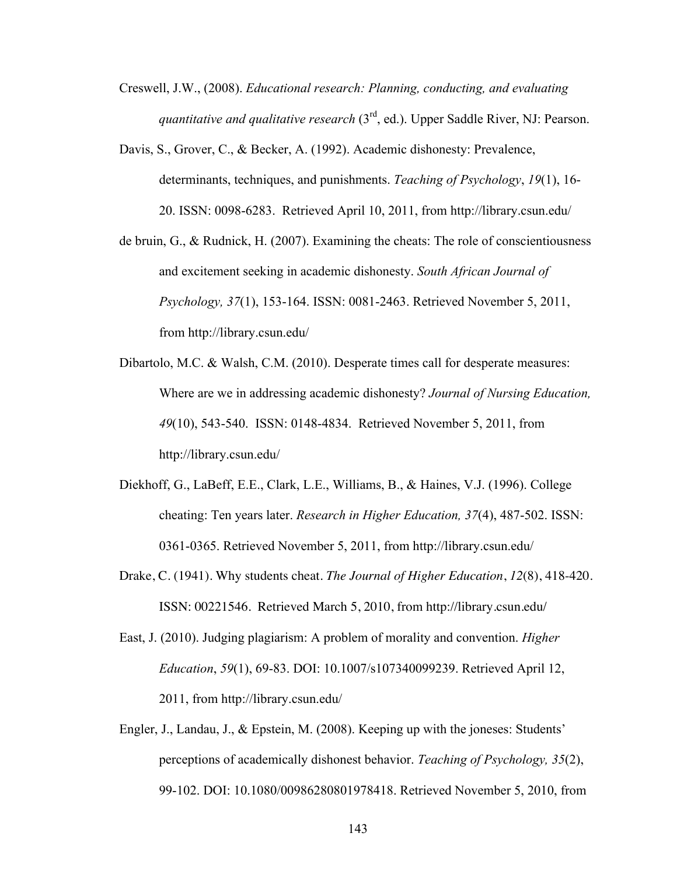- Creswell, J.W., (2008). *Educational research: Planning, conducting, and evaluating quantitative and qualitative research* (3rd, ed.). Upper Saddle River, NJ: Pearson.
- Davis, S., Grover, C., & Becker, A. (1992). Academic dishonesty: Prevalence, determinants, techniques, and punishments. *Teaching of Psychology*, *19*(1), 16- 20. ISSN: 0098-6283. Retrieved April 10, 2011, from http://library.csun.edu/
- de bruin, G., & Rudnick, H. (2007). Examining the cheats: The role of conscientiousness and excitement seeking in academic dishonesty. *South African Journal of Psychology, 37*(1), 153-164. ISSN: 0081-2463. Retrieved November 5, 2011, from http://library.csun.edu/
- Dibartolo, M.C. & Walsh, C.M. (2010). Desperate times call for desperate measures: Where are we in addressing academic dishonesty? *Journal of Nursing Education, 49*(10), 543-540. ISSN: 0148-4834. Retrieved November 5, 2011, from http://library.csun.edu/
- Diekhoff, G., LaBeff, E.E., Clark, L.E., Williams, B., & Haines, V.J. (1996). College cheating: Ten years later. *Research in Higher Education, 37*(4), 487-502. ISSN: 0361-0365. Retrieved November 5, 2011, from http://library.csun.edu/
- Drake, C. (1941). Why students cheat. *The Journal of Higher Education*, *12*(8), 418-420. ISSN: 00221546. Retrieved March 5, 2010, from http://library.csun.edu/
- East, J. (2010). Judging plagiarism: A problem of morality and convention. *Higher Education*, *59*(1), 69-83. DOI: 10.1007/s107340099239. Retrieved April 12, 2011, from http://library.csun.edu/
- Engler, J., Landau, J., & Epstein, M. (2008). Keeping up with the joneses: Students' perceptions of academically dishonest behavior. *Teaching of Psychology, 35*(2), 99-102. DOI: 10.1080/00986280801978418. Retrieved November 5, 2010, from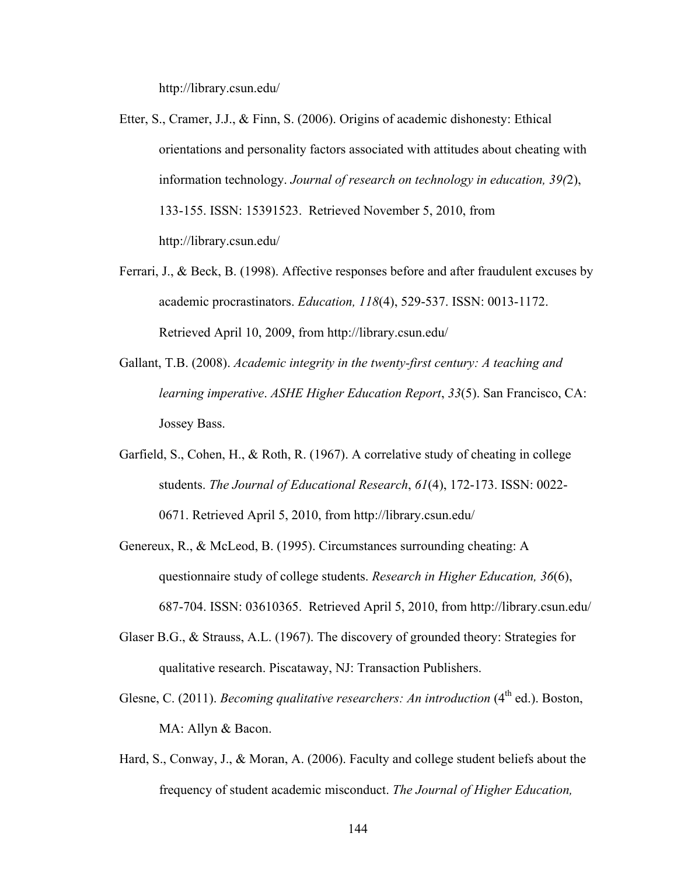http://library.csun.edu/

- Etter, S., Cramer, J.J., & Finn, S. (2006). Origins of academic dishonesty: Ethical orientations and personality factors associated with attitudes about cheating with information technology. *Journal of research on technology in education, 39(*2), 133-155. ISSN: 15391523. Retrieved November 5, 2010, from http://library.csun.edu/
- Ferrari, J., & Beck, B. (1998). Affective responses before and after fraudulent excuses by academic procrastinators. *Education, 118*(4), 529-537. ISSN: 0013-1172. Retrieved April 10, 2009, from http://library.csun.edu/
- Gallant, T.B. (2008). *Academic integrity in the twenty-first century: A teaching and learning imperative*. *ASHE Higher Education Report*, *33*(5). San Francisco, CA: Jossey Bass.
- Garfield, S., Cohen, H., & Roth, R. (1967). A correlative study of cheating in college students. *The Journal of Educational Research*, *61*(4), 172-173. ISSN: 0022- 0671. Retrieved April 5, 2010, from http://library.csun.edu/
- Genereux, R., & McLeod, B. (1995). Circumstances surrounding cheating: A questionnaire study of college students. *Research in Higher Education, 36*(6), 687-704. ISSN: 03610365. Retrieved April 5, 2010, from http://library.csun.edu/
- Glaser B.G., & Strauss, A.L. (1967). The discovery of grounded theory: Strategies for qualitative research. Piscataway, NJ: Transaction Publishers.
- Glesne, C. (2011). *Becoming qualitative researchers: An introduction* (4<sup>th</sup> ed.). Boston, MA: Allyn & Bacon.
- Hard, S., Conway, J., & Moran, A. (2006). Faculty and college student beliefs about the frequency of student academic misconduct. *The Journal of Higher Education,*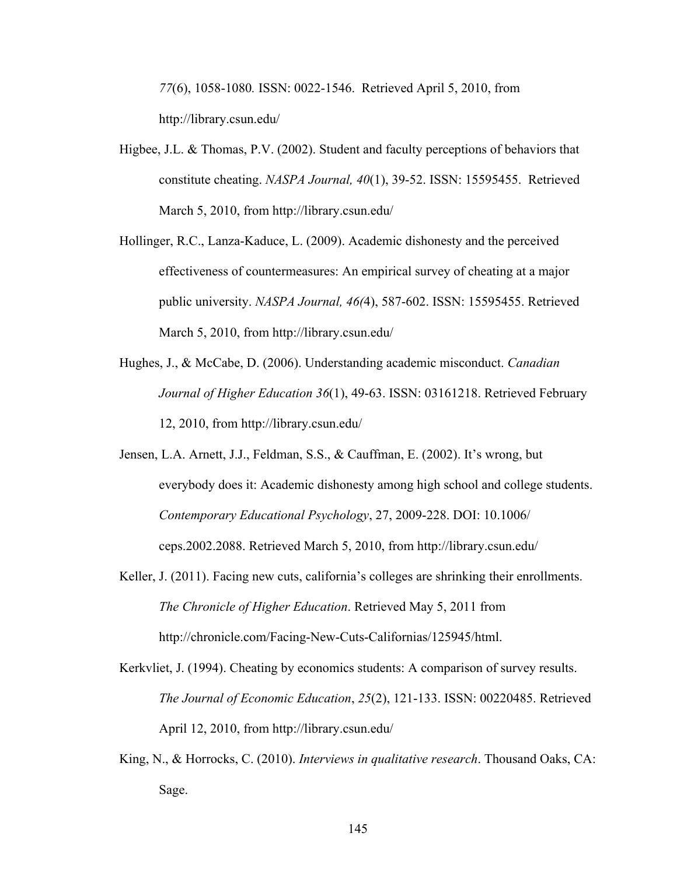*77*(6), 1058-1080*.* ISSN: 0022-1546. Retrieved April 5, 2010, from http://library.csun.edu/

- Higbee, J.L. & Thomas, P.V. (2002). Student and faculty perceptions of behaviors that constitute cheating. *NASPA Journal, 40*(1), 39-52. ISSN: 15595455. Retrieved March 5, 2010, from http://library.csun.edu/
- Hollinger, R.C., Lanza-Kaduce, L. (2009). Academic dishonesty and the perceived effectiveness of countermeasures: An empirical survey of cheating at a major public university. *NASPA Journal, 46(*4), 587-602. ISSN: 15595455. Retrieved March 5, 2010, from http://library.csun.edu/
- Hughes, J., & McCabe, D. (2006). Understanding academic misconduct. *Canadian Journal of Higher Education 36*(1), 49-63. ISSN: 03161218. Retrieved February 12, 2010, from http://library.csun.edu/
- Jensen, L.A. Arnett, J.J., Feldman, S.S., & Cauffman, E. (2002). It's wrong, but everybody does it: Academic dishonesty among high school and college students. *Contemporary Educational Psychology*, 27, 2009-228. DOI: 10.1006/ ceps.2002.2088. Retrieved March 5, 2010, from http://library.csun.edu/
- Keller, J. (2011). Facing new cuts, california's colleges are shrinking their enrollments. *The Chronicle of Higher Education*. Retrieved May 5, 2011 from http://chronicle.com/Facing-New-Cuts-Californias/125945/html.
- Kerkvliet, J. (1994). Cheating by economics students: A comparison of survey results. *The Journal of Economic Education*, *25*(2), 121-133. ISSN: 00220485. Retrieved April 12, 2010, from http://library.csun.edu/
- King, N., & Horrocks, C. (2010). *Interviews in qualitative research*. Thousand Oaks, CA: Sage.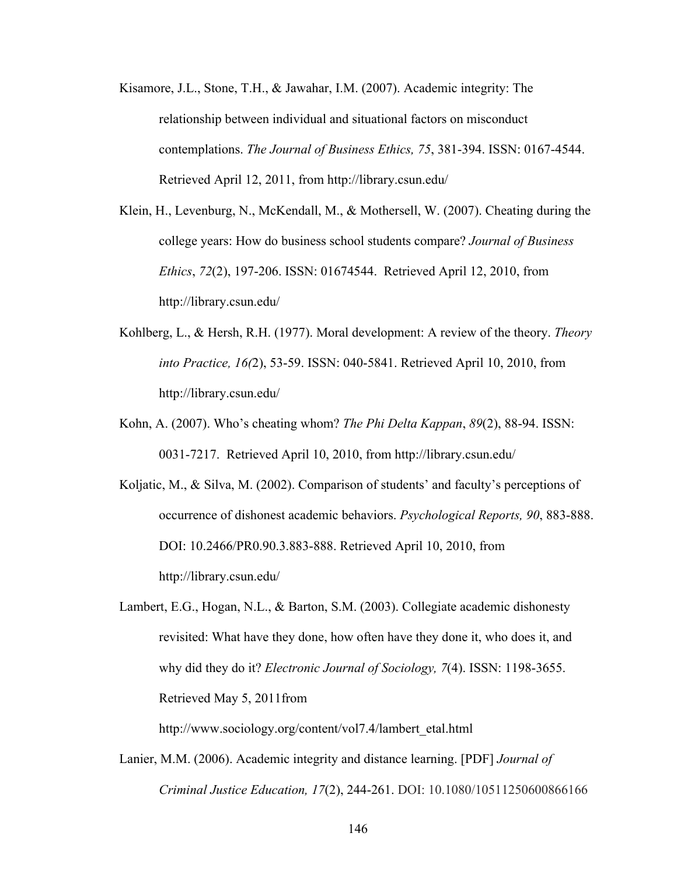- Kisamore, J.L., Stone, T.H., & Jawahar, I.M. (2007). Academic integrity: The relationship between individual and situational factors on misconduct contemplations. *The Journal of Business Ethics, 75*, 381-394. ISSN: 0167-4544. Retrieved April 12, 2011, from http://library.csun.edu/
- Klein, H., Levenburg, N., McKendall, M., & Mothersell, W. (2007). Cheating during the college years: How do business school students compare? *Journal of Business Ethics*, *72*(2), 197-206. ISSN: 01674544. Retrieved April 12, 2010, from http://library.csun.edu/
- Kohlberg, L., & Hersh, R.H. (1977). Moral development: A review of the theory. *Theory into Practice, 16(*2), 53-59. ISSN: 040-5841. Retrieved April 10, 2010, from http://library.csun.edu/
- Kohn, A. (2007). Who's cheating whom? *The Phi Delta Kappan*, *89*(2), 88-94. ISSN: 0031-7217. Retrieved April 10, 2010, from http://library.csun.edu/
- Koljatic, M., & Silva, M. (2002). Comparison of students' and faculty's perceptions of occurrence of dishonest academic behaviors. *Psychological Reports, 90*, 883-888. DOI: 10.2466/PR0.90.3.883-888. Retrieved April 10, 2010, from http://library.csun.edu/
- Lambert, E.G., Hogan, N.L., & Barton, S.M. (2003). Collegiate academic dishonesty revisited: What have they done, how often have they done it, who does it, and why did they do it? *Electronic Journal of Sociology, 7*(4). ISSN: 1198-3655. Retrieved May 5, 2011from

http://www.sociology.org/content/vol7.4/lambert\_etal.html

Lanier, M.M. (2006). Academic integrity and distance learning. [PDF] *Journal of Criminal Justice Education, 17*(2), 244-261. DOI: 10.1080/10511250600866166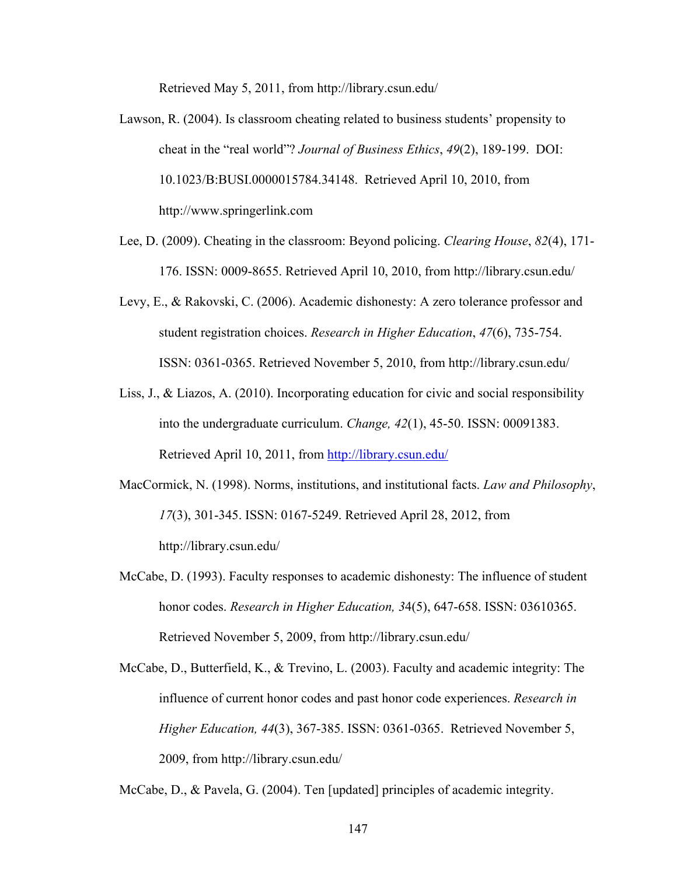Retrieved May 5, 2011, from http://library.csun.edu/

- Lawson, R. (2004). Is classroom cheating related to business students' propensity to cheat in the "real world"? *Journal of Business Ethics*, *49*(2), 189-199. DOI: 10.1023/B:BUSI.0000015784.34148. Retrieved April 10, 2010, from http://www.springerlink.com
- Lee, D. (2009). Cheating in the classroom: Beyond policing. *Clearing House*, *82*(4), 171- 176. ISSN: 0009-8655. Retrieved April 10, 2010, from http://library.csun.edu/
- Levy, E., & Rakovski, C. (2006). Academic dishonesty: A zero tolerance professor and student registration choices. *Research in Higher Education*, *47*(6), 735-754. ISSN: 0361-0365. Retrieved November 5, 2010, from http://library.csun.edu/
- Liss, J., & Liazos, A. (2010). Incorporating education for civic and social responsibility into the undergraduate curriculum. *Change, 42*(1), 45-50. ISSN: 00091383. Retrieved April 10, 2011, from http://library.csun.edu/
- MacCormick, N. (1998). Norms, institutions, and institutional facts. *Law and Philosophy*, *17*(3), 301-345. ISSN: 0167-5249. Retrieved April 28, 2012, from http://library.csun.edu/
- McCabe, D. (1993). Faculty responses to academic dishonesty: The influence of student honor codes. *Research in Higher Education, 3*4(5), 647-658. ISSN: 03610365. Retrieved November 5, 2009, from http://library.csun.edu/
- McCabe, D., Butterfield, K., & Trevino, L. (2003). Faculty and academic integrity: The influence of current honor codes and past honor code experiences. *Research in Higher Education, 44*(3), 367-385. ISSN: 0361-0365. Retrieved November 5, 2009, from http://library.csun.edu/

McCabe, D., & Pavela, G. (2004). Ten [updated] principles of academic integrity.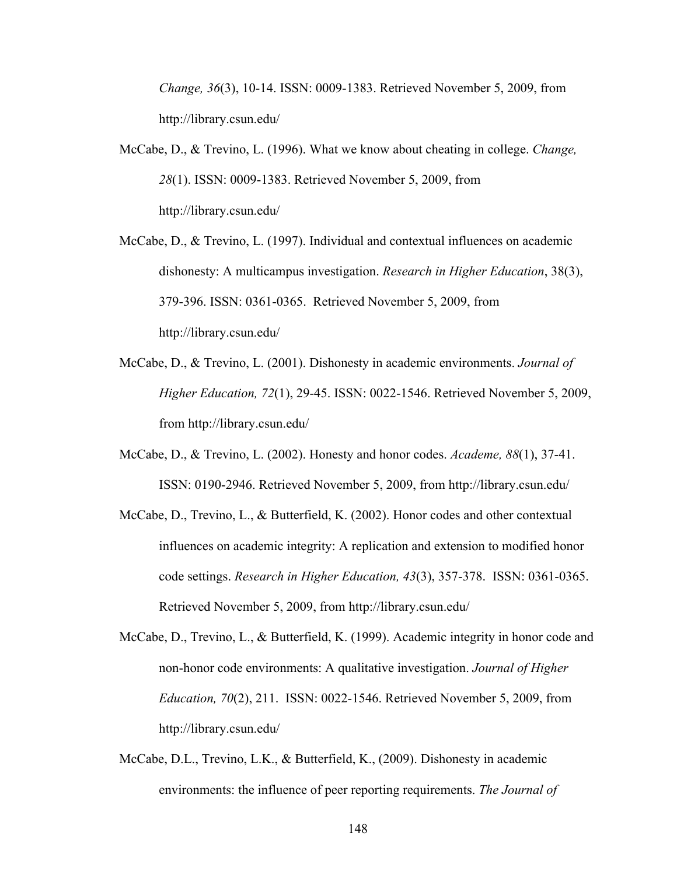*Change, 36*(3), 10-14. ISSN: 0009-1383. Retrieved November 5, 2009, from http://library.csun.edu/

- McCabe, D., & Trevino, L. (1996). What we know about cheating in college. *Change, 28*(1). ISSN: 0009-1383. Retrieved November 5, 2009, from http://library.csun.edu/
- McCabe, D., & Trevino, L. (1997). Individual and contextual influences on academic dishonesty: A multicampus investigation. *Research in Higher Education*, 38(3), 379-396. ISSN: 0361-0365. Retrieved November 5, 2009, from http://library.csun.edu/
- McCabe, D., & Trevino, L. (2001). Dishonesty in academic environments. *Journal of Higher Education, 72*(1), 29-45. ISSN: 0022-1546. Retrieved November 5, 2009, from http://library.csun.edu/
- McCabe, D., & Trevino, L. (2002). Honesty and honor codes. *Academe, 88*(1), 37-41. ISSN: 0190-2946. Retrieved November 5, 2009, from http://library.csun.edu/
- McCabe, D., Trevino, L., & Butterfield, K. (2002). Honor codes and other contextual influences on academic integrity: A replication and extension to modified honor code settings. *Research in Higher Education, 43*(3), 357-378. ISSN: 0361-0365. Retrieved November 5, 2009, from http://library.csun.edu/
- McCabe, D., Trevino, L., & Butterfield, K. (1999). Academic integrity in honor code and non-honor code environments: A qualitative investigation. *Journal of Higher Education, 70*(2), 211. ISSN: 0022-1546. Retrieved November 5, 2009, from http://library.csun.edu/
- McCabe, D.L., Trevino, L.K., & Butterfield, K., (2009). Dishonesty in academic environments: the influence of peer reporting requirements. *The Journal of*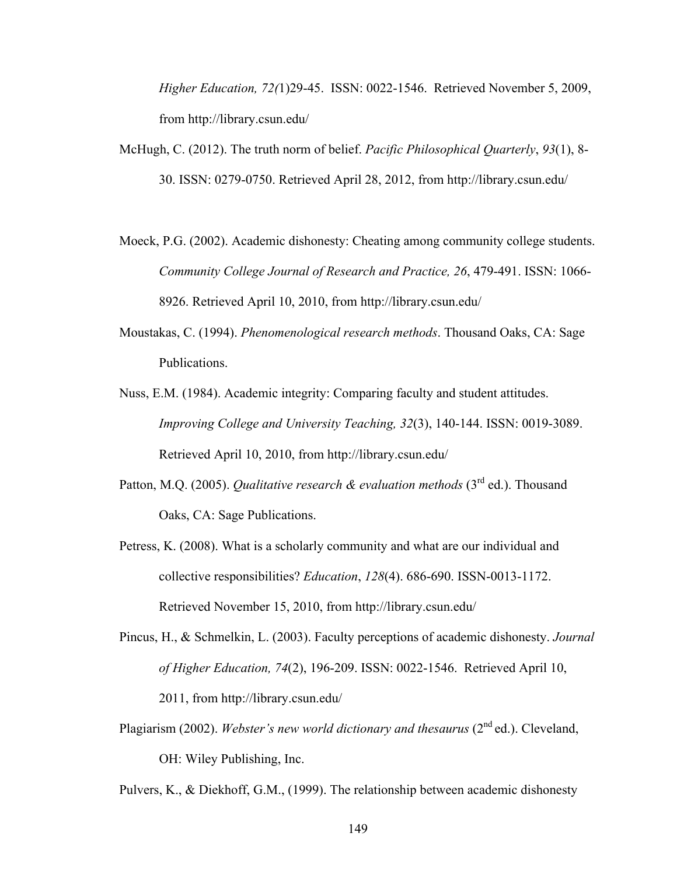*Higher Education, 72(*1)29-45. ISSN: 0022-1546. Retrieved November 5, 2009, from http://library.csun.edu/

- McHugh, C. (2012). The truth norm of belief. *Pacific Philosophical Quarterly*, *93*(1), 8- 30. ISSN: 0279-0750. Retrieved April 28, 2012, from http://library.csun.edu/
- Moeck, P.G. (2002). Academic dishonesty: Cheating among community college students. *Community College Journal of Research and Practice, 26*, 479-491. ISSN: 1066- 8926. Retrieved April 10, 2010, from http://library.csun.edu/
- Moustakas, C. (1994). *Phenomenological research methods*. Thousand Oaks, CA: Sage Publications.
- Nuss, E.M. (1984). Academic integrity: Comparing faculty and student attitudes. *Improving College and University Teaching, 32*(3), 140-144. ISSN: 0019-3089. Retrieved April 10, 2010, from http://library.csun.edu/
- Patton, M.Q. (2005). *Qualitative research & evaluation methods* (3<sup>rd</sup> ed.). Thousand Oaks, CA: Sage Publications.
- Petress, K. (2008). What is a scholarly community and what are our individual and collective responsibilities? *Education*, *128*(4). 686-690. ISSN-0013-1172. Retrieved November 15, 2010, from http://library.csun.edu/
- Pincus, H., & Schmelkin, L. (2003). Faculty perceptions of academic dishonesty. *Journal of Higher Education, 74*(2), 196-209. ISSN: 0022-1546. Retrieved April 10, 2011, from http://library.csun.edu/
- Plagiarism (2002). *Webster's new world dictionary and thesaurus* (2nd ed.). Cleveland, OH: Wiley Publishing, Inc.

Pulvers, K., & Diekhoff, G.M., (1999). The relationship between academic dishonesty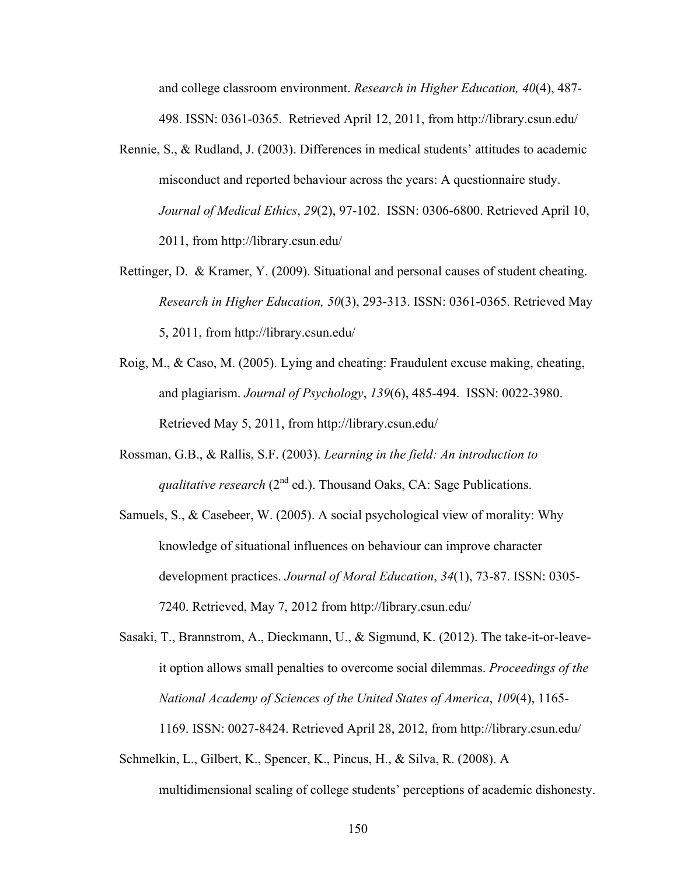and college classroom environment. *Research in Higher Education, 40*(4), 487- 498. ISSN: 0361-0365. Retrieved April 12, 2011, from http://library.csun.edu/

- Rennie, S., & Rudland, J. (2003). Differences in medical students' attitudes to academic misconduct and reported behaviour across the years: A questionnaire study. *Journal of Medical Ethics*, *29*(2), 97-102. ISSN: 0306-6800. Retrieved April 10, 2011, from http://library.csun.edu/
- Rettinger, D. & Kramer, Y. (2009). Situational and personal causes of student cheating. *Research in Higher Education, 50*(3), 293-313. ISSN: 0361-0365. Retrieved May 5, 2011, from http://library.csun.edu/
- Roig, M., & Caso, M. (2005). Lying and cheating: Fraudulent excuse making, cheating, and plagiarism. *Journal of Psychology*, *139*(6), 485-494. ISSN: 0022-3980. Retrieved May 5, 2011, from http://library.csun.edu/
- Rossman, G.B., & Rallis, S.F. (2003). *Learning in the field: An introduction to qualitative research* ( $2^{nd}$  ed.). Thousand Oaks, CA: Sage Publications.
- Samuels, S., & Casebeer, W. (2005). A social psychological view of morality: Why knowledge of situational influences on behaviour can improve character development practices. *Journal of Moral Education*, *34*(1), 73-87. ISSN: 0305- 7240. Retrieved, May 7, 2012 from http://library.csun.edu/

Sasaki, T., Brannstrom, A., Dieckmann, U., & Sigmund, K. (2012). The take-it-or-leaveit option allows small penalties to overcome social dilemmas. *Proceedings of the National Academy of Sciences of the United States of America*, *109*(4), 1165- 1169. ISSN: 0027-8424. Retrieved April 28, 2012, from http://library.csun.edu/

Schmelkin, L., Gilbert, K., Spencer, K., Pincus, H., & Silva, R. (2008). A multidimensional scaling of college students' perceptions of academic dishonesty.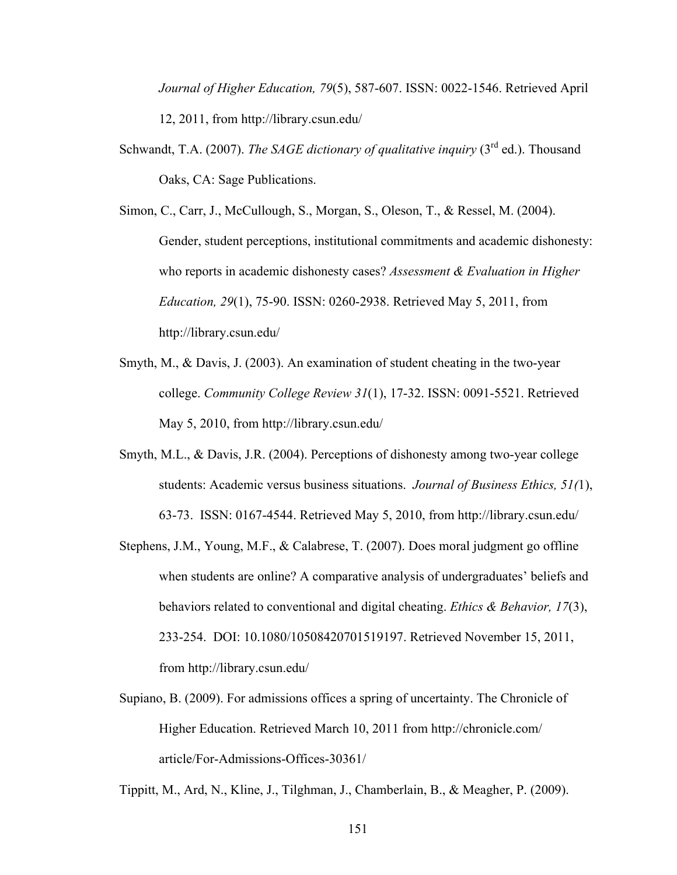*Journal of Higher Education, 79*(5), 587-607. ISSN: 0022-1546. Retrieved April 12, 2011, from http://library.csun.edu/

- Schwandt, T.A. (2007). *The SAGE dictionary of qualitative inquiry* (3<sup>rd</sup> ed.). Thousand Oaks, CA: Sage Publications.
- Simon, C., Carr, J., McCullough, S., Morgan, S., Oleson, T., & Ressel, M. (2004). Gender, student perceptions, institutional commitments and academic dishonesty: who reports in academic dishonesty cases? *Assessment & Evaluation in Higher Education, 29*(1), 75-90. ISSN: 0260-2938. Retrieved May 5, 2011, from http://library.csun.edu/
- Smyth, M., & Davis, J. (2003). An examination of student cheating in the two-year college. *Community College Review 31*(1), 17-32. ISSN: 0091-5521. Retrieved May 5, 2010, from http://library.csun.edu/
- Smyth, M.L., & Davis, J.R. (2004). Perceptions of dishonesty among two-year college students: Academic versus business situations. *Journal of Business Ethics, 51(*1), 63-73. ISSN: 0167-4544. Retrieved May 5, 2010, from http://library.csun.edu/
- Stephens, J.M., Young, M.F., & Calabrese, T. (2007). Does moral judgment go offline when students are online? A comparative analysis of undergraduates' beliefs and behaviors related to conventional and digital cheating. *Ethics & Behavior, 17*(3), 233-254. DOI: 10.1080/10508420701519197. Retrieved November 15, 2011, from http://library.csun.edu/
- Supiano, B. (2009). For admissions offices a spring of uncertainty. The Chronicle of Higher Education. Retrieved March 10, 2011 from http://chronicle.com/ article/For-Admissions-Offices-30361/

Tippitt, M., Ard, N., Kline, J., Tilghman, J., Chamberlain, B., & Meagher, P. (2009).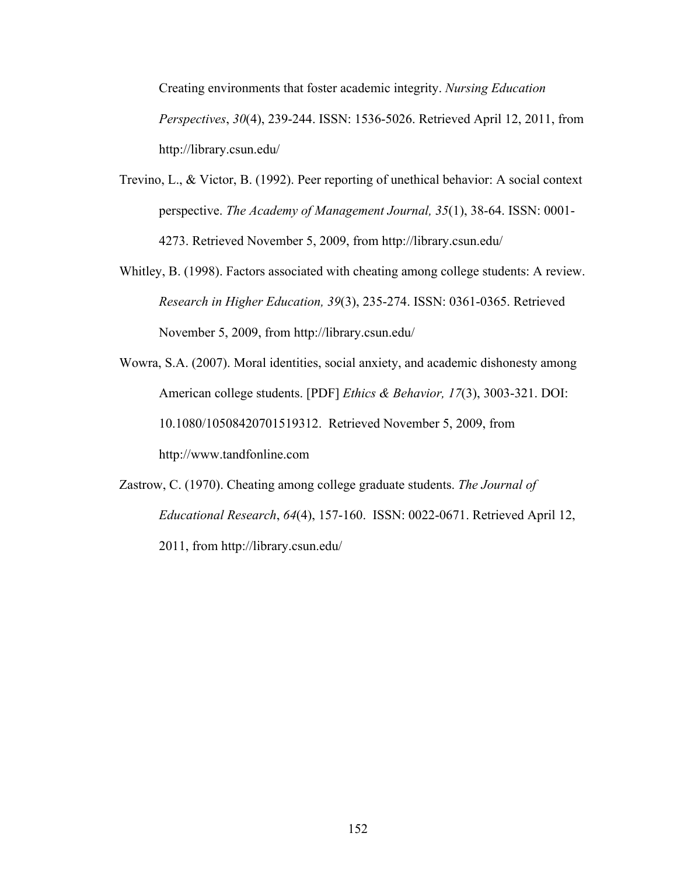Creating environments that foster academic integrity. *Nursing Education Perspectives*, *30*(4), 239-244. ISSN: 1536-5026. Retrieved April 12, 2011, from http://library.csun.edu/

- Trevino, L., & Victor, B. (1992). Peer reporting of unethical behavior: A social context perspective. *The Academy of Management Journal, 35*(1), 38-64. ISSN: 0001- 4273. Retrieved November 5, 2009, from http://library.csun.edu/
- Whitley, B. (1998). Factors associated with cheating among college students: A review. *Research in Higher Education, 39*(3), 235-274. ISSN: 0361-0365. Retrieved November 5, 2009, from http://library.csun.edu/
- Wowra, S.A. (2007). Moral identities, social anxiety, and academic dishonesty among American college students. [PDF] *Ethics & Behavior, 17*(3), 3003-321. DOI: 10.1080/10508420701519312. Retrieved November 5, 2009, from http://www.tandfonline.com
- Zastrow, C. (1970). Cheating among college graduate students. *The Journal of Educational Research*, *64*(4), 157-160. ISSN: 0022-0671. Retrieved April 12, 2011, from http://library.csun.edu/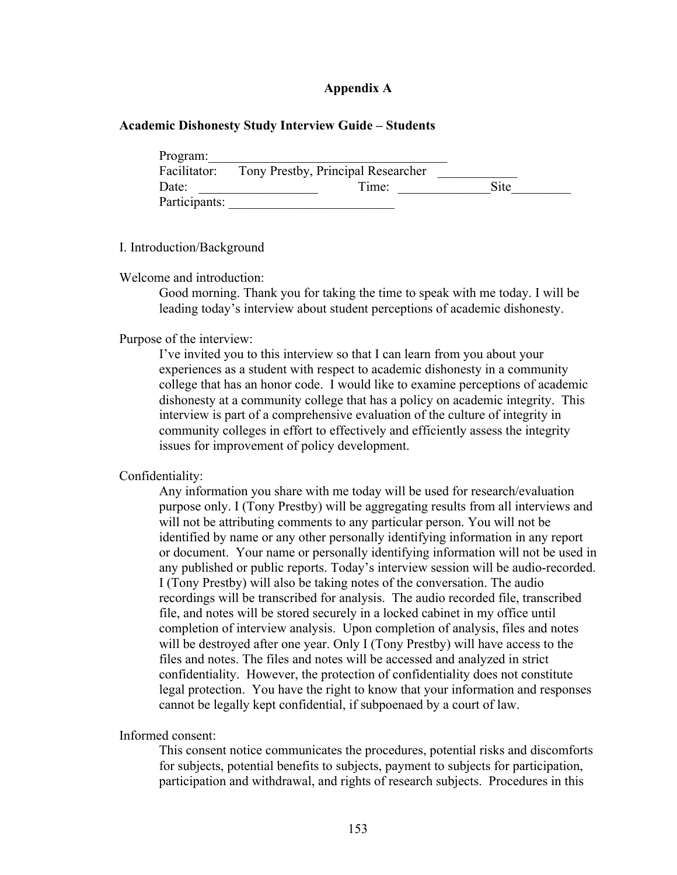#### **Appendix A**

#### **Academic Dishonesty Study Interview Guide – Students**

| Program:      |                                    |      |
|---------------|------------------------------------|------|
| Facilitator:  | Tony Prestby, Principal Researcher |      |
| Date:         | Time:                              | Site |
| Participants: |                                    |      |

#### I. Introduction/Background

#### Welcome and introduction:

Good morning. Thank you for taking the time to speak with me today. I will be leading today's interview about student perceptions of academic dishonesty.

#### Purpose of the interview:

I've invited you to this interview so that I can learn from you about your experiences as a student with respect to academic dishonesty in a community college that has an honor code. I would like to examine perceptions of academic dishonesty at a community college that has a policy on academic integrity. This interview is part of a comprehensive evaluation of the culture of integrity in community colleges in effort to effectively and efficiently assess the integrity issues for improvement of policy development.

#### Confidentiality:

Any information you share with me today will be used for research/evaluation purpose only. I (Tony Prestby) will be aggregating results from all interviews and will not be attributing comments to any particular person. You will not be identified by name or any other personally identifying information in any report or document. Your name or personally identifying information will not be used in any published or public reports. Today's interview session will be audio-recorded. I (Tony Prestby) will also be taking notes of the conversation. The audio recordings will be transcribed for analysis. The audio recorded file, transcribed file, and notes will be stored securely in a locked cabinet in my office until completion of interview analysis. Upon completion of analysis, files and notes will be destroyed after one year. Only I (Tony Prestby) will have access to the files and notes. The files and notes will be accessed and analyzed in strict confidentiality. However, the protection of confidentiality does not constitute legal protection. You have the right to know that your information and responses cannot be legally kept confidential, if subpoenaed by a court of law.

Informed consent:

This consent notice communicates the procedures, potential risks and discomforts for subjects, potential benefits to subjects, payment to subjects for participation, participation and withdrawal, and rights of research subjects. Procedures in this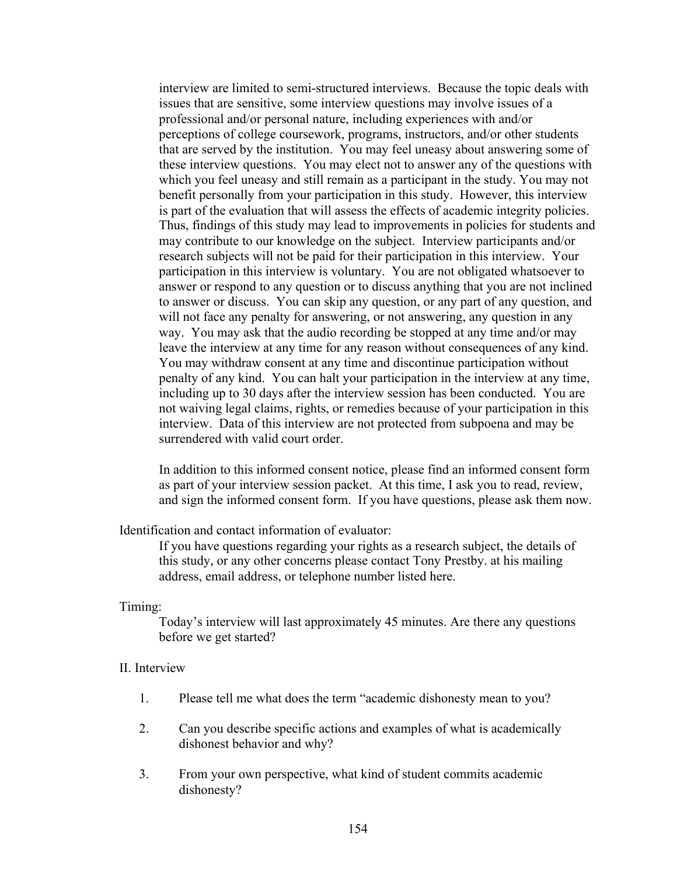interview are limited to semi-structured interviews. Because the topic deals with issues that are sensitive, some interview questions may involve issues of a professional and/or personal nature, including experiences with and/or perceptions of college coursework, programs, instructors, and/or other students that are served by the institution. You may feel uneasy about answering some of these interview questions. You may elect not to answer any of the questions with which you feel uneasy and still remain as a participant in the study. You may not benefit personally from your participation in this study. However, this interview is part of the evaluation that will assess the effects of academic integrity policies. Thus, findings of this study may lead to improvements in policies for students and may contribute to our knowledge on the subject. Interview participants and/or research subjects will not be paid for their participation in this interview. Your participation in this interview is voluntary. You are not obligated whatsoever to answer or respond to any question or to discuss anything that you are not inclined to answer or discuss. You can skip any question, or any part of any question, and will not face any penalty for answering, or not answering, any question in any way. You may ask that the audio recording be stopped at any time and/or may leave the interview at any time for any reason without consequences of any kind. You may withdraw consent at any time and discontinue participation without penalty of any kind. You can halt your participation in the interview at any time, including up to 30 days after the interview session has been conducted. You are not waiving legal claims, rights, or remedies because of your participation in this interview. Data of this interview are not protected from subpoena and may be surrendered with valid court order.

In addition to this informed consent notice, please find an informed consent form as part of your interview session packet. At this time, I ask you to read, review, and sign the informed consent form. If you have questions, please ask them now.

#### Identification and contact information of evaluator:

If you have questions regarding your rights as a research subject, the details of this study, or any other concerns please contact Tony Prestby. at his mailing address, email address, or telephone number listed here.

#### Timing:

Today's interview will last approximately 45 minutes. Are there any questions before we get started?

#### II. Interview

- 1. Please tell me what does the term "academic dishonesty mean to you?
- 2. Can you describe specific actions and examples of what is academically dishonest behavior and why?
- 3. From your own perspective, what kind of student commits academic dishonesty?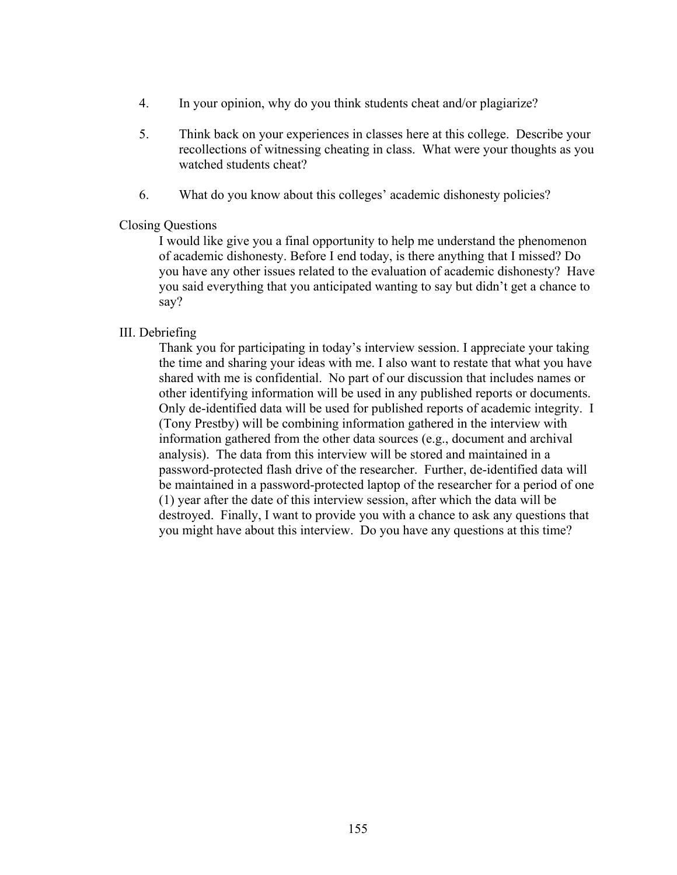- 4. In your opinion, why do you think students cheat and/or plagiarize?
- 5. Think back on your experiences in classes here at this college. Describe your recollections of witnessing cheating in class. What were your thoughts as you watched students cheat?
- 6. What do you know about this colleges' academic dishonesty policies?

#### Closing Questions

I would like give you a final opportunity to help me understand the phenomenon of academic dishonesty. Before I end today, is there anything that I missed? Do you have any other issues related to the evaluation of academic dishonesty? Have you said everything that you anticipated wanting to say but didn't get a chance to say?

#### III. Debriefing

Thank you for participating in today's interview session. I appreciate your taking the time and sharing your ideas with me. I also want to restate that what you have shared with me is confidential. No part of our discussion that includes names or other identifying information will be used in any published reports or documents. Only de-identified data will be used for published reports of academic integrity. I (Tony Prestby) will be combining information gathered in the interview with information gathered from the other data sources (e.g., document and archival analysis). The data from this interview will be stored and maintained in a password-protected flash drive of the researcher. Further, de-identified data will be maintained in a password-protected laptop of the researcher for a period of one (1) year after the date of this interview session, after which the data will be destroyed. Finally, I want to provide you with a chance to ask any questions that you might have about this interview. Do you have any questions at this time?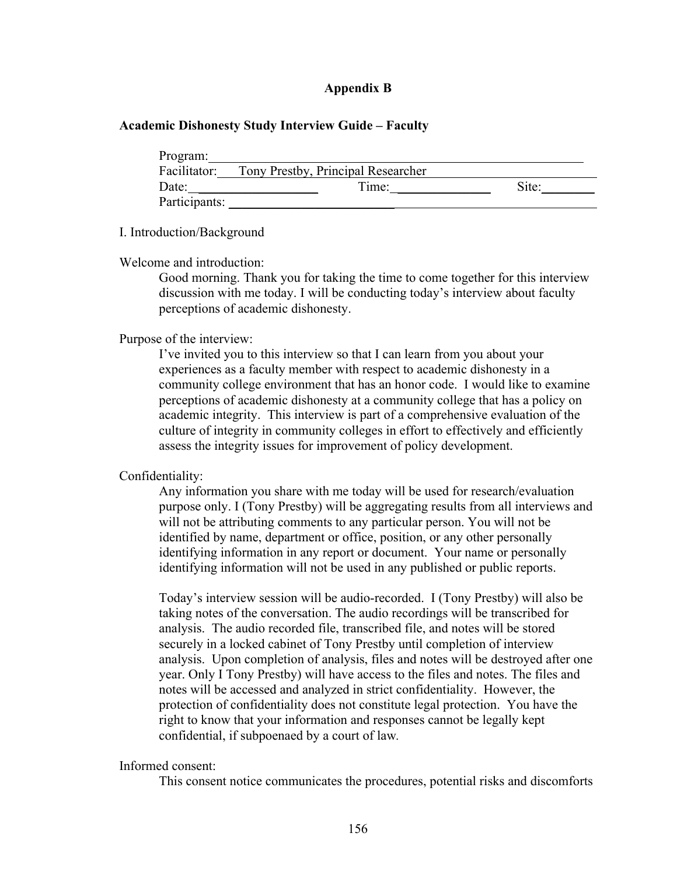#### **Appendix B**

#### **Academic Dishonesty Study Interview Guide – Faculty**

| Program:      |                                    |       |
|---------------|------------------------------------|-------|
| Facilitator:  | Tony Prestby, Principal Researcher |       |
| Date:         | Time:                              | Site: |
| Participants: |                                    |       |

#### I. Introduction/Background

Welcome and introduction:

Good morning. Thank you for taking the time to come together for this interview discussion with me today. I will be conducting today's interview about faculty perceptions of academic dishonesty.

#### Purpose of the interview:

I've invited you to this interview so that I can learn from you about your experiences as a faculty member with respect to academic dishonesty in a community college environment that has an honor code. I would like to examine perceptions of academic dishonesty at a community college that has a policy on academic integrity. This interview is part of a comprehensive evaluation of the culture of integrity in community colleges in effort to effectively and efficiently assess the integrity issues for improvement of policy development.

#### Confidentiality:

Any information you share with me today will be used for research/evaluation purpose only. I (Tony Prestby) will be aggregating results from all interviews and will not be attributing comments to any particular person. You will not be identified by name, department or office, position, or any other personally identifying information in any report or document. Your name or personally identifying information will not be used in any published or public reports.

Today's interview session will be audio-recorded. I (Tony Prestby) will also be taking notes of the conversation. The audio recordings will be transcribed for analysis. The audio recorded file, transcribed file, and notes will be stored securely in a locked cabinet of Tony Prestby until completion of interview analysis. Upon completion of analysis, files and notes will be destroyed after one year. Only I Tony Prestby) will have access to the files and notes. The files and notes will be accessed and analyzed in strict confidentiality. However, the protection of confidentiality does not constitute legal protection. You have the right to know that your information and responses cannot be legally kept confidential, if subpoenaed by a court of law*.*

Informed consent:

This consent notice communicates the procedures, potential risks and discomforts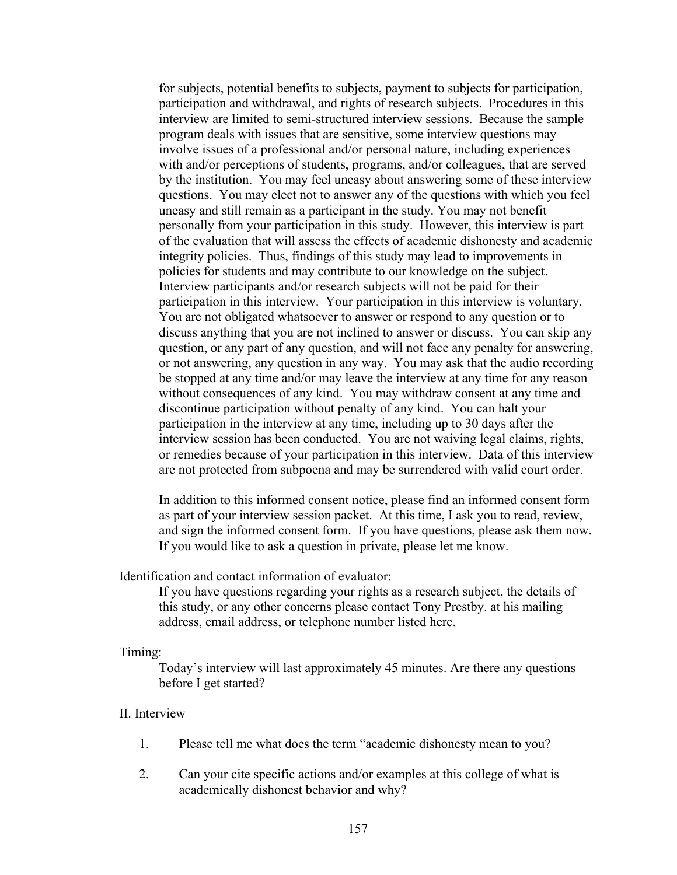for subjects, potential benefits to subjects, payment to subjects for participation, participation and withdrawal, and rights of research subjects. Procedures in this interview are limited to semi-structured interview sessions. Because the sample program deals with issues that are sensitive, some interview questions may involve issues of a professional and/or personal nature, including experiences with and/or perceptions of students, programs, and/or colleagues, that are served by the institution. You may feel uneasy about answering some of these interview questions. You may elect not to answer any of the questions with which you feel uneasy and still remain as a participant in the study. You may not benefit personally from your participation in this study. However, this interview is part of the evaluation that will assess the effects of academic dishonesty and academic integrity policies. Thus, findings of this study may lead to improvements in policies for students and may contribute to our knowledge on the subject. Interview participants and/or research subjects will not be paid for their participation in this interview. Your participation in this interview is voluntary. You are not obligated whatsoever to answer or respond to any question or to discuss anything that you are not inclined to answer or discuss. You can skip any question, or any part of any question, and will not face any penalty for answering, or not answering, any question in any way. You may ask that the audio recording be stopped at any time and/or may leave the interview at any time for any reason without consequences of any kind. You may withdraw consent at any time and discontinue participation without penalty of any kind. You can halt your participation in the interview at any time, including up to 30 days after the interview session has been conducted. You are not waiving legal claims, rights, or remedies because of your participation in this interview. Data of this interview are not protected from subpoena and may be surrendered with valid court order.

In addition to this informed consent notice, please find an informed consent form as part of your interview session packet. At this time, I ask you to read, review, and sign the informed consent form. If you have questions, please ask them now. If you would like to ask a question in private, please let me know.

Identification and contact information of evaluator:

If you have questions regarding your rights as a research subject, the details of this study, or any other concerns please contact Tony Prestby. at his mailing address, email address, or telephone number listed here.

Timing:

Today's interview will last approximately 45 minutes. Are there any questions before I get started?

#### II. Interview

- 1. Please tell me what does the term "academic dishonesty mean to you?
- 2. Can your cite specific actions and/or examples at this college of what is academically dishonest behavior and why?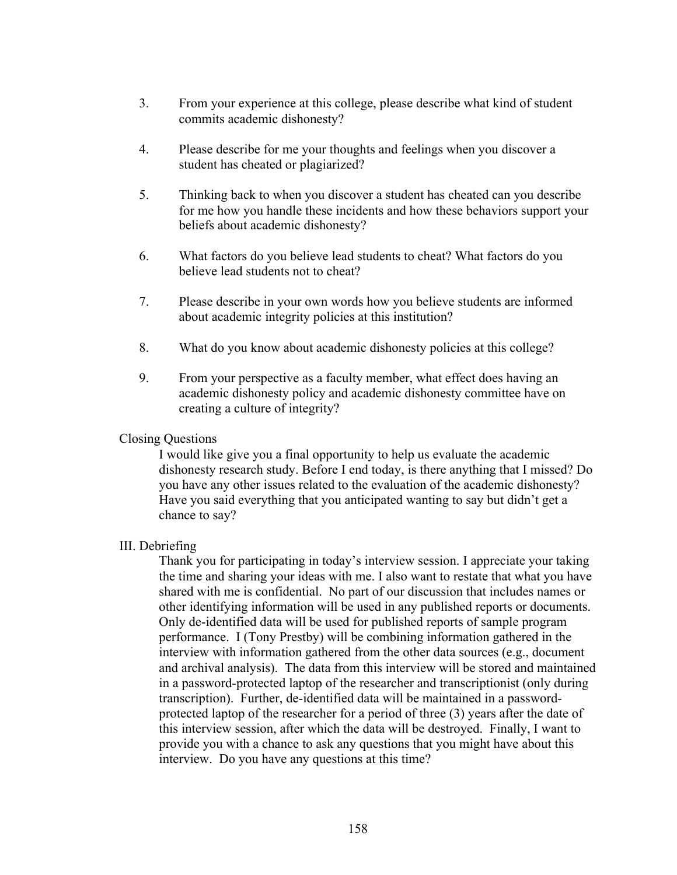- 3. From your experience at this college, please describe what kind of student commits academic dishonesty?
- 4. Please describe for me your thoughts and feelings when you discover a student has cheated or plagiarized?
- 5. Thinking back to when you discover a student has cheated can you describe for me how you handle these incidents and how these behaviors support your beliefs about academic dishonesty?
- 6. What factors do you believe lead students to cheat? What factors do you believe lead students not to cheat?
- 7. Please describe in your own words how you believe students are informed about academic integrity policies at this institution?
- 8. What do you know about academic dishonesty policies at this college?
- 9. From your perspective as a faculty member, what effect does having an academic dishonesty policy and academic dishonesty committee have on creating a culture of integrity?

#### Closing Questions

I would like give you a final opportunity to help us evaluate the academic dishonesty research study. Before I end today, is there anything that I missed? Do you have any other issues related to the evaluation of the academic dishonesty? Have you said everything that you anticipated wanting to say but didn't get a chance to say?

# III. Debriefing

Thank you for participating in today's interview session. I appreciate your taking the time and sharing your ideas with me. I also want to restate that what you have shared with me is confidential. No part of our discussion that includes names or other identifying information will be used in any published reports or documents. Only de-identified data will be used for published reports of sample program performance. I (Tony Prestby) will be combining information gathered in the interview with information gathered from the other data sources (e.g., document and archival analysis). The data from this interview will be stored and maintained in a password-protected laptop of the researcher and transcriptionist (only during transcription). Further, de-identified data will be maintained in a passwordprotected laptop of the researcher for a period of three (3) years after the date of this interview session, after which the data will be destroyed. Finally, I want to provide you with a chance to ask any questions that you might have about this interview. Do you have any questions at this time?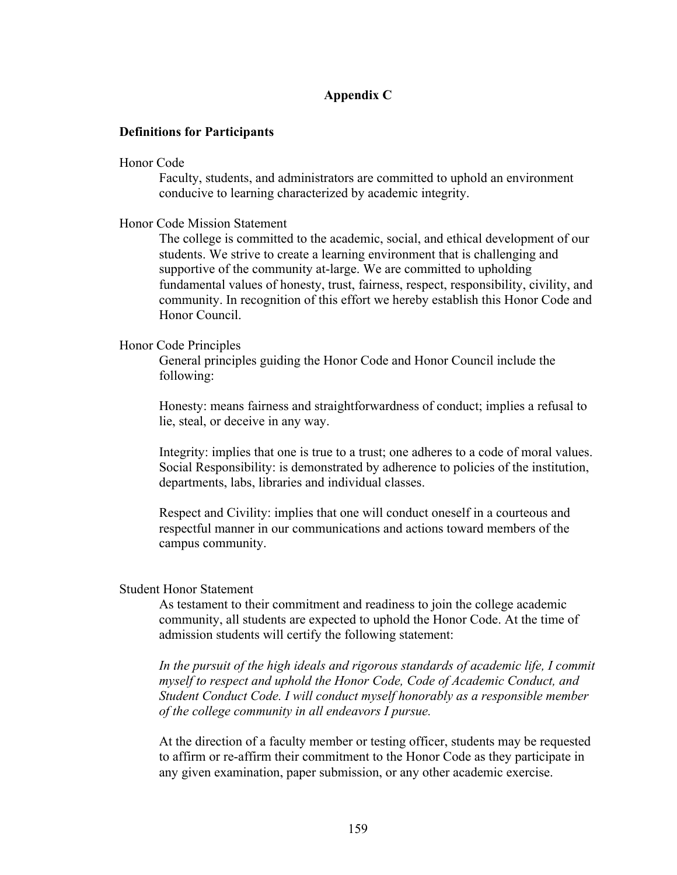## **Appendix C**

#### **Definitions for Participants**

#### Honor Code

Faculty, students, and administrators are committed to uphold an environment conducive to learning characterized by academic integrity.

#### Honor Code Mission Statement

The college is committed to the academic, social, and ethical development of our students. We strive to create a learning environment that is challenging and supportive of the community at-large. We are committed to upholding fundamental values of honesty, trust, fairness, respect, responsibility, civility, and community. In recognition of this effort we hereby establish this Honor Code and Honor Council.

#### Honor Code Principles

General principles guiding the Honor Code and Honor Council include the following:

Honesty: means fairness and straightforwardness of conduct; implies a refusal to lie, steal, or deceive in any way.

Integrity: implies that one is true to a trust; one adheres to a code of moral values. Social Responsibility: is demonstrated by adherence to policies of the institution, departments, labs, libraries and individual classes.

Respect and Civility: implies that one will conduct oneself in a courteous and respectful manner in our communications and actions toward members of the campus community.

#### Student Honor Statement

As testament to their commitment and readiness to join the college academic community, all students are expected to uphold the Honor Code. At the time of admission students will certify the following statement:

In the pursuit of the high ideals and rigorous standards of academic life, I commit *myself to respect and uphold the Honor Code, Code of Academic Conduct, and Student Conduct Code. I will conduct myself honorably as a responsible member of the college community in all endeavors I pursue.*

At the direction of a faculty member or testing officer, students may be requested to affirm or re-affirm their commitment to the Honor Code as they participate in any given examination, paper submission, or any other academic exercise.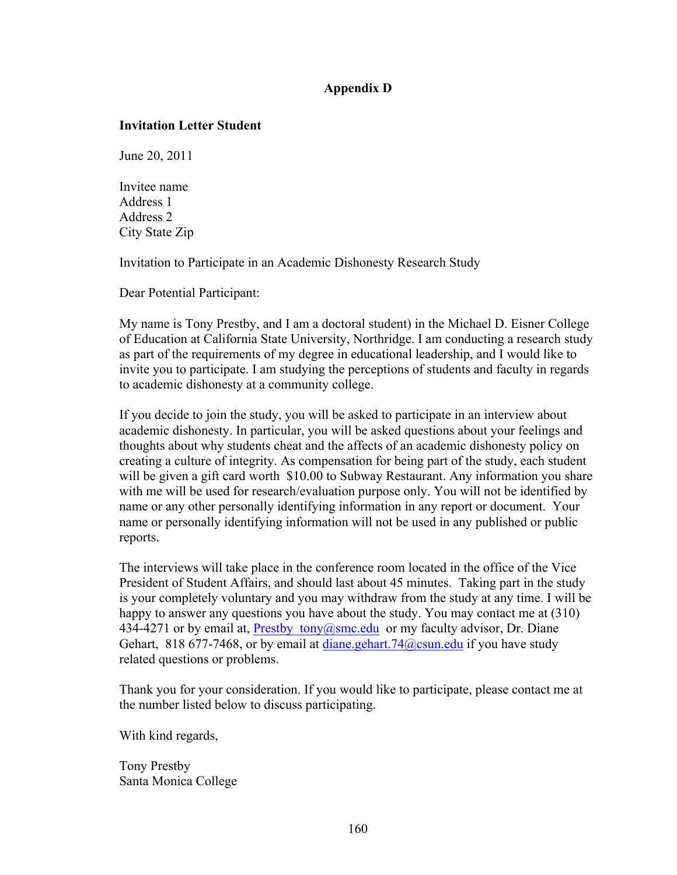# **Appendix D**

## **Invitation Letter Student**

June 20, 2011

Invitee name Address 1 Address 2 City State Zip

Invitation to Participate in an Academic Dishonesty Research Study

Dear Potential Participant:

My name is Tony Prestby, and I am a doctoral student) in the Michael D. Eisner College of Education at California State University, Northridge. I am conducting a research study as part of the requirements of my degree in educational leadership, and I would like to invite you to participate. I am studying the perceptions of students and faculty in regards to academic dishonesty at a community college.

If you decide to join the study, you will be asked to participate in an interview about academic dishonesty. In particular, you will be asked questions about your feelings and thoughts about why students cheat and the affects of an academic dishonesty policy on creating a culture of integrity. As compensation for being part of the study, each student will be given a gift card worth \$10.00 to Subway Restaurant. Any information you share with me will be used for research/evaluation purpose only. You will not be identified by name or any other personally identifying information in any report or document. Your name or personally identifying information will not be used in any published or public reports.

The interviews will take place in the conference room located in the office of the Vice President of Student Affairs, and should last about 45 minutes. Taking part in the study is your completely voluntary and you may withdraw from the study at any time. I will be happy to answer any questions you have about the study. You may contact me at (310) 434-4271 or by email at, Prestby  $\text{tony}(\hat{\alpha} \text{smc.edu})$  or my faculty advisor, Dr. Diane Gehart, 818 677-7468, or by email at diane.gehart.74@csun.edu if you have study related questions or problems.

Thank you for your consideration. If you would like to participate, please contact me at the number listed below to discuss participating.

With kind regards,

Tony Prestby Santa Monica College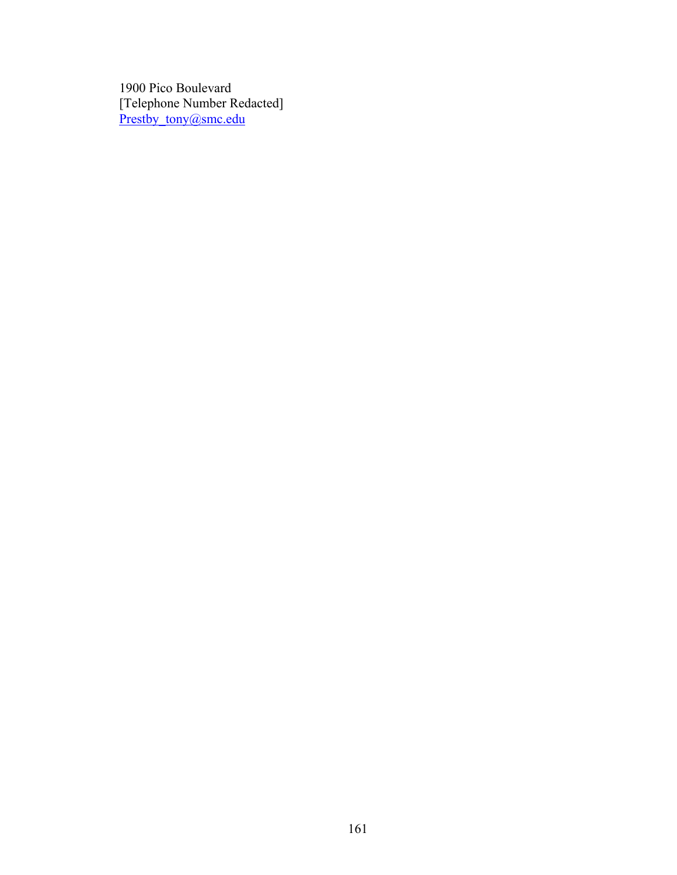1900 Pico Boulevard [Telephone Number Redacted] Prestby\_tony@smc.edu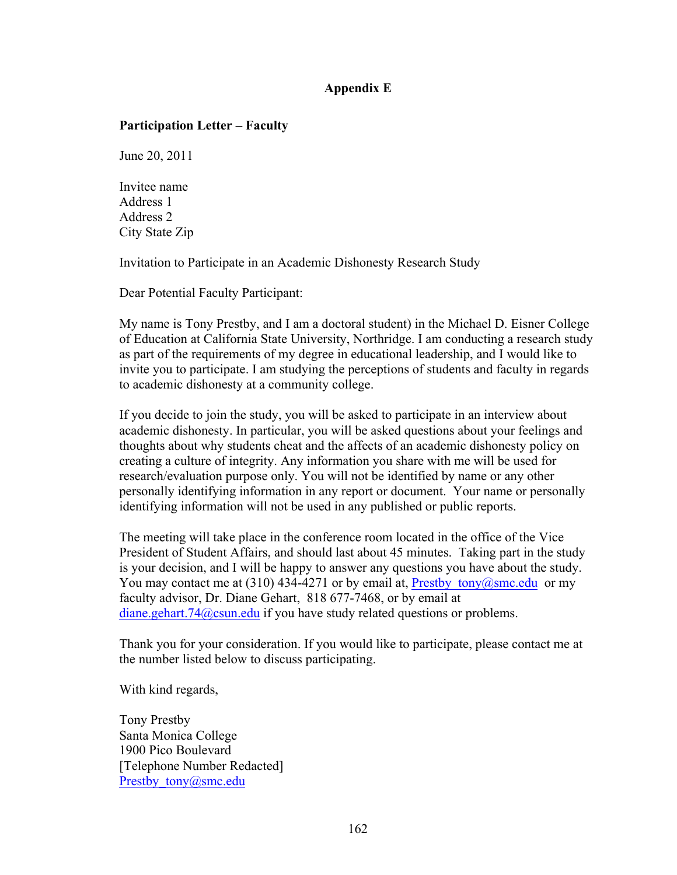# **Appendix E**

### **Participation Letter – Faculty**

June 20, 2011

Invitee name Address 1 Address 2 City State Zip

Invitation to Participate in an Academic Dishonesty Research Study

Dear Potential Faculty Participant:

My name is Tony Prestby, and I am a doctoral student) in the Michael D. Eisner College of Education at California State University, Northridge. I am conducting a research study as part of the requirements of my degree in educational leadership, and I would like to invite you to participate. I am studying the perceptions of students and faculty in regards to academic dishonesty at a community college.

If you decide to join the study, you will be asked to participate in an interview about academic dishonesty. In particular, you will be asked questions about your feelings and thoughts about why students cheat and the affects of an academic dishonesty policy on creating a culture of integrity. Any information you share with me will be used for research/evaluation purpose only. You will not be identified by name or any other personally identifying information in any report or document. Your name or personally identifying information will not be used in any published or public reports.

The meeting will take place in the conference room located in the office of the Vice President of Student Affairs, and should last about 45 minutes. Taking part in the study is your decision, and I will be happy to answer any questions you have about the study. You may contact me at (310) 434-4271 or by email at, Prestby tony@smc.edu or my faculty advisor, Dr. Diane Gehart, 818 677-7468, or by email at diane.gehart.74@csun.edu if you have study related questions or problems.

Thank you for your consideration. If you would like to participate, please contact me at the number listed below to discuss participating.

With kind regards,

Tony Prestby Santa Monica College 1900 Pico Boulevard [Telephone Number Redacted] Prestby tony@smc.edu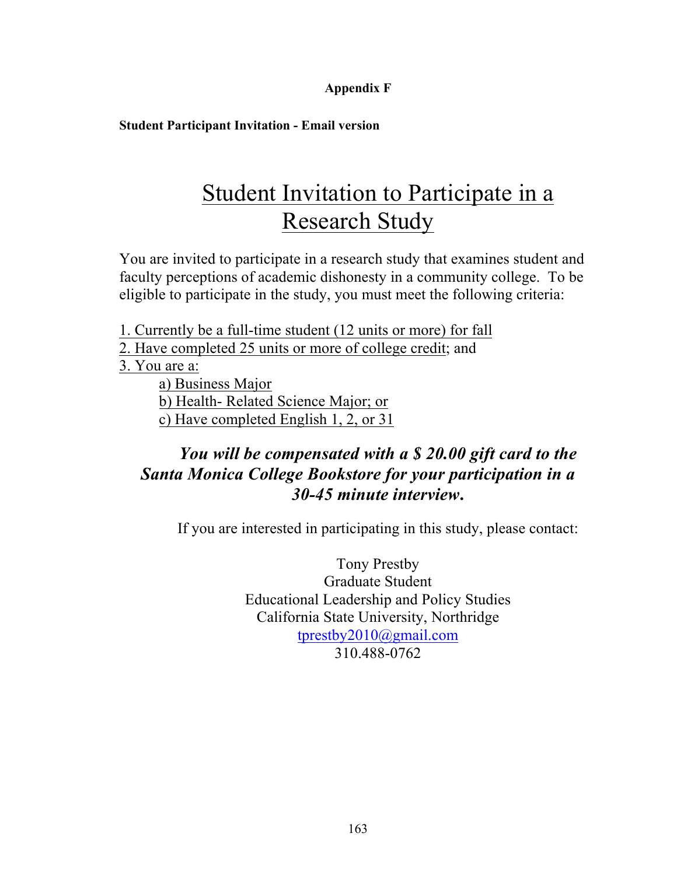# **Appendix F**

**Student Participant Invitation - Email version**

# Student Invitation to Participate in a Research Study

You are invited to participate in a research study that examines student and faculty perceptions of academic dishonesty in a community college. To be eligible to participate in the study, you must meet the following criteria:

1. Currently be a full-time student (12 units or more) for fall

2. Have completed 25 units or more of college credit; and

3. You are a:

a) Business Major b) Health- Related Science Major; or c) Have completed English 1, 2, or 31

# *You will be compensated with a \$ 20.00 gift card to the Santa Monica College Bookstore for your participation in a 30-45 minute interview***.**

If you are interested in participating in this study, please contact:

Tony Prestby Graduate Student Educational Leadership and Policy Studies California State University, Northridge tprestby2010@gmail.com 310.488-0762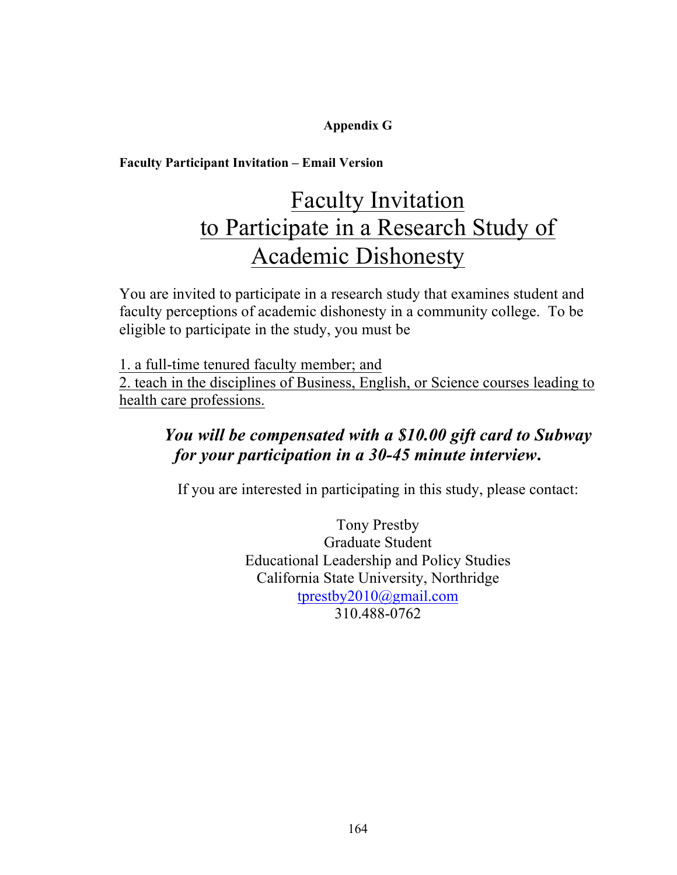# **Appendix G**

# **Faculty Participant Invitation – Email Version**

# Faculty Invitation to Participate in a Research Study of Academic Dishonesty

You are invited to participate in a research study that examines student and faculty perceptions of academic dishonesty in a community college. To be eligible to participate in the study, you must be

1. a full-time tenured faculty member; and 2. teach in the disciplines of Business, English, or Science courses leading to health care professions.

# *You will be compensated with a \$10.00 gift card to Subway for your participation in a 30-45 minute interview***.**

If you are interested in participating in this study, please contact:

Tony Prestby Graduate Student Educational Leadership and Policy Studies California State University, Northridge tprestby2010@gmail.com 310.488-0762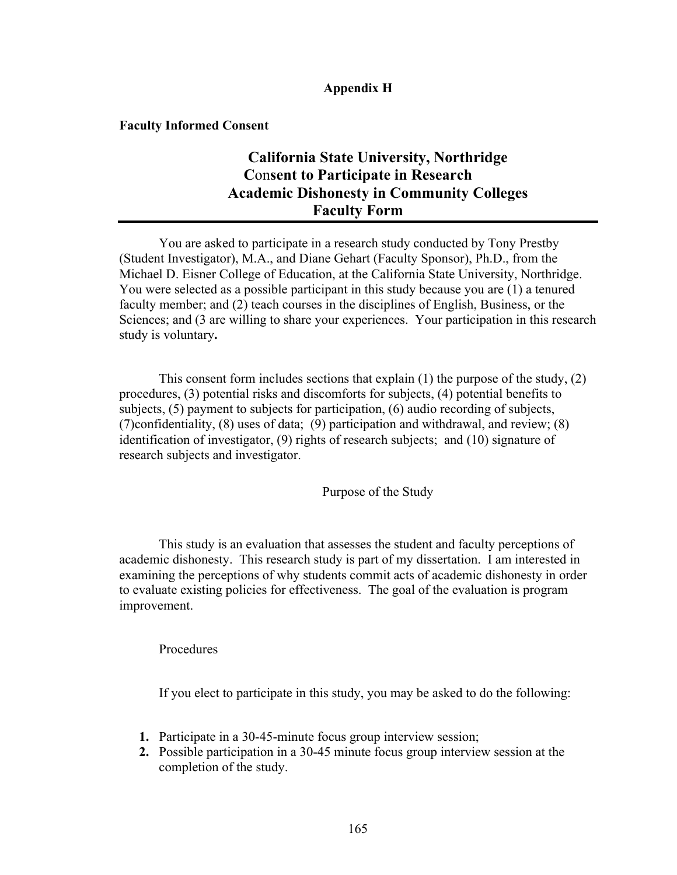## **Appendix H**

**Faculty Informed Consent**

# **California State University, Northridge C**on**sent to Participate in Research Academic Dishonesty in Community Colleges Faculty Form**

You are asked to participate in a research study conducted by Tony Prestby (Student Investigator), M.A., and Diane Gehart (Faculty Sponsor), Ph.D., from the Michael D. Eisner College of Education, at the California State University, Northridge. You were selected as a possible participant in this study because you are (1) a tenured faculty member; and (2) teach courses in the disciplines of English, Business, or the Sciences; and  $(3 \text{ are willing to share your experiences. Your participation in this research)$ study is voluntary**.**

This consent form includes sections that explain (1) the purpose of the study, (2) procedures, (3) potential risks and discomforts for subjects, (4) potential benefits to subjects, (5) payment to subjects for participation, (6) audio recording of subjects, (7)confidentiality, (8) uses of data; (9) participation and withdrawal, and review; (8) identification of investigator, (9) rights of research subjects; and (10) signature of research subjects and investigator.

Purpose of the Study

This study is an evaluation that assesses the student and faculty perceptions of academic dishonesty. This research study is part of my dissertation. I am interested in examining the perceptions of why students commit acts of academic dishonesty in order to evaluate existing policies for effectiveness. The goal of the evaluation is program improvement.

Procedures

If you elect to participate in this study, you may be asked to do the following:

- **1.** Participate in a 30-45-minute focus group interview session;
- **2.** Possible participation in a 30-45 minute focus group interview session at the completion of the study.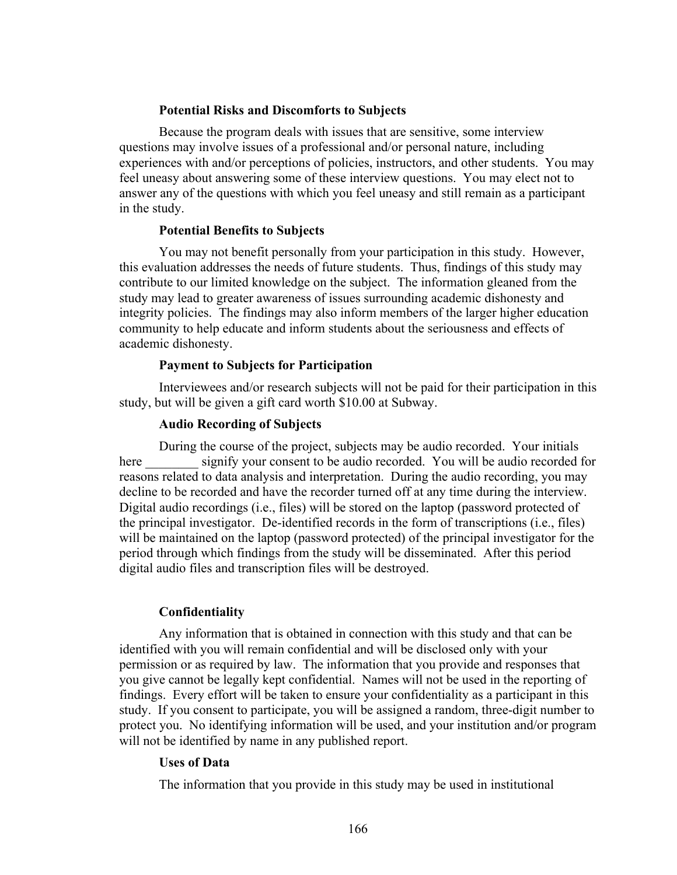#### **Potential Risks and Discomforts to Subjects**

Because the program deals with issues that are sensitive, some interview questions may involve issues of a professional and/or personal nature, including experiences with and/or perceptions of policies, instructors, and other students. You may feel uneasy about answering some of these interview questions. You may elect not to answer any of the questions with which you feel uneasy and still remain as a participant in the study.

#### **Potential Benefits to Subjects**

You may not benefit personally from your participation in this study. However, this evaluation addresses the needs of future students. Thus, findings of this study may contribute to our limited knowledge on the subject. The information gleaned from the study may lead to greater awareness of issues surrounding academic dishonesty and integrity policies. The findings may also inform members of the larger higher education community to help educate and inform students about the seriousness and effects of academic dishonesty.

#### **Payment to Subjects for Participation**

Interviewees and/or research subjects will not be paid for their participation in this study, but will be given a gift card worth \$10.00 at Subway.

#### **Audio Recording of Subjects**

During the course of the project, subjects may be audio recorded. Your initials here signify your consent to be audio recorded. You will be audio recorded for reasons related to data analysis and interpretation. During the audio recording, you may decline to be recorded and have the recorder turned off at any time during the interview. Digital audio recordings (i.e., files) will be stored on the laptop (password protected of the principal investigator. De-identified records in the form of transcriptions (i.e., files) will be maintained on the laptop (password protected) of the principal investigator for the period through which findings from the study will be disseminated. After this period digital audio files and transcription files will be destroyed.

#### **Confidentiality**

Any information that is obtained in connection with this study and that can be identified with you will remain confidential and will be disclosed only with your permission or as required by law. The information that you provide and responses that you give cannot be legally kept confidential. Names will not be used in the reporting of findings. Every effort will be taken to ensure your confidentiality as a participant in this study. If you consent to participate, you will be assigned a random, three-digit number to protect you. No identifying information will be used, and your institution and/or program will not be identified by name in any published report.

#### **Uses of Data**

The information that you provide in this study may be used in institutional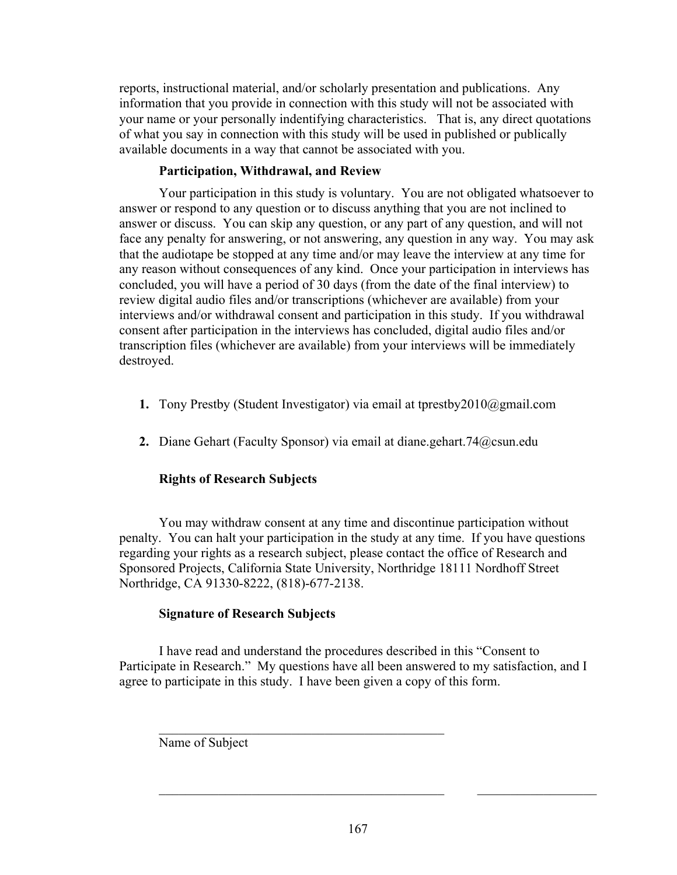reports, instructional material, and/or scholarly presentation and publications. Any information that you provide in connection with this study will not be associated with your name or your personally indentifying characteristics. That is, any direct quotations of what you say in connection with this study will be used in published or publically available documents in a way that cannot be associated with you.

# **Participation, Withdrawal, and Review**

Your participation in this study is voluntary. You are not obligated whatsoever to answer or respond to any question or to discuss anything that you are not inclined to answer or discuss. You can skip any question, or any part of any question, and will not face any penalty for answering, or not answering, any question in any way. You may ask that the audiotape be stopped at any time and/or may leave the interview at any time for any reason without consequences of any kind. Once your participation in interviews has concluded, you will have a period of 30 days (from the date of the final interview) to review digital audio files and/or transcriptions (whichever are available) from your interviews and/or withdrawal consent and participation in this study. If you withdrawal consent after participation in the interviews has concluded, digital audio files and/or transcription files (whichever are available) from your interviews will be immediately destroyed.

- **1.** Tony Prestby (Student Investigator) via email at tprestby2010@gmail.com
- **2.** Diane Gehart (Faculty Sponsor) via email at diane.gehart.74@csun.edu

# **Rights of Research Subjects**

You may withdraw consent at any time and discontinue participation without penalty. You can halt your participation in the study at any time. If you have questions regarding your rights as a research subject, please contact the office of Research and Sponsored Projects, California State University, Northridge 18111 Nordhoff Street Northridge, CA 91330-8222, (818)-677-2138.

# **Signature of Research Subjects**

I have read and understand the procedures described in this "Consent to Participate in Research." My questions have all been answered to my satisfaction, and I agree to participate in this study. I have been given a copy of this form.

 $\mathcal{L}_\text{max}$  , and the set of the set of the set of the set of the set of the set of the set of the set of the set of the set of the set of the set of the set of the set of the set of the set of the set of the set of the

Name of Subject

 $\_$  , and the set of the set of the set of the set of the set of the set of the set of the set of the set of the set of the set of the set of the set of the set of the set of the set of the set of the set of the set of th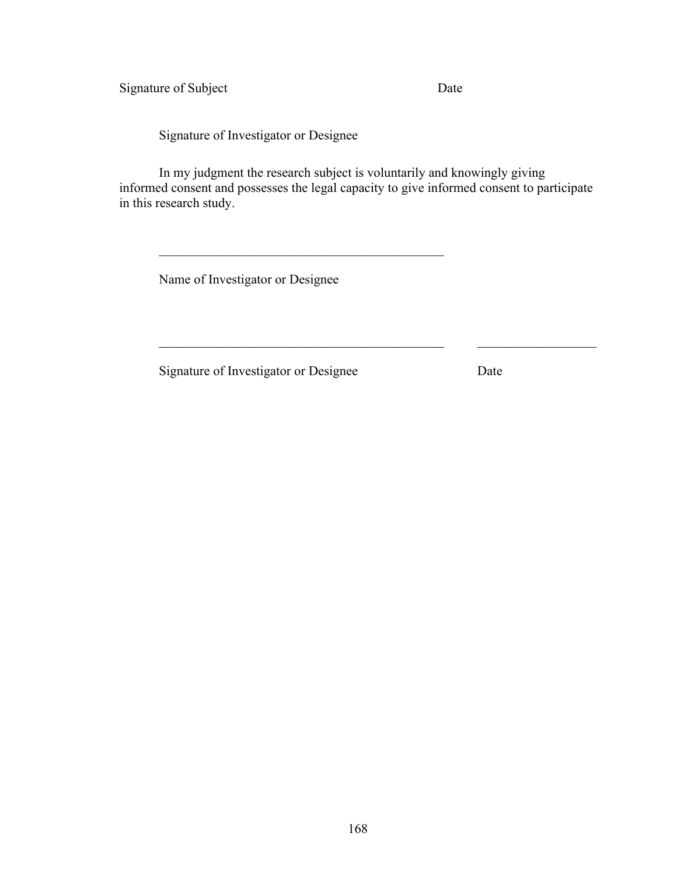Signature of Subject Date

Signature of Investigator or Designee

In my judgment the research subject is voluntarily and knowingly giving informed consent and possesses the legal capacity to give informed consent to participate in this research study.

 $\_$  , and the set of the set of the set of the set of the set of the set of the set of the set of the set of the set of the set of the set of the set of the set of the set of the set of the set of the set of the set of th

Name of Investigator or Designee

 $\mathcal{L}_\text{max}$  and the contract of the contract of the contract of the contract of the contract of the contract of the contract of the contract of the contract of the contract of the contract of the contract of the contrac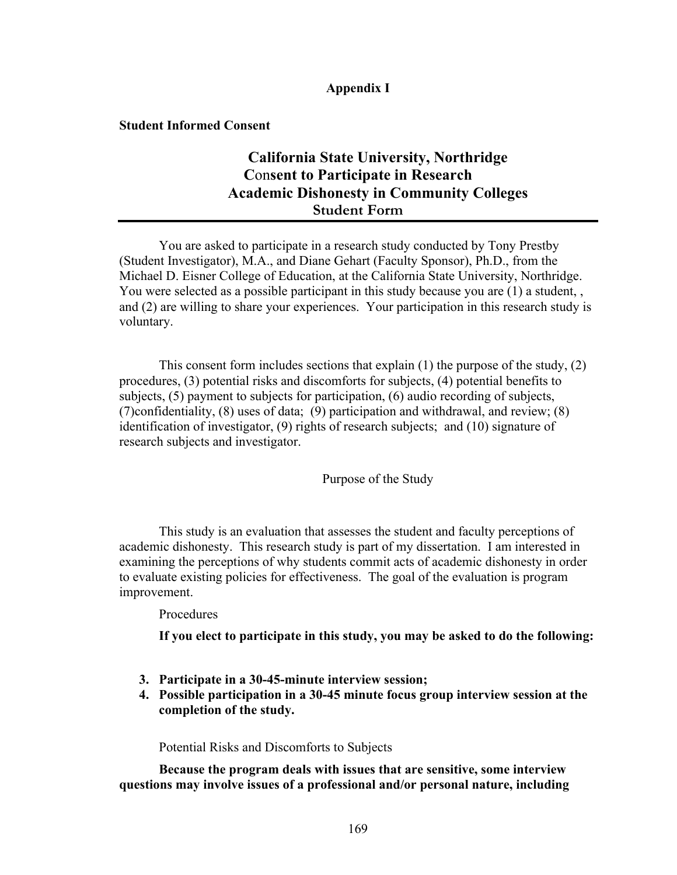# **Appendix I**

**Student Informed Consent**

# **California State University, Northridge C**on**sent to Participate in Research Academic Dishonesty in Community Colleges Student Form**

You are asked to participate in a research study conducted by Tony Prestby (Student Investigator), M.A., and Diane Gehart (Faculty Sponsor), Ph.D., from the Michael D. Eisner College of Education, at the California State University, Northridge. You were selected as a possible participant in this study because you are (1) a student, , and (2) are willing to share your experiences. Your participation in this research study is voluntary.

This consent form includes sections that explain (1) the purpose of the study, (2) procedures, (3) potential risks and discomforts for subjects, (4) potential benefits to subjects, (5) payment to subjects for participation, (6) audio recording of subjects, (7)confidentiality, (8) uses of data; (9) participation and withdrawal, and review; (8) identification of investigator, (9) rights of research subjects; and (10) signature of research subjects and investigator.

Purpose of the Study

This study is an evaluation that assesses the student and faculty perceptions of academic dishonesty. This research study is part of my dissertation. I am interested in examining the perceptions of why students commit acts of academic dishonesty in order to evaluate existing policies for effectiveness. The goal of the evaluation is program improvement.

Procedures

**If you elect to participate in this study, you may be asked to do the following:**

- **3. Participate in a 30-45-minute interview session;**
- **4. Possible participation in a 30-45 minute focus group interview session at the completion of the study.**

Potential Risks and Discomforts to Subjects

**Because the program deals with issues that are sensitive, some interview questions may involve issues of a professional and/or personal nature, including**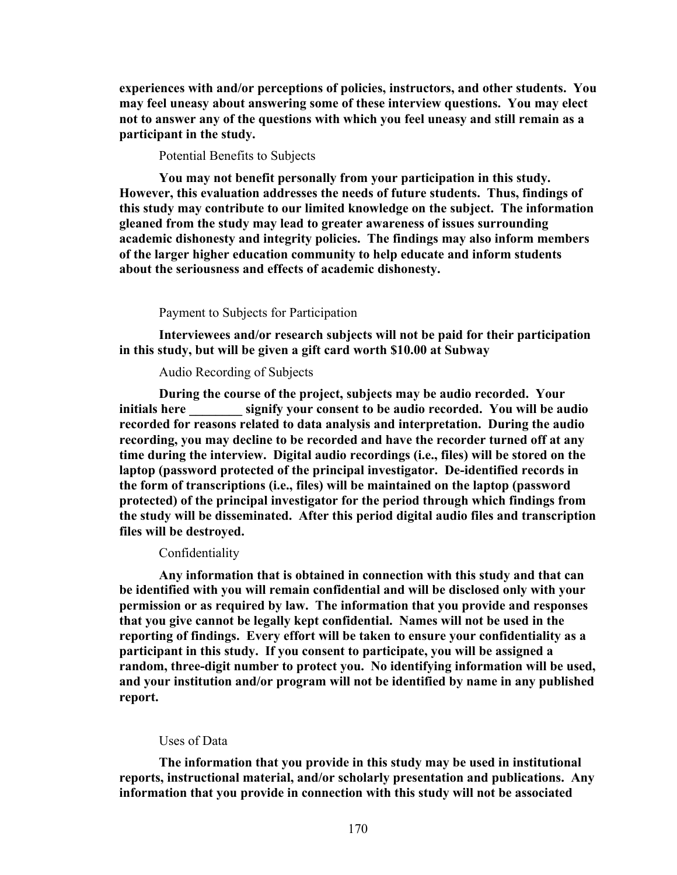**experiences with and/or perceptions of policies, instructors, and other students. You may feel uneasy about answering some of these interview questions. You may elect not to answer any of the questions with which you feel uneasy and still remain as a participant in the study.**

Potential Benefits to Subjects

**You may not benefit personally from your participation in this study. However, this evaluation addresses the needs of future students. Thus, findings of this study may contribute to our limited knowledge on the subject. The information gleaned from the study may lead to greater awareness of issues surrounding academic dishonesty and integrity policies. The findings may also inform members of the larger higher education community to help educate and inform students about the seriousness and effects of academic dishonesty.** 

Payment to Subjects for Participation

**Interviewees and/or research subjects will not be paid for their participation in this study, but will be given a gift card worth \$10.00 at Subway**

Audio Recording of Subjects

**During the course of the project, subjects may be audio recorded. Your initials here \_\_\_\_\_\_\_\_ signify your consent to be audio recorded. You will be audio recorded for reasons related to data analysis and interpretation. During the audio recording, you may decline to be recorded and have the recorder turned off at any time during the interview. Digital audio recordings (i.e., files) will be stored on the laptop (password protected of the principal investigator. De-identified records in the form of transcriptions (i.e., files) will be maintained on the laptop (password protected) of the principal investigator for the period through which findings from the study will be disseminated. After this period digital audio files and transcription files will be destroyed.** 

#### **Confidentiality**

**Any information that is obtained in connection with this study and that can be identified with you will remain confidential and will be disclosed only with your permission or as required by law. The information that you provide and responses that you give cannot be legally kept confidential. Names will not be used in the reporting of findings. Every effort will be taken to ensure your confidentiality as a participant in this study. If you consent to participate, you will be assigned a random, three-digit number to protect you. No identifying information will be used, and your institution and/or program will not be identified by name in any published report.** 

#### Uses of Data

**The information that you provide in this study may be used in institutional reports, instructional material, and/or scholarly presentation and publications. Any information that you provide in connection with this study will not be associated**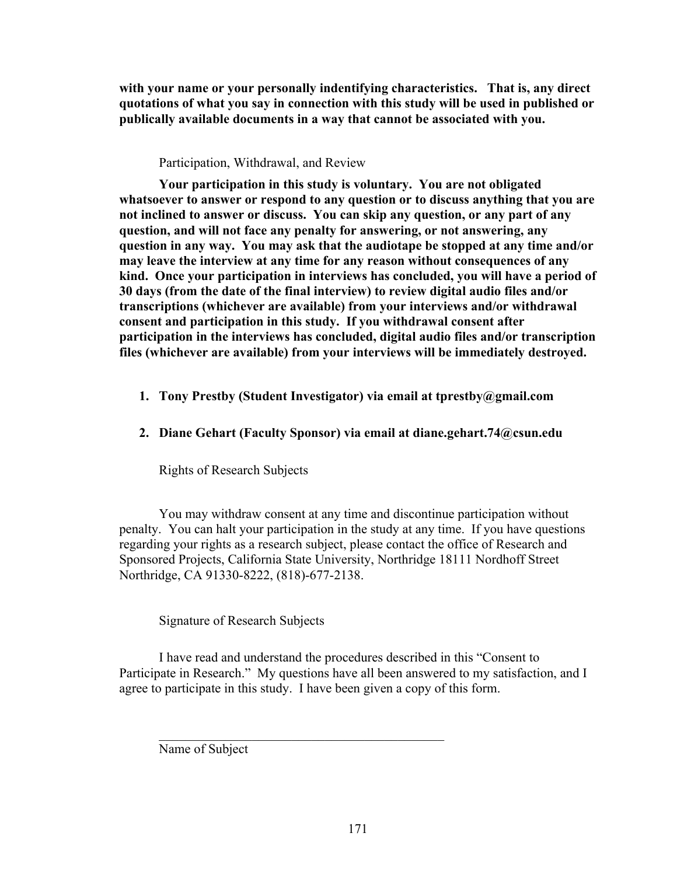**with your name or your personally indentifying characteristics. That is, any direct quotations of what you say in connection with this study will be used in published or publically available documents in a way that cannot be associated with you.** 

# Participation, Withdrawal, and Review

**Your participation in this study is voluntary. You are not obligated whatsoever to answer or respond to any question or to discuss anything that you are not inclined to answer or discuss. You can skip any question, or any part of any question, and will not face any penalty for answering, or not answering, any question in any way. You may ask that the audiotape be stopped at any time and/or may leave the interview at any time for any reason without consequences of any kind. Once your participation in interviews has concluded, you will have a period of 30 days (from the date of the final interview) to review digital audio files and/or transcriptions (whichever are available) from your interviews and/or withdrawal consent and participation in this study. If you withdrawal consent after participation in the interviews has concluded, digital audio files and/or transcription files (whichever are available) from your interviews will be immediately destroyed.**

- **1. Tony Prestby (Student Investigator) via email at tprestby@gmail.com**
- **2. Diane Gehart (Faculty Sponsor) via email at diane.gehart.74@csun.edu**

Rights of Research Subjects

You may withdraw consent at any time and discontinue participation without penalty. You can halt your participation in the study at any time. If you have questions regarding your rights as a research subject, please contact the office of Research and Sponsored Projects, California State University, Northridge 18111 Nordhoff Street Northridge, CA 91330-8222, (818)-677-2138.

Signature of Research Subjects

I have read and understand the procedures described in this "Consent to Participate in Research." My questions have all been answered to my satisfaction, and I agree to participate in this study. I have been given a copy of this form.

 $\mathcal{L}_\text{max}$  , and the set of the set of the set of the set of the set of the set of the set of the set of the set of the set of the set of the set of the set of the set of the set of the set of the set of the set of the

Name of Subject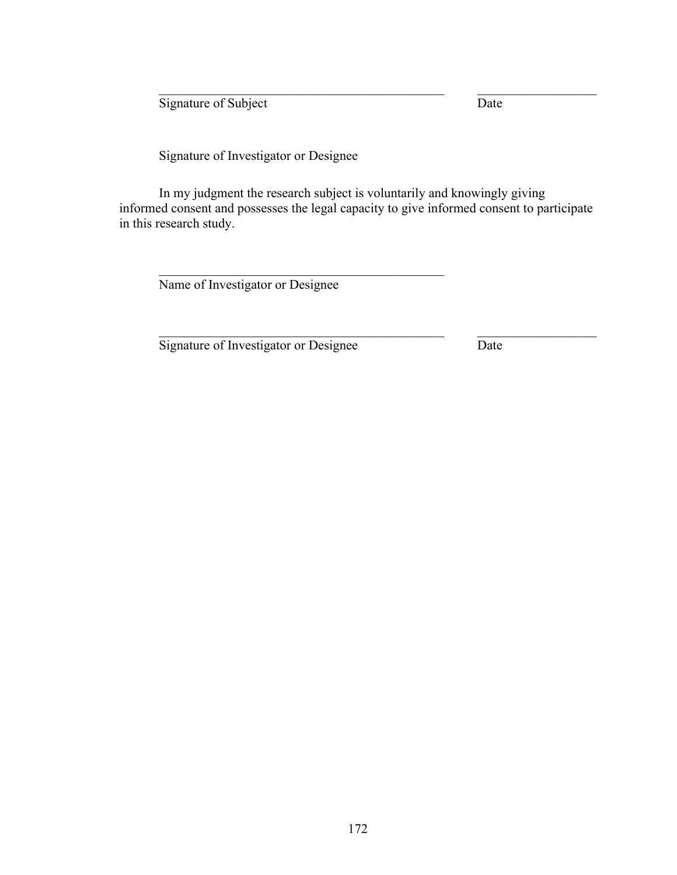Signature of Subject Date

Signature of Investigator or Designee

In my judgment the research subject is voluntarily and knowingly giving informed consent and possesses the legal capacity to give informed consent to participate in this research study.

 $\mathcal{L}_\text{max}$  and the contract of the contract of the contract of the contract of the contract of the contract of

 $\_$  , and the set of the set of the set of the set of the set of the set of the set of the set of the set of the set of the set of the set of the set of the set of the set of the set of the set of the set of the set of th

Name of Investigator or Designee

 $\mathcal{L}_\text{max}$  , and the set of the set of the set of the set of the set of the set of the set of the set of the set of the set of the set of the set of the set of the set of the set of the set of the set of the set of the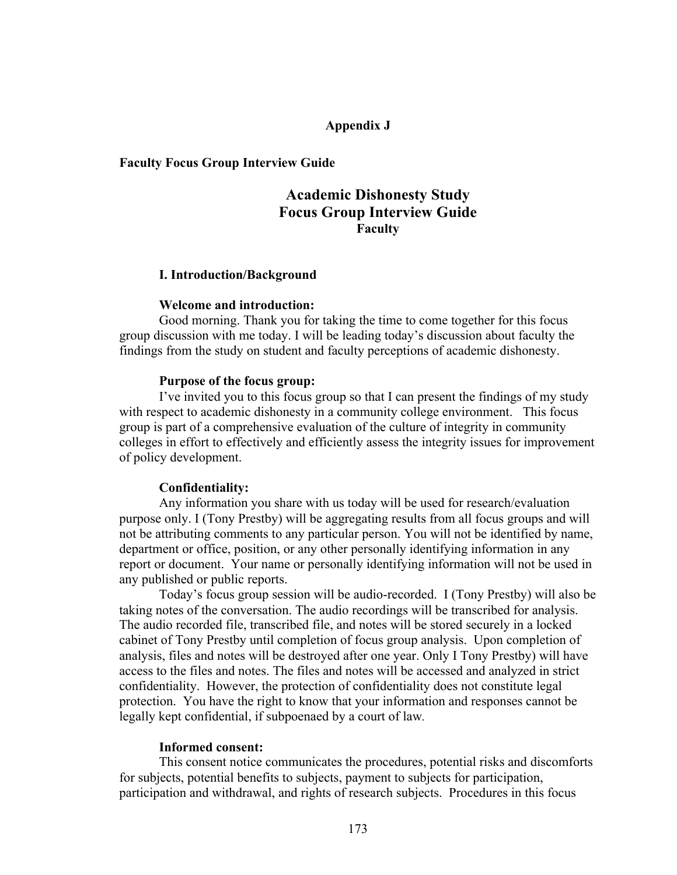## **Appendix J**

### **Faculty Focus Group Interview Guide**

# **Academic Dishonesty Study Focus Group Interview Guide Faculty**

### **I. Introduction/Background**

#### **Welcome and introduction:**

Good morning. Thank you for taking the time to come together for this focus group discussion with me today. I will be leading today's discussion about faculty the findings from the study on student and faculty perceptions of academic dishonesty.

#### **Purpose of the focus group:**

I've invited you to this focus group so that I can present the findings of my study with respect to academic dishonesty in a community college environment. This focus group is part of a comprehensive evaluation of the culture of integrity in community colleges in effort to effectively and efficiently assess the integrity issues for improvement of policy development.

### **Confidentiality:**

Any information you share with us today will be used for research/evaluation purpose only. I (Tony Prestby) will be aggregating results from all focus groups and will not be attributing comments to any particular person. You will not be identified by name, department or office, position, or any other personally identifying information in any report or document. Your name or personally identifying information will not be used in any published or public reports.

Today's focus group session will be audio-recorded. I (Tony Prestby) will also be taking notes of the conversation. The audio recordings will be transcribed for analysis. The audio recorded file, transcribed file, and notes will be stored securely in a locked cabinet of Tony Prestby until completion of focus group analysis. Upon completion of analysis, files and notes will be destroyed after one year. Only I Tony Prestby) will have access to the files and notes. The files and notes will be accessed and analyzed in strict confidentiality. However, the protection of confidentiality does not constitute legal protection. You have the right to know that your information and responses cannot be legally kept confidential, if subpoenaed by a court of law*.*

#### **Informed consent:**

This consent notice communicates the procedures, potential risks and discomforts for subjects, potential benefits to subjects, payment to subjects for participation, participation and withdrawal, and rights of research subjects. Procedures in this focus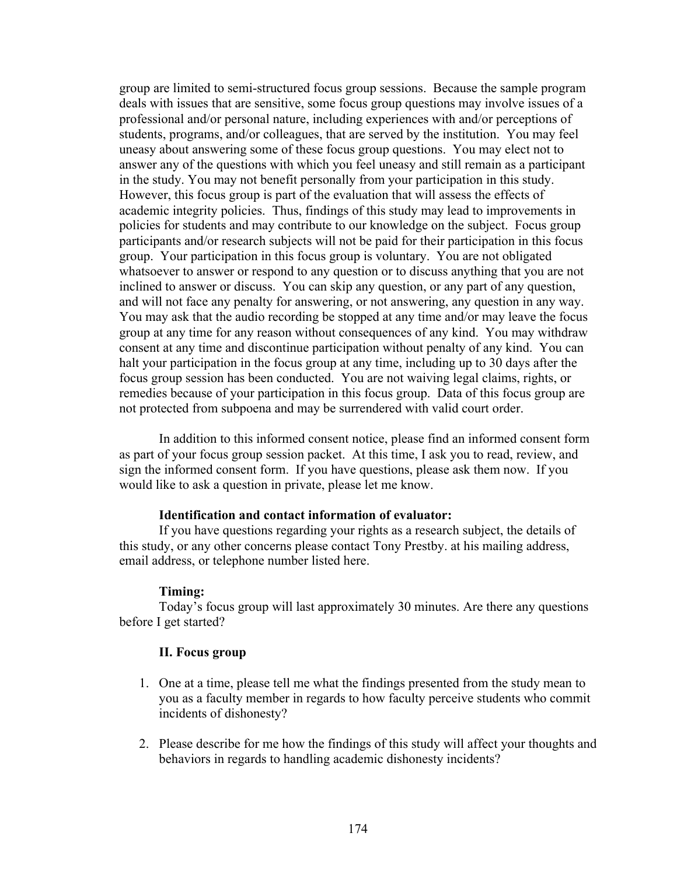group are limited to semi-structured focus group sessions. Because the sample program deals with issues that are sensitive, some focus group questions may involve issues of a professional and/or personal nature, including experiences with and/or perceptions of students, programs, and/or colleagues, that are served by the institution. You may feel uneasy about answering some of these focus group questions. You may elect not to answer any of the questions with which you feel uneasy and still remain as a participant in the study. You may not benefit personally from your participation in this study. However, this focus group is part of the evaluation that will assess the effects of academic integrity policies. Thus, findings of this study may lead to improvements in policies for students and may contribute to our knowledge on the subject. Focus group participants and/or research subjects will not be paid for their participation in this focus group. Your participation in this focus group is voluntary. You are not obligated whatsoever to answer or respond to any question or to discuss anything that you are not inclined to answer or discuss. You can skip any question, or any part of any question, and will not face any penalty for answering, or not answering, any question in any way. You may ask that the audio recording be stopped at any time and/or may leave the focus group at any time for any reason without consequences of any kind. You may withdraw consent at any time and discontinue participation without penalty of any kind. You can halt your participation in the focus group at any time, including up to 30 days after the focus group session has been conducted. You are not waiving legal claims, rights, or remedies because of your participation in this focus group. Data of this focus group are not protected from subpoena and may be surrendered with valid court order.

In addition to this informed consent notice, please find an informed consent form as part of your focus group session packet. At this time, I ask you to read, review, and sign the informed consent form. If you have questions, please ask them now. If you would like to ask a question in private, please let me know.

### **Identification and contact information of evaluator:**

If you have questions regarding your rights as a research subject, the details of this study, or any other concerns please contact Tony Prestby. at his mailing address, email address, or telephone number listed here.

#### **Timing:**

Today's focus group will last approximately 30 minutes. Are there any questions before I get started?

# **II. Focus group**

- 1. One at a time, please tell me what the findings presented from the study mean to you as a faculty member in regards to how faculty perceive students who commit incidents of dishonesty?
- 2. Please describe for me how the findings of this study will affect your thoughts and behaviors in regards to handling academic dishonesty incidents?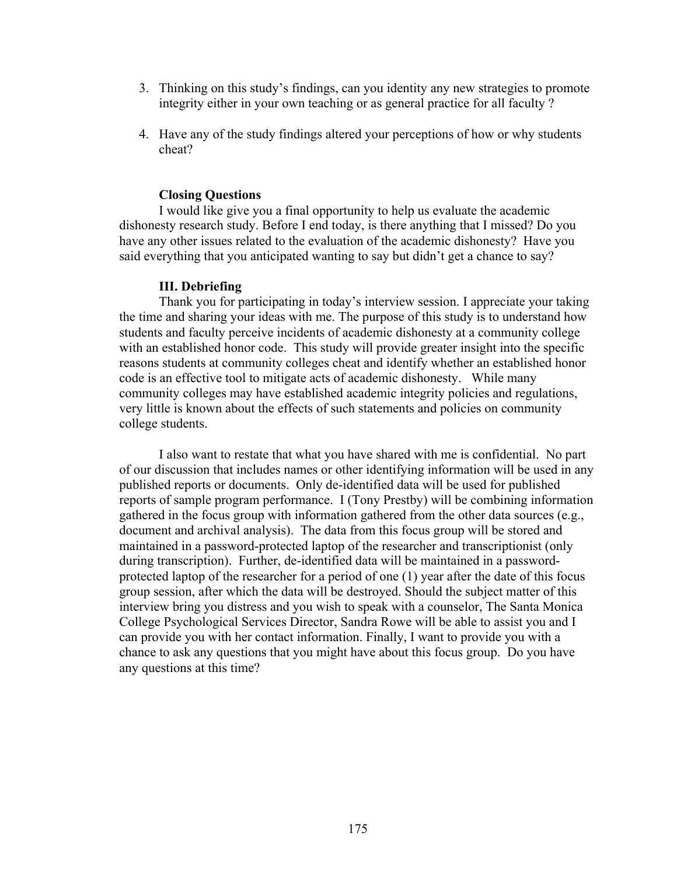- 3. Thinking on this study's findings, can you identity any new strategies to promote integrity either in your own teaching or as general practice for all faculty ?
- 4. Have any of the study findings altered your perceptions of how or why students cheat?

### **Closing Questions**

I would like give you a final opportunity to help us evaluate the academic dishonesty research study. Before I end today, is there anything that I missed? Do you have any other issues related to the evaluation of the academic dishonesty? Have you said everything that you anticipated wanting to say but didn't get a chance to say?

#### **III. Debriefing**

Thank you for participating in today's interview session. I appreciate your taking the time and sharing your ideas with me. The purpose of this study is to understand how students and faculty perceive incidents of academic dishonesty at a community college with an established honor code. This study will provide greater insight into the specific reasons students at community colleges cheat and identify whether an established honor code is an effective tool to mitigate acts of academic dishonesty. While many community colleges may have established academic integrity policies and regulations, very little is known about the effects of such statements and policies on community college students.

I also want to restate that what you have shared with me is confidential. No part of our discussion that includes names or other identifying information will be used in any published reports or documents. Only de-identified data will be used for published reports of sample program performance. I (Tony Prestby) will be combining information gathered in the focus group with information gathered from the other data sources (e.g., document and archival analysis). The data from this focus group will be stored and maintained in a password-protected laptop of the researcher and transcriptionist (only during transcription). Further, de-identified data will be maintained in a passwordprotected laptop of the researcher for a period of one (1) year after the date of this focus group session, after which the data will be destroyed. Should the subject matter of this interview bring you distress and you wish to speak with a counselor, The Santa Monica College Psychological Services Director, Sandra Rowe will be able to assist you and I can provide you with her contact information. Finally, I want to provide you with a chance to ask any questions that you might have about this focus group. Do you have any questions at this time?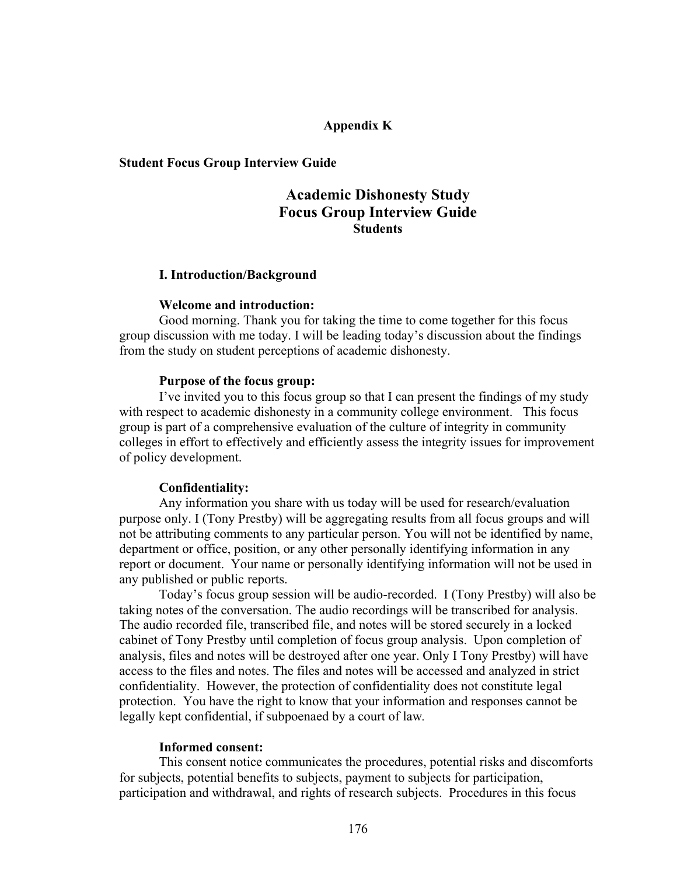## **Appendix K**

### **Student Focus Group Interview Guide**

# **Academic Dishonesty Study Focus Group Interview Guide Students**

### **I. Introduction/Background**

#### **Welcome and introduction:**

Good morning. Thank you for taking the time to come together for this focus group discussion with me today. I will be leading today's discussion about the findings from the study on student perceptions of academic dishonesty.

#### **Purpose of the focus group:**

I've invited you to this focus group so that I can present the findings of my study with respect to academic dishonesty in a community college environment. This focus group is part of a comprehensive evaluation of the culture of integrity in community colleges in effort to effectively and efficiently assess the integrity issues for improvement of policy development.

### **Confidentiality:**

Any information you share with us today will be used for research/evaluation purpose only. I (Tony Prestby) will be aggregating results from all focus groups and will not be attributing comments to any particular person. You will not be identified by name, department or office, position, or any other personally identifying information in any report or document. Your name or personally identifying information will not be used in any published or public reports.

Today's focus group session will be audio-recorded. I (Tony Prestby) will also be taking notes of the conversation. The audio recordings will be transcribed for analysis. The audio recorded file, transcribed file, and notes will be stored securely in a locked cabinet of Tony Prestby until completion of focus group analysis. Upon completion of analysis, files and notes will be destroyed after one year. Only I Tony Prestby) will have access to the files and notes. The files and notes will be accessed and analyzed in strict confidentiality. However, the protection of confidentiality does not constitute legal protection. You have the right to know that your information and responses cannot be legally kept confidential, if subpoenaed by a court of law*.*

### **Informed consent:**

This consent notice communicates the procedures, potential risks and discomforts for subjects, potential benefits to subjects, payment to subjects for participation, participation and withdrawal, and rights of research subjects. Procedures in this focus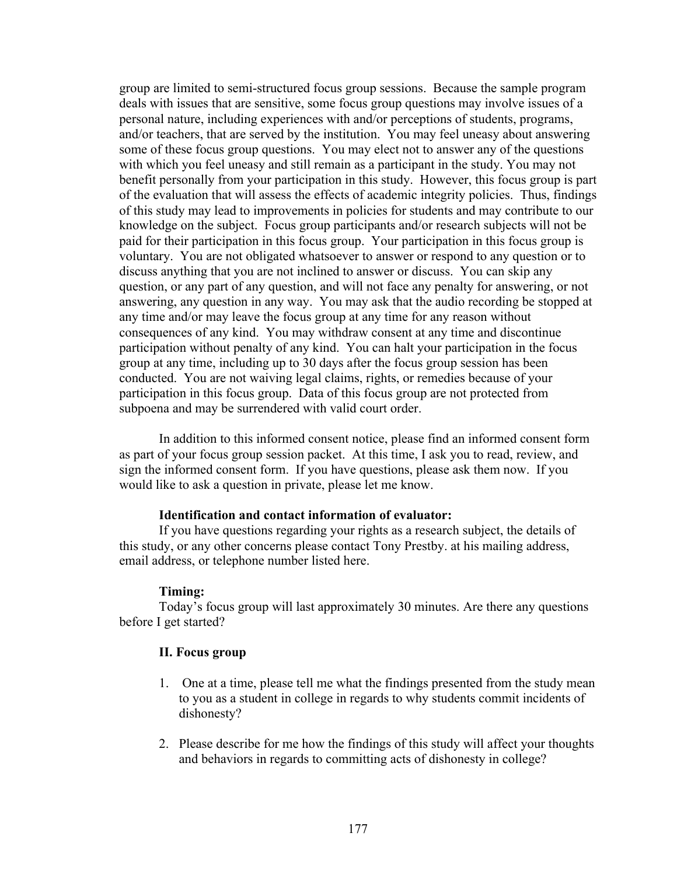group are limited to semi-structured focus group sessions. Because the sample program deals with issues that are sensitive, some focus group questions may involve issues of a personal nature, including experiences with and/or perceptions of students, programs, and/or teachers, that are served by the institution. You may feel uneasy about answering some of these focus group questions. You may elect not to answer any of the questions with which you feel uneasy and still remain as a participant in the study. You may not benefit personally from your participation in this study. However, this focus group is part of the evaluation that will assess the effects of academic integrity policies. Thus, findings of this study may lead to improvements in policies for students and may contribute to our knowledge on the subject. Focus group participants and/or research subjects will not be paid for their participation in this focus group. Your participation in this focus group is voluntary. You are not obligated whatsoever to answer or respond to any question or to discuss anything that you are not inclined to answer or discuss. You can skip any question, or any part of any question, and will not face any penalty for answering, or not answering, any question in any way. You may ask that the audio recording be stopped at any time and/or may leave the focus group at any time for any reason without consequences of any kind. You may withdraw consent at any time and discontinue participation without penalty of any kind. You can halt your participation in the focus group at any time, including up to 30 days after the focus group session has been conducted. You are not waiving legal claims, rights, or remedies because of your participation in this focus group. Data of this focus group are not protected from subpoena and may be surrendered with valid court order.

In addition to this informed consent notice, please find an informed consent form as part of your focus group session packet. At this time, I ask you to read, review, and sign the informed consent form. If you have questions, please ask them now. If you would like to ask a question in private, please let me know.

#### **Identification and contact information of evaluator:**

If you have questions regarding your rights as a research subject, the details of this study, or any other concerns please contact Tony Prestby. at his mailing address, email address, or telephone number listed here.

#### **Timing:**

Today's focus group will last approximately 30 minutes. Are there any questions before I get started?

## **II. Focus group**

- 1. One at a time, please tell me what the findings presented from the study mean to you as a student in college in regards to why students commit incidents of dishonesty?
- 2. Please describe for me how the findings of this study will affect your thoughts and behaviors in regards to committing acts of dishonesty in college?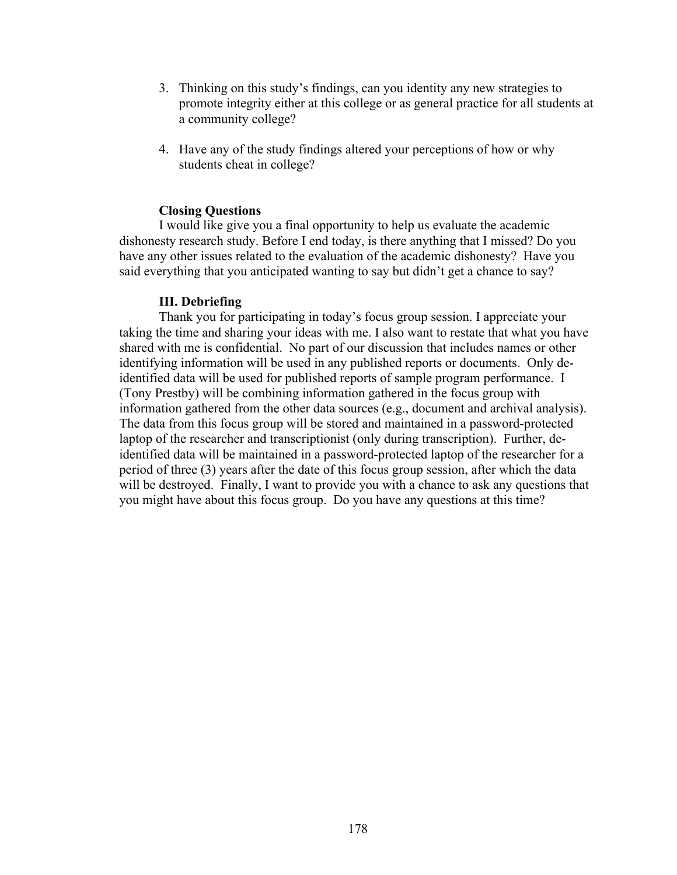- 3. Thinking on this study's findings, can you identity any new strategies to promote integrity either at this college or as general practice for all students at a community college?
- 4. Have any of the study findings altered your perceptions of how or why students cheat in college?

## **Closing Questions**

I would like give you a final opportunity to help us evaluate the academic dishonesty research study. Before I end today, is there anything that I missed? Do you have any other issues related to the evaluation of the academic dishonesty? Have you said everything that you anticipated wanting to say but didn't get a chance to say?

### **III. Debriefing**

Thank you for participating in today's focus group session. I appreciate your taking the time and sharing your ideas with me. I also want to restate that what you have shared with me is confidential. No part of our discussion that includes names or other identifying information will be used in any published reports or documents. Only deidentified data will be used for published reports of sample program performance. I (Tony Prestby) will be combining information gathered in the focus group with information gathered from the other data sources (e.g., document and archival analysis). The data from this focus group will be stored and maintained in a password-protected laptop of the researcher and transcriptionist (only during transcription). Further, deidentified data will be maintained in a password-protected laptop of the researcher for a period of three (3) years after the date of this focus group session, after which the data will be destroyed. Finally, I want to provide you with a chance to ask any questions that you might have about this focus group. Do you have any questions at this time?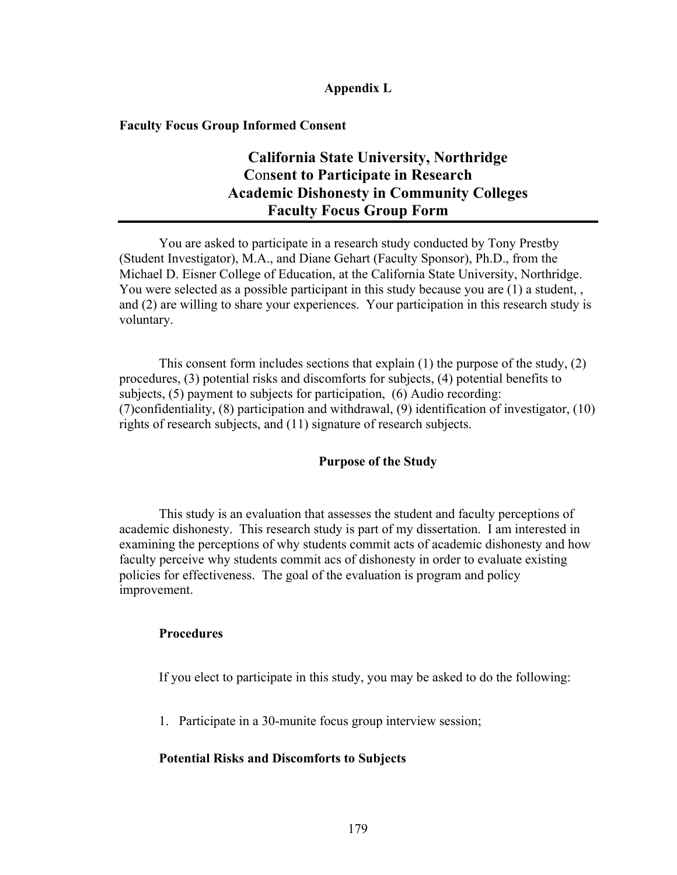# **Appendix L**

### **Faculty Focus Group Informed Consent**

# **California State University, Northridge C**on**sent to Participate in Research Academic Dishonesty in Community Colleges Faculty Focus Group Form**

You are asked to participate in a research study conducted by Tony Prestby (Student Investigator), M.A., and Diane Gehart (Faculty Sponsor), Ph.D., from the Michael D. Eisner College of Education, at the California State University, Northridge. You were selected as a possible participant in this study because you are (1) a student, , and (2) are willing to share your experiences. Your participation in this research study is voluntary.

This consent form includes sections that explain (1) the purpose of the study, (2) procedures, (3) potential risks and discomforts for subjects, (4) potential benefits to subjects, (5) payment to subjects for participation, (6) Audio recording: (7)confidentiality, (8) participation and withdrawal, (9) identification of investigator, (10) rights of research subjects, and (11) signature of research subjects.

## **Purpose of the Study**

This study is an evaluation that assesses the student and faculty perceptions of academic dishonesty. This research study is part of my dissertation. I am interested in examining the perceptions of why students commit acts of academic dishonesty and how faculty perceive why students commit acs of dishonesty in order to evaluate existing policies for effectiveness. The goal of the evaluation is program and policy improvement.

### **Procedures**

If you elect to participate in this study, you may be asked to do the following:

1. Participate in a 30-munite focus group interview session;

# **Potential Risks and Discomforts to Subjects**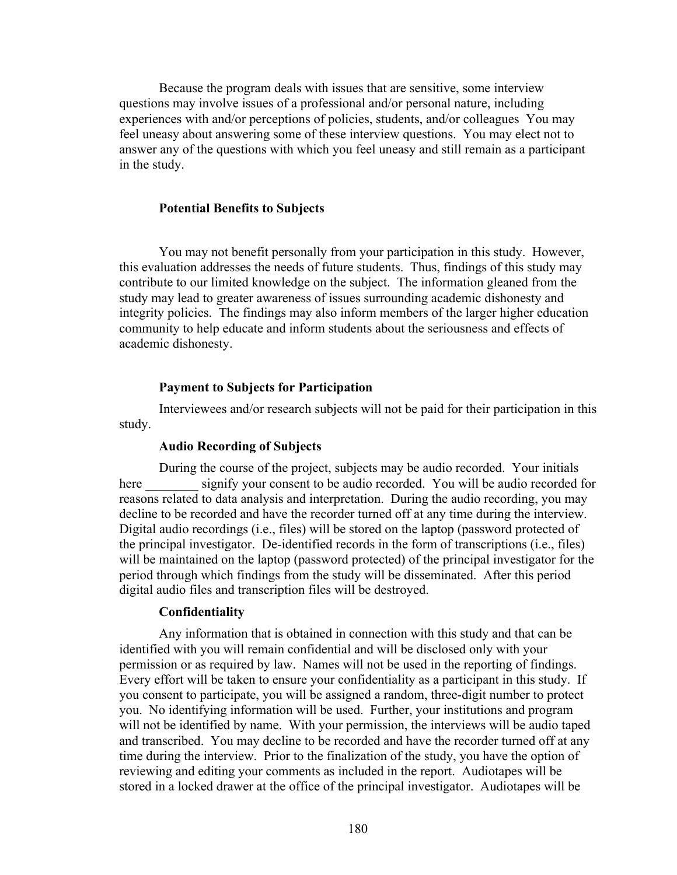Because the program deals with issues that are sensitive, some interview questions may involve issues of a professional and/or personal nature, including experiences with and/or perceptions of policies, students, and/or colleagues You may feel uneasy about answering some of these interview questions. You may elect not to answer any of the questions with which you feel uneasy and still remain as a participant in the study.

### **Potential Benefits to Subjects**

You may not benefit personally from your participation in this study. However, this evaluation addresses the needs of future students. Thus, findings of this study may contribute to our limited knowledge on the subject. The information gleaned from the study may lead to greater awareness of issues surrounding academic dishonesty and integrity policies. The findings may also inform members of the larger higher education community to help educate and inform students about the seriousness and effects of academic dishonesty.

#### **Payment to Subjects for Participation**

Interviewees and/or research subjects will not be paid for their participation in this study.

### **Audio Recording of Subjects**

During the course of the project, subjects may be audio recorded. Your initials here signify your consent to be audio recorded. You will be audio recorded for reasons related to data analysis and interpretation. During the audio recording, you may decline to be recorded and have the recorder turned off at any time during the interview. Digital audio recordings (i.e., files) will be stored on the laptop (password protected of the principal investigator. De-identified records in the form of transcriptions (i.e., files) will be maintained on the laptop (password protected) of the principal investigator for the period through which findings from the study will be disseminated. After this period digital audio files and transcription files will be destroyed.

#### **Confidentiality**

Any information that is obtained in connection with this study and that can be identified with you will remain confidential and will be disclosed only with your permission or as required by law. Names will not be used in the reporting of findings. Every effort will be taken to ensure your confidentiality as a participant in this study. If you consent to participate, you will be assigned a random, three-digit number to protect you. No identifying information will be used. Further, your institutions and program will not be identified by name. With your permission, the interviews will be audio taped and transcribed. You may decline to be recorded and have the recorder turned off at any time during the interview. Prior to the finalization of the study, you have the option of reviewing and editing your comments as included in the report. Audiotapes will be stored in a locked drawer at the office of the principal investigator. Audiotapes will be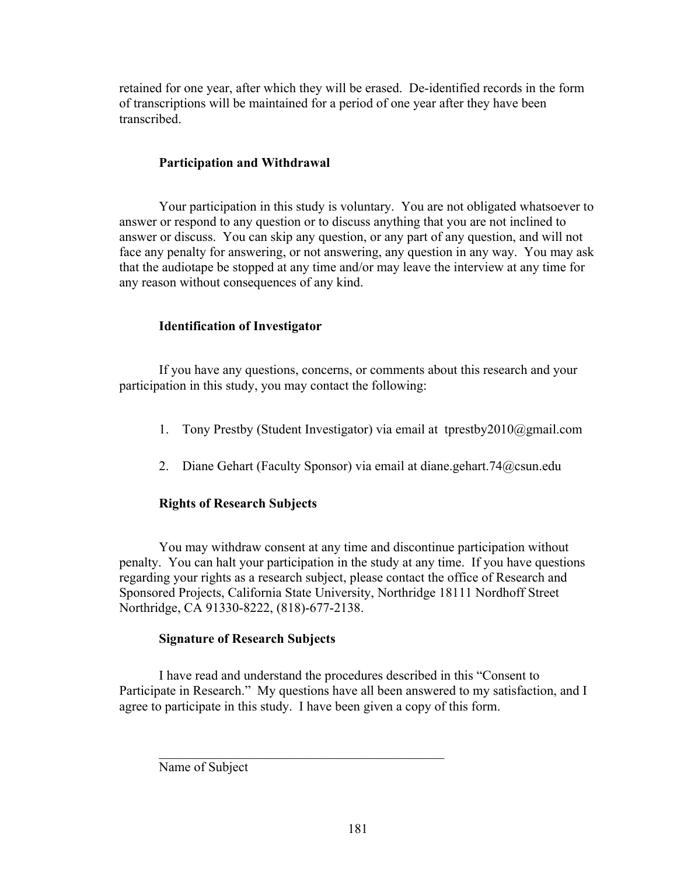retained for one year, after which they will be erased. De-identified records in the form of transcriptions will be maintained for a period of one year after they have been transcribed.

# **Participation and Withdrawal**

Your participation in this study is voluntary. You are not obligated whatsoever to answer or respond to any question or to discuss anything that you are not inclined to answer or discuss. You can skip any question, or any part of any question, and will not face any penalty for answering, or not answering, any question in any way. You may ask that the audiotape be stopped at any time and/or may leave the interview at any time for any reason without consequences of any kind.

# **Identification of Investigator**

If you have any questions, concerns, or comments about this research and your participation in this study, you may contact the following:

- 1. Tony Prestby (Student Investigator) via email at tprestby2010@gmail.com
- 2. Diane Gehart (Faculty Sponsor) via email at diane.gehart.74@csun.edu

# **Rights of Research Subjects**

You may withdraw consent at any time and discontinue participation without penalty. You can halt your participation in the study at any time. If you have questions regarding your rights as a research subject, please contact the office of Research and Sponsored Projects, California State University, Northridge 18111 Nordhoff Street Northridge, CA 91330-8222, (818)-677-2138.

# **Signature of Research Subjects**

I have read and understand the procedures described in this "Consent to Participate in Research." My questions have all been answered to my satisfaction, and I agree to participate in this study. I have been given a copy of this form.

 $\mathcal{L}_\text{max}$  , and the set of the set of the set of the set of the set of the set of the set of the set of the set of the set of the set of the set of the set of the set of the set of the set of the set of the set of the

Name of Subject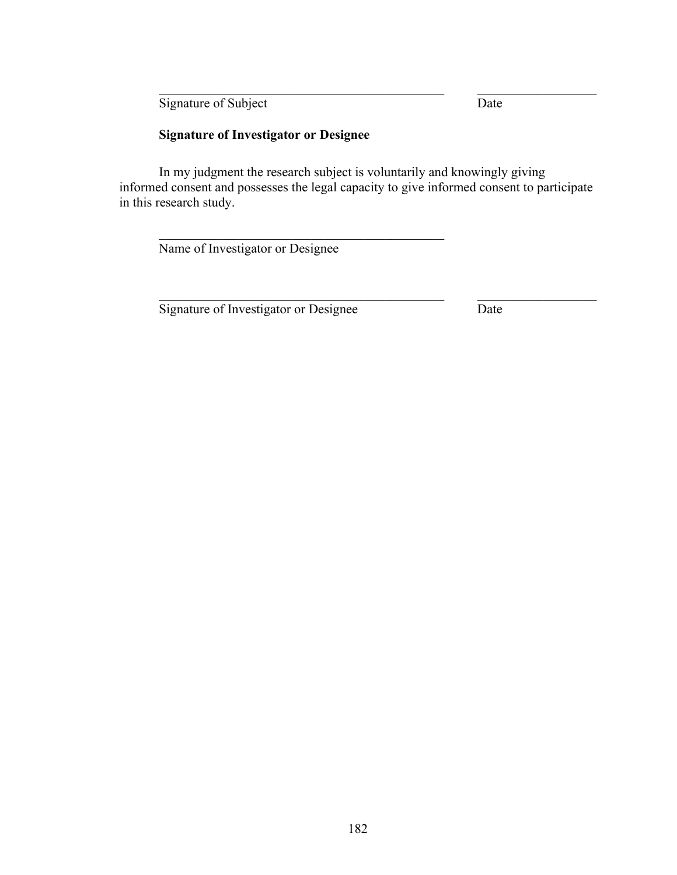Signature of Subject Date

# **Signature of Investigator or Designee**

In my judgment the research subject is voluntarily and knowingly giving informed consent and possesses the legal capacity to give informed consent to participate in this research study.

 $\_$  , and the set of the set of the set of the set of the set of the set of the set of the set of the set of the set of the set of the set of the set of the set of the set of the set of the set of the set of the set of th

 $\_$  , and the set of the set of the set of the set of the set of the set of the set of the set of the set of the set of the set of the set of the set of the set of the set of the set of the set of the set of the set of th

Name of Investigator or Designee

 $\mathcal{L}_\text{max}$  and the contract of the contract of the contract of the contract of the contract of the contract of the contract of the contract of the contract of the contract of the contract of the contract of the contrac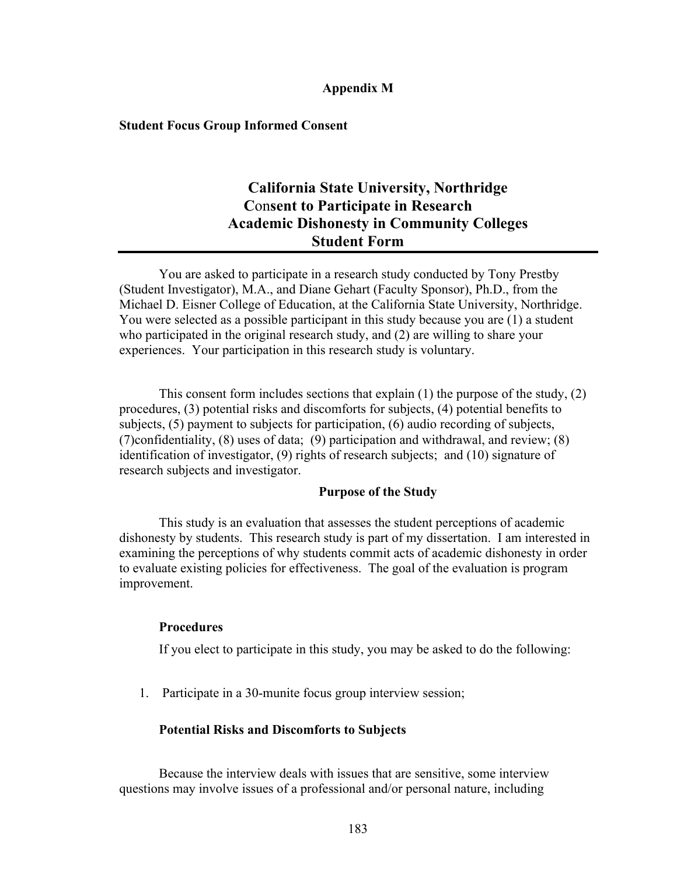# **Appendix M**

### **Student Focus Group Informed Consent**

# **California State University, Northridge C**on**sent to Participate in Research Academic Dishonesty in Community Colleges Student Form**

You are asked to participate in a research study conducted by Tony Prestby (Student Investigator), M.A., and Diane Gehart (Faculty Sponsor), Ph.D., from the Michael D. Eisner College of Education, at the California State University, Northridge. You were selected as a possible participant in this study because you are (1) a student who participated in the original research study, and (2) are willing to share your experiences. Your participation in this research study is voluntary.

This consent form includes sections that explain (1) the purpose of the study, (2) procedures, (3) potential risks and discomforts for subjects, (4) potential benefits to subjects, (5) payment to subjects for participation, (6) audio recording of subjects, (7)confidentiality, (8) uses of data; (9) participation and withdrawal, and review; (8) identification of investigator, (9) rights of research subjects; and (10) signature of research subjects and investigator.

## **Purpose of the Study**

This study is an evaluation that assesses the student perceptions of academic dishonesty by students. This research study is part of my dissertation. I am interested in examining the perceptions of why students commit acts of academic dishonesty in order to evaluate existing policies for effectiveness. The goal of the evaluation is program improvement.

### **Procedures**

If you elect to participate in this study, you may be asked to do the following:

1. Participate in a 30-munite focus group interview session;

### **Potential Risks and Discomforts to Subjects**

Because the interview deals with issues that are sensitive, some interview questions may involve issues of a professional and/or personal nature, including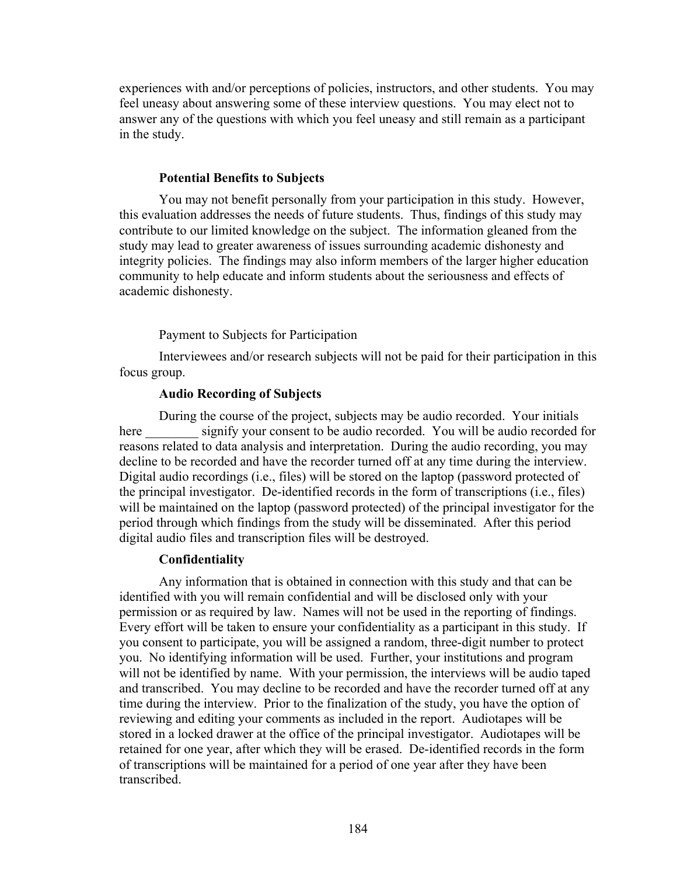experiences with and/or perceptions of policies, instructors, and other students. You may feel uneasy about answering some of these interview questions. You may elect not to answer any of the questions with which you feel uneasy and still remain as a participant in the study.

### **Potential Benefits to Subjects**

You may not benefit personally from your participation in this study. However, this evaluation addresses the needs of future students. Thus, findings of this study may contribute to our limited knowledge on the subject. The information gleaned from the study may lead to greater awareness of issues surrounding academic dishonesty and integrity policies. The findings may also inform members of the larger higher education community to help educate and inform students about the seriousness and effects of academic dishonesty.

## Payment to Subjects for Participation

Interviewees and/or research subjects will not be paid for their participation in this focus group.

### **Audio Recording of Subjects**

During the course of the project, subjects may be audio recorded. Your initials here signify your consent to be audio recorded. You will be audio recorded for reasons related to data analysis and interpretation. During the audio recording, you may decline to be recorded and have the recorder turned off at any time during the interview. Digital audio recordings (i.e., files) will be stored on the laptop (password protected of the principal investigator. De-identified records in the form of transcriptions (i.e., files) will be maintained on the laptop (password protected) of the principal investigator for the period through which findings from the study will be disseminated. After this period digital audio files and transcription files will be destroyed.

#### **Confidentiality**

Any information that is obtained in connection with this study and that can be identified with you will remain confidential and will be disclosed only with your permission or as required by law. Names will not be used in the reporting of findings. Every effort will be taken to ensure your confidentiality as a participant in this study. If you consent to participate, you will be assigned a random, three-digit number to protect you. No identifying information will be used. Further, your institutions and program will not be identified by name. With your permission, the interviews will be audio taped and transcribed. You may decline to be recorded and have the recorder turned off at any time during the interview. Prior to the finalization of the study, you have the option of reviewing and editing your comments as included in the report. Audiotapes will be stored in a locked drawer at the office of the principal investigator. Audiotapes will be retained for one year, after which they will be erased. De-identified records in the form of transcriptions will be maintained for a period of one year after they have been transcribed.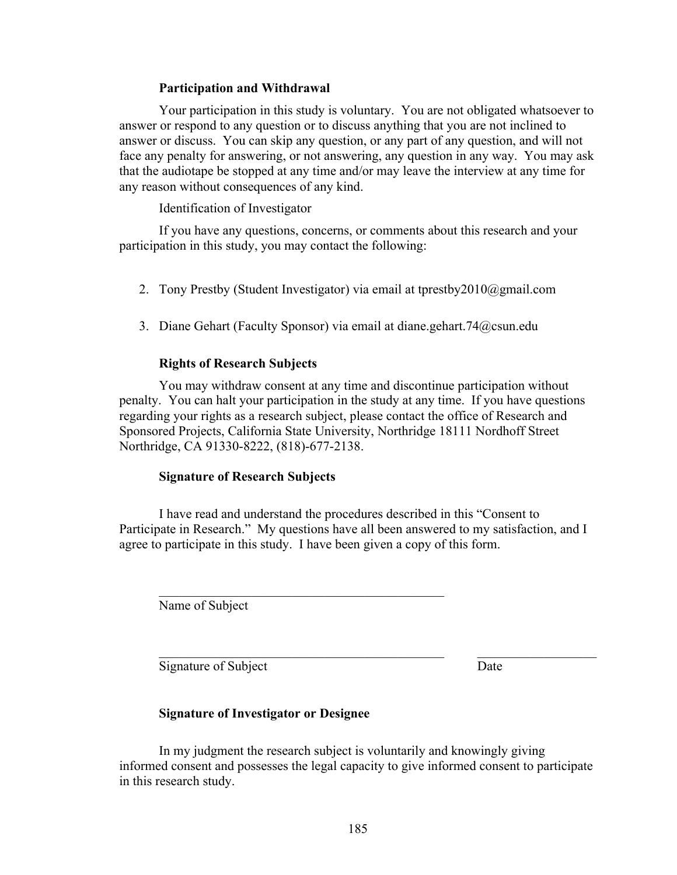# **Participation and Withdrawal**

Your participation in this study is voluntary. You are not obligated whatsoever to answer or respond to any question or to discuss anything that you are not inclined to answer or discuss. You can skip any question, or any part of any question, and will not face any penalty for answering, or not answering, any question in any way. You may ask that the audiotape be stopped at any time and/or may leave the interview at any time for any reason without consequences of any kind.

# Identification of Investigator

If you have any questions, concerns, or comments about this research and your participation in this study, you may contact the following:

- 2. Tony Prestby (Student Investigator) via email at tprestby2010@gmail.com
- 3. Diane Gehart (Faculty Sponsor) via email at diane.gehart.74@csun.edu

# **Rights of Research Subjects**

You may withdraw consent at any time and discontinue participation without penalty. You can halt your participation in the study at any time. If you have questions regarding your rights as a research subject, please contact the office of Research and Sponsored Projects, California State University, Northridge 18111 Nordhoff Street Northridge, CA 91330-8222, (818)-677-2138.

# **Signature of Research Subjects**

I have read and understand the procedures described in this "Consent to Participate in Research." My questions have all been answered to my satisfaction, and I agree to participate in this study. I have been given a copy of this form.

Name of Subject

Signature of Subject Date

# **Signature of Investigator or Designee**

 $\mathcal{L}_\text{max}$  and the contract of the contract of the contract of the contract of the contract of the contract of the contract of the contract of the contract of the contract of the contract of the contract of the contrac

In my judgment the research subject is voluntarily and knowingly giving informed consent and possesses the legal capacity to give informed consent to participate in this research study.

 $\_$  , and the set of the set of the set of the set of the set of the set of the set of the set of the set of the set of the set of the set of the set of the set of the set of the set of the set of the set of the set of th